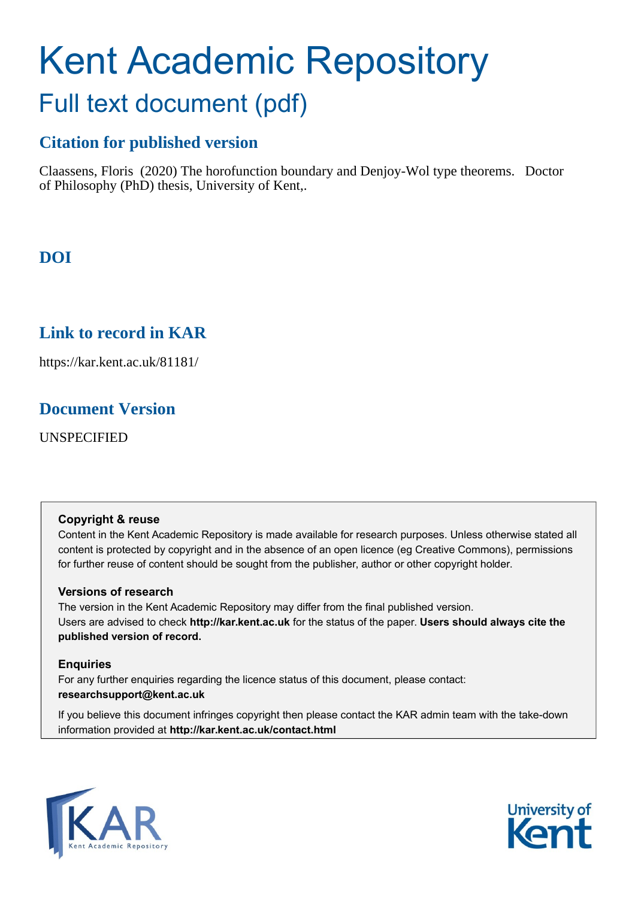# Kent Academic Repository Full text document (pdf)

# **Citation for published version**

Claassens, Floris (2020) The horofunction boundary and Denjoy-Wol type theorems. Doctor of Philosophy (PhD) thesis, University of Kent,.

**DOI**

# **Link to record in KAR**

https://kar.kent.ac.uk/81181/

## **Document Version**

UNSPECIFIED

## **Copyright & reuse**

Content in the Kent Academic Repository is made available for research purposes. Unless otherwise stated all content is protected by copyright and in the absence of an open licence (eg Creative Commons), permissions for further reuse of content should be sought from the publisher, author or other copyright holder.

## **Versions of research**

The version in the Kent Academic Repository may differ from the final published version. Users are advised to check **http://kar.kent.ac.uk** for the status of the paper. **Users should always cite the published version of record.**

## **Enquiries**

For any further enquiries regarding the licence status of this document, please contact: **researchsupport@kent.ac.uk**

If you believe this document infringes copyright then please contact the KAR admin team with the take-down information provided at **http://kar.kent.ac.uk/contact.html**



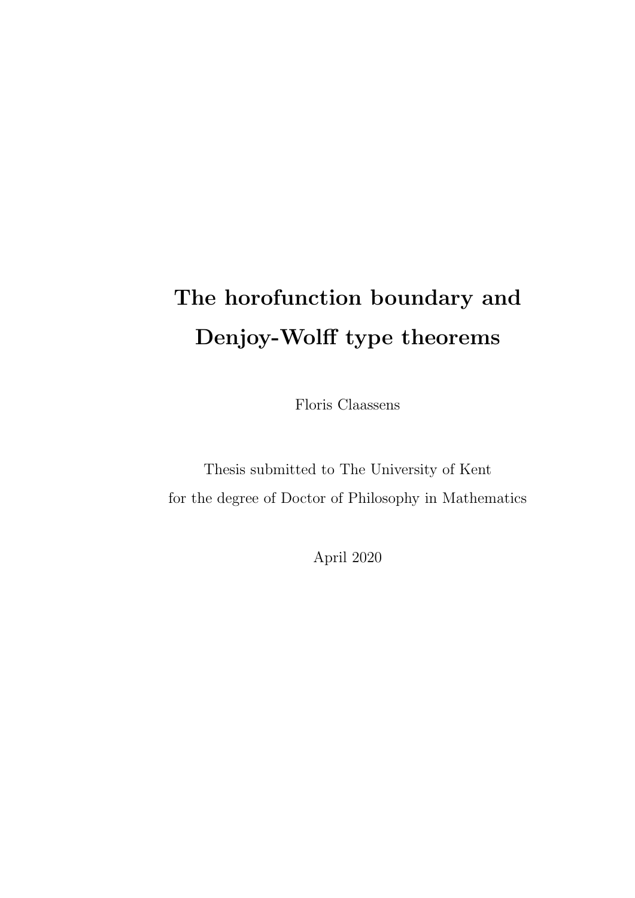# The horofunction boundary and Denjoy-Wolff type theorems

Floris Claassens

Thesis submitted to The University of Kent for the degree of Doctor of Philosophy in Mathematics

April 2020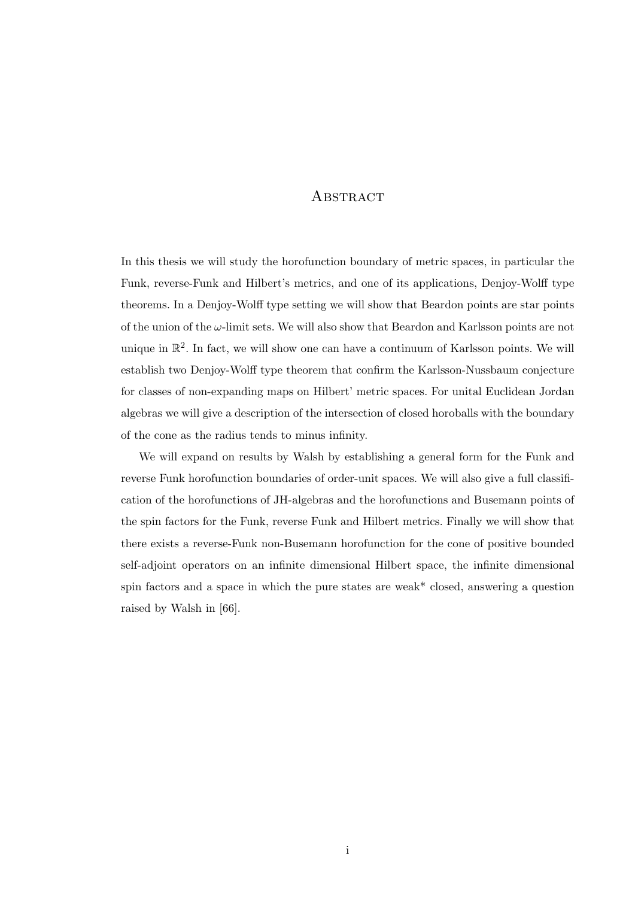## **ABSTRACT**

In this thesis we will study the horofunction boundary of metric spaces, in particular the Funk, reverse-Funk and Hilbert's metrics, and one of its applications, Denjoy-Wolff type theorems. In a Denjoy-Wolff type setting we will show that Beardon points are star points of the union of the  $\omega$ -limit sets. We will also show that Beardon and Karlsson points are not unique in  $\mathbb{R}^2$ . In fact, we will show one can have a continuum of Karlsson points. We will establish two Denjoy-Wolff type theorem that confirm the Karlsson-Nussbaum conjecture for classes of non-expanding maps on Hilbert' metric spaces. For unital Euclidean Jordan algebras we will give a description of the intersection of closed horoballs with the boundary of the cone as the radius tends to minus infinity.

We will expand on results by Walsh by establishing a general form for the Funk and reverse Funk horofunction boundaries of order-unit spaces. We will also give a full classification of the horofunctions of JH-algebras and the horofunctions and Busemann points of the spin factors for the Funk, reverse Funk and Hilbert metrics. Finally we will show that there exists a reverse-Funk non-Busemann horofunction for the cone of positive bounded self-adjoint operators on an infinite dimensional Hilbert space, the infinite dimensional spin factors and a space in which the pure states are weak\* closed, answering a question raised by Walsh in [66].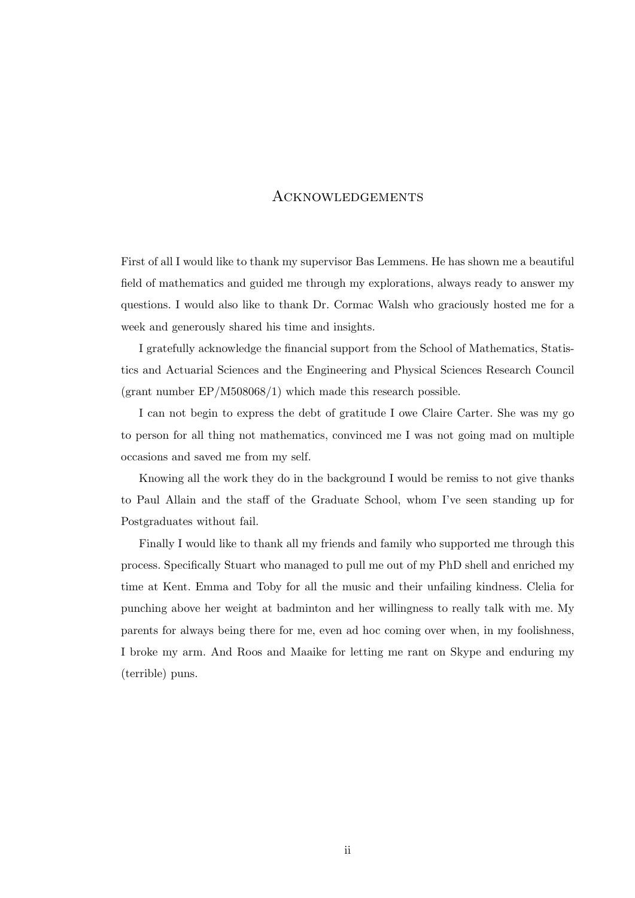### **ACKNOWLEDGEMENTS**

First of all I would like to thank my supervisor Bas Lemmens. He has shown me a beautiful field of mathematics and guided me through my explorations, always ready to answer my questions. I would also like to thank Dr. Cormac Walsh who graciously hosted me for a week and generously shared his time and insights.

I gratefully acknowledge the financial support from the School of Mathematics, Statistics and Actuarial Sciences and the Engineering and Physical Sciences Research Council (grant number EP/M508068/1) which made this research possible.

I can not begin to express the debt of gratitude I owe Claire Carter. She was my go to person for all thing not mathematics, convinced me I was not going mad on multiple occasions and saved me from my self.

Knowing all the work they do in the background I would be remiss to not give thanks to Paul Allain and the staff of the Graduate School, whom I've seen standing up for Postgraduates without fail.

Finally I would like to thank all my friends and family who supported me through this process. Specifically Stuart who managed to pull me out of my PhD shell and enriched my time at Kent. Emma and Toby for all the music and their unfailing kindness. Clelia for punching above her weight at badminton and her willingness to really talk with me. My parents for always being there for me, even ad hoc coming over when, in my foolishness, I broke my arm. And Roos and Maaike for letting me rant on Skype and enduring my (terrible) puns.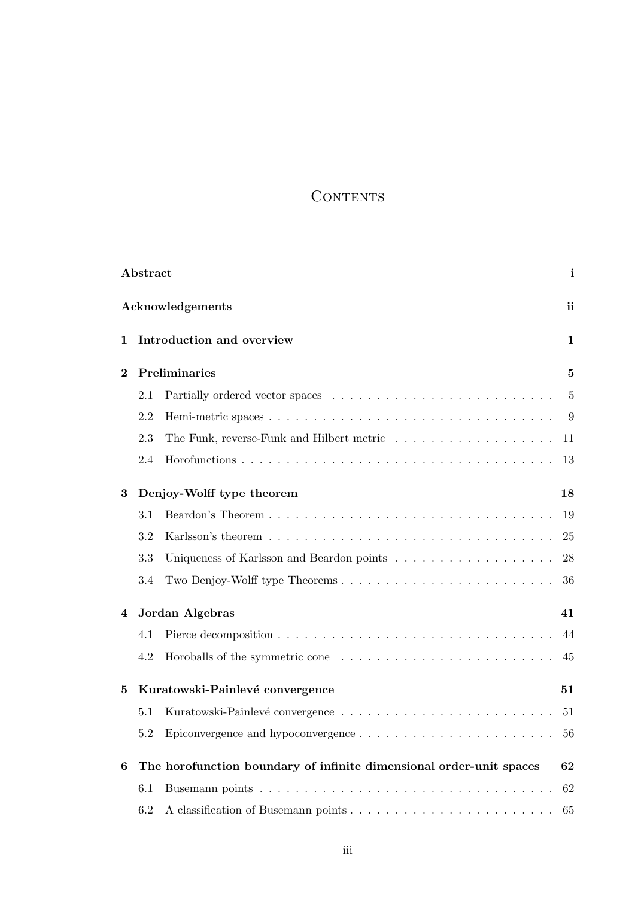## **CONTENTS**

| Abstract                  |                                 |                                                                     |                |  |
|---------------------------|---------------------------------|---------------------------------------------------------------------|----------------|--|
| Acknowledgements          |                                 |                                                                     |                |  |
| 1                         |                                 | Introduction and overview                                           | 1              |  |
| Preliminaries<br>$\bf{2}$ |                                 |                                                                     | 5              |  |
|                           | 2.1                             |                                                                     | $\overline{5}$ |  |
|                           | 2.2                             |                                                                     | 9              |  |
|                           | 2.3                             |                                                                     | 11             |  |
|                           | 2.4                             |                                                                     | 13             |  |
| 3                         |                                 | Denjoy-Wolff type theorem                                           | 18             |  |
|                           | 3.1                             |                                                                     | 19             |  |
|                           | 3.2                             |                                                                     | 25             |  |
|                           | 3.3                             |                                                                     | 28             |  |
|                           | 3.4                             |                                                                     | 36             |  |
| 4                         | Jordan Algebras                 |                                                                     |                |  |
|                           | 4.1                             |                                                                     | 44             |  |
|                           | 4.2                             |                                                                     | 45             |  |
| 5                         | Kuratowski-Painlevé convergence |                                                                     |                |  |
|                           | 5.1                             |                                                                     | 51             |  |
|                           | $5.2\,$                         |                                                                     | 56             |  |
| 6                         |                                 | The horofunction boundary of infinite dimensional order-unit spaces | 62             |  |
|                           | 6.1                             |                                                                     | 62             |  |
|                           | 6.2                             |                                                                     | 65             |  |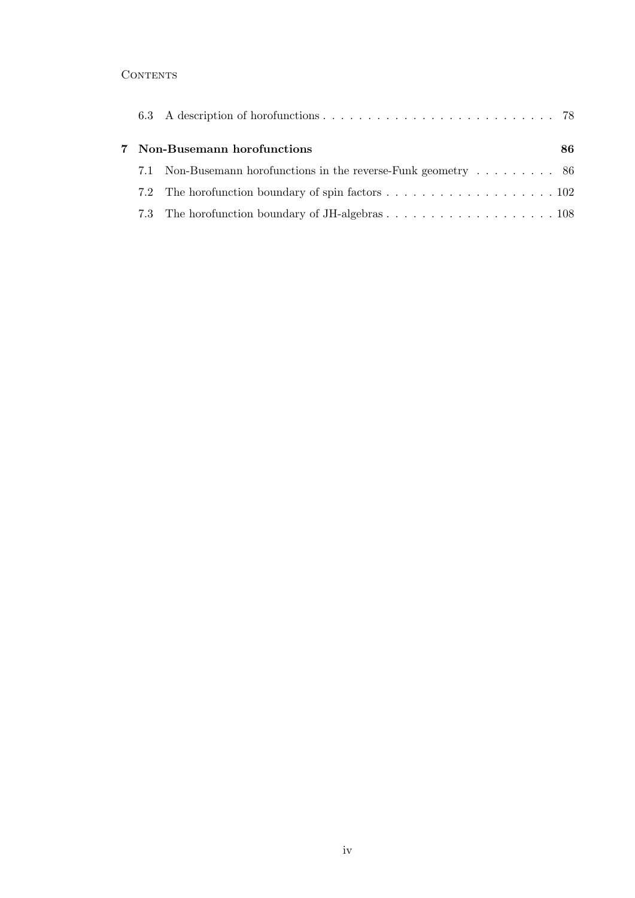## **CONTENTS**

|  | 7 Non-Busemann horofunctions                                    | 86. |
|--|-----------------------------------------------------------------|-----|
|  | 7.1 Non-Busemann horofunctions in the reverse-Funk geometry  86 |     |
|  |                                                                 |     |
|  |                                                                 |     |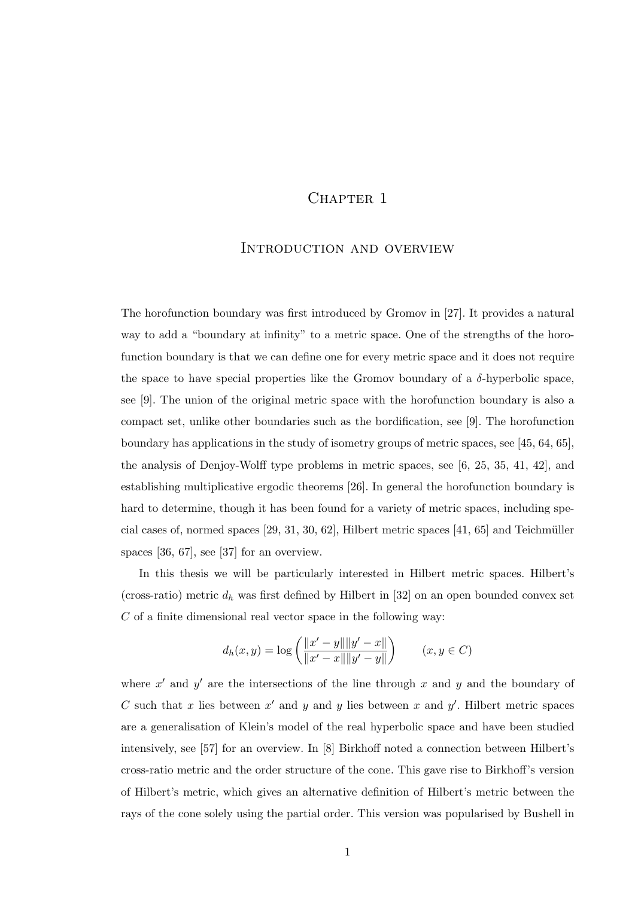## CHAPTER 1

## Introduction and overview

The horofunction boundary was first introduced by Gromov in [27]. It provides a natural way to add a "boundary at infinity" to a metric space. One of the strengths of the horofunction boundary is that we can define one for every metric space and it does not require the space to have special properties like the Gromov boundary of a  $\delta$ -hyperbolic space, see [9]. The union of the original metric space with the horofunction boundary is also a compact set, unlike other boundaries such as the bordification, see [9]. The horofunction boundary has applications in the study of isometry groups of metric spaces, see [45, 64, 65], the analysis of Denjoy-Wolff type problems in metric spaces, see [6, 25, 35, 41, 42], and establishing multiplicative ergodic theorems [26]. In general the horofunction boundary is hard to determine, though it has been found for a variety of metric spaces, including special cases of, normed spaces  $[29, 31, 30, 62]$ , Hilbert metric spaces  $[41, 65]$  and Teichmüller spaces [36, 67], see [37] for an overview.

In this thesis we will be particularly interested in Hilbert metric spaces. Hilbert's (cross-ratio) metric  $d_h$  was first defined by Hilbert in [32] on an open bounded convex set  $C$  of a finite dimensional real vector space in the following way:

$$
d_h(x, y) = \log \left( \frac{\|x' - y\| \|y' - x\|}{\|x' - x\| \|y' - y\|} \right) \qquad (x, y \in C)
$$

where  $x'$  and  $y'$  are the intersections of the line through x and y and the boundary of C such that x lies between  $x'$  and y and y lies between x and y'. Hilbert metric spaces are a generalisation of Klein's model of the real hyperbolic space and have been studied intensively, see [57] for an overview. In [8] Birkhoff noted a connection between Hilbert's cross-ratio metric and the order structure of the cone. This gave rise to Birkhoff's version of Hilbert's metric, which gives an alternative definition of Hilbert's metric between the rays of the cone solely using the partial order. This version was popularised by Bushell in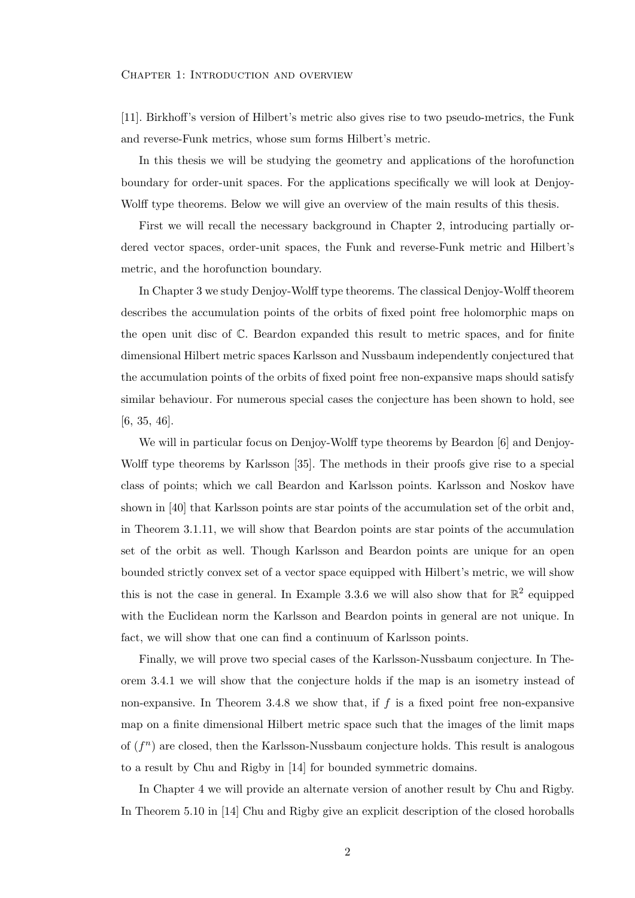#### CHAPTER 1: INTRODUCTION AND OVERVIEW

[11]. Birkhoff's version of Hilbert's metric also gives rise to two pseudo-metrics, the Funk and reverse-Funk metrics, whose sum forms Hilbert's metric.

In this thesis we will be studying the geometry and applications of the horofunction boundary for order-unit spaces. For the applications specifically we will look at Denjoy-Wolff type theorems. Below we will give an overview of the main results of this thesis.

First we will recall the necessary background in Chapter 2, introducing partially ordered vector spaces, order-unit spaces, the Funk and reverse-Funk metric and Hilbert's metric, and the horofunction boundary.

In Chapter 3 we study Denjoy-Wolff type theorems. The classical Denjoy-Wolff theorem describes the accumulation points of the orbits of fixed point free holomorphic maps on the open unit disc of C. Beardon expanded this result to metric spaces, and for finite dimensional Hilbert metric spaces Karlsson and Nussbaum independently conjectured that the accumulation points of the orbits of fixed point free non-expansive maps should satisfy similar behaviour. For numerous special cases the conjecture has been shown to hold, see [6, 35, 46].

We will in particular focus on Denjoy-Wolff type theorems by Beardon [6] and Denjoy-Wolff type theorems by Karlsson [35]. The methods in their proofs give rise to a special class of points; which we call Beardon and Karlsson points. Karlsson and Noskov have shown in [40] that Karlsson points are star points of the accumulation set of the orbit and, in Theorem 3.1.11, we will show that Beardon points are star points of the accumulation set of the orbit as well. Though Karlsson and Beardon points are unique for an open bounded strictly convex set of a vector space equipped with Hilbert's metric, we will show this is not the case in general. In Example 3.3.6 we will also show that for  $\mathbb{R}^2$  equipped with the Euclidean norm the Karlsson and Beardon points in general are not unique. In fact, we will show that one can find a continuum of Karlsson points.

Finally, we will prove two special cases of the Karlsson-Nussbaum conjecture. In Theorem 3.4.1 we will show that the conjecture holds if the map is an isometry instead of non-expansive. In Theorem 3.4.8 we show that, if  $f$  is a fixed point free non-expansive map on a finite dimensional Hilbert metric space such that the images of the limit maps of  $(f^n)$  are closed, then the Karlsson-Nussbaum conjecture holds. This result is analogous to a result by Chu and Rigby in [14] for bounded symmetric domains.

In Chapter 4 we will provide an alternate version of another result by Chu and Rigby. In Theorem 5.10 in [14] Chu and Rigby give an explicit description of the closed horoballs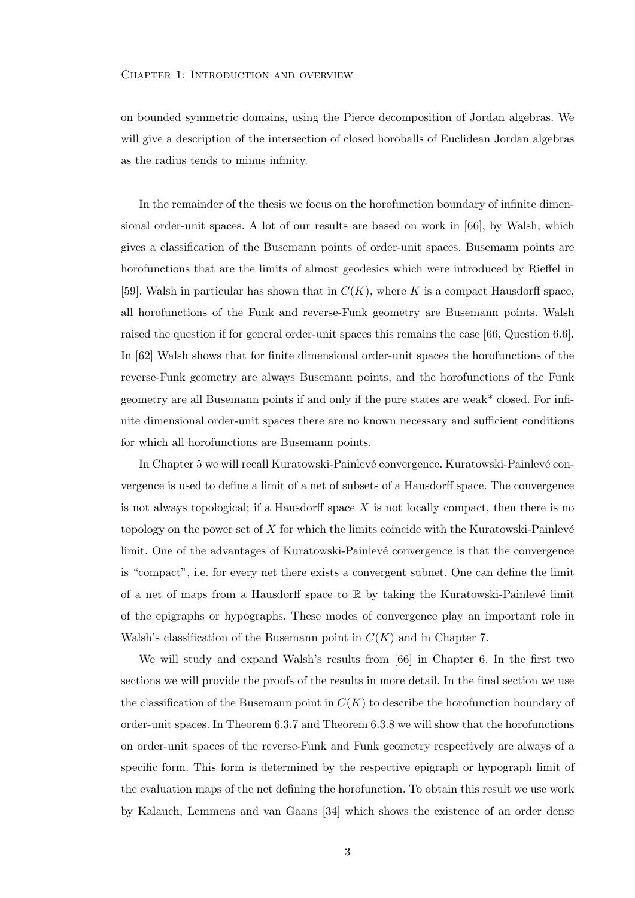#### CHAPTER 1: INTRODUCTION AND OVERVIEW

on bounded symmetric domains, using the Pierce decomposition of Jordan algebras. We will give a description of the intersection of closed horoballs of Euclidean Jordan algebras as the radius tends to minus infinity.

In the remainder of the thesis we focus on the horofunction boundary of infinite dimensional order-unit spaces. A lot of our results are based on work in [66], by Walsh, which gives a classification of the Busemann points of order-unit spaces. Busemann points are horofunctions that are the limits of almost geodesics which were introduced by Rieffel in [59]. Walsh in particular has shown that in  $C(K)$ , where K is a compact Hausdorff space, all horofunctions of the Funk and reverse-Funk geometry are Busemann points. Walsh raised the question if for general order-unit spaces this remains the case [66, Question 6.6]. In [62] Walsh shows that for finite dimensional order-unit spaces the horofunctions of the reverse-Funk geometry are always Busemann points, and the horofunctions of the Funk geometry are all Busemann points if and only if the pure states are weak\* closed. For infinite dimensional order-unit spaces there are no known necessary and sufficient conditions for which all horofunctions are Busemann points.

In Chapter 5 we will recall Kuratowski-Painlevé convergence. Kuratowski-Painlevé convergence is used to define a limit of a net of subsets of a Hausdorff space. The convergence is not always topological; if a Hausdorff space  $X$  is not locally compact, then there is no topology on the power set of  $X$  for which the limits coincide with the Kuratowski-Painlevé limit. One of the advantages of Kuratowski-Painlevé convergence is that the convergence is "compact", i.e. for every net there exists a convergent subnet. One can define the limit of a net of maps from a Hausdorff space to  $\mathbb R$  by taking the Kuratowski-Painlevé limit of the epigraphs or hypographs. These modes of convergence play an important role in Walsh's classification of the Busemann point in  $C(K)$  and in Chapter 7.

We will study and expand Walsh's results from [66] in Chapter 6. In the first two sections we will provide the proofs of the results in more detail. In the final section we use the classification of the Busemann point in  $C(K)$  to describe the horofunction boundary of order-unit spaces. In Theorem 6.3.7 and Theorem 6.3.8 we will show that the horofunctions on order-unit spaces of the reverse-Funk and Funk geometry respectively are always of a specific form. This form is determined by the respective epigraph or hypograph limit of the evaluation maps of the net defining the horofunction. To obtain this result we use work by Kalauch, Lemmens and van Gaans [34] which shows the existence of an order dense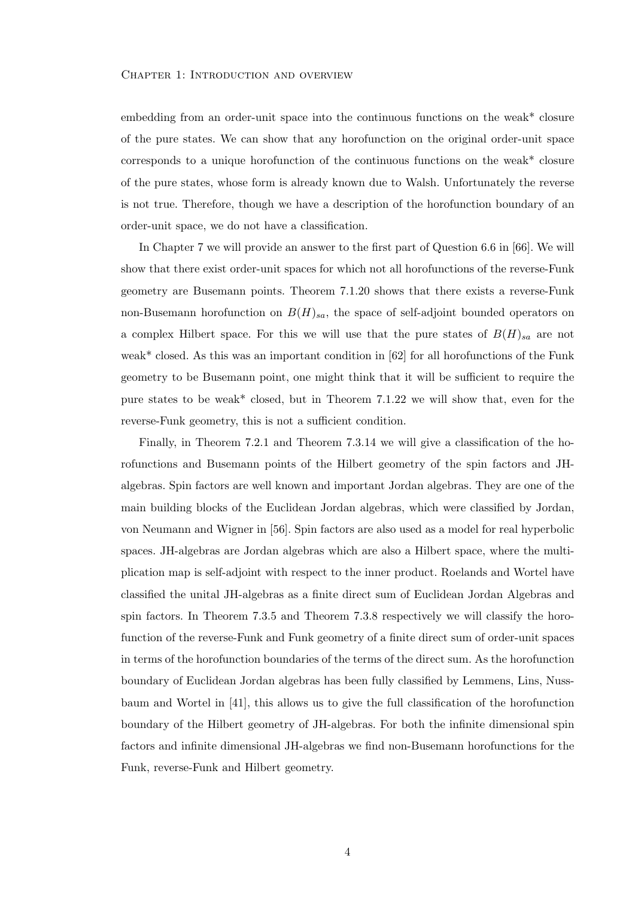#### CHAPTER 1: INTRODUCTION AND OVERVIEW

embedding from an order-unit space into the continuous functions on the weak\* closure of the pure states. We can show that any horofunction on the original order-unit space corresponds to a unique horofunction of the continuous functions on the weak\* closure of the pure states, whose form is already known due to Walsh. Unfortunately the reverse is not true. Therefore, though we have a description of the horofunction boundary of an order-unit space, we do not have a classification.

In Chapter 7 we will provide an answer to the first part of Question 6.6 in [66]. We will show that there exist order-unit spaces for which not all horofunctions of the reverse-Funk geometry are Busemann points. Theorem 7.1.20 shows that there exists a reverse-Funk non-Busemann horofunction on  $B(H)_{sa}$ , the space of self-adjoint bounded operators on a complex Hilbert space. For this we will use that the pure states of  $B(H)_{sa}$  are not weak\* closed. As this was an important condition in [62] for all horofunctions of the Funk geometry to be Busemann point, one might think that it will be sufficient to require the pure states to be weak\* closed, but in Theorem 7.1.22 we will show that, even for the reverse-Funk geometry, this is not a sufficient condition.

Finally, in Theorem 7.2.1 and Theorem 7.3.14 we will give a classification of the horofunctions and Busemann points of the Hilbert geometry of the spin factors and JHalgebras. Spin factors are well known and important Jordan algebras. They are one of the main building blocks of the Euclidean Jordan algebras, which were classified by Jordan, von Neumann and Wigner in [56]. Spin factors are also used as a model for real hyperbolic spaces. JH-algebras are Jordan algebras which are also a Hilbert space, where the multiplication map is self-adjoint with respect to the inner product. Roelands and Wortel have classified the unital JH-algebras as a finite direct sum of Euclidean Jordan Algebras and spin factors. In Theorem 7.3.5 and Theorem 7.3.8 respectively we will classify the horofunction of the reverse-Funk and Funk geometry of a finite direct sum of order-unit spaces in terms of the horofunction boundaries of the terms of the direct sum. As the horofunction boundary of Euclidean Jordan algebras has been fully classified by Lemmens, Lins, Nussbaum and Wortel in [41], this allows us to give the full classification of the horofunction boundary of the Hilbert geometry of JH-algebras. For both the infinite dimensional spin factors and infinite dimensional JH-algebras we find non-Busemann horofunctions for the Funk, reverse-Funk and Hilbert geometry.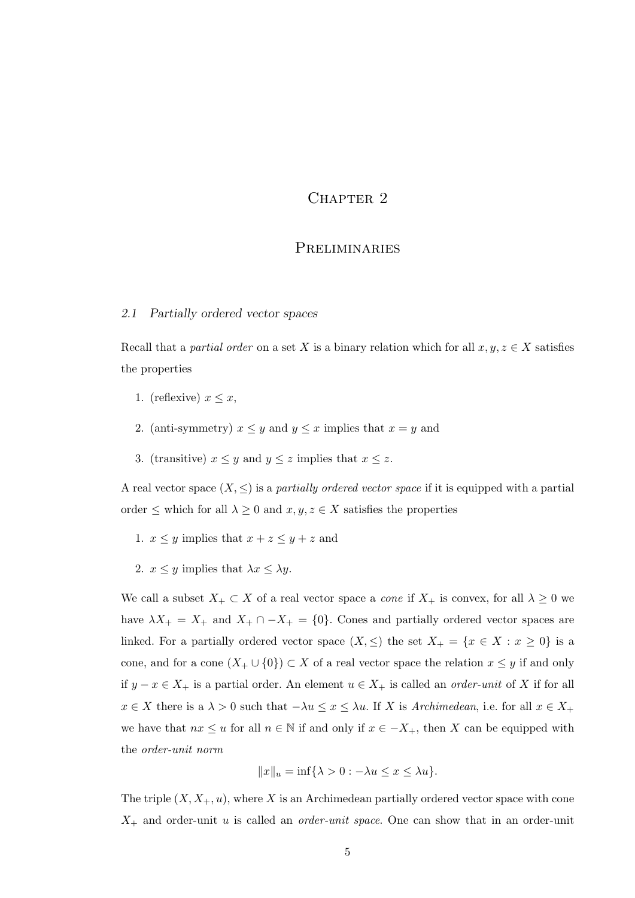## CHAPTER 2

#### Preliminaries

#### 2.1 Partially ordered vector spaces

Recall that a partial order on a set X is a binary relation which for all  $x, y, z \in X$  satisfies the properties

- 1. (reflexive)  $x \leq x$ ,
- 2. (anti-symmetry)  $x \leq y$  and  $y \leq x$  implies that  $x = y$  and
- 3. (transitive)  $x \leq y$  and  $y \leq z$  implies that  $x \leq z$ .

A real vector space  $(X, \leq)$  is a *partially ordered vector space* if it is equipped with a partial order  $\leq$  which for all  $\lambda \geq 0$  and  $x,y,z \in X$  satisfies the properties

- 1.  $x \leq y$  implies that  $x + z \leq y + z$  and
- 2.  $x \leq y$  implies that  $\lambda x \leq \lambda y$ .

We call a subset  $X_+ \subset X$  of a real vector space a *cone* if  $X_+$  is convex, for all  $\lambda \geq 0$  we have  $\lambda X_+ = X_+$  and  $X_+ \cap -X_+ = \{0\}$ . Cones and partially ordered vector spaces are linked. For a partially ordered vector space  $(X, \leq)$  the set  $X_+ = \{x \in X : x \geq 0\}$  is a cone, and for a cone  $(X_+ \cup \{0\}) \subset X$  of a real vector space the relation  $x \leq y$  if and only if  $y - x \in X_+$  is a partial order. An element  $u \in X_+$  is called an *order-unit* of X if for all  $x \in X$  there is a  $\lambda > 0$  such that  $-\lambda u \leq x \leq \lambda u$ . If X is Archimedean, i.e. for all  $x \in X_+$ we have that  $nx \leq u$  for all  $n \in \mathbb{N}$  if and only if  $x \in -X_+$ , then X can be equipped with the order-unit norm

$$
||x||_u = \inf\{\lambda > 0 : -\lambda u \le x \le \lambda u\}.
$$

The triple  $(X, X_+, u)$ , where X is an Archimedean partially ordered vector space with cone  $X_{+}$  and order-unit u is called an *order-unit space*. One can show that in an order-unit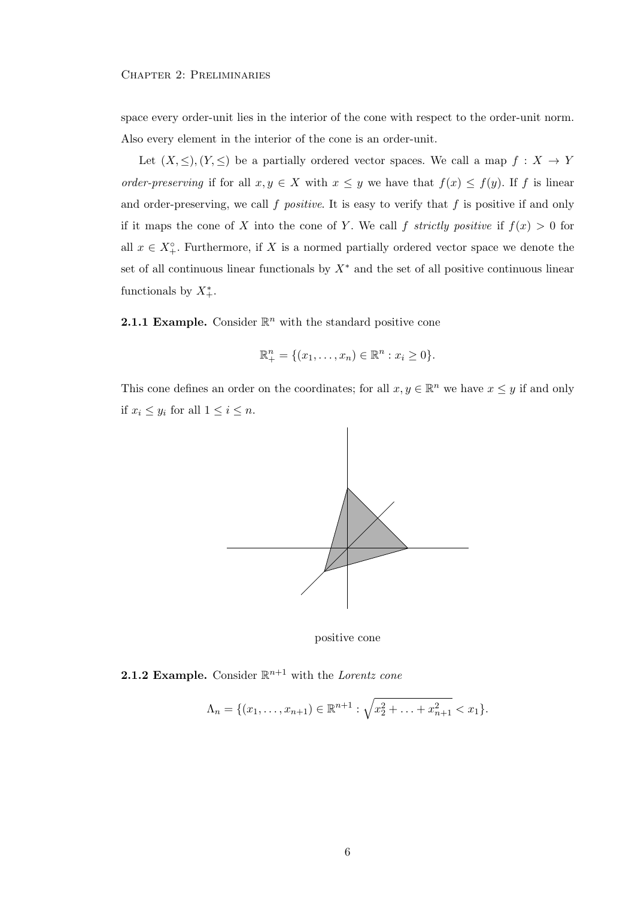space every order-unit lies in the interior of the cone with respect to the order-unit norm. Also every element in the interior of the cone is an order-unit.

Let  $(X, \leq), (Y, \leq)$  be a partially ordered vector spaces. We call a map  $f : X \to Y$ order-preserving if for all  $x, y \in X$  with  $x \leq y$  we have that  $f(x) \leq f(y)$ . If f is linear and order-preserving, we call  $f$  *positive*. It is easy to verify that  $f$  is positive if and only if it maps the cone of X into the cone of Y. We call f strictly positive if  $f(x) > 0$  for all  $x \in X^{\circ}_{+}$ . Furthermore, if X is a normed partially ordered vector space we denote the set of all continuous linear functionals by  $X^*$  and the set of all positive continuous linear functionals by  $X^*_+$ .

**2.1.1 Example.** Consider  $\mathbb{R}^n$  with the standard positive cone

$$
\mathbb{R}^{n}_{+} = \{(x_{1},...,x_{n}) \in \mathbb{R}^{n} : x_{i} \geq 0\}.
$$

This cone defines an order on the coordinates; for all  $x, y \in \mathbb{R}^n$  we have  $x \leq y$  if and only if  $x_i \leq y_i$  for all  $1 \leq i \leq n$ .



positive cone

**2.1.2 Example.** Consider  $\mathbb{R}^{n+1}$  with the Lorentz cone

$$
\Lambda_n = \{ (x_1, \ldots, x_{n+1}) \in \mathbb{R}^{n+1} : \sqrt{x_2^2 + \ldots + x_{n+1}^2} < x_1 \}.
$$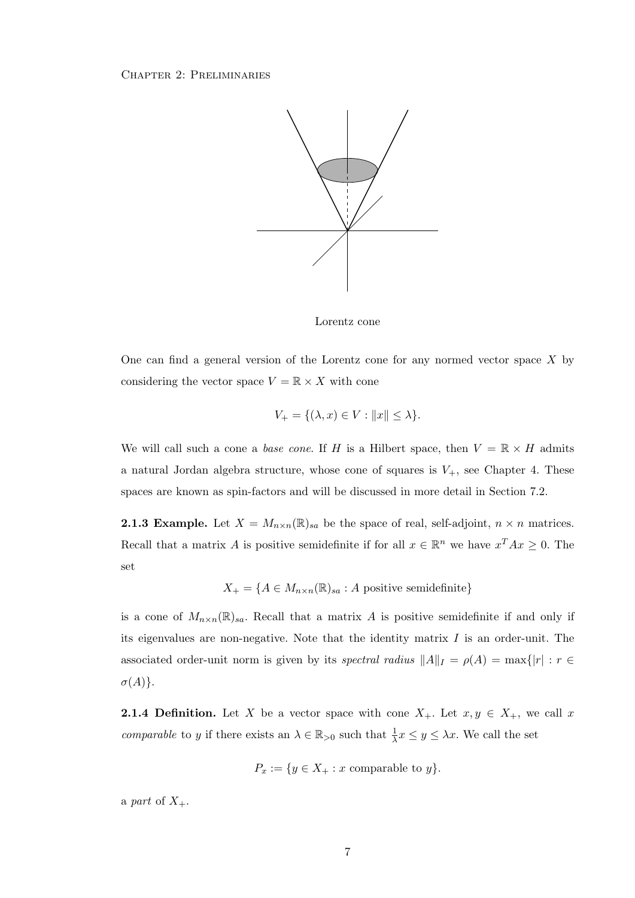

Lorentz cone

One can find a general version of the Lorentz cone for any normed vector space  $X$  by considering the vector space  $V = \mathbb{R} \times X$  with cone

$$
V_{+} = \{(\lambda, x) \in V : ||x|| \le \lambda\}.
$$

We will call such a cone a base cone. If H is a Hilbert space, then  $V = \mathbb{R} \times H$  admits a natural Jordan algebra structure, whose cone of squares is  $V_{+}$ , see Chapter 4. These spaces are known as spin-factors and will be discussed in more detail in Section 7.2.

**2.1.3 Example.** Let  $X = M_{n \times n}(\mathbb{R})_{sa}$  be the space of real, self-adjoint,  $n \times n$  matrices. Recall that a matrix A is positive semidefinite if for all  $x \in \mathbb{R}^n$  we have  $x^T A x \geq 0$ . The set

$$
X_{+} = \{ A \in M_{n \times n}(\mathbb{R})_{sa} : A \text{ positive semidefinite} \}
$$

is a cone of  $M_{n\times n}(\mathbb{R})_{sa}$ . Recall that a matrix A is positive semidefinite if and only if its eigenvalues are non-negative. Note that the identity matrix  $I$  is an order-unit. The associated order-unit norm is given by its spectral radius  $||A||_I = \rho(A) = \max\{|r| : r \in$  $\sigma(A)\}.$ 

**2.1.4 Definition.** Let X be a vector space with cone  $X_+$ . Let  $x, y \in X_+$ , we call x *comparable* to y if there exists an  $\lambda \in \mathbb{R}_{>0}$  such that  $\frac{1}{\lambda}x \leq y \leq \lambda x$ . We call the set

$$
P_x := \{ y \in X_+ : x \text{ comparable to } y \}.
$$

a part of  $X_+$ .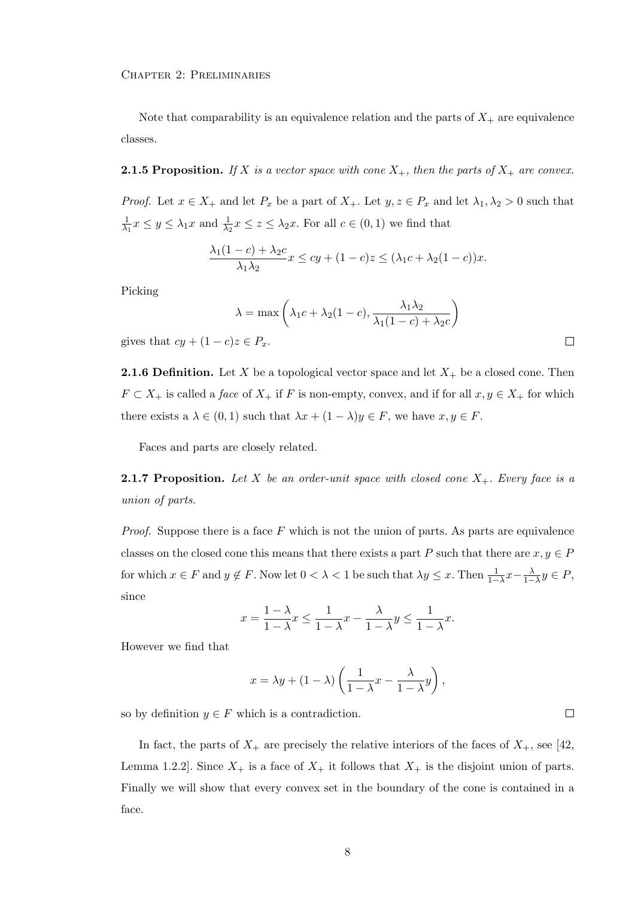Chapter 2: Preliminaries

Note that comparability is an equivalence relation and the parts of  $X_{+}$  are equivalence classes.

**2.1.5 Proposition.** If X is a vector space with cone  $X_+$ , then the parts of  $X_+$  are convex.

*Proof.* Let  $x \in X_+$  and let  $P_x$  be a part of  $X_+$ . Let  $y, z \in P_x$  and let  $\lambda_1, \lambda_2 > 0$  such that 1  $\frac{1}{\lambda_1}x \leq y \leq \lambda_1x$  and  $\frac{1}{\lambda_2}x \leq z \leq \lambda_2x$ . For all  $c \in (0,1)$  we find that

$$
\frac{\lambda_1(1-c)+\lambda_2c}{\lambda_1\lambda_2}x \le cy + (1-c)z \le (\lambda_1c+\lambda_2(1-c))x.
$$

Picking

$$
\lambda = \max\left(\lambda_1 c + \lambda_2 (1 - c), \frac{\lambda_1 \lambda_2}{\lambda_1 (1 - c) + \lambda_2 c}\right)
$$
  

$$
z \in P_x. \square
$$

gives that  $cy + (1 - c)z \in P_x$ .

**2.1.6 Definition.** Let X be a topological vector space and let  $X_+$  be a closed cone. Then  $F \subset X_+$  is called a *face* of  $X_+$  if F is non-empty, convex, and if for all  $x, y \in X_+$  for which there exists a  $\lambda \in (0,1)$  such that  $\lambda x + (1 - \lambda)y \in F$ , we have  $x, y \in F$ .

Faces and parts are closely related.

**2.1.7 Proposition.** Let X be an order-unit space with closed cone  $X_+$ . Every face is a union of parts.

*Proof.* Suppose there is a face  $F$  which is not the union of parts. As parts are equivalence classes on the closed cone this means that there exists a part P such that there are  $x, y \in P$ for which  $x \in F$  and  $y \notin F$ . Now let  $0 < \lambda < 1$  be such that  $\lambda y \leq x$ . Then  $\frac{1}{1-\lambda}x - \frac{\lambda}{1-\lambda}y \in P$ , since

$$
x = \frac{1 - \lambda}{1 - \lambda} x \le \frac{1}{1 - \lambda} x - \frac{\lambda}{1 - \lambda} y \le \frac{1}{1 - \lambda} x.
$$

However we find that

$$
x = \lambda y + (1 - \lambda) \left( \frac{1}{1 - \lambda} x - \frac{\lambda}{1 - \lambda} y \right),
$$

 $\Box$ 

so by definition  $y \in F$  which is a contradiction.

In fact, the parts of  $X_+$  are precisely the relative interiors of the faces of  $X_+$ , see [42, Lemma 1.2.2]. Since  $X_+$  is a face of  $X_+$  it follows that  $X_+$  is the disjoint union of parts. Finally we will show that every convex set in the boundary of the cone is contained in a face.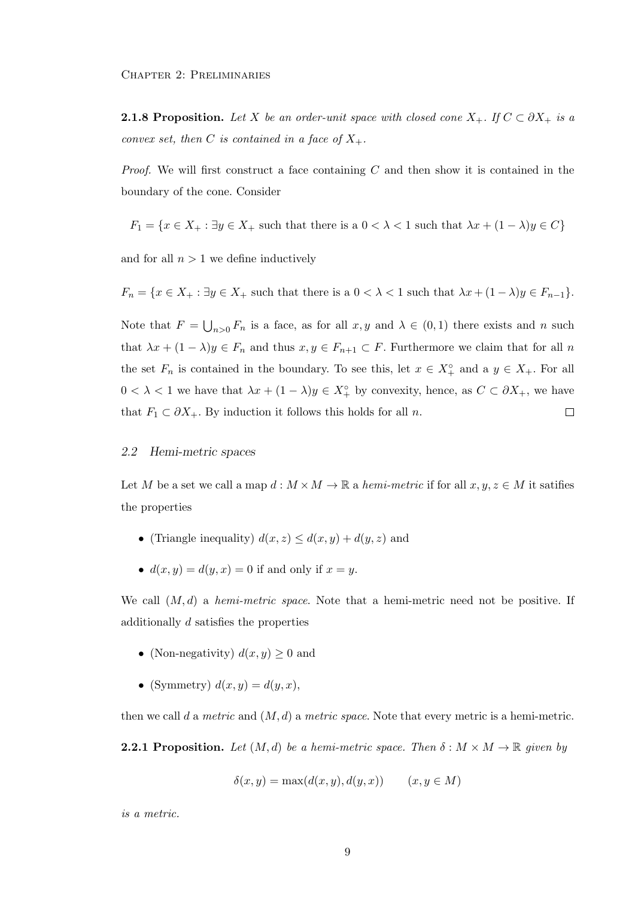**2.1.8 Proposition.** Let X be an order-unit space with closed cone  $X_+$ . If  $C \subset \partial X_+$  is a convex set, then C is contained in a face of  $X_+$ .

*Proof.* We will first construct a face containing  $C$  and then show it is contained in the boundary of the cone. Consider

$$
F_1 = \{ x \in X_+ : \exists y \in X_+ \text{ such that there is a } 0 < \lambda < 1 \text{ such that } \lambda x + (1 - \lambda)y \in C \}
$$

and for all  $n > 1$  we define inductively

 $F_n = \{x \in X_+ : \exists y \in X_+ \text{ such that there is a } 0 < \lambda < 1 \text{ such that } \lambda x + (1 - \lambda)y \in F_{n-1}\}.$ 

Note that  $F = \bigcup_{n>0} F_n$  is a face, as for all  $x, y$  and  $\lambda \in (0,1)$  there exists and n such that  $\lambda x + (1 - \lambda)y \in F_n$  and thus  $x, y \in F_{n+1} \subset F$ . Furthermore we claim that for all n the set  $F_n$  is contained in the boundary. To see this, let  $x \in X_+^{\circ}$  and a  $y \in X_+$ . For all  $0 < \lambda < 1$  we have that  $\lambda x + (1 - \lambda)y \in X_+^{\circ}$  by convexity, hence, as  $C \subset \partial X_+$ , we have that  $F_1 \subset \partial X_+$ . By induction it follows this holds for all n.  $\Box$ 

#### 2.2 Hemi-metric spaces

Let M be a set we call a map  $d : M \times M \to \mathbb{R}$  a hemi-metric if for all  $x, y, z \in M$  it satifies the properties

- (Triangle inequality)  $d(x, z) \leq d(x, y) + d(y, z)$  and
- $d(x, y) = d(y, x) = 0$  if and only if  $x = y$ .

We call  $(M, d)$  a *hemi-metric space*. Note that a hemi-metric need not be positive. If additionally d satisfies the properties

- (Non-negativity)  $d(x, y) \geq 0$  and
- (Symmetry)  $d(x, y) = d(y, x)$ ,

then we call d a metric and  $(M, d)$  a metric space. Note that every metric is a hemi-metric.

**2.2.1 Proposition.** Let  $(M, d)$  be a hemi-metric space. Then  $\delta : M \times M \to \mathbb{R}$  given by

$$
\delta(x, y) = \max(d(x, y), d(y, x)) \qquad (x, y \in M)
$$

is a metric.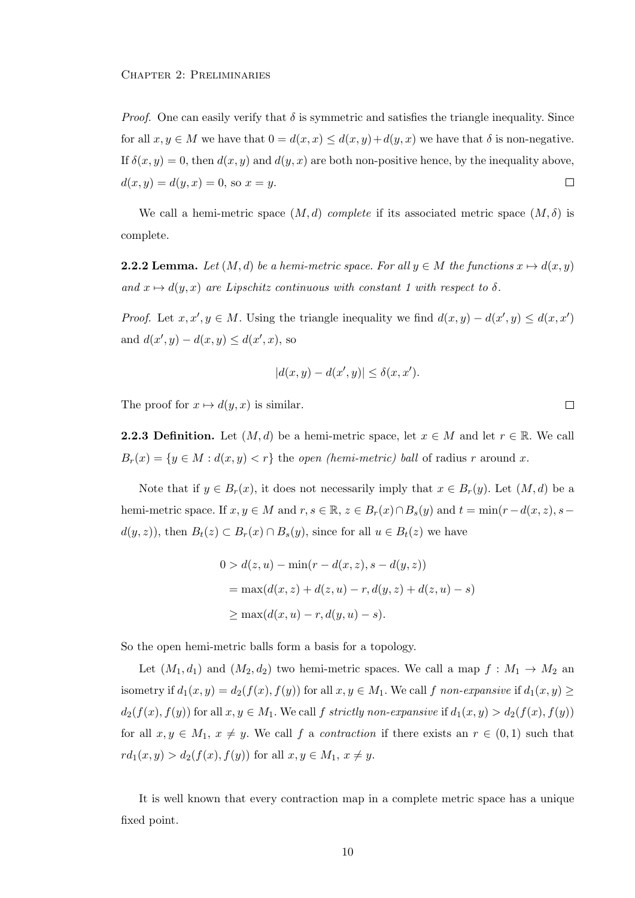*Proof.* One can easily verify that  $\delta$  is symmetric and satisfies the triangle inequality. Since for all  $x, y \in M$  we have that  $0 = d(x, x) \leq d(x, y) + d(y, x)$  we have that  $\delta$  is non-negative. If  $\delta(x, y) = 0$ , then  $d(x, y)$  and  $d(y, x)$  are both non-positive hence, by the inequality above,  $d(x, y) = d(y, x) = 0$ , so  $x = y$ .  $\Box$ 

We call a hemi-metric space  $(M, d)$  complete if its associated metric space  $(M, \delta)$  is complete.

**2.2.2 Lemma.** Let  $(M, d)$  be a hemi-metric space. For all  $y \in M$  the functions  $x \mapsto d(x, y)$ and  $x \mapsto d(y, x)$  are Lipschitz continuous with constant 1 with respect to  $\delta$ .

*Proof.* Let  $x, x', y \in M$ . Using the triangle inequality we find  $d(x, y) - d(x', y) \leq d(x, x')$ and  $d(x', y) - d(x, y) \leq d(x', x)$ , so

$$
|d(x,y) - d(x',y)| \le \delta(x,x').
$$

The proof for  $x \mapsto d(y, x)$  is similar.

**2.2.3 Definition.** Let  $(M, d)$  be a hemi-metric space, let  $x \in M$  and let  $r \in \mathbb{R}$ . We call  $B_r(x) = \{y \in M : d(x, y) < r\}$  the open (hemi-metric) ball of radius r around x.

Note that if  $y \in B_r(x)$ , it does not necessarily imply that  $x \in B_r(y)$ . Let  $(M, d)$  be a hemi-metric space. If  $x, y \in M$  and  $r, s \in \mathbb{R}$ ,  $z \in B_r(x) \cap B_s(y)$  and  $t = \min(r - d(x, z), s - d(x, z))$  $d(y, z)$ , then  $B_t(z) \subset B_r(x) \cap B_s(y)$ , since for all  $u \in B_t(z)$  we have

$$
0 > d(z, u) - \min(r - d(x, z), s - d(y, z))
$$
  
= 
$$
\max(d(x, z) + d(z, u) - r, d(y, z) + d(z, u) - s)
$$
  

$$
\geq \max(d(x, u) - r, d(y, u) - s).
$$

So the open hemi-metric balls form a basis for a topology.

Let  $(M_1, d_1)$  and  $(M_2, d_2)$  two hemi-metric spaces. We call a map  $f : M_1 \to M_2$  and isometry if  $d_1(x, y) = d_2(f(x), f(y))$  for all  $x, y \in M_1$ . We call f non-expansive if  $d_1(x, y) \ge$  $d_2(f(x), f(y))$  for all  $x, y \in M_1$ . We call f strictly non-expansive if  $d_1(x, y) > d_2(f(x), f(y))$ for all  $x, y \in M_1$ ,  $x \neq y$ . We call f a *contraction* if there exists an  $r \in (0,1)$  such that  $rd_1(x, y) > d_2(f(x), f(y))$  for all  $x, y \in M_1, x \neq y$ .

It is well known that every contraction map in a complete metric space has a unique fixed point.

 $\Box$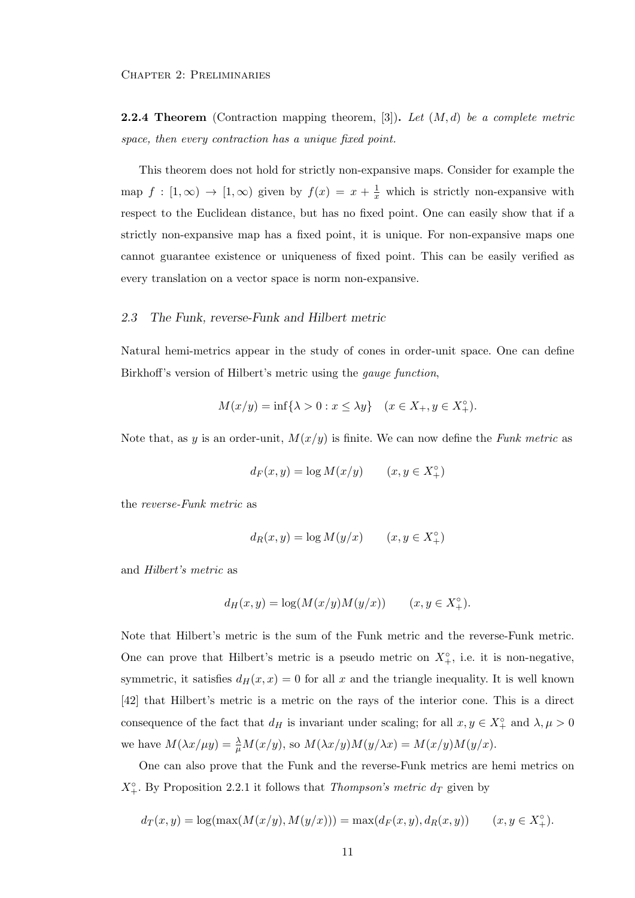**2.2.4 Theorem** (Contraction mapping theorem, [3]). Let  $(M, d)$  be a complete metric space, then every contraction has a unique fixed point.

This theorem does not hold for strictly non-expansive maps. Consider for example the map  $f : [1, \infty) \to [1, \infty)$  given by  $f(x) = x + \frac{1}{x}$  which is strictly non-expansive with respect to the Euclidean distance, but has no fixed point. One can easily show that if a strictly non-expansive map has a fixed point, it is unique. For non-expansive maps one cannot guarantee existence or uniqueness of fixed point. This can be easily verified as every translation on a vector space is norm non-expansive.

#### 2.3 The Funk, reverse-Funk and Hilbert metric

Natural hemi-metrics appear in the study of cones in order-unit space. One can define Birkhoff's version of Hilbert's metric using the gauge function,

$$
M(x/y) = \inf \{ \lambda > 0 : x \le \lambda y \}
$$
  $(x \in X_+, y \in X_+^{\circ}).$ 

Note that, as y is an order-unit,  $M(x/y)$  is finite. We can now define the Funk metric as

$$
d_F(x, y) = \log M(x/y) \qquad (x, y \in X_+^{\circ})
$$

the reverse-Funk metric as

$$
d_R(x, y) = \log M(y/x) \qquad (x, y \in X_+^{\circ})
$$

and Hilbert's metric as

$$
d_H(x,y)=\log(M(x/y)M(y/x))\qquad (x,y\in X_+^\circ).
$$

Note that Hilbert's metric is the sum of the Funk metric and the reverse-Funk metric. One can prove that Hilbert's metric is a pseudo metric on  $X^{\circ}_{+}$ , i.e. it is non-negative, symmetric, it satisfies  $d_H(x, x) = 0$  for all x and the triangle inequality. It is well known [42] that Hilbert's metric is a metric on the rays of the interior cone. This is a direct consequence of the fact that  $d_H$  is invariant under scaling; for all  $x, y \in X^{\circ}_+$  and  $\lambda, \mu > 0$ we have  $M(\lambda x/\mu y) = \frac{\lambda}{\mu} M(x/y)$ , so  $M(\lambda x/y)M(y/\lambda x) = M(x/y)M(y/x)$ .

One can also prove that the Funk and the reverse-Funk metrics are hemi metrics on  $X^{\circ}_{+}$ . By Proposition 2.2.1 it follows that *Thompson's metric d<sub>T</sub>* given by

$$
d_T(x, y) = \log(\max(M(x/y), M(y/x))) = \max(d_F(x, y), d_R(x, y)) \qquad (x, y \in X_+^{\circ}).
$$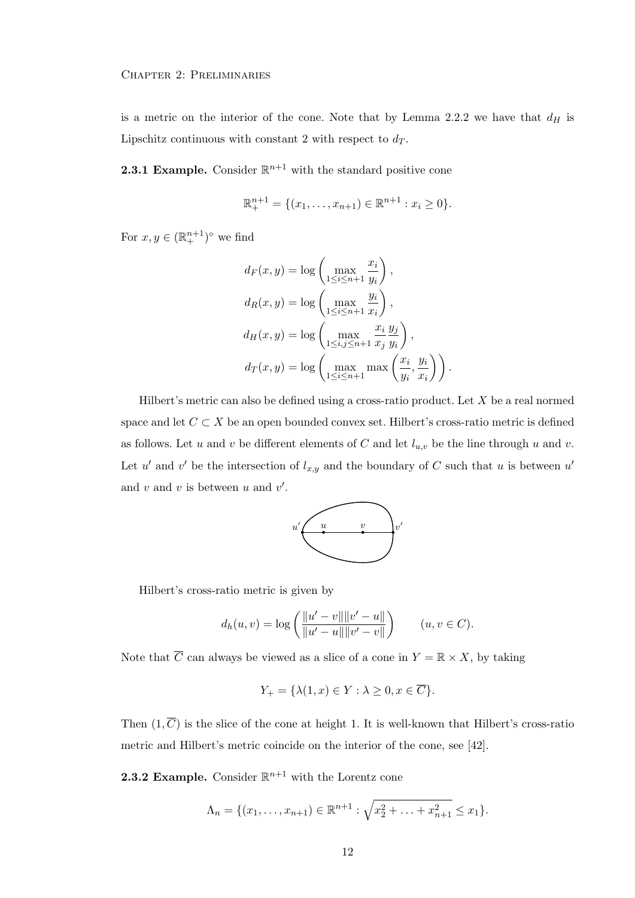is a metric on the interior of the cone. Note that by Lemma 2.2.2 we have that  $d_H$  is Lipschitz continuous with constant 2 with respect to  $d_T$ .

**2.3.1 Example.** Consider  $\mathbb{R}^{n+1}$  with the standard positive cone

$$
\mathbb{R}^{n+1}_{+} = \{ (x_1, \ldots, x_{n+1}) \in \mathbb{R}^{n+1} : x_i \ge 0 \}.
$$

For  $x, y \in (\mathbb{R}^{n+1}_+)^\circ$  we find

$$
d_F(x, y) = \log \left( \max_{1 \le i \le n+1} \frac{x_i}{y_i} \right),
$$
  
\n
$$
d_R(x, y) = \log \left( \max_{1 \le i \le n+1} \frac{y_i}{x_i} \right),
$$
  
\n
$$
d_H(x, y) = \log \left( \max_{1 \le i, j \le n+1} \frac{x_i}{x_j} \frac{y_j}{y_i} \right),
$$
  
\n
$$
d_T(x, y) = \log \left( \max_{1 \le i \le n+1} \max \left( \frac{x_i}{y_i}, \frac{y_i}{x_i} \right) \right).
$$

Hilbert's metric can also be defined using a cross-ratio product. Let X be a real normed space and let  $C \subset X$  be an open bounded convex set. Hilbert's cross-ratio metric is defined as follows. Let u and v be different elements of C and let  $l_{u,v}$  be the line through u and v. Let u' and v' be the intersection of  $l_{x,y}$  and the boundary of C such that u is between u' and  $v$  and  $v$  is between  $u$  and  $v'$ .



Hilbert's cross-ratio metric is given by

$$
d_h(u, v) = \log \left( \frac{\|u' - v\| \|v' - u\|}{\|u' - u\| \|v' - v\|} \right) \qquad (u, v \in C).
$$

Note that  $\overline{C}$  can always be viewed as a slice of a cone in  $Y = \mathbb{R} \times X$ , by taking

$$
Y_{+} = \{\lambda(1, x) \in Y : \lambda \ge 0, x \in \overline{C}\}.
$$

Then  $(1, \overline{C})$  is the slice of the cone at height 1. It is well-known that Hilbert's cross-ratio metric and Hilbert's metric coincide on the interior of the cone, see [42].

**2.3.2 Example.** Consider  $\mathbb{R}^{n+1}$  with the Lorentz cone

$$
\Lambda_n = \{ (x_1, \ldots, x_{n+1}) \in \mathbb{R}^{n+1} : \sqrt{x_2^2 + \ldots + x_{n+1}^2} \le x_1 \}.
$$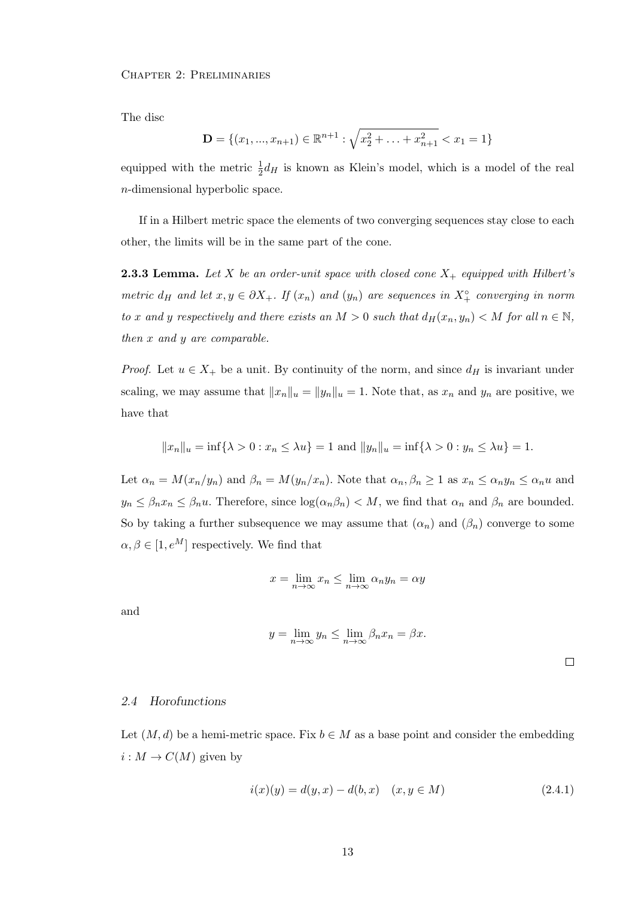The disc

$$
\mathbf{D} = \{(x_1, ..., x_{n+1}) \in \mathbb{R}^{n+1} : \sqrt{x_2^2 + ... + x_{n+1}^2} < x_1 = 1\}
$$

equipped with the metric  $\frac{1}{2}d_H$  is known as Klein's model, which is a model of the real n-dimensional hyperbolic space.

If in a Hilbert metric space the elements of two converging sequences stay close to each other, the limits will be in the same part of the cone.

**2.3.3 Lemma.** Let X be an order-unit space with closed cone  $X_+$  equipped with Hilbert's metric  $d_H$  and let  $x, y \in \partial X_+$ . If  $(x_n)$  and  $(y_n)$  are sequences in  $X_+^{\circ}$  converging in norm to x and y respectively and there exists an  $M > 0$  such that  $d_H(x_n, y_n) < M$  for all  $n \in \mathbb{N}$ , then x and y are comparable.

*Proof.* Let  $u \in X_+$  be a unit. By continuity of the norm, and since  $d_H$  is invariant under scaling, we may assume that  $||x_n||_u = ||y_n||_u = 1$ . Note that, as  $x_n$  and  $y_n$  are positive, we have that

$$
||x_n||_u = \inf\{\lambda > 0 : x_n \le \lambda u\} = 1
$$
 and  $||y_n||_u = \inf\{\lambda > 0 : y_n \le \lambda u\} = 1$ .

Let  $\alpha_n = M(x_n/y_n)$  and  $\beta_n = M(y_n/x_n)$ . Note that  $\alpha_n, \beta_n \ge 1$  as  $x_n \le \alpha_n y_n \le \alpha_n u$  and  $y_n \leq \beta_n x_n \leq \beta_n u$ . Therefore, since  $\log(\alpha_n \beta_n) < M$ , we find that  $\alpha_n$  and  $\beta_n$  are bounded. So by taking a further subsequence we may assume that  $(\alpha_n)$  and  $(\beta_n)$  converge to some  $\alpha, \beta \in [1, e^M]$  respectively. We find that

$$
x = \lim_{n \to \infty} x_n \le \lim_{n \to \infty} \alpha_n y_n = \alpha y
$$

and

$$
y = \lim_{n \to \infty} y_n \le \lim_{n \to \infty} \beta_n x_n = \beta x.
$$

#### 2.4 Horofunctions

Let  $(M, d)$  be a hemi-metric space. Fix  $b \in M$  as a base point and consider the embedding  $i: M \to C(M)$  given by

$$
i(x)(y) = d(y, x) - d(b, x) \quad (x, y \in M)
$$
\n(2.4.1)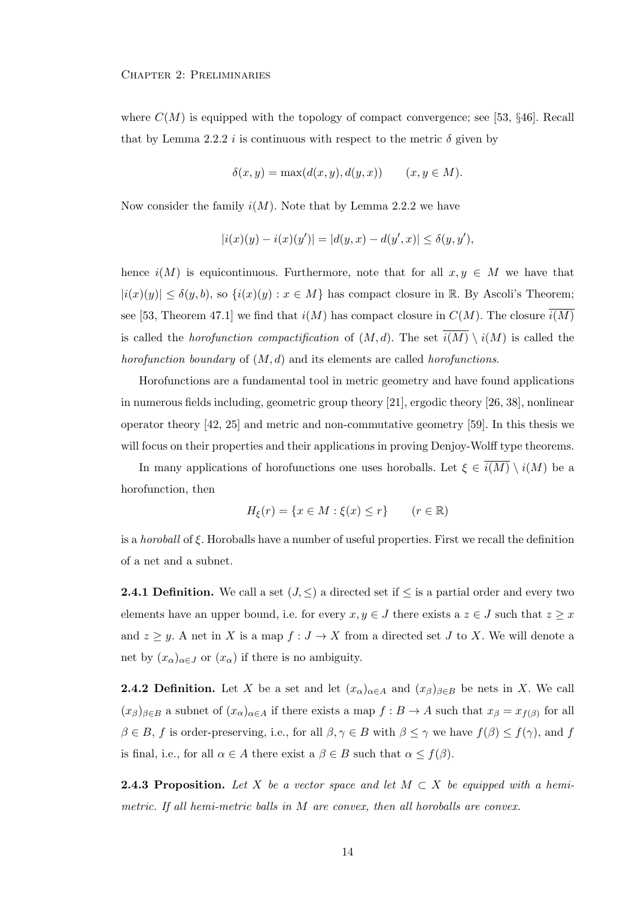where  $C(M)$  is equipped with the topology of compact convergence; see [53, §46]. Recall that by Lemma 2.2.2 i is continuous with respect to the metric  $\delta$  given by

$$
\delta(x, y) = \max(d(x, y), d(y, x)) \qquad (x, y \in M)
$$

Now consider the family  $i(M)$ . Note that by Lemma 2.2.2 we have

$$
|i(x)(y) - i(x)(y')| = |d(y, x) - d(y', x)| \le \delta(y, y'),
$$

hence  $i(M)$  is equicontinuous. Furthermore, note that for all  $x, y \in M$  we have that  $|i(x)(y)| \leq \delta(y, b)$ , so  $\{i(x)(y) : x \in M\}$  has compact closure in R. By Ascoli's Theorem; see [53, Theorem 47.1] we find that  $i(M)$  has compact closure in  $C(M)$ . The closure  $\overline{i(M)}$ is called the *horofunction compactification* of  $(M, d)$ . The set  $\overline{i(M)} \setminus i(M)$  is called the horofunction boundary of  $(M, d)$  and its elements are called horofunctions.

Horofunctions are a fundamental tool in metric geometry and have found applications in numerous fields including, geometric group theory [21], ergodic theory [26, 38], nonlinear operator theory [42, 25] and metric and non-commutative geometry [59]. In this thesis we will focus on their properties and their applications in proving Denjoy-Wolff type theorems.

In many applications of horofunctions one uses horoballs. Let  $\xi \in \overline{i(M)} \setminus i(M)$  be a horofunction, then

$$
H_{\xi}(r) = \{x \in M : \xi(x) \le r\} \qquad (r \in \mathbb{R})
$$

is a *horoball* of  $\xi$ . Horoballs have a number of useful properties. First we recall the definition of a net and a subnet.

**2.4.1 Definition.** We call a set  $(J, \leq)$  a directed set if  $\leq$  is a partial order and every two elements have an upper bound, i.e. for every  $x, y \in J$  there exists a  $z \in J$  such that  $z \geq x$ and  $z \geq y$ . A net in X is a map  $f: J \to X$  from a directed set J to X. We will denote a net by  $(x_{\alpha})_{\alpha \in J}$  or  $(x_{\alpha})$  if there is no ambiguity.

**2.4.2 Definition.** Let X be a set and let  $(x_{\alpha})_{\alpha \in A}$  and  $(x_{\beta})_{\beta \in B}$  be nets in X. We call  $(x_\beta)_{\beta\in B}$  a subnet of  $(x_\alpha)_{\alpha\in A}$  if there exists a map  $f: B\to A$  such that  $x_\beta=x_{f(\beta)}$  for all  $\beta \in B$ , f is order-preserving, i.e., for all  $\beta, \gamma \in B$  with  $\beta \leq \gamma$  we have  $f(\beta) \leq f(\gamma)$ , and f is final, i.e., for all  $\alpha \in A$  there exist a  $\beta \in B$  such that  $\alpha \leq f(\beta)$ .

**2.4.3 Proposition.** Let X be a vector space and let  $M \subset X$  be equipped with a hemimetric. If all hemi-metric balls in M are convex, then all horoballs are convex.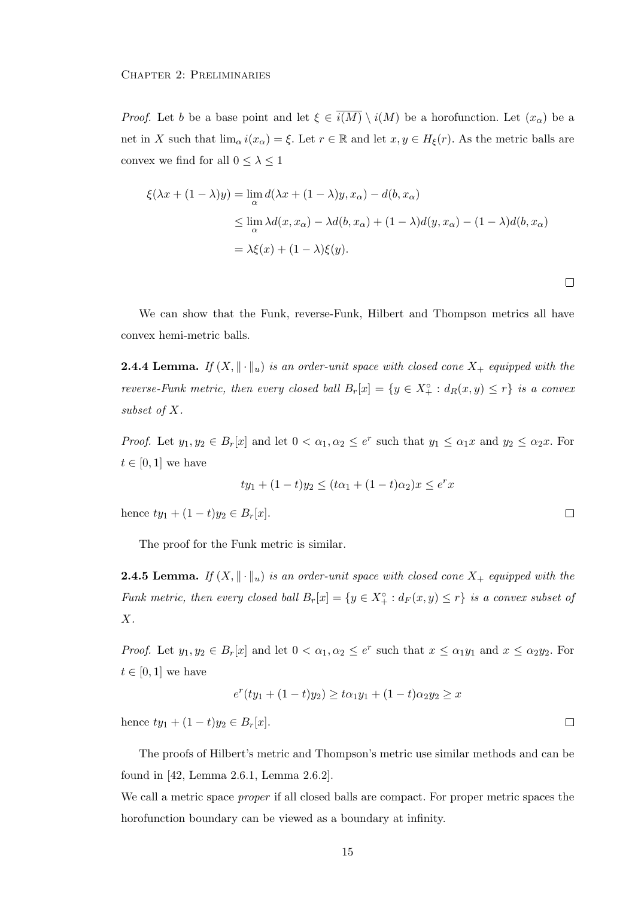*Proof.* Let b be a base point and let  $\xi \in \overline{i(M)} \setminus i(M)$  be a horofunction. Let  $(x_\alpha)$  be a net in X such that  $\lim_{\alpha} i(x_{\alpha}) = \xi$ . Let  $r \in \mathbb{R}$  and let  $x, y \in H_{\xi}(r)$ . As the metric balls are convex we find for all  $0\leq \lambda \leq 1$ 

$$
\xi(\lambda x + (1 - \lambda)y) = \lim_{\alpha} d(\lambda x + (1 - \lambda)y, x_{\alpha}) - d(b, x_{\alpha})
$$
  
\n
$$
\leq \lim_{\alpha} \lambda d(x, x_{\alpha}) - \lambda d(b, x_{\alpha}) + (1 - \lambda)d(y, x_{\alpha}) - (1 - \lambda)d(b, x_{\alpha})
$$
  
\n
$$
= \lambda \xi(x) + (1 - \lambda)\xi(y).
$$

We can show that the Funk, reverse-Funk, Hilbert and Thompson metrics all have convex hemi-metric balls.

**2.4.4 Lemma.** If  $(X, \|\cdot\|_u)$  is an order-unit space with closed cone  $X_+$  equipped with the reverse-Funk metric, then every closed ball  $B_r[x] = \{y \in X_+^{\circ} : d_R(x,y) \leq r\}$  is a convex subset of X.

*Proof.* Let  $y_1, y_2 \in B_r[x]$  and let  $0 < \alpha_1, \alpha_2 \le e^r$  such that  $y_1 \le \alpha_1 x$  and  $y_2 \le \alpha_2 x$ . For  $t \in [0, 1]$  we have

$$
ty_1 + (1-t)y_2 \le (t\alpha_1 + (1-t)\alpha_2)x \le e^r x
$$

hence  $ty_1 + (1-t)y_2 \in B_r[x]$ .

The proof for the Funk metric is similar.

**2.4.5 Lemma.** If  $(X, \|\cdot\|_u)$  is an order-unit space with closed cone  $X_+$  equipped with the Funk metric, then every closed ball  $B_r[x] = \{y \in X^{\circ}_+ : d_F(x,y) \leq r\}$  is a convex subset of  $X$ .

*Proof.* Let  $y_1, y_2 \in B_r[x]$  and let  $0 < \alpha_1, \alpha_2 \le e^r$  such that  $x \le \alpha_1 y_1$  and  $x \le \alpha_2 y_2$ . For  $t \in [0,1]$  we have

$$
e^{r}(ty_1 + (1-t)y_2) \ge t\alpha_1y_1 + (1-t)\alpha_2y_2 \ge x
$$

hence  $ty_1 + (1-t)y_2 \in B_r[x]$ .

The proofs of Hilbert's metric and Thompson's metric use similar methods and can be found in [42, Lemma 2.6.1, Lemma 2.6.2].

We call a metric space *proper* if all closed balls are compact. For proper metric spaces the horofunction boundary can be viewed as a boundary at infinity.

 $\Box$ 

 $\Box$ 

 $\Box$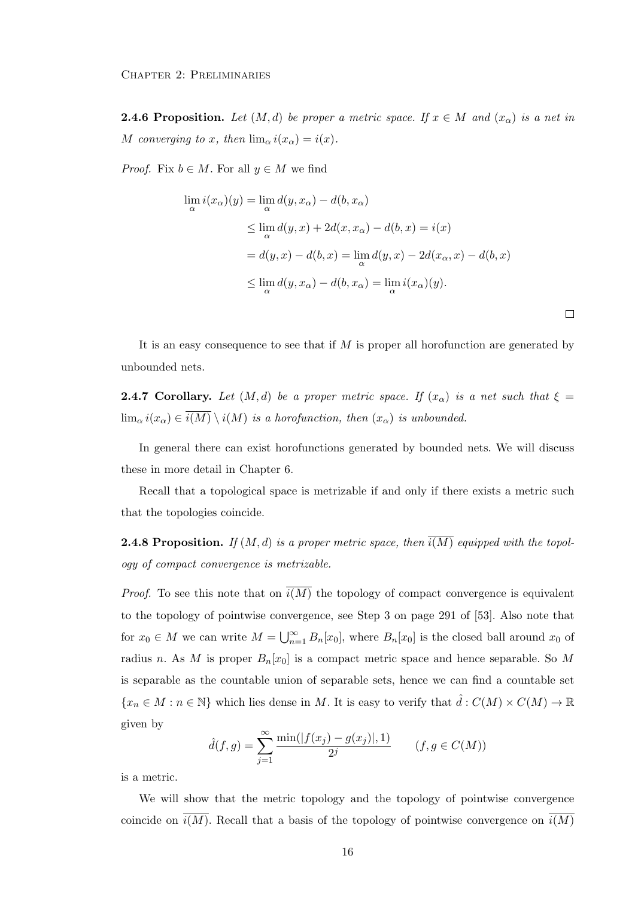**2.4.6 Proposition.** Let  $(M, d)$  be proper a metric space. If  $x \in M$  and  $(x_{\alpha})$  is a net in M converging to x, then  $\lim_{\alpha} i(x_{\alpha}) = i(x)$ .

*Proof.* Fix  $b \in M$ . For all  $y \in M$  we find

$$
\lim_{\alpha} i(x_{\alpha})(y) = \lim_{\alpha} d(y, x_{\alpha}) - d(b, x_{\alpha})
$$
\n
$$
\leq \lim_{\alpha} d(y, x) + 2d(x, x_{\alpha}) - d(b, x) = i(x)
$$
\n
$$
= d(y, x) - d(b, x) = \lim_{\alpha} d(y, x) - 2d(x_{\alpha}, x) - d(b, x)
$$
\n
$$
\leq \lim_{\alpha} d(y, x_{\alpha}) - d(b, x_{\alpha}) = \lim_{\alpha} i(x_{\alpha})(y).
$$

 $\Box$ 

It is an easy consequence to see that if  $M$  is proper all horofunction are generated by unbounded nets.

**2.4.7 Corollary.** Let  $(M, d)$  be a proper metric space. If  $(x<sub>\alpha</sub>)$  is a net such that  $\xi =$  $\lim_{\alpha} i(x_{\alpha}) \in \overline{i(M)} \setminus i(M)$  is a horofunction, then  $(x_{\alpha})$  is unbounded.

In general there can exist horofunctions generated by bounded nets. We will discuss these in more detail in Chapter 6.

Recall that a topological space is metrizable if and only if there exists a metric such that the topologies coincide.

**2.4.8 Proposition.** If  $(M, d)$  is a proper metric space, then  $\overline{i(M)}$  equipped with the topology of compact convergence is metrizable.

*Proof.* To see this note that on  $\overline{i(M)}$  the topology of compact convergence is equivalent to the topology of pointwise convergence, see Step 3 on page 291 of [53]. Also note that for  $x_0 \in M$  we can write  $M = \bigcup_{n=1}^{\infty} B_n[x_0]$ , where  $B_n[x_0]$  is the closed ball around  $x_0$  of radius n. As M is proper  $B_n[x_0]$  is a compact metric space and hence separable. So M is separable as the countable union of separable sets, hence we can find a countable set  ${x_n \in M : n \in \mathbb{N}}$  which lies dense in M. It is easy to verify that  $\hat{d}: C(M) \times C(M) \to \mathbb{R}$ given by

$$
\hat{d}(f,g) = \sum_{j=1}^{\infty} \frac{\min(|f(x_j) - g(x_j)|, 1)}{2^j} \qquad (f, g \in C(M))
$$

is a metric.

We will show that the metric topology and the topology of pointwise convergence coincide on  $\overline{i(M)}$ . Recall that a basis of the topology of pointwise convergence on  $\overline{i(M)}$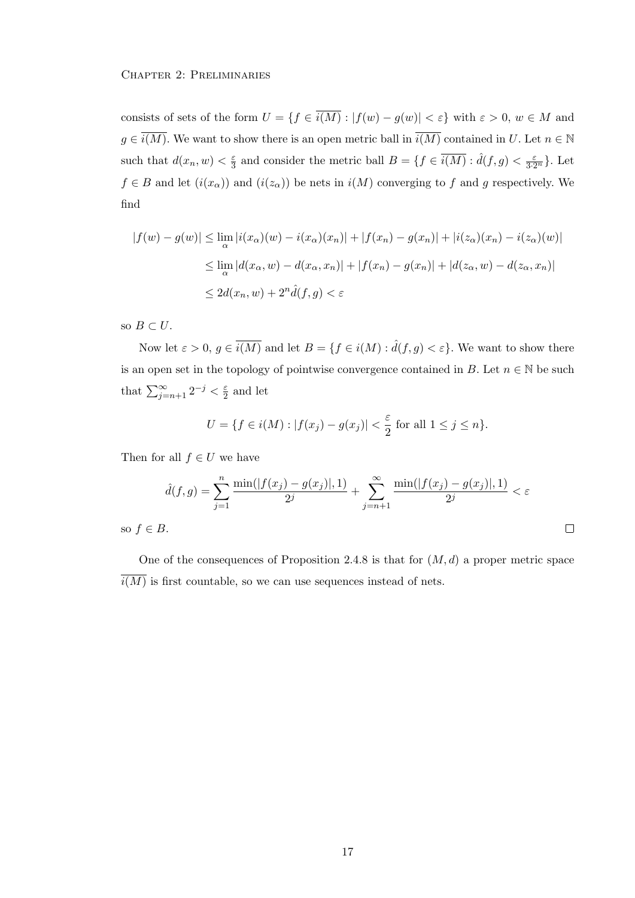#### Chapter 2: Preliminaries

consists of sets of the form  $U = \{f \in \overline{i(M)} : |f(w) - g(w)| < \varepsilon\}$  with  $\varepsilon > 0, w \in M$  and  $g \in \overline{i(M)}$ . We want to show there is an open metric ball in  $\overline{i(M)}$  contained in U. Let  $n \in \mathbb{N}$ such that  $d(x_n, w) < \frac{\varepsilon}{3}$  $\frac{\varepsilon}{3}$  and consider the metric ball  $B = \{f \in \overline{i(M)} : \hat{d}(f,g) < \frac{\varepsilon}{3 \cdot 2^n}\}.$  Let  $f \in B$  and let  $(i(x_{\alpha}))$  and  $(i(z_{\alpha}))$  be nets in  $i(M)$  converging to f and g respectively. We find

$$
|f(w) - g(w)| \le \lim_{\alpha} |i(x_{\alpha})(w) - i(x_{\alpha})(x_n)| + |f(x_n) - g(x_n)| + |i(z_{\alpha})(x_n) - i(z_{\alpha})(w)|
$$
  

$$
\le \lim_{\alpha} |d(x_{\alpha}, w) - d(x_{\alpha}, x_n)| + |f(x_n) - g(x_n)| + |d(z_{\alpha}, w) - d(z_{\alpha}, x_n)|
$$
  

$$
\le 2d(x_n, w) + 2^n \hat{d}(f, g) < \varepsilon
$$

so  $B \subset U$ .

Now let  $\varepsilon > 0$ ,  $g \in \overline{i(M)}$  and let  $B = \{f \in i(M) : \hat{d}(f,g) < \varepsilon\}$ . We want to show there is an open set in the topology of pointwise convergence contained in B. Let  $n \in \mathbb{N}$  be such that  $\sum_{j=n+1}^{\infty} 2^{-j} < \frac{\varepsilon}{2}$  $rac{\varepsilon}{2}$  and let

$$
U = \{ f \in i(M) : |f(x_j) - g(x_j)| < \frac{\varepsilon}{2} \text{ for all } 1 \le j \le n \}.
$$

Then for all  $f \in U$  we have

$$
\hat{d}(f,g) = \sum_{j=1}^{n} \frac{\min(|f(x_j) - g(x_j)|, 1)}{2^j} + \sum_{j=n+1}^{\infty} \frac{\min(|f(x_j) - g(x_j)|, 1)}{2^j} < \varepsilon
$$
  
3.

so  $f \in E$ 

One of the consequences of Proposition 2.4.8 is that for  $(M, d)$  a proper metric space  $\overline{i(M)}$  is first countable, so we can use sequences instead of nets.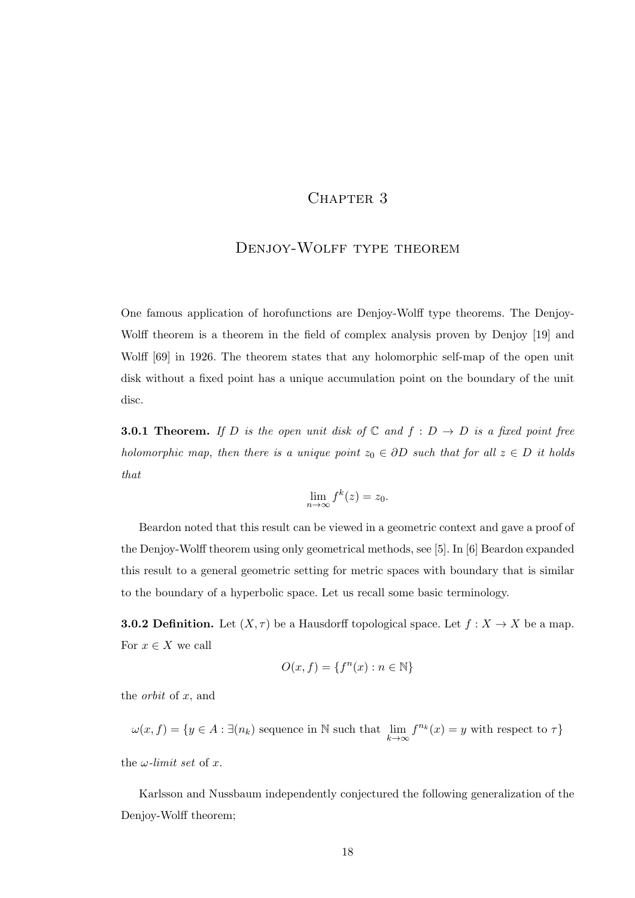## CHAPTER 3

## DENJOY-WOLFF TYPE THEOREM

One famous application of horofunctions are Denjoy-Wolff type theorems. The Denjoy-Wolff theorem is a theorem in the field of complex analysis proven by Denjoy [19] and Wolff [69] in 1926. The theorem states that any holomorphic self-map of the open unit disk without a fixed point has a unique accumulation point on the boundary of the unit disc.

**3.0.1 Theorem.** If D is the open unit disk of  $\mathbb C$  and  $f : D \to D$  is a fixed point free holomorphic map, then there is a unique point  $z_0 \in \partial D$  such that for all  $z \in D$  it holds that

$$
\lim_{n \to \infty} f^k(z) = z_0.
$$

Beardon noted that this result can be viewed in a geometric context and gave a proof of the Denjoy-Wolff theorem using only geometrical methods, see [5]. In [6] Beardon expanded this result to a general geometric setting for metric spaces with boundary that is similar to the boundary of a hyperbolic space. Let us recall some basic terminology.

**3.0.2 Definition.** Let  $(X, \tau)$  be a Hausdorff topological space. Let  $f : X \to X$  be a map. For  $x \in X$  we call

$$
O(x,f) = \{f^n(x) : n \in \mathbb{N}\}
$$

the *orbit* of  $x$ , and

 $\omega(x, f) = \{y \in A : \exists (n_k) \text{ sequence in } \mathbb{N} \text{ such that } \lim_{k \to \infty} f^{n_k}(x) = y \text{ with respect to } \tau\}$ 

the  $\omega$ -limit set of x.

Karlsson and Nussbaum independently conjectured the following generalization of the Denjoy-Wolff theorem;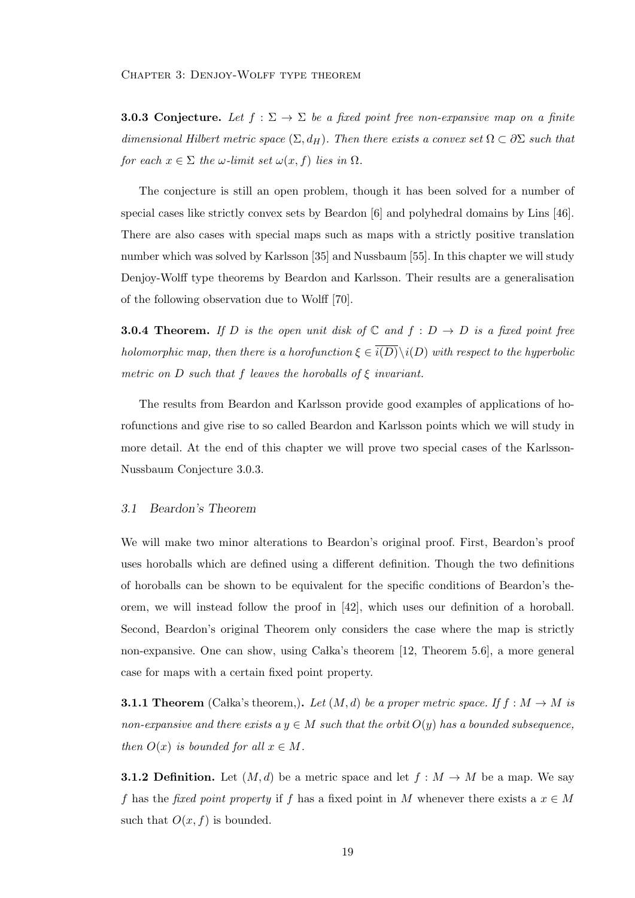**3.0.3 Conjecture.** Let  $f : \Sigma \to \Sigma$  be a fixed point free non-expansive map on a finite dimensional Hilbert metric space  $(\Sigma, d_H)$ . Then there exists a convex set  $\Omega \subset \partial \Sigma$  such that for each  $x \in \Sigma$  the  $\omega$ -limit set  $\omega(x, f)$  lies in  $\Omega$ .

The conjecture is still an open problem, though it has been solved for a number of special cases like strictly convex sets by Beardon [6] and polyhedral domains by Lins [46]. There are also cases with special maps such as maps with a strictly positive translation number which was solved by Karlsson [35] and Nussbaum [55]. In this chapter we will study Denjoy-Wolff type theorems by Beardon and Karlsson. Their results are a generalisation of the following observation due to Wolff [70].

**3.0.4 Theorem.** If D is the open unit disk of  $\mathbb C$  and  $f : D \to D$  is a fixed point free holomorphic map, then there is a horofunction  $\xi \in \overline{i(D)}\backslash i(D)$  with respect to the hyperbolic metric on D such that f leaves the horoballs of  $\xi$  invariant.

The results from Beardon and Karlsson provide good examples of applications of horofunctions and give rise to so called Beardon and Karlsson points which we will study in more detail. At the end of this chapter we will prove two special cases of the Karlsson-Nussbaum Conjecture 3.0.3.

#### 3.1 Beardon's Theorem

We will make two minor alterations to Beardon's original proof. First, Beardon's proof uses horoballs which are defined using a different definition. Though the two definitions of horoballs can be shown to be equivalent for the specific conditions of Beardon's theorem, we will instead follow the proof in [42], which uses our definition of a horoball. Second, Beardon's original Theorem only considers the case where the map is strictly non-expansive. One can show, using Calka's theorem  $[12,$  Theorem 5.6, a more general case for maps with a certain fixed point property.

**3.1.1 Theorem** (Calka's theorem,). Let  $(M, d)$  be a proper metric space. If  $f : M \to M$  is non-expansive and there exists a  $y \in M$  such that the orbit  $O(y)$  has a bounded subsequence, then  $O(x)$  is bounded for all  $x \in M$ .

**3.1.2 Definition.** Let  $(M, d)$  be a metric space and let  $f : M \to M$  be a map. We say f has the fixed point property if f has a fixed point in M whenever there exists a  $x \in M$ such that  $O(x, f)$  is bounded.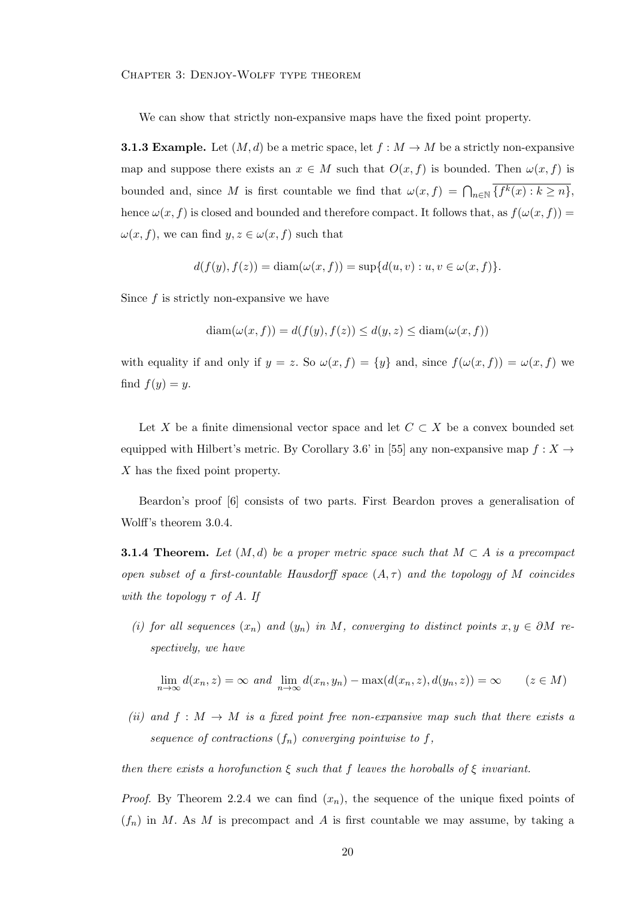Chapter 3: Denjoy-Wolff type theorem

We can show that strictly non-expansive maps have the fixed point property.

**3.1.3 Example.** Let  $(M, d)$  be a metric space, let  $f : M \to M$  be a strictly non-expansive map and suppose there exists an  $x \in M$  such that  $O(x, f)$  is bounded. Then  $\omega(x, f)$  is bounded and, since M is first countable we find that  $\omega(x, f) = \bigcap_{n \in \mathbb{N}} \{f^k(x) : k \ge n\},\$ hence  $\omega(x, f)$  is closed and bounded and therefore compact. It follows that, as  $f(\omega(x, f)) =$  $\omega(x, f)$ , we can find  $y, z \in \omega(x, f)$  such that

$$
d(f(y), f(z)) = \text{diam}(\omega(x, f)) = \sup \{d(u, v) : u, v \in \omega(x, f)\}.
$$

Since f is strictly non-expansive we have

$$
\operatorname{diam}(\omega(x, f)) = d(f(y), f(z)) \le d(y, z) \le \operatorname{diam}(\omega(x, f))
$$

with equality if and only if  $y = z$ . So  $\omega(x, f) = \{y\}$  and, since  $f(\omega(x, f)) = \omega(x, f)$  we find  $f(y) = y$ .

Let X be a finite dimensional vector space and let  $C \subset X$  be a convex bounded set equipped with Hilbert's metric. By Corollary 3.6' in [55] any non-expansive map  $f : X \rightarrow$ X has the fixed point property.

Beardon's proof [6] consists of two parts. First Beardon proves a generalisation of Wolff's theorem 3.0.4.

**3.1.4 Theorem.** Let  $(M, d)$  be a proper metric space such that  $M \subset A$  is a precompact open subset of a first-countable Hausdorff space  $(A, \tau)$  and the topology of M coincides with the topology  $\tau$  of A. If

(i) for all sequences  $(x_n)$  and  $(y_n)$  in M, converging to distinct points  $x, y \in \partial M$  respectively, we have

$$
\lim_{n \to \infty} d(x_n, z) = \infty \text{ and } \lim_{n \to \infty} d(x_n, y_n) - \max(d(x_n, z), d(y_n, z)) = \infty \qquad (z \in M)
$$

(ii) and  $f : M \to M$  is a fixed point free non-expansive map such that there exists a sequence of contractions  $(f_n)$  converging pointwise to f,

then there exists a horofunction  $\xi$  such that f leaves the horoballs of  $\xi$  invariant.

*Proof.* By Theorem 2.2.4 we can find  $(x_n)$ , the sequence of the unique fixed points of  $(f_n)$  in M. As M is precompact and A is first countable we may assume, by taking a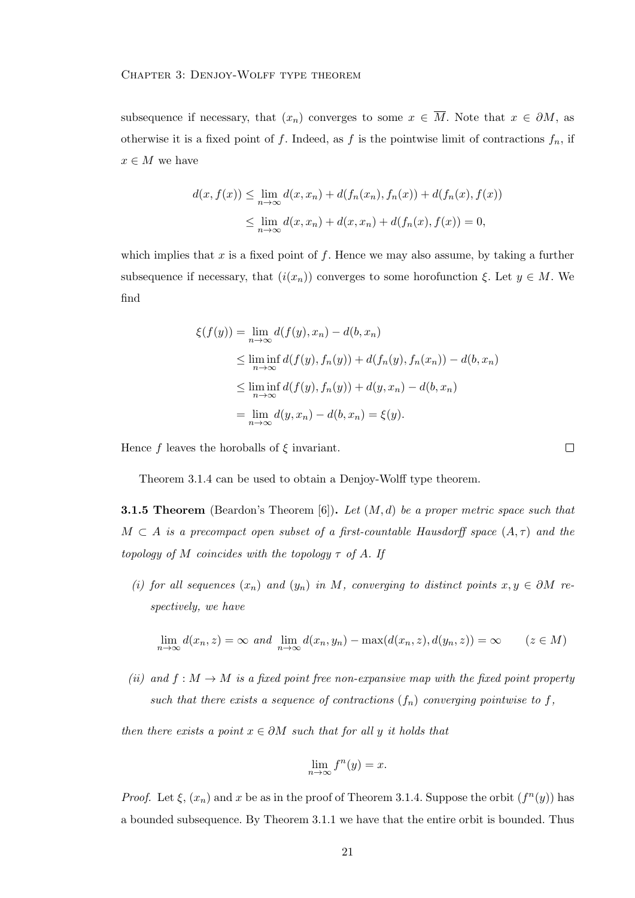subsequence if necessary, that  $(x_n)$  converges to some  $x \in \overline{M}$ . Note that  $x \in \partial M$ , as otherwise it is a fixed point of f. Indeed, as f is the pointwise limit of contractions  $f_n$ , if  $x \in M$  we have

$$
d(x, f(x)) \le \lim_{n \to \infty} d(x, x_n) + d(f_n(x_n), f_n(x)) + d(f_n(x), f(x))
$$
  

$$
\le \lim_{n \to \infty} d(x, x_n) + d(x, x_n) + d(f_n(x), f(x)) = 0,
$$

which implies that x is a fixed point of f. Hence we may also assume, by taking a further subsequence if necessary, that  $(i(x_n))$  converges to some horofunction  $\xi$ . Let  $y \in M$ . We find

$$
\xi(f(y)) = \lim_{n \to \infty} d(f(y), x_n) - d(b, x_n)
$$
  
\n
$$
\leq \liminf_{n \to \infty} d(f(y), f_n(y)) + d(f_n(y), f_n(x_n)) - d(b, x_n)
$$
  
\n
$$
\leq \liminf_{n \to \infty} d(f(y), f_n(y)) + d(y, x_n) - d(b, x_n)
$$
  
\n
$$
= \lim_{n \to \infty} d(y, x_n) - d(b, x_n) = \xi(y).
$$

Hence f leaves the horoballs of  $\xi$  invariant.

Theorem 3.1.4 can be used to obtain a Denjoy-Wolff type theorem.

**3.1.5 Theorem** (Beardon's Theorem  $[6]$ ). Let  $(M, d)$  be a proper metric space such that  $M \subset A$  is a precompact open subset of a first-countable Hausdorff space  $(A, \tau)$  and the topology of M coincides with the topology  $\tau$  of A. If

(i) for all sequences  $(x_n)$  and  $(y_n)$  in M, converging to distinct points  $x, y \in \partial M$  respectively, we have

$$
\lim_{n \to \infty} d(x_n, z) = \infty \text{ and } \lim_{n \to \infty} d(x_n, y_n) - \max(d(x_n, z), d(y_n, z)) = \infty \qquad (z \in M)
$$

(ii) and  $f : M \to M$  is a fixed point free non-expansive map with the fixed point property such that there exists a sequence of contractions  $(f_n)$  converging pointwise to f,

then there exists a point  $x \in \partial M$  such that for all y it holds that

$$
\lim_{n \to \infty} f^n(y) = x.
$$

*Proof.* Let  $\xi$ ,  $(x_n)$  and x be as in the proof of Theorem 3.1.4. Suppose the orbit  $(f^n(y))$  has a bounded subsequence. By Theorem 3.1.1 we have that the entire orbit is bounded. Thus

 $\Box$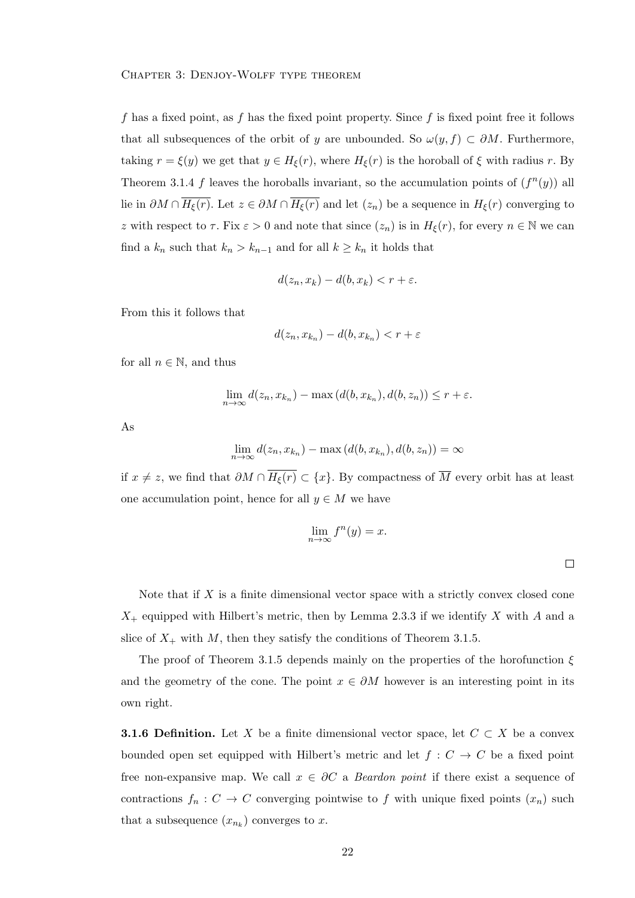f has a fixed point, as f has the fixed point property. Since f is fixed point free it follows that all subsequences of the orbit of y are unbounded. So  $\omega(y, f) \subset \partial M$ . Furthermore, taking  $r = \xi(y)$  we get that  $y \in H_{\xi}(r)$ , where  $H_{\xi}(r)$  is the horoball of  $\xi$  with radius r. By Theorem 3.1.4 f leaves the horoballs invariant, so the accumulation points of  $(f^n(y))$  all lie in  $\partial M \cap \overline{H_{\xi}(r)}$ . Let  $z \in \partial M \cap \overline{H_{\xi}(r)}$  and let  $(z_n)$  be a sequence in  $H_{\xi}(r)$  converging to z with respect to  $\tau$ . Fix  $\varepsilon > 0$  and note that since  $(z_n)$  is in  $H_{\xi}(r)$ , for every  $n \in \mathbb{N}$  we can find a  $k_n$  such that  $k_n > k_{n-1}$  and for all  $k \geq k_n$  it holds that

$$
d(z_n, x_k) - d(b, x_k) < r + \varepsilon.
$$

From this it follows that

$$
d(z_n, x_{k_n}) - d(b, x_{k_n}) < r + \varepsilon
$$

for all  $n \in \mathbb{N}$ , and thus

$$
\lim_{n\to\infty} d(z_n, x_{k_n}) - \max(d(b, x_{k_n}), d(b, z_n)) \leq r + \varepsilon.
$$

As

$$
\lim_{n \to \infty} d(z_n, x_{k_n}) - \max(d(b, x_{k_n}), d(b, z_n)) = \infty
$$

if  $x \neq z$ , we find that  $\partial M \cap \overline{H_{\xi}(r)} \subset \{x\}$ . By compactness of  $\overline{M}$  every orbit has at least one accumulation point, hence for all  $y \in M$  we have

$$
\lim_{n \to \infty} f^{n}(y) = x.
$$

Note that if  $X$  is a finite dimensional vector space with a strictly convex closed cone  $X_{+}$  equipped with Hilbert's metric, then by Lemma 2.3.3 if we identify X with A and a slice of  $X_+$  with M, then they satisfy the conditions of Theorem 3.1.5.

The proof of Theorem 3.1.5 depends mainly on the properties of the horofunction  $\xi$ and the geometry of the cone. The point  $x \in \partial M$  however is an interesting point in its own right.

**3.1.6 Definition.** Let X be a finite dimensional vector space, let  $C \subset X$  be a convex bounded open set equipped with Hilbert's metric and let  $f: C \to C$  be a fixed point free non-expansive map. We call  $x \in \partial C$  a *Beardon point* if there exist a sequence of contractions  $f_n: C \to C$  converging pointwise to f with unique fixed points  $(x_n)$  such that a subsequence  $(x_{n_k})$  converges to x.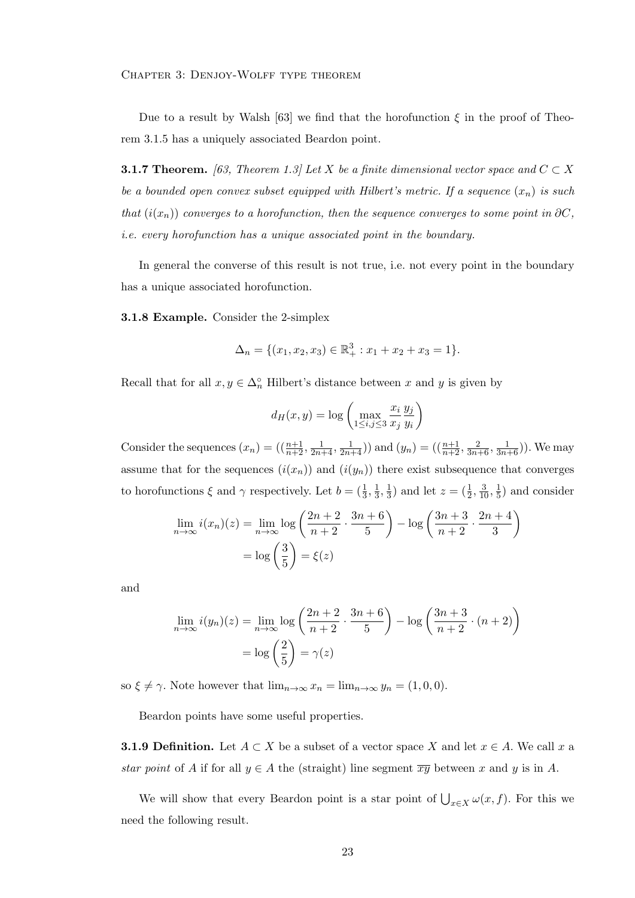Chapter 3: Denjoy-Wolff type theorem

Due to a result by Walsh [63] we find that the horofunction  $\xi$  in the proof of Theorem 3.1.5 has a uniquely associated Beardon point.

**3.1.7 Theorem.** [63, Theorem 1.3] Let X be a finite dimensional vector space and  $C \subset X$ be a bounded open convex subset equipped with Hilbert's metric. If a sequence  $(x_n)$  is such that  $(i(x_n))$  converges to a horofunction, then the sequence converges to some point in  $\partial C$ , i.e. every horofunction has a unique associated point in the boundary.

In general the converse of this result is not true, i.e. not every point in the boundary has a unique associated horofunction.

3.1.8 Example. Consider the 2-simplex

$$
\Delta_n = \{ (x_1, x_2, x_3) \in \mathbb{R}_+^3 : x_1 + x_2 + x_3 = 1 \}.
$$

Recall that for all  $x, y \in \Delta_n^{\circ}$  Hilbert's distance between x and y is given by

$$
d_H(x, y) = \log \left( \max_{1 \le i, j \le 3} \frac{x_i}{x_j} \frac{y_j}{y_i} \right)
$$

Consider the sequences  $(x_n) = \left(\left(\frac{n+1}{n+2}, \frac{1}{2n+4}, \frac{1}{2n+4}\right)\right)$  and  $(y_n) = \left(\left(\frac{n+1}{n+2}, \frac{2}{3n+6}, \frac{1}{3n+6}\right)\right)$ . We may assume that for the sequences  $(i(x_n))$  and  $(i(y_n))$  there exist subsequence that converges to horofunctions  $\xi$  and  $\gamma$  respectively. Let  $b = (\frac{1}{3}, \frac{1}{3})$  $\frac{1}{3}, \frac{1}{3}$  $(\frac{1}{3})$  and let  $z = (\frac{1}{2}, \frac{3}{10}, \frac{1}{5})$  $(\frac{1}{5})$  and consider

$$
\lim_{n \to \infty} i(x_n)(z) = \lim_{n \to \infty} \log \left( \frac{2n+2}{n+2} \cdot \frac{3n+6}{5} \right) - \log \left( \frac{3n+3}{n+2} \cdot \frac{2n+4}{3} \right)
$$

$$
= \log \left( \frac{3}{5} \right) = \xi(z)
$$

and

$$
\lim_{n \to \infty} i(y_n)(z) = \lim_{n \to \infty} \log \left( \frac{2n+2}{n+2} \cdot \frac{3n+6}{5} \right) - \log \left( \frac{3n+3}{n+2} \cdot (n+2) \right)
$$

$$
= \log \left( \frac{2}{5} \right) = \gamma(z)
$$

so  $\xi \neq \gamma$ . Note however that  $\lim_{n\to\infty} x_n = \lim_{n\to\infty} y_n = (1, 0, 0)$ .

Beardon points have some useful properties.

**3.1.9 Definition.** Let  $A \subset X$  be a subset of a vector space X and let  $x \in A$ . We call x a star point of A if for all  $y \in A$  the (straight) line segment  $\overline{xy}$  between x and y is in A.

We will show that every Beardon point is a star point of  $\bigcup_{x\in X}\omega(x, f)$ . For this we need the following result.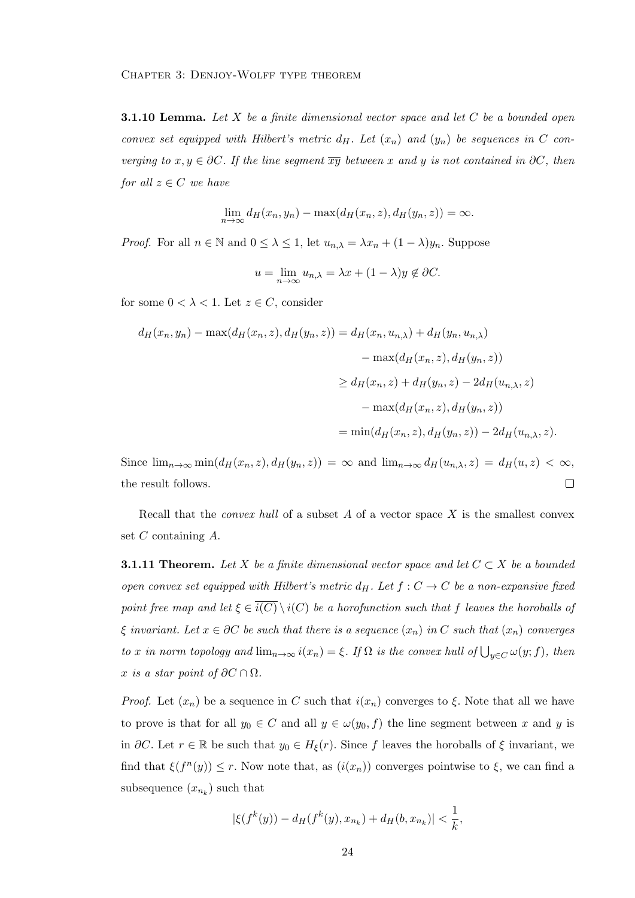**3.1.10 Lemma.** Let X be a finite dimensional vector space and let  $C$  be a bounded open convex set equipped with Hilbert's metric  $d_H$ . Let  $(x_n)$  and  $(y_n)$  be sequences in C converging to  $x, y \in \partial C$ . If the line segment  $\overline{xy}$  between x and y is not contained in  $\partial C$ , then for all  $z \in C$  we have

$$
\lim_{n \to \infty} d_H(x_n, y_n) - \max(d_H(x_n, z), d_H(y_n, z)) = \infty.
$$

*Proof.* For all  $n \in \mathbb{N}$  and  $0 \leq \lambda \leq 1$ , let  $u_{n,\lambda} = \lambda x_n + (1 - \lambda) y_n$ . Suppose

$$
u = \lim_{n \to \infty} u_{n,\lambda} = \lambda x + (1 - \lambda) y \notin \partial C.
$$

for some  $0 < \lambda < 1$ . Let  $z \in C$ , consider

$$
d_H(x_n, y_n) - \max(d_H(x_n, z), d_H(y_n, z)) = d_H(x_n, u_{n,\lambda}) + d_H(y_n, u_{n,\lambda})
$$
  

$$
- \max(d_H(x_n, z), d_H(y_n, z))
$$
  

$$
\geq d_H(x_n, z) + d_H(y_n, z) - 2d_H(u_{n,\lambda}, z)
$$
  

$$
- \max(d_H(x_n, z), d_H(y_n, z))
$$
  

$$
= \min(d_H(x_n, z), d_H(y_n, z)) - 2d_H(u_{n,\lambda}, z).
$$

Since  $\lim_{n\to\infty} \min(d_H(x_n, z), d_H(y_n, z)) = \infty$  and  $\lim_{n\to\infty} d_H(u_{n,\lambda}, z) = d_H(u, z) < \infty$ , the result follows.  $\Box$ 

Recall that the *convex hull* of a subset A of a vector space  $X$  is the smallest convex set  $C$  containing  $A$ .

**3.1.11 Theorem.** Let X be a finite dimensional vector space and let  $C \subset X$  be a bounded open convex set equipped with Hilbert's metric  $d_H$ . Let  $f: C \to C$  be a non-expansive fixed point free map and let  $\xi \in \overline{i(C)} \setminus i(C)$  be a horofunction such that f leaves the horoballs of  $\xi$  invariant. Let  $x \in \partial C$  be such that there is a sequence  $(x_n)$  in C such that  $(x_n)$  converges to x in norm topology and  $\lim_{n\to\infty} i(x_n) = \xi$ . If  $\Omega$  is the convex hull of  $\bigcup_{y\in C} \omega(y; f)$ , then x is a star point of  $\partial C \cap \Omega$ .

*Proof.* Let  $(x_n)$  be a sequence in C such that  $i(x_n)$  converges to  $\xi$ . Note that all we have to prove is that for all  $y_0 \in C$  and all  $y \in \omega(y_0, f)$  the line segment between x and y is in ∂C. Let  $r \in \mathbb{R}$  be such that  $y_0 \in H_{\xi}(r)$ . Since f leaves the horoballs of  $\xi$  invariant, we find that  $\xi(f^{n}(y)) \leq r$ . Now note that, as  $(i(x_n))$  converges pointwise to  $\xi$ , we can find a subsequence  $(x_{n_k})$  such that

$$
|\xi(f^k(y)) - d_H(f^k(y), x_{n_k}) + d_H(b, x_{n_k})| < \frac{1}{k},
$$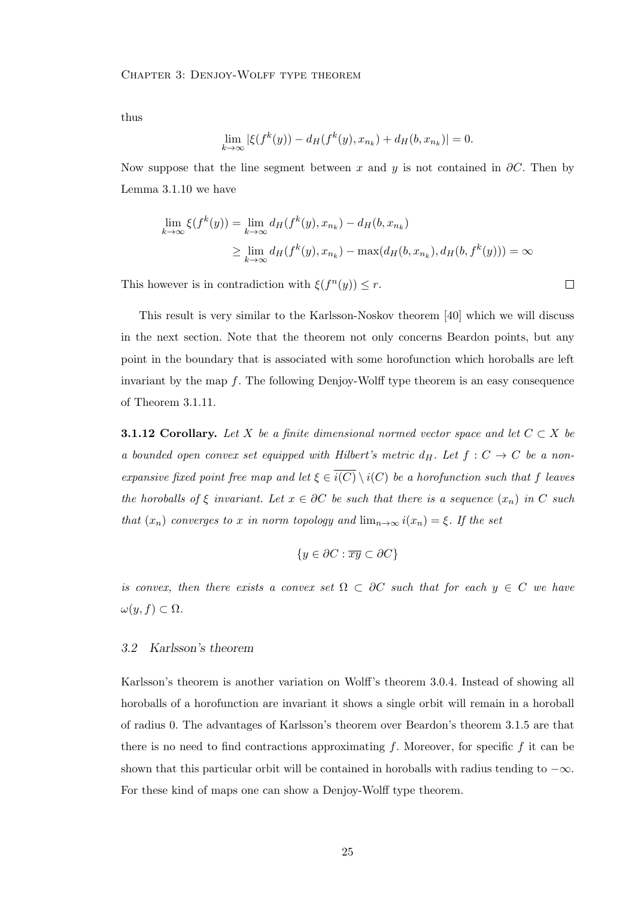thus

$$
\lim_{k \to \infty} |\xi(f^k(y)) - d_H(f^k(y), x_{n_k}) + d_H(b, x_{n_k})| = 0.
$$

Now suppose that the line segment between x and y is not contained in  $\partial C$ . Then by Lemma 3.1.10 we have

$$
\lim_{k \to \infty} \xi(f^k(y)) = \lim_{k \to \infty} d_H(f^k(y), x_{n_k}) - d_H(b, x_{n_k})
$$
\n
$$
\geq \lim_{k \to \infty} d_H(f^k(y), x_{n_k}) - \max(d_H(b, x_{n_k}), d_H(b, f^k(y))) = \infty
$$

This however is in contradiction with  $\xi(f^n(y)) \leq r$ .

 $\Box$ 

This result is very similar to the Karlsson-Noskov theorem [40] which we will discuss in the next section. Note that the theorem not only concerns Beardon points, but any point in the boundary that is associated with some horofunction which horoballs are left invariant by the map  $f$ . The following Denjoy-Wolff type theorem is an easy consequence of Theorem 3.1.11.

**3.1.12 Corollary.** Let X be a finite dimensional normed vector space and let  $C \subset X$  be a bounded open convex set equipped with Hilbert's metric  $d_H$ . Let  $f : C \rightarrow C$  be a nonexpansive fixed point free map and let  $\xi \in \overline{i(C)} \setminus i(C)$  be a horofunction such that f leaves the horoballs of  $\xi$  invariant. Let  $x \in \partial C$  be such that there is a sequence  $(x_n)$  in C such that  $(x_n)$  converges to x in norm topology and  $\lim_{n\to\infty} i(x_n) = \xi$ . If the set

$$
\{y \in \partial C : \overline{xy} \subset \partial C\}
$$

is convex, then there exists a convex set  $\Omega \subset \partial C$  such that for each  $y \in C$  we have  $\omega(y, f) \subset \Omega$ .

#### 3.2 Karlsson's theorem

Karlsson's theorem is another variation on Wolff's theorem 3.0.4. Instead of showing all horoballs of a horofunction are invariant it shows a single orbit will remain in a horoball of radius 0. The advantages of Karlsson's theorem over Beardon's theorem 3.1.5 are that there is no need to find contractions approximating f. Moreover, for specific f it can be shown that this particular orbit will be contained in horoballs with radius tending to  $-\infty$ . For these kind of maps one can show a Denjoy-Wolff type theorem.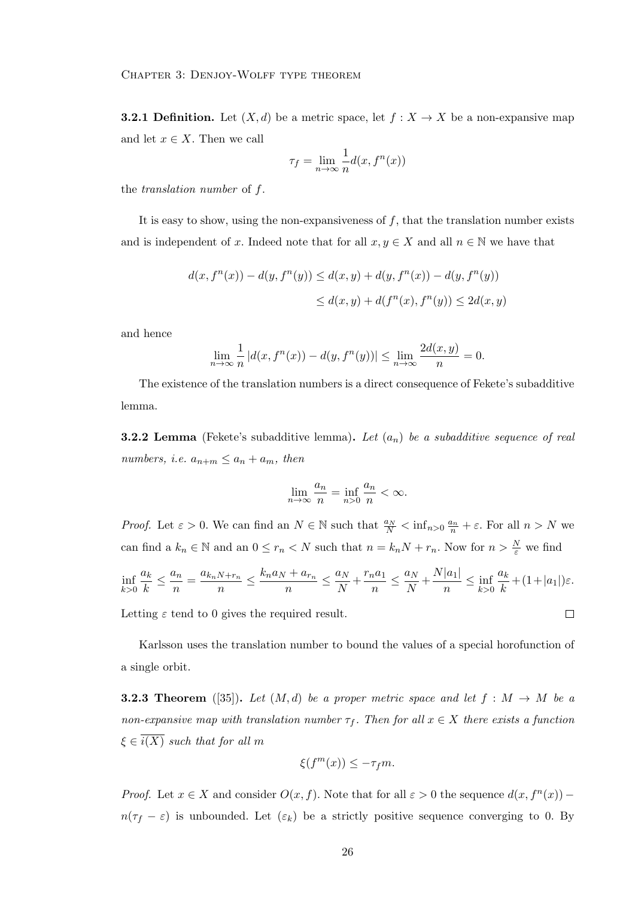**3.2.1 Definition.** Let  $(X, d)$  be a metric space, let  $f : X \to X$  be a non-expansive map and let  $x \in X$ . Then we call

$$
\tau_f = \lim_{n \to \infty} \frac{1}{n} d(x, f^n(x))
$$

the translation number of f.

It is easy to show, using the non-expansiveness of  $f$ , that the translation number exists and is independent of x. Indeed note that for all  $x, y \in X$  and all  $n \in \mathbb{N}$  we have that

$$
d(x, f^{n}(x)) - d(y, f^{n}(y)) \le d(x, y) + d(y, f^{n}(x)) - d(y, f^{n}(y))
$$
  

$$
\le d(x, y) + d(f^{n}(x), f^{n}(y)) \le 2d(x, y)
$$

and hence

$$
\lim_{n \to \infty} \frac{1}{n} |d(x, f^{n}(x)) - d(y, f^{n}(y))| \le \lim_{n \to \infty} \frac{2d(x, y)}{n} = 0.
$$

The existence of the translation numbers is a direct consequence of Fekete's subadditive lemma.

**3.2.2 Lemma** (Fekete's subadditive lemma). Let  $(a_n)$  be a subadditive sequence of real numbers, i.e.  $a_{n+m} \le a_n + a_m$ , then

$$
\lim_{n \to \infty} \frac{a_n}{n} = \inf_{n > 0} \frac{a_n}{n} < \infty.
$$

*Proof.* Let  $\varepsilon > 0$ . We can find an  $N \in \mathbb{N}$  such that  $\frac{a_N}{N} < \inf_{n>0} \frac{a_n}{n} + \varepsilon$ . For all  $n > N$  we can find a  $k_n \in \mathbb{N}$  and an  $0 \le r_n < N$  such that  $n = k_n N + r_n$ . Now for  $n > \frac{N}{\varepsilon}$  we find

$$
\inf_{k>0} \frac{a_k}{k} \le \frac{a_n}{n} = \frac{a_{k_n N + r_n}}{n} \le \frac{k_n a_N + a_{r_n}}{n} \le \frac{a_N}{N} + \frac{r_n a_1}{n} \le \frac{a_N}{N} + \frac{N|a_1|}{n} \le \inf_{k>0} \frac{a_k}{k} + (1 + |a_1|)\varepsilon.
$$

 $\Box$ 

Letting  $\varepsilon$  tend to 0 gives the required result.

Karlsson uses the translation number to bound the values of a special horofunction of a single orbit.

**3.2.3 Theorem** ([35]). Let  $(M, d)$  be a proper metric space and let  $f : M \rightarrow M$  be a non-expansive map with translation number  $\tau_f$ . Then for all  $x \in X$  there exists a function  $\xi \in \overline{i(X)}$  such that for all m

$$
\xi(f^m(x)) \le -\tau_f m.
$$

*Proof.* Let  $x \in X$  and consider  $O(x, f)$ . Note that for all  $\varepsilon > 0$  the sequence  $d(x, f^{n}(x))$  –  $n(\tau_f - \varepsilon)$  is unbounded. Let  $(\varepsilon_k)$  be a strictly positive sequence converging to 0. By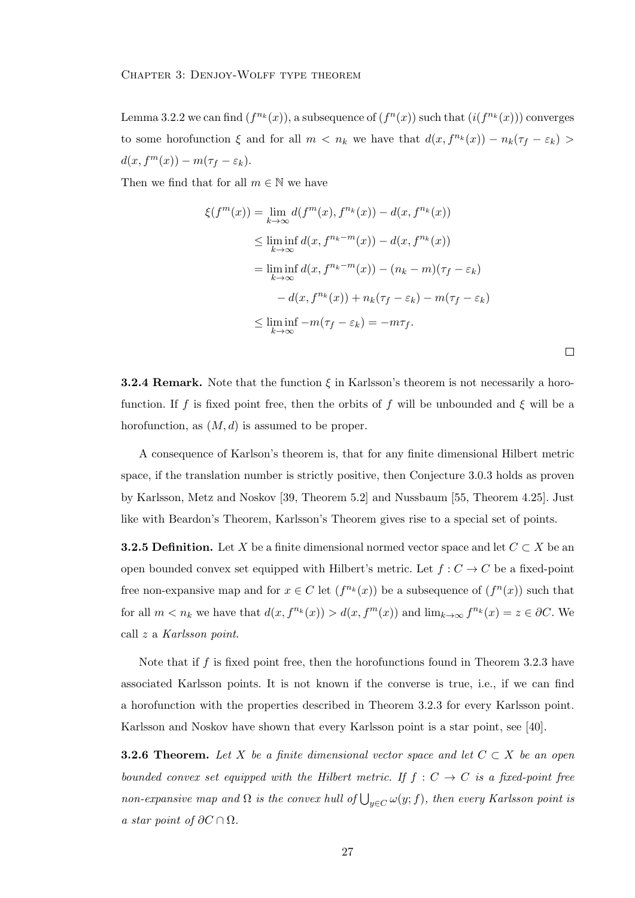Lemma 3.2.2 we can find  $(f^{n_k}(x))$ , a subsequence of  $(f^n(x))$  such that  $(i(f^{n_k}(x)))$  converges to some horofunction  $\xi$  and for all  $m < n_k$  we have that  $d(x, f^{n_k}(x)) - n_k(\tau_f - \varepsilon_k) >$  $d(x, f<sup>m</sup>(x)) - m(\tau_f - \varepsilon_k).$ 

Then we find that for all  $m \in \mathbb{N}$  we have

$$
\xi(f^m(x)) = \lim_{k \to \infty} d(f^m(x), f^{n_k}(x)) - d(x, f^{n_k}(x))
$$
  
\n
$$
\leq \liminf_{k \to \infty} d(x, f^{n_k - m}(x)) - d(x, f^{n_k}(x))
$$
  
\n
$$
= \liminf_{k \to \infty} d(x, f^{n_k - m}(x)) - (n_k - m)(\tau_f - \varepsilon_k)
$$
  
\n
$$
- d(x, f^{n_k}(x)) + n_k(\tau_f - \varepsilon_k) - m(\tau_f - \varepsilon_k)
$$
  
\n
$$
\leq \liminf_{k \to \infty} -m(\tau_f - \varepsilon_k) = -m\tau_f.
$$

**3.2.4 Remark.** Note that the function  $\xi$  in Karlsson's theorem is not necessarily a horofunction. If f is fixed point free, then the orbits of f will be unbounded and  $\xi$  will be a horofunction, as  $(M, d)$  is assumed to be proper.

A consequence of Karlson's theorem is, that for any finite dimensional Hilbert metric space, if the translation number is strictly positive, then Conjecture 3.0.3 holds as proven by Karlsson, Metz and Noskov [39, Theorem 5.2] and Nussbaum [55, Theorem 4.25]. Just like with Beardon's Theorem, Karlsson's Theorem gives rise to a special set of points.

**3.2.5 Definition.** Let X be a finite dimensional normed vector space and let  $C \subset X$  be an open bounded convex set equipped with Hilbert's metric. Let  $f: C \to C$  be a fixed-point free non-expansive map and for  $x \in C$  let  $(f^{n_k}(x))$  be a subsequence of  $(f^n(x))$  such that for all  $m < n_k$  we have that  $d(x, f^{n_k}(x)) > d(x, f^m(x))$  and  $\lim_{k \to \infty} f^{n_k}(x) = z \in \partial C$ . We call z a Karlsson point.

Note that if  $f$  is fixed point free, then the horofunctions found in Theorem 3.2.3 have associated Karlsson points. It is not known if the converse is true, i.e., if we can find a horofunction with the properties described in Theorem 3.2.3 for every Karlsson point. Karlsson and Noskov have shown that every Karlsson point is a star point, see [40].

**3.2.6 Theorem.** Let X be a finite dimensional vector space and let  $C \subset X$  be an open bounded convex set equipped with the Hilbert metric. If  $f : C \to C$  is a fixed-point free non-expansive map and  $\Omega$  is the convex hull of  $\bigcup_{y\in C}\omega(y;f)$ , then every Karlsson point is a star point of  $\partial C \cap \Omega$ .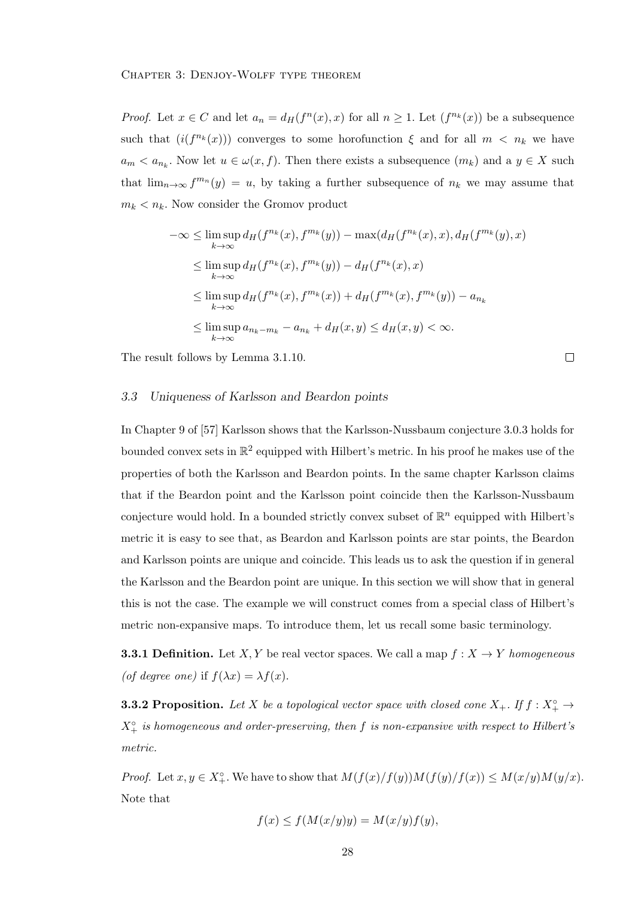*Proof.* Let  $x \in C$  and let  $a_n = d_H(f^n(x), x)$  for all  $n \ge 1$ . Let  $(f^{n_k}(x))$  be a subsequence such that  $(i(f^{n_k}(x)))$  converges to some horofunction  $\xi$  and for all  $m < n_k$  we have  $a_m < a_{n_k}$ . Now let  $u \in \omega(x, f)$ . Then there exists a subsequence  $(m_k)$  and a  $y \in X$  such that  $\lim_{n\to\infty} f^{m_n}(y) = u$ , by taking a further subsequence of  $n_k$  we may assume that  $m_k < n_k$ . Now consider the Gromov product

$$
-\infty \leq \limsup_{k \to \infty} d_H(f^{n_k}(x), f^{m_k}(y)) - \max(d_H(f^{n_k}(x), x), d_H(f^{m_k}(y), x))
$$
  
\n
$$
\leq \limsup_{k \to \infty} d_H(f^{n_k}(x), f^{m_k}(y)) - d_H(f^{n_k}(x), x)
$$
  
\n
$$
\leq \limsup_{k \to \infty} d_H(f^{n_k}(x), f^{m_k}(x)) + d_H(f^{m_k}(x), f^{m_k}(y)) - a_{n_k}
$$
  
\n
$$
\leq \limsup_{k \to \infty} a_{n_k - m_k} - a_{n_k} + d_H(x, y) \leq d_H(x, y) < \infty.
$$

 $\Box$ 

The result follows by Lemma 3.1.10.

#### 3.3 Uniqueness of Karlsson and Beardon points

In Chapter 9 of [57] Karlsson shows that the Karlsson-Nussbaum conjecture 3.0.3 holds for bounded convex sets in  $\mathbb{R}^2$  equipped with Hilbert's metric. In his proof he makes use of the properties of both the Karlsson and Beardon points. In the same chapter Karlsson claims that if the Beardon point and the Karlsson point coincide then the Karlsson-Nussbaum conjecture would hold. In a bounded strictly convex subset of  $\mathbb{R}^n$  equipped with Hilbert's metric it is easy to see that, as Beardon and Karlsson points are star points, the Beardon and Karlsson points are unique and coincide. This leads us to ask the question if in general the Karlsson and the Beardon point are unique. In this section we will show that in general this is not the case. The example we will construct comes from a special class of Hilbert's metric non-expansive maps. To introduce them, let us recall some basic terminology.

**3.3.1 Definition.** Let X, Y be real vector spaces. We call a map  $f : X \to Y$  homogeneous (of degree one) if  $f(\lambda x) = \lambda f(x)$ .

**3.3.2 Proposition.** Let X be a topological vector space with closed cone  $X_+$ . If  $f: X_+^{\circ} \to$  $X_{+}^{\circ}$  is homogeneous and order-preserving, then f is non-expansive with respect to Hilbert's metric.

*Proof.* Let  $x, y \in X^{\circ}_+$ . We have to show that  $M(f(x)/f(y))M(f(y)/f(x)) \leq M(x/y)M(y/x)$ . Note that

$$
f(x) \le f(M(x/y)y) = M(x/y)f(y),
$$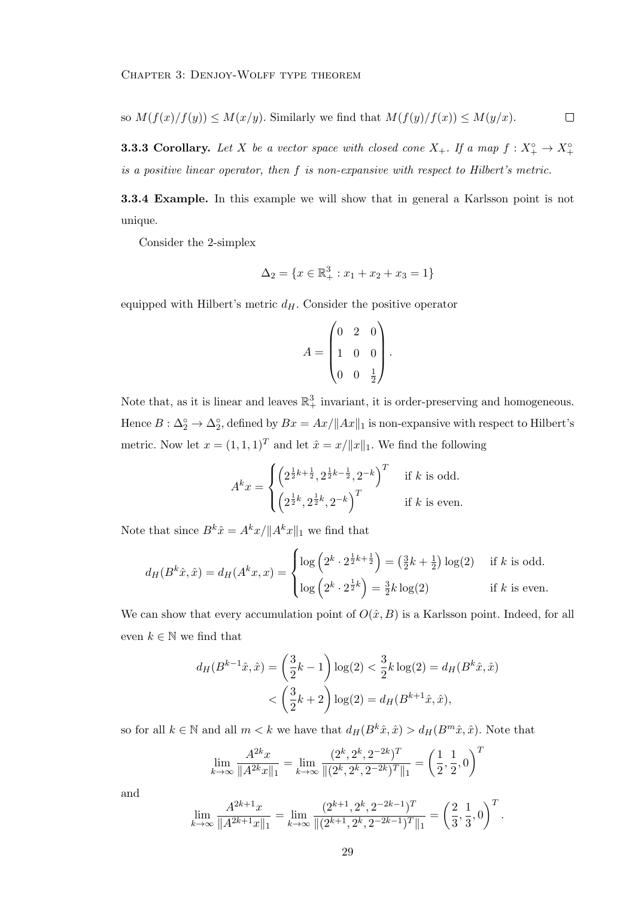so  $M(f(x)/f(y)) \leq M(x/y)$ . Similarly we find that  $M(f(y)/f(x)) \leq M(y/x)$ .  $\Box$ 

**3.3.3 Corollary.** Let X be a vector space with closed cone  $X_+$ . If a map  $f: X_+^{\circ} \to X_+^{\circ}$ is a positive linear operator, then f is non-expansive with respect to Hilbert's metric.

3.3.4 Example. In this example we will show that in general a Karlsson point is not unique.

Consider the 2-simplex

$$
\Delta_2 = \{ x \in \mathbb{R}_+^3 : x_1 + x_2 + x_3 = 1 \}
$$

equipped with Hilbert's metric  $d_H$ . Consider the positive operator

$$
A = \begin{pmatrix} 0 & 2 & 0 \\ 1 & 0 & 0 \\ 0 & 0 & \frac{1}{2} \end{pmatrix}.
$$

Note that, as it is linear and leaves  $\mathbb{R}^3_+$  invariant, it is order-preserving and homogeneous. Hence  $B: \Delta_2^{\circ} \to \Delta_2^{\circ}$ , defined by  $Bx = Ax / ||Ax||_1$  is non-expansive with respect to Hilbert's metric. Now let  $x = (1, 1, 1)^T$  and let  $\hat{x} = x/||x||_1$ . We find the following

$$
A^{k}x = \begin{cases} \left(2^{\frac{1}{2}k + \frac{1}{2}}, 2^{\frac{1}{2}k - \frac{1}{2}}, 2^{-k}\right)^{T} & \text{if } k \text{ is odd.} \\ \left(2^{\frac{1}{2}k}, 2^{\frac{1}{2}k}, 2^{-k}\right)^{T} & \text{if } k \text{ is even.} \end{cases}
$$

Note that since  $B^k \hat{x} = A^k x / \|A^k x\|_1$  we find that

$$
d_H(B^k \hat{x}, \hat{x}) = d_H(A^k x, x) = \begin{cases} \log\left(2^k \cdot 2^{\frac{1}{2}k + \frac{1}{2}}\right) = \left(\frac{3}{2}k + \frac{1}{2}\right) \log(2) & \text{if } k \text{ is odd.} \\ \log\left(2^k \cdot 2^{\frac{1}{2}k}\right) = \frac{3}{2}k \log(2) & \text{if } k \text{ is even.} \end{cases}
$$

We can show that every accumulation point of  $O(\hat{x}, B)$  is a Karlsson point. Indeed, for all even  $k \in \mathbb{N}$  we find that

$$
d_H(B^{k-1}\hat{x}, \hat{x}) = \left(\frac{3}{2}k - 1\right) \log(2) < \frac{3}{2}k \log(2) = d_H(B^k \hat{x}, \hat{x}) \\
&< \left(\frac{3}{2}k + 2\right) \log(2) = d_H(B^{k+1}\hat{x}, \hat{x}),
$$

so for all  $k \in \mathbb{N}$  and all  $m < k$  we have that  $d_H(B^k \hat{x}, \hat{x}) > d_H(B^m \hat{x}, \hat{x})$ . Note that

$$
\lim_{k \to \infty} \frac{A^{2k}x}{\|A^{2k}x\|_1} = \lim_{k \to \infty} \frac{(2^k, 2^k, 2^{-2k})^T}{\|(2^k, 2^k, 2^{-2k})^T\|_1} = \left(\frac{1}{2}, \frac{1}{2}, 0\right)^T
$$

and

$$
\lim_{k \to \infty} \frac{A^{2k+1}x}{\|A^{2k+1}x\|_1} = \lim_{k \to \infty} \frac{(2^{k+1}, 2^k, 2^{-2k-1})^T}{\|(2^{k+1}, 2^k, 2^{-2k-1})^T\|_1} = \left(\frac{2}{3}, \frac{1}{3}, 0\right)^T.
$$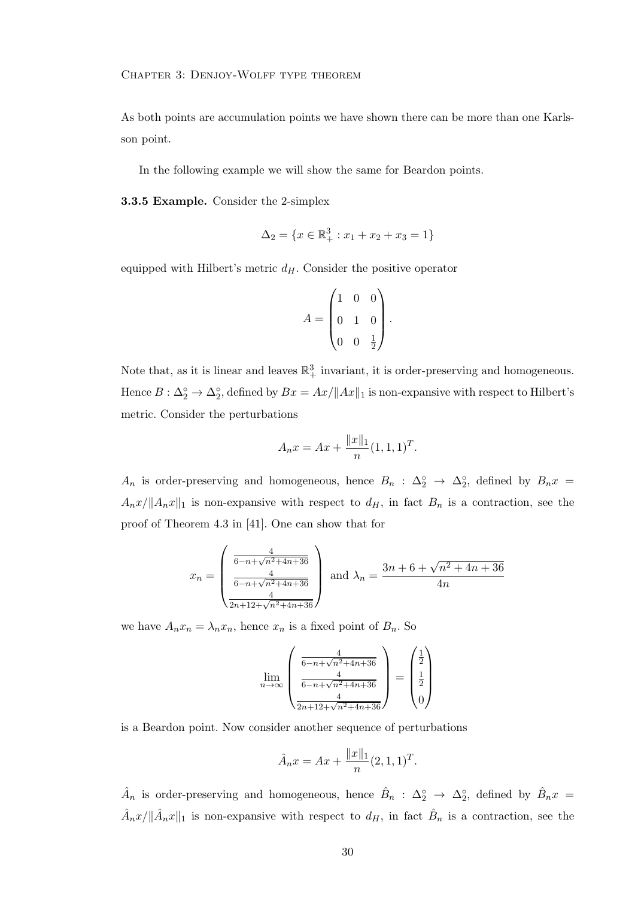As both points are accumulation points we have shown there can be more than one Karlsson point.

In the following example we will show the same for Beardon points.

3.3.5 Example. Consider the 2-simplex

$$
\Delta_2 = \{ x \in \mathbb{R}_+^3 : x_1 + x_2 + x_3 = 1 \}
$$

equipped with Hilbert's metric  $d_H$ . Consider the positive operator

$$
A = \begin{pmatrix} 1 & 0 & 0 \\ 0 & 1 & 0 \\ 0 & 0 & \frac{1}{2} \end{pmatrix}.
$$

Note that, as it is linear and leaves  $\mathbb{R}^3_+$  invariant, it is order-preserving and homogeneous. Hence  $B: \Delta_2^{\circ} \to \Delta_2^{\circ}$ , defined by  $Bx = Ax / ||Ax||_1$  is non-expansive with respect to Hilbert's metric. Consider the perturbations

$$
A_n x = Ax + \frac{\|x\|_1}{n} (1, 1, 1)^T.
$$

 $A_n$  is order-preserving and homogeneous, hence  $B_n$ :  $\Delta_2^{\circ} \rightarrow \Delta_2^{\circ}$ , defined by  $B_n x =$  $A_nx/\Vert A_nx\Vert_1$  is non-expansive with respect to  $d_H$ , in fact  $B_n$  is a contraction, see the proof of Theorem 4.3 in [41]. One can show that for

$$
x_n = \begin{pmatrix} \frac{4}{6 - n + \sqrt{n^2 + 4n + 36}} \\ \frac{4}{6 - n + \sqrt{n^2 + 4n + 36}} \\ \frac{4}{2n + 12 + \sqrt{n^2 + 4n + 36}} \end{pmatrix} \text{ and } \lambda_n = \frac{3n + 6 + \sqrt{n^2 + 4n + 36}}{4n}
$$

we have  $A_n x_n = \lambda_n x_n$ , hence  $x_n$  is a fixed point of  $B_n$ . So

$$
\lim_{n \to \infty} \left( \frac{\frac{4}{6 - n + \sqrt{n^2 + 4n + 36}}}{\frac{4}{6 - n + \sqrt{n^2 + 4n + 36}}} \right) = \begin{pmatrix} \frac{1}{2} \\ \frac{1}{2} \\ \frac{4}{2n + 12 + \sqrt{n^2 + 4n + 36}} \end{pmatrix}
$$

is a Beardon point. Now consider another sequence of perturbations

$$
\hat{A}_n x = Ax + \frac{\|x\|_1}{n} (2, 1, 1)^T.
$$

 $\hat{A}_n$  is order-preserving and homogeneous, hence  $\hat{B}_n$ :  $\Delta_2^{\circ} \to \Delta_2^{\circ}$ , defined by  $\hat{B}_n x =$  $\hat{A}_n x/\|\hat{A}_n x\|_1$  is non-expansive with respect to  $d_H$ , in fact  $\hat{B}_n$  is a contraction, see the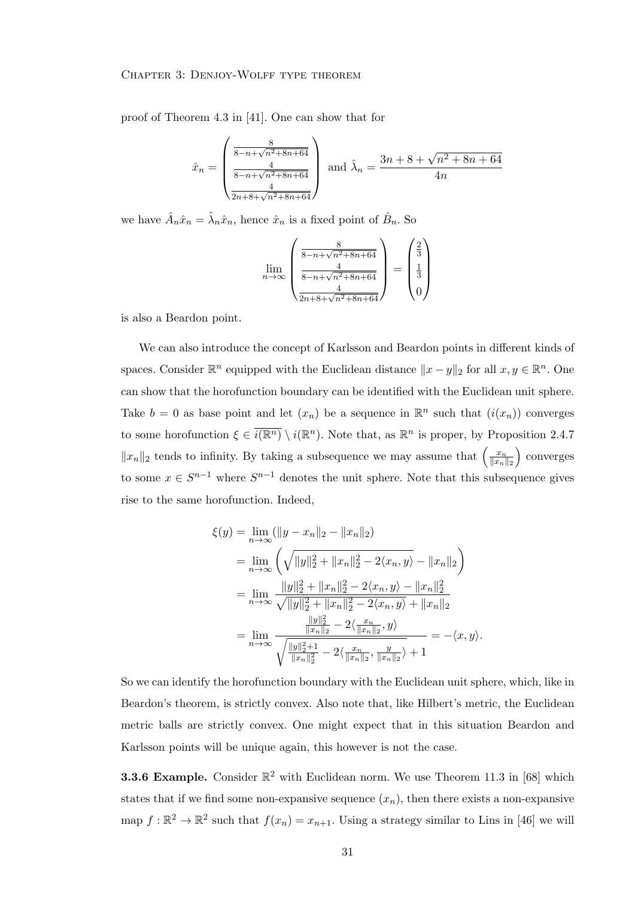## Chapter 3: Denjoy-Wolff type theorem

proof of Theorem 4.3 in [41]. One can show that for

$$
\hat{x}_n = \begin{pmatrix} \frac{8}{8 - n + \sqrt{n^2 + 8n + 64}} \\ \frac{4}{8 - n + \sqrt{n^2 + 8n + 64}} \\ \frac{4}{2n + 8 + \sqrt{n^2 + 8n + 64}} \end{pmatrix} \text{ and } \hat{\lambda}_n = \frac{3n + 8 + \sqrt{n^2 + 8n + 64}}{4n}
$$

we have  $\hat{A}_n \hat{x}_n = \hat{\lambda}_n \hat{x}_n$ , hence  $\hat{x}_n$  is a fixed point of  $\hat{B}_n$ . So

$$
\lim_{n \to \infty} \left( \frac{\frac{8}{8 - n + \sqrt{n^2 + 8n + 64}}}{\frac{4}{8 - n + \sqrt{n^2 + 8n + 64}}} \right) = \begin{pmatrix} \frac{2}{3} \\ \frac{1}{3} \\ \frac{4}{2n + 8 + \sqrt{n^2 + 8n + 64}} \end{pmatrix}
$$

is also a Beardon point.

We can also introduce the concept of Karlsson and Beardon points in different kinds of spaces. Consider  $\mathbb{R}^n$  equipped with the Euclidean distance  $||x - y||_2$  for all  $x, y \in \mathbb{R}^n$ . One can show that the horofunction boundary can be identified with the Euclidean unit sphere. Take  $b = 0$  as base point and let  $(x_n)$  be a sequence in  $\mathbb{R}^n$  such that  $(i(x_n))$  converges to some horofunction  $\xi \in \overline{i(\mathbb{R}^n)} \setminus i(\mathbb{R}^n)$ . Note that, as  $\mathbb{R}^n$  is proper, by Proposition 2.4.7  $||x_n||_2$  tends to infinity. By taking a subsequence we may assume that  $\left(\frac{x_n}{||x_n||_2}\right)$  $||x_n||_2$  converges to some  $x \in S^{n-1}$  where  $S^{n-1}$  denotes the unit sphere. Note that this subsequence gives rise to the same horofunction. Indeed,

$$
\xi(y) = \lim_{n \to \infty} (\|y - x_n\|_2 - \|x_n\|_2)
$$
  
\n
$$
= \lim_{n \to \infty} \left( \sqrt{\|y\|_2^2 + \|x_n\|_2^2 - 2\langle x_n, y \rangle} - \|x_n\|_2 \right)
$$
  
\n
$$
= \lim_{n \to \infty} \frac{\|y\|_2^2 + \|x_n\|_2^2 - 2\langle x_n, y \rangle - \|x_n\|_2^2}{\sqrt{\|y\|_2^2 + \|x_n\|_2^2 - 2\langle x_n, y \rangle} + \|x_n\|_2}
$$
  
\n
$$
= \lim_{n \to \infty} \frac{\frac{\|y\|_2^2}{\|x_n\|_2} - 2\langle \frac{x_n}{\|x_n\|_2}, y \rangle}{\sqrt{\frac{\|y\|_2^2 + 1}{\|x_n\|_2^2} - 2\langle \frac{x_n}{\|x_n\|_2}, \frac{y}{\|x_n\|_2} \rangle} + 1} = -\langle x, y \rangle.
$$

So we can identify the horofunction boundary with the Euclidean unit sphere, which, like in Beardon's theorem, is strictly convex. Also note that, like Hilbert's metric, the Euclidean metric balls are strictly convex. One might expect that in this situation Beardon and Karlsson points will be unique again, this however is not the case.

**3.3.6 Example.** Consider  $\mathbb{R}^2$  with Euclidean norm. We use Theorem 11.3 in [68] which states that if we find some non-expansive sequence  $(x_n)$ , then there exists a non-expansive map  $f : \mathbb{R}^2 \to \mathbb{R}^2$  such that  $f(x_n) = x_{n+1}$ . Using a strategy similar to Lins in [46] we will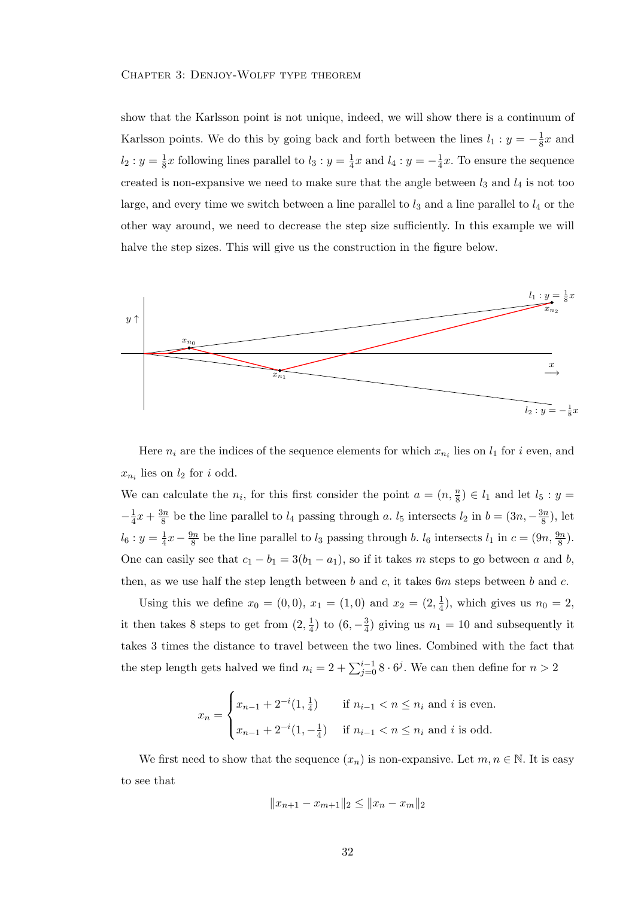## Chapter 3: Denjoy-Wolff type theorem

show that the Karlsson point is not unique, indeed, we will show there is a continuum of Karlsson points. We do this by going back and forth between the lines  $l_1 : y = -\frac{1}{8}$  $\frac{1}{8}x$  and  $l_2: y = \frac{1}{8}$  $\frac{1}{8}x$  following lines parallel to  $l_3: y = \frac{1}{4}$  $\frac{1}{4}x$  and  $l_4: y = -\frac{1}{4}$  $\frac{1}{4}x$ . To ensure the sequence created is non-expansive we need to make sure that the angle between  $l_3$  and  $l_4$  is not too large, and every time we switch between a line parallel to  $l_3$  and a line parallel to  $l_4$  or the other way around, we need to decrease the step size sufficiently. In this example we will halve the step sizes. This will give us the construction in the figure below.



Here  $n_i$  are the indices of the sequence elements for which  $x_{n_i}$  lies on  $l_1$  for i even, and  $x_{n_i}$  lies on  $l_2$  for i odd.

We can calculate the  $n_i$ , for this first consider the point  $a = (n, \frac{n}{8}) \in l_1$  and let  $l_5 : y =$  $-\frac{1}{4}$  $\frac{1}{4}x + \frac{3n}{8}$  $\frac{3n}{8}$  be the line parallel to  $l_4$  passing through a.  $l_5$  intersects  $l_2$  in  $b = (3n, -\frac{3n}{8})$  $\frac{3n}{8}$ ), let  $l_6: y=\frac{1}{4}$  $rac{1}{4}x - \frac{9n}{8}$  $\frac{\partial n}{\partial s}$  be the line parallel to  $l_3$  passing through b.  $l_6$  intersects  $l_1$  in  $c = (9n, \frac{9n}{8})$ . One can easily see that  $c_1 - b_1 = 3(b_1 - a_1)$ , so if it takes m steps to go between a and b, then, as we use half the step length between  $b$  and  $c$ , it takes  $6m$  steps between  $b$  and  $c$ .

Using this we define  $x_0 = (0,0), x_1 = (1,0)$  and  $x_2 = (2, \frac{1}{4})$  $(\frac{1}{4})$ , which gives us  $n_0 = 2$ , it then takes 8 steps to get from  $(2, \frac{1}{4})$  $\frac{1}{4}$ ) to  $(6, -\frac{3}{4})$  $\frac{3}{4}$ ) giving us  $n_1 = 10$  and subsequently it takes 3 times the distance to travel between the two lines. Combined with the fact that the step length gets halved we find  $n_i = 2 + \sum_{j=0}^{i-1} 8 \cdot 6^j$ . We can then define for  $n > 2$ 

$$
x_n = \begin{cases} x_{n-1} + 2^{-i} (1, \frac{1}{4}) & \text{if } n_{i-1} < n \le n_i \text{ and } i \text{ is even.} \\ x_{n-1} + 2^{-i} (1, -\frac{1}{4}) & \text{if } n_{i-1} < n \le n_i \text{ and } i \text{ is odd.} \end{cases}
$$

We first need to show that the sequence  $(x_n)$  is non-expansive. Let  $m, n \in \mathbb{N}$ . It is easy to see that

$$
||x_{n+1} - x_{m+1}||_2 \le ||x_n - x_m||_2
$$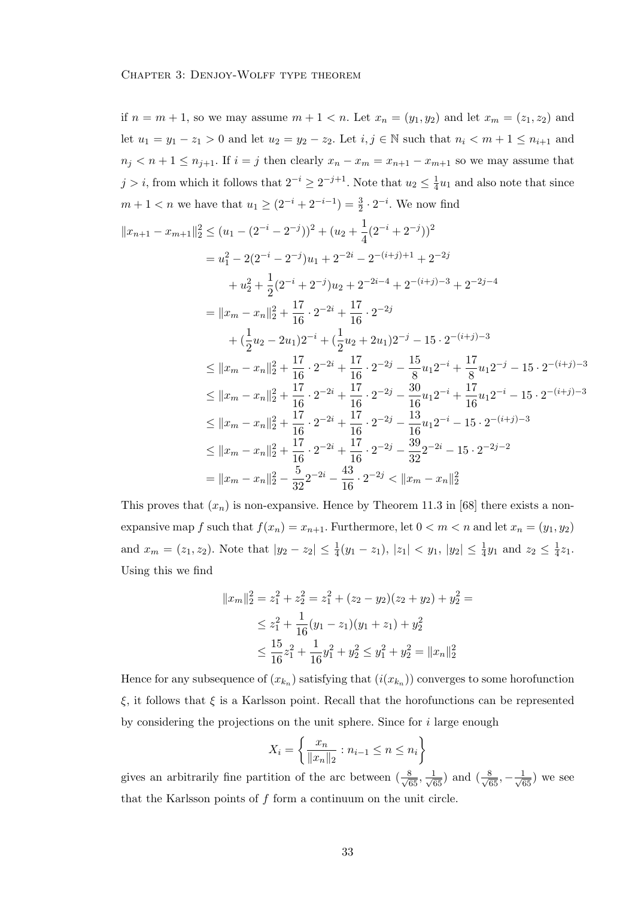if  $n = m + 1$ , so we may assume  $m + 1 < n$ . Let  $x_n = (y_1, y_2)$  and let  $x_m = (z_1, z_2)$  and let  $u_1 = y_1 - z_1 > 0$  and let  $u_2 = y_2 - z_2$ . Let  $i, j \in \mathbb{N}$  such that  $n_i < m + 1 \le n_{i+1}$  and  $n_j < n+1 \leq n_{j+1}$ . If  $i = j$  then clearly  $x_n - x_m = x_{n+1} - x_{m+1}$  so we may assume that  $j > i$ , from which it follows that  $2^{-i} \geq 2^{-j+1}$ . Note that  $u_2 \leq \frac{1}{4}$  $\frac{1}{4}u_1$  and also note that since  $m + 1 < n$  we have that  $u_1 \ge (2^{-i} + 2^{-i-1}) = \frac{3}{2} \cdot 2^{-i}$ . We now find  $||x_{n+1} - x_{m+1}||_2^2 \leq (u_1 - (2^{-i} - 2^{-j}))^2 + (u_2 + \frac{1}{4})$  $\frac{1}{4}(2^{-i}+2^{-j}))^2$  $= u_1^2 - 2(2^{-i} - 2^{-j})u_1 + 2^{-2i} - 2^{-(i+j)+1} + 2^{-2j}$  $+ u_2^2 + \frac{1}{2}$  $\frac{1}{2}(2^{-i}+2^{-j})u_2+2^{-2i-4}+2^{-(i+j)-3}+2^{-2j-4}$  $= \|x_m - x_n\|_2^2 + \frac{17}{16}$  $\frac{17}{16} \cdot 2^{-2i} + \frac{17}{16}$  $\frac{17}{16} \cdot 2^{-2j}$  $+\left(\frac{1}{2}u_2-2u_1\right)2^{-i}+\left(\frac{1}{2}u_2+2u_1\right)2^{-j}-15\cdot 2^{-(i+j)-3}$  $\leq ||x_m - x_n||_2^2 + \frac{17}{16} \cdot 2^{-2i} + \frac{17}{16} \cdot 2^{-2j} - \frac{15}{8} u_1 2^{-i} + \frac{17}{8} u_1 2^{-j} - 15 \cdot 2^{-(i+j)-3}$  $16$   $16$   $8$   $12$   $8$  $\leq ||x_m - x_n||_2^2 + \frac{17}{16}$  $\frac{17}{16} \cdot 2^{-2i} + \frac{17}{16}$  $\frac{17}{16} \cdot 2^{-2j} - \frac{30}{16}$  $\frac{30}{16}u_12^{-i} + \frac{17}{16}$  $\frac{1}{16}u_12^{-i} - 15 \cdot 2^{-(i+j)-3}$  $\leq ||x_m - x_n||_2^2 + \frac{17}{16}$  $\frac{17}{16} \cdot 2^{-2i} + \frac{17}{16}$  $\frac{17}{16} \cdot 2^{-2j} - \frac{13}{16}$  $\frac{15}{16}u_12^{-i} - 15 \cdot 2^{-(i+j)-3}$  $\leq ||x_m - x_n||_2^2 + \frac{17}{16}$  $\frac{17}{16} \cdot 2^{-2i} + \frac{17}{16}$  $\frac{17}{16} \cdot 2^{-2j} - \frac{39}{32}$  $rac{32}{32}$ 2<sup>-2i</sup> - 15 · 2<sup>-2j-2</sup>  $= \|x_m - x_n\|_2^2 - \frac{5}{3^2}$  $rac{5}{32}2^{-2i} - \frac{43}{16}$  $\frac{43}{16} \cdot 2^{-2j} < ||x_m - x_n||_2^2$ 

This proves that  $(x_n)$  is non-expansive. Hence by Theorem 11.3 in [68] there exists a nonexpansive map f such that  $f(x_n) = x_{n+1}$ . Furthermore, let  $0 < m < n$  and let  $x_n = (y_1, y_2)$ and  $x_m = (z_1, z_2)$ . Note that  $|y_2 - z_2| \leq \frac{1}{4}(y_1 - z_1)$ ,  $|z_1| < y_1$ ,  $|y_2| \leq \frac{1}{4}y_1$  and  $z_2 \leq \frac{1}{4}$  $rac{1}{4}z_1$ . Using this we find

$$
||x_m||_2^2 = z_1^2 + z_2^2 = z_1^2 + (z_2 - y_2)(z_2 + y_2) + y_2^2 =
$$
  
\n
$$
\leq z_1^2 + \frac{1}{16}(y_1 - z_1)(y_1 + z_1) + y_2^2
$$
  
\n
$$
\leq \frac{15}{16}z_1^2 + \frac{1}{16}y_1^2 + y_2^2 \leq y_1^2 + y_2^2 = ||x_n||_2^2
$$

Hence for any subsequence of  $(x_{k_n})$  satisfying that  $(i(x_{k_n}))$  converges to some horofunction ξ, it follows that ξ is a Karlsson point. Recall that the horofunctions can be represented by considering the projections on the unit sphere. Since for  $i$  large enough

$$
X_i = \left\{ \frac{x_n}{\|x_n\|_2} : n_{i-1} \le n \le n_i \right\}
$$

gives an arbitrarily fine partition of the arc between  $(\frac{8}{\sqrt{65}}, \frac{1}{\sqrt{65}})$  and  $(\frac{8}{\sqrt{65}}, -\frac{1}{\sqrt{65}})$  we see that the Karlsson points of  $f$  form a continuum on the unit circle.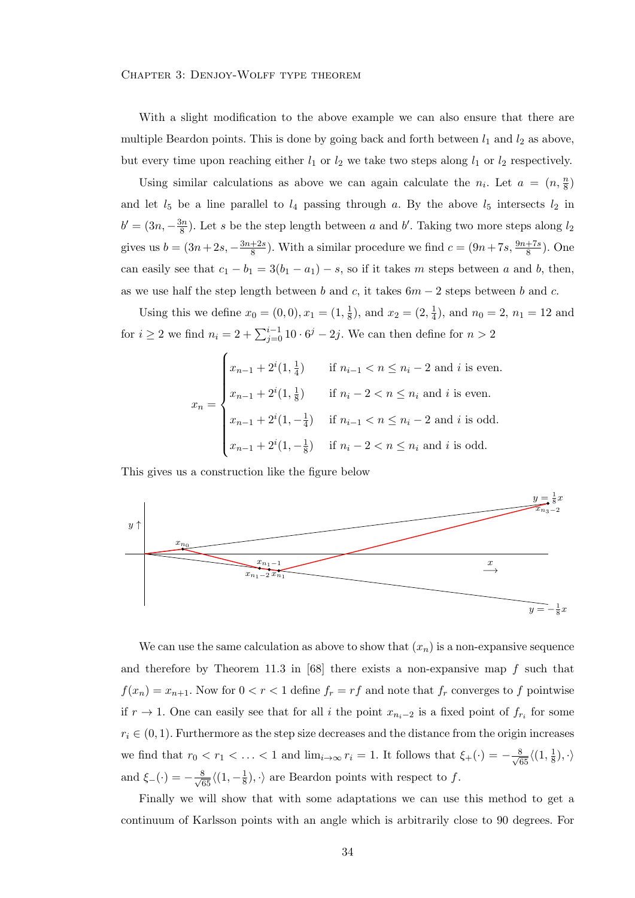## Chapter 3: Denjoy-Wolff type theorem

With a slight modification to the above example we can also ensure that there are multiple Beardon points. This is done by going back and forth between  $l_1$  and  $l_2$  as above, but every time upon reaching either  $l_1$  or  $l_2$  we take two steps along  $l_1$  or  $l_2$  respectively.

Using similar calculations as above we can again calculate the  $n_i$ . Let  $a = (n, \frac{n}{8})$ and let  $l_5$  be a line parallel to  $l_4$  passing through a. By the above  $l_5$  intersects  $l_2$  in  $b' = (3n, -\frac{3n}{8})$  $\frac{3n}{8}$ ). Let s be the step length between a and b'. Taking two more steps along  $l_2$ gives us  $b = (3n+2s, -\frac{3n+2s}{8})$  $\frac{+2s}{8}$ ). With a similar procedure we find  $c = (9n + 7s, \frac{9n+7s}{8})$ . One can easily see that  $c_1 - b_1 = 3(b_1 - a_1) - s$ , so if it takes m steps between a and b, then, as we use half the step length between b and c, it takes  $6m - 2$  steps between b and c.

Using this we define  $x_0 = (0,0), x_1 = (1, \frac{1}{8})$  $\frac{1}{8}$ ), and  $x_2 = (2, \frac{1}{4})$  $(\frac{1}{4})$ , and  $n_0 = 2$ ,  $n_1 = 12$  and for  $i \geq 2$  we find  $n_i = 2 + \sum_{j=0}^{i-1} 10 \cdot 6^j - 2j$ . We can then define for  $n > 2$ 

$$
x_n = \begin{cases} x_{n-1} + 2^{i} (1, \frac{1}{4}) & \text{if } n_{i-1} < n \le n_i - 2 \text{ and } i \text{ is even.} \\ x_{n-1} + 2^{i} (1, \frac{1}{8}) & \text{if } n_i - 2 < n \le n_i \text{ and } i \text{ is even.} \\ x_{n-1} + 2^{i} (1, -\frac{1}{4}) & \text{if } n_{i-1} < n \le n_i - 2 \text{ and } i \text{ is odd.} \\ x_{n-1} + 2^{i} (1, -\frac{1}{8}) & \text{if } n_i - 2 < n \le n_i \text{ and } i \text{ is odd.} \end{cases}
$$

This gives us a construction like the figure below



We can use the same calculation as above to show that  $(x_n)$  is a non-expansive sequence and therefore by Theorem 11.3 in  $[68]$  there exists a non-expansive map f such that  $f(x_n) = x_{n+1}$ . Now for  $0 < r < 1$  define  $f_r = rf$  and note that  $f_r$  converges to f pointwise if  $r \to 1$ . One can easily see that for all i the point  $x_{n_i-2}$  is a fixed point of  $f_{r_i}$  for some  $r_i \in (0, 1)$ . Furthermore as the step size decreases and the distance from the origin increases we find that  $r_0 < r_1 < \ldots < 1$  and  $\lim_{i \to \infty} r_i = 1$ . It follows that  $\xi_+(\cdot) = -\frac{8}{\sqrt{65}} \langle (1, \frac{1}{8}, \frac{1}{8}, \frac{1}{10}, \frac{1}{10}, \frac{1}{10}, \frac{1}{10}, \frac{1}{10}, \frac{1}{10}, \frac{1}{10}, \frac{1}{10}, \frac{1}{10}, \frac{1}{10}, \frac{1}{10}, \frac{1}{10}, \frac{1}{10}, \frac{1}{10}, \$  $\frac{1}{8}$ ,  $\cdot \rangle$ and  $\xi_{-}(\cdot) = -\frac{8}{\sqrt{65}} \langle (1, -\frac{1}{8})$  $\frac{1}{8}$ ,  $\cdot$  are Beardon points with respect to f.

Finally we will show that with some adaptations we can use this method to get a continuum of Karlsson points with an angle which is arbitrarily close to 90 degrees. For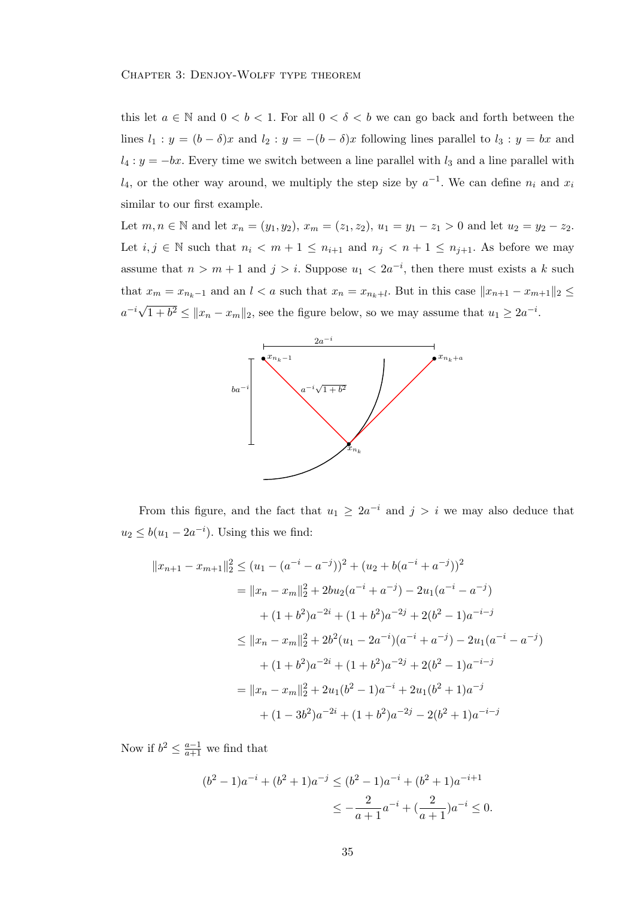this let  $a \in \mathbb{N}$  and  $0 < b < 1$ . For all  $0 < \delta < b$  we can go back and forth between the lines  $l_1 : y = (b - \delta)x$  and  $l_2 : y = -(b - \delta)x$  following lines parallel to  $l_3 : y = bx$  and  $l_4: y = -bx$ . Every time we switch between a line parallel with  $l_3$  and a line parallel with  $l_4$ , or the other way around, we multiply the step size by  $a^{-1}$ . We can define  $n_i$  and  $x_i$ similar to our first example.

Let  $m, n \in \mathbb{N}$  and let  $x_n = (y_1, y_2), x_m = (z_1, z_2), u_1 = y_1 - z_1 > 0$  and let  $u_2 = y_2 - z_2$ . Let  $i, j \in \mathbb{N}$  such that  $n_i < m + 1 \leq n_{i+1}$  and  $n_j < n + 1 \leq n_{j+1}$ . As before we may assume that  $n > m + 1$  and  $j > i$ . Suppose  $u_1 < 2a^{-i}$ , then there must exists a k such that  $x_m = x_{n_k-1}$  and an  $l < a$  such that  $x_n = x_{n_k+l}$ . But in this case  $||x_{n+1} - x_{m+1}||_2 \le$  $a^{-i}\sqrt{a^i}$  $1 + b^2 \le ||x_n - x_m||_2$ , see the figure below, so we may assume that  $u_1 \ge 2a^{-i}$ .



From this figure, and the fact that  $u_1 \geq 2a^{-i}$  and  $j > i$  we may also deduce that  $u_2 \leq b(u_1 - 2a^{-i})$ . Using this we find:

$$
||x_{n+1} - x_{m+1}||_2^2 \le (u_1 - (a^{-i} - a^{-j}))^2 + (u_2 + b(a^{-i} + a^{-j}))^2
$$
  
\n
$$
= ||x_n - x_m||_2^2 + 2bu_2(a^{-i} + a^{-j}) - 2u_1(a^{-i} - a^{-j})
$$
  
\n
$$
+ (1 + b^2)a^{-2i} + (1 + b^2)a^{-2j} + 2(b^2 - 1)a^{-i-j}
$$
  
\n
$$
\le ||x_n - x_m||_2^2 + 2b^2(u_1 - 2a^{-i})(a^{-i} + a^{-j}) - 2u_1(a^{-i} - a^{-j})
$$
  
\n
$$
+ (1 + b^2)a^{-2i} + (1 + b^2)a^{-2j} + 2(b^2 - 1)a^{-i-j}
$$
  
\n
$$
= ||x_n - x_m||_2^2 + 2u_1(b^2 - 1)a^{-i} + 2u_1(b^2 + 1)a^{-j}
$$
  
\n
$$
+ (1 - 3b^2)a^{-2i} + (1 + b^2)a^{-2j} - 2(b^2 + 1)a^{-i-j}
$$

Now if  $b^2 \leq \frac{a-1}{a+1}$  we find that

$$
(b2 - 1)a-i + (b2 + 1)a-j \le (b2 - 1)a-i + (b2 + 1)a-i+1
$$
  

$$
\le -\frac{2}{a+1}a-i + (\frac{2}{a+1})a-i \le 0.
$$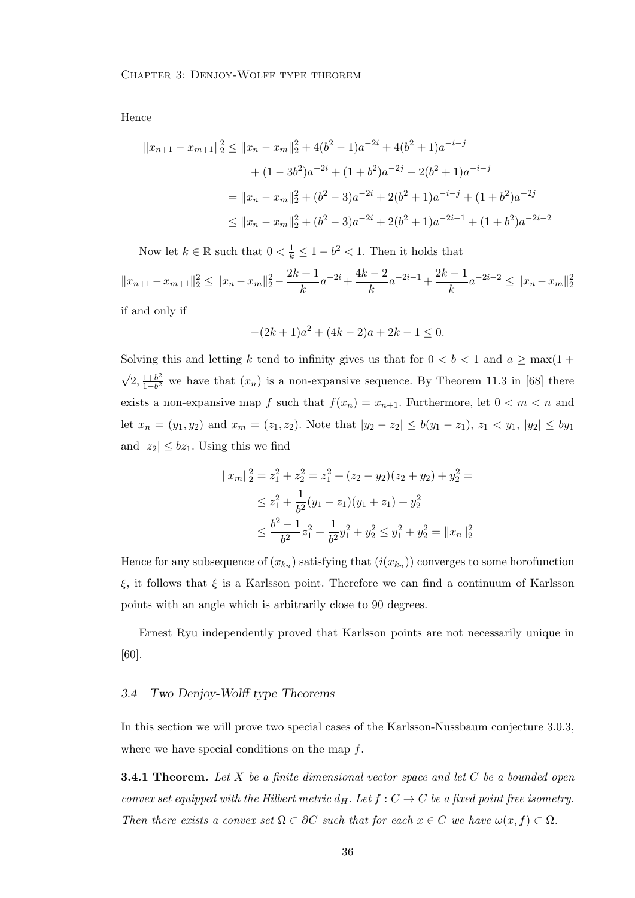Hence

$$
||x_{n+1} - x_{m+1}||_2^2 \le ||x_n - x_m||_2^2 + 4(b^2 - 1)a^{-2i} + 4(b^2 + 1)a^{-i-j}
$$
  
+ 
$$
(1 - 3b^2)a^{-2i} + (1 + b^2)a^{-2j} - 2(b^2 + 1)a^{-i-j}
$$
  
= 
$$
||x_n - x_m||_2^2 + (b^2 - 3)a^{-2i} + 2(b^2 + 1)a^{-i-j} + (1 + b^2)a^{-2j}
$$
  

$$
\le ||x_n - x_m||_2^2 + (b^2 - 3)a^{-2i} + 2(b^2 + 1)a^{-2i-1} + (1 + b^2)a^{-2i-2}
$$

Now let  $k \in \mathbb{R}$  such that  $0 < \frac{1}{k} \leq 1 - b^2 < 1$ . Then it holds that

 $||x_{n+1} - x_{m+1}||_2^2 \le ||x_n - x_m||_2^2 - \frac{2k+1}{k}$  $\frac{+1}{k}a^{-2i} + \frac{4k-2}{k}$  $\frac{k-2}{k}a^{-2i-1} + \frac{2k-1}{k}$  $\frac{-1}{k}a^{-2i-2} \leq ||x_n - x_m||_2^2$ if and only if

$$
-(2k+1)a^2 + (4k-2)a + 2k - 1 \le 0.
$$

Solving this and letting k tend to infinity gives us that for  $0 < b < 1$  and  $a \ge \max(1 +$ √  $\sqrt{2}, \frac{1+b^2}{1-b^2}$  $\frac{1+b^2}{1-b^2}$  we have that  $(x_n)$  is a non-expansive sequence. By Theorem 11.3 in [68] there exists a non-expansive map f such that  $f(x_n) = x_{n+1}$ . Furthermore, let  $0 < m < n$  and let  $x_n = (y_1, y_2)$  and  $x_m = (z_1, z_2)$ . Note that  $|y_2 - z_2| \le b(y_1 - z_1)$ ,  $z_1 < y_1$ ,  $|y_2| \le by_1$ and  $|z_2| \leq bz_1$ . Using this we find

$$
||x_m||_2^2 = z_1^2 + z_2^2 = z_1^2 + (z_2 - y_2)(z_2 + y_2) + y_2^2 =
$$
  
\n
$$
\leq z_1^2 + \frac{1}{b^2}(y_1 - z_1)(y_1 + z_1) + y_2^2
$$
  
\n
$$
\leq \frac{b^2 - 1}{b^2}z_1^2 + \frac{1}{b^2}y_1^2 + y_2^2 \leq y_1^2 + y_2^2 = ||x_n||_2^2
$$

Hence for any subsequence of  $(x_{k_n})$  satisfying that  $(i(x_{k_n}))$  converges to some horofunction ξ, it follows that ξ is a Karlsson point. Therefore we can find a continuum of Karlsson points with an angle which is arbitrarily close to 90 degrees.

Ernest Ryu independently proved that Karlsson points are not necessarily unique in [60].

#### 3.4 Two Denjoy-Wolff type Theorems

In this section we will prove two special cases of the Karlsson-Nussbaum conjecture 3.0.3, where we have special conditions on the map f.

**3.4.1 Theorem.** Let X be a finite dimensional vector space and let  $C$  be a bounded open convex set equipped with the Hilbert metric  $d_H$ . Let  $f : C \to C$  be a fixed point free isometry. Then there exists a convex set  $\Omega \subset \partial C$  such that for each  $x \in C$  we have  $\omega(x, f) \subset \Omega$ .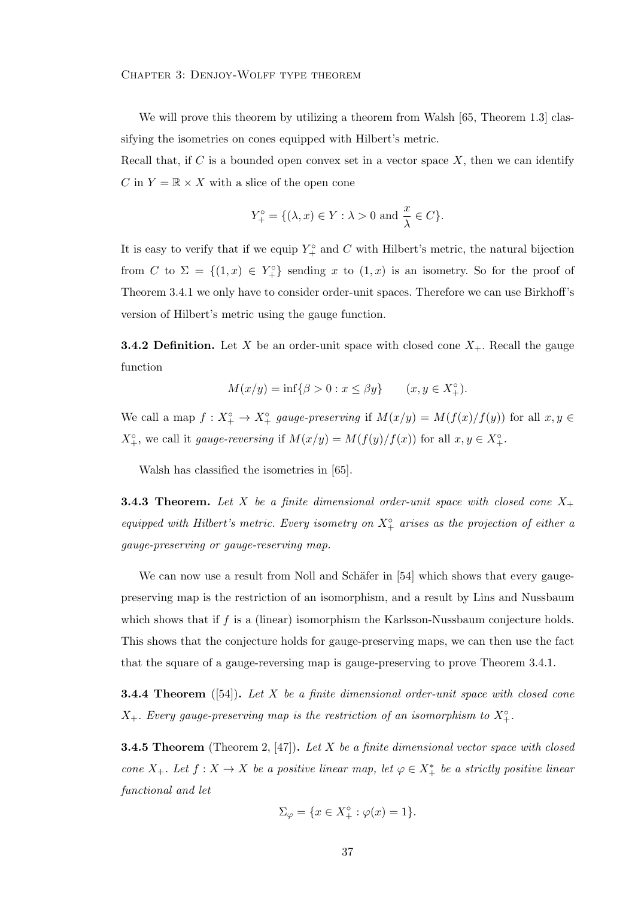## Chapter 3: Denjoy-Wolff type theorem

We will prove this theorem by utilizing a theorem from Walsh [65, Theorem 1.3] classifying the isometries on cones equipped with Hilbert's metric.

Recall that, if C is a bounded open convex set in a vector space  $X$ , then we can identify C in  $Y = \mathbb{R} \times X$  with a slice of the open cone

$$
Y_+^{\circ} = \{ (\lambda, x) \in Y : \lambda > 0 \text{ and } \frac{x}{\lambda} \in C \}.
$$

It is easy to verify that if we equip  $Y_+^{\circ}$  and C with Hilbert's metric, the natural bijection from C to  $\Sigma = \{(1, x) \in Y_+^{\circ}\}\$  sending x to  $(1, x)$  is an isometry. So for the proof of Theorem 3.4.1 we only have to consider order-unit spaces. Therefore we can use Birkhoff's version of Hilbert's metric using the gauge function.

**3.4.2 Definition.** Let X be an order-unit space with closed cone  $X_+$ . Recall the gauge function

$$
M(x/y) = \inf\{\beta > 0 : x \le \beta y\} \qquad (x, y \in X_+^{\circ}).
$$

We call a map  $f: X^{\circ}_{+} \to X^{\circ}_{+}$  gauge-preserving if  $M(x/y) = M(f(x)/f(y))$  for all  $x, y \in$  $X^{\circ}_{+}$ , we call it *gauge-reversing* if  $M(x/y) = M(f(y)/f(x))$  for all  $x, y \in X^{\circ}_{+}$ .

Walsh has classified the isometries in [65].

**3.4.3 Theorem.** Let X be a finite dimensional order-unit space with closed cone  $X_+$ equipped with Hilbert's metric. Every isometry on  $X^{\circ}_{+}$  arises as the projection of either a gauge-preserving or gauge-reserving map.

We can now use a result from Noll and Schäfer in [54] which shows that every gaugepreserving map is the restriction of an isomorphism, and a result by Lins and Nussbaum which shows that if f is a (linear) isomorphism the Karlsson-Nussbaum conjecture holds. This shows that the conjecture holds for gauge-preserving maps, we can then use the fact that the square of a gauge-reversing map is gauge-preserving to prove Theorem 3.4.1.

**3.4.4 Theorem** ([54]). Let X be a finite dimensional order-unit space with closed cone  $X_+$ . Every gauge-preserving map is the restriction of an isomorphism to  $X_+^{\circ}$ .

**3.4.5 Theorem** (Theorem 2, [47]). Let X be a finite dimensional vector space with closed cone X<sub>+</sub>. Let  $f: X \to X$  be a positive linear map, let  $\varphi \in X^*_+$  be a strictly positive linear functional and let

$$
\Sigma_{\varphi} = \{ x \in X^{\circ}_{+} : \varphi(x) = 1 \}.
$$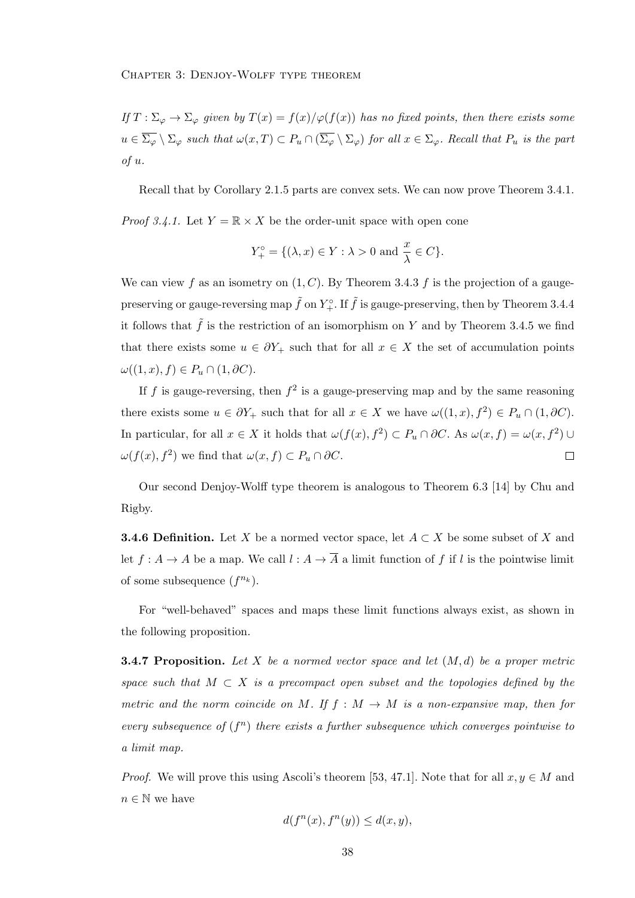If  $T : \Sigma_{\varphi} \to \Sigma_{\varphi}$  given by  $T(x) = f(x)/\varphi(f(x))$  has no fixed points, then there exists some  $u \in \overline{\Sigma_{\varphi}} \setminus \Sigma_{\varphi}$  such that  $\omega(x,T) \subset P_u \cap (\overline{\Sigma_{\varphi}} \setminus \Sigma_{\varphi})$  for all  $x \in \Sigma_{\varphi}$ . Recall that  $P_u$  is the part of u.

Recall that by Corollary 2.1.5 parts are convex sets. We can now prove Theorem 3.4.1.

*Proof 3.4.1.* Let  $Y = \mathbb{R} \times X$  be the order-unit space with open cone

$$
Y_+^{\circ} = \{ (\lambda, x) \in Y : \lambda > 0 \text{ and } \frac{x}{\lambda} \in C \}.
$$

We can view f as an isometry on  $(1, C)$ . By Theorem 3.4.3 f is the projection of a gaugepreserving or gauge-reversing map  $\tilde{f}$  on  $Y^{\circ}_{+}$ . If  $\tilde{f}$  is gauge-preserving, then by Theorem 3.4.4 it follows that  $\tilde{f}$  is the restriction of an isomorphism on Y and by Theorem 3.4.5 we find that there exists some  $u \in \partial Y_+$  such that for all  $x \in X$  the set of accumulation points  $\omega((1, x), f) \in P_u \cap (1, \partial C).$ 

If f is gauge-reversing, then  $f^2$  is a gauge-preserving map and by the same reasoning there exists some  $u \in \partial Y_+$  such that for all  $x \in X$  we have  $\omega((1, x), f^2) \in P_u \cap (1, \partial C)$ . In particular, for all  $x \in X$  it holds that  $\omega(f(x), f^2) \subset P_u \cap \partial C$ . As  $\omega(x, f) = \omega(x, f^2) \cup \Omega$  $\omega(f(x), f^2)$  we find that  $\omega(x, f) \subset P_u \cap \partial C$ .  $\Box$ 

Our second Denjoy-Wolff type theorem is analogous to Theorem 6.3 [14] by Chu and Rigby.

**3.4.6 Definition.** Let X be a normed vector space, let  $A \subset X$  be some subset of X and let  $f: A \to A$  be a map. We call  $l: A \to \overline{A}$  a limit function of f if l is the pointwise limit of some subsequence  $(f^{n_k})$ .

For "well-behaved" spaces and maps these limit functions always exist, as shown in the following proposition.

**3.4.7 Proposition.** Let X be a normed vector space and let  $(M, d)$  be a proper metric space such that  $M \subset X$  is a precompact open subset and the topologies defined by the metric and the norm coincide on M. If  $f : M \to M$  is a non-expansive map, then for every subsequence of  $(f^n)$  there exists a further subsequence which converges pointwise to a limit map.

*Proof.* We will prove this using Ascoli's theorem [53, 47.1]. Note that for all  $x, y \in M$  and  $n \in \mathbb{N}$  we have

$$
d(f^n(x), f^n(y)) \le d(x, y),
$$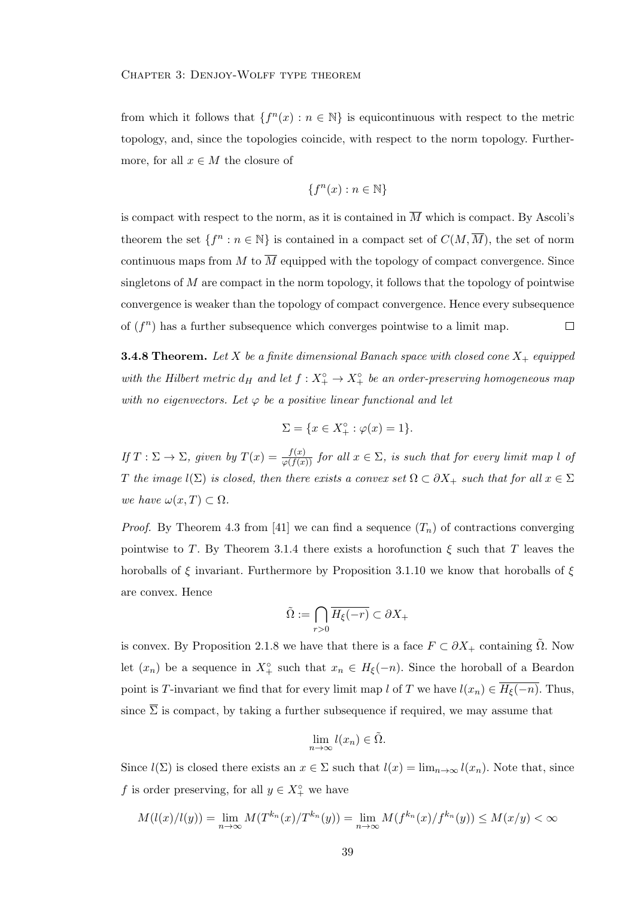from which it follows that  $\{f^{(n)}(x) : n \in \mathbb{N}\}\$ is equicontinuous with respect to the metric topology, and, since the topologies coincide, with respect to the norm topology. Furthermore, for all  $x \in M$  the closure of

$$
\{f^n(x) : n \in \mathbb{N}\}\
$$

is compact with respect to the norm, as it is contained in  $\overline{M}$  which is compact. By Ascoli's theorem the set  $\{f^n : n \in \mathbb{N}\}\$ is contained in a compact set of  $C(M, \overline{M})$ , the set of norm continuous maps from M to  $\overline{M}$  equipped with the topology of compact convergence. Since singletons of  $M$  are compact in the norm topology, it follows that the topology of pointwise convergence is weaker than the topology of compact convergence. Hence every subsequence of  $(f^n)$  has a further subsequence which converges pointwise to a limit map.  $\Box$ 

**3.4.8 Theorem.** Let X be a finite dimensional Banach space with closed cone  $X_+$  equipped with the Hilbert metric  $d_H$  and let  $f: X_+^{\circ} \to X_+^{\circ}$  be an order-preserving homogeneous map with no eigenvectors. Let  $\varphi$  be a positive linear functional and let

$$
\Sigma = \{ x \in X_+^\circ : \varphi(x) = 1 \}.
$$

If  $T: \Sigma \to \Sigma$ , given by  $T(x) = \frac{f(x)}{\varphi(f(x))}$  for all  $x \in \Sigma$ , is such that for every limit map l of T the image  $l(\Sigma)$  is closed, then there exists a convex set  $\Omega \subset \partial X_+$  such that for all  $x \in \Sigma$ we have  $\omega(x,T) \subset \Omega$ .

*Proof.* By Theorem 4.3 from [41] we can find a sequence  $(T_n)$  of contractions converging pointwise to T. By Theorem 3.1.4 there exists a horofunction  $\xi$  such that T leaves the horoballs of  $\xi$  invariant. Furthermore by Proposition 3.1.10 we know that horoballs of  $\xi$ are convex. Hence

$$
\tilde{\Omega} := \bigcap_{r>0} \overline{H_{\xi}(-r)} \subset \partial X_+
$$

is convex. By Proposition 2.1.8 we have that there is a face  $F \subset \partial X_+$  containing  $\Omega$ . Now let  $(x_n)$  be a sequence in  $X_+^{\circ}$  such that  $x_n \in H_{\xi}(-n)$ . Since the horoball of a Beardon point is T-invariant we find that for every limit map l of T we have  $l(x_n) \in \overline{H_{\xi}(-n)}$ . Thus, since  $\overline{\Sigma}$  is compact, by taking a further subsequence if required, we may assume that

$$
\lim_{n \to \infty} l(x_n) \in \tilde{\Omega}.
$$

Since  $l(\Sigma)$  is closed there exists an  $x \in \Sigma$  such that  $l(x) = \lim_{n \to \infty} l(x_n)$ . Note that, since f is order preserving, for all  $y \in X_+^{\circ}$  we have

$$
M(l(x)/l(y)) = \lim_{n \to \infty} M(T^{k_n}(x)/T^{k_n}(y)) = \lim_{n \to \infty} M(f^{k_n}(x)/f^{k_n}(y)) \le M(x/y) < \infty
$$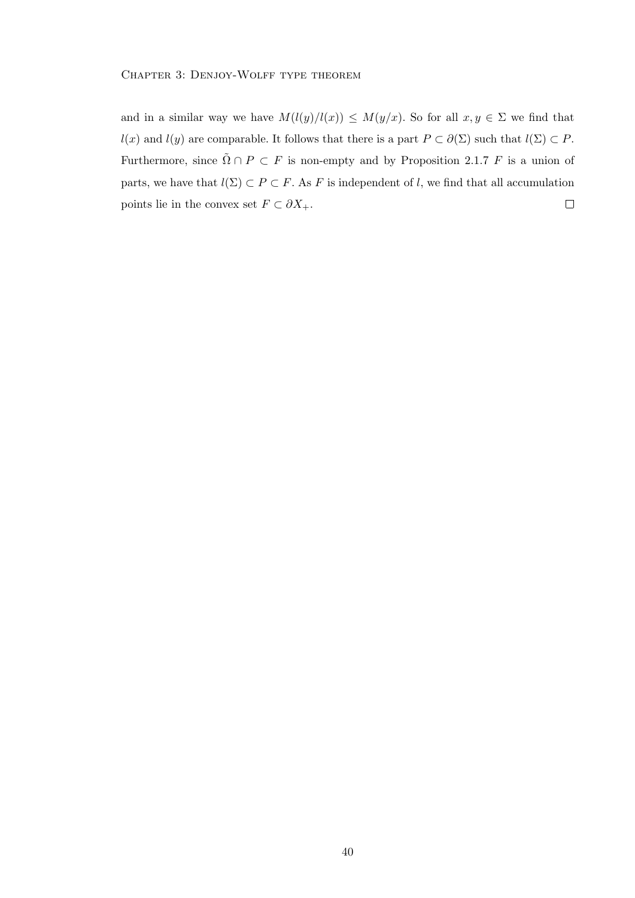and in a similar way we have  $M(l(y)/l(x)) \leq M(y/x)$ . So for all  $x, y \in \Sigma$  we find that  $l(x)$  and  $l(y)$  are comparable. It follows that there is a part  $P \subset \partial(\Sigma)$  such that  $l(\Sigma) \subset P$ . Furthermore, since  $\tilde{\Omega} \cap P \subset F$  is non-empty and by Proposition 2.1.7 F is a union of parts, we have that  $l(\Sigma) \subset P \subset F$ . As F is independent of l, we find that all accumulation points lie in the convex set  $F \subset \partial X_+$ .  $\Box$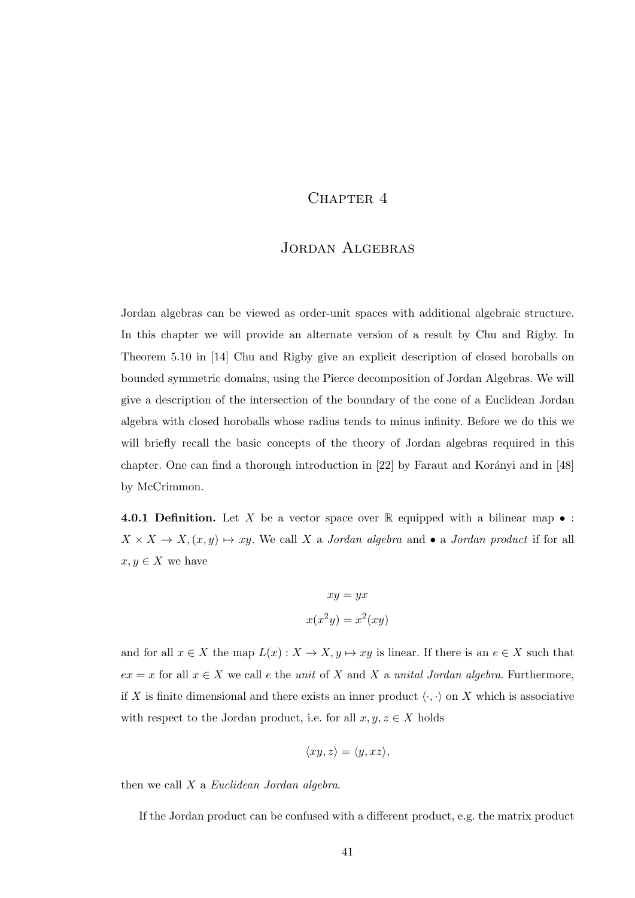# CHAPTER 4

# JORDAN ALGEBRAS

Jordan algebras can be viewed as order-unit spaces with additional algebraic structure. In this chapter we will provide an alternate version of a result by Chu and Rigby. In Theorem 5.10 in [14] Chu and Rigby give an explicit description of closed horoballs on bounded symmetric domains, using the Pierce decomposition of Jordan Algebras. We will give a description of the intersection of the boundary of the cone of a Euclidean Jordan algebra with closed horoballs whose radius tends to minus infinity. Before we do this we will briefly recall the basic concepts of the theory of Jordan algebras required in this chapter. One can find a thorough introduction in  $[22]$  by Faraut and Korányi and in  $[48]$ by McCrimmon.

**4.0.1 Definition.** Let X be a vector space over  $\mathbb{R}$  equipped with a bilinear map  $\bullet$  :  $X \times X \to X, (x, y) \mapsto xy$ . We call X a Jordan algebra and • a Jordan product if for all  $x, y \in X$  we have

$$
xy = yx
$$

$$
x(x2y) = x2(xy)
$$

and for all  $x \in X$  the map  $L(x) : X \to X, y \mapsto xy$  is linear. If there is an  $e \in X$  such that  $ex = x$  for all  $x \in X$  we call e the unit of X and X a unital Jordan algebra. Furthermore, if X is finite dimensional and there exists an inner product  $\langle \cdot, \cdot \rangle$  on X which is associative with respect to the Jordan product, i.e. for all  $x, y, z \in X$  holds

$$
\langle xy, z \rangle = \langle y, xz \rangle,
$$

then we call X a Euclidean Jordan algebra.

If the Jordan product can be confused with a different product, e.g. the matrix product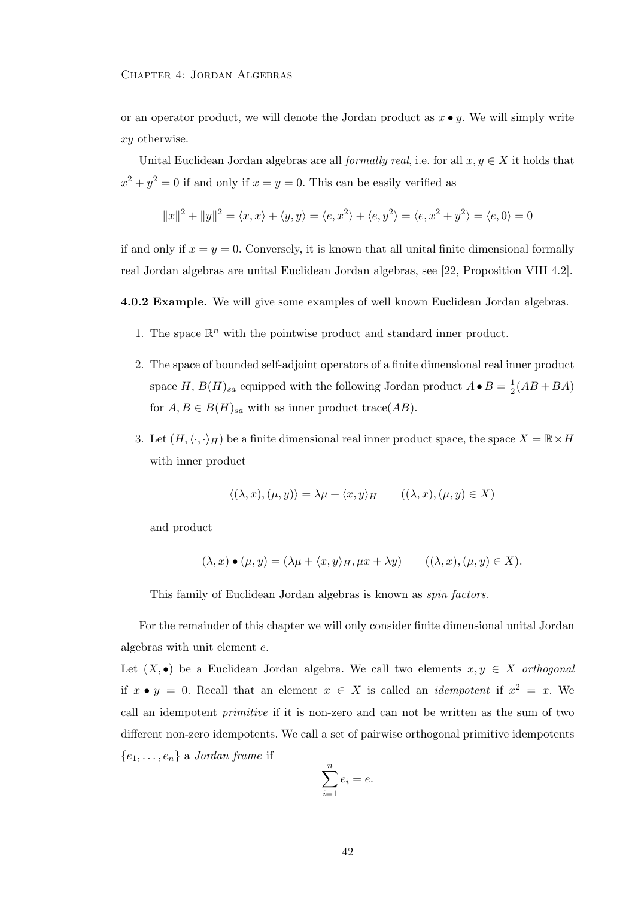or an operator product, we will denote the Jordan product as  $x \bullet y$ . We will simply write xy otherwise.

Unital Euclidean Jordan algebras are all *formally real*, i.e. for all  $x, y \in X$  it holds that  $x^2 + y^2 = 0$  if and only if  $x = y = 0$ . This can be easily verified as

$$
||x||^2 + ||y||^2 = \langle x, x \rangle + \langle y, y \rangle = \langle e, x^2 \rangle + \langle e, y^2 \rangle = \langle e, x^2 + y^2 \rangle = \langle e, 0 \rangle = 0
$$

if and only if  $x = y = 0$ . Conversely, it is known that all unital finite dimensional formally real Jordan algebras are unital Euclidean Jordan algebras, see [22, Proposition VIII 4.2].

4.0.2 Example. We will give some examples of well known Euclidean Jordan algebras.

- 1. The space  $\mathbb{R}^n$  with the pointwise product and standard inner product.
- 2. The space of bounded self-adjoint operators of a finite dimensional real inner product space H,  $B(H)_{sa}$  equipped with the following Jordan product  $A \bullet B = \frac{1}{2}$  $\frac{1}{2}(AB+BA)$ for  $A, B \in B(H)_{sa}$  with as inner product trace(AB).
- 3. Let  $(H, \langle \cdot, \cdot \rangle_H)$  be a finite dimensional real inner product space, the space  $X = \mathbb{R} \times H$ with inner product

$$
\langle (\lambda, x), (\mu, y) \rangle = \lambda \mu + \langle x, y \rangle_H \qquad ((\lambda, x), (\mu, y) \in X)
$$

and product

$$
(\lambda, x) \bullet (\mu, y) = (\lambda \mu + \langle x, y \rangle_H, \mu x + \lambda y) \qquad ((\lambda, x), (\mu, y) \in X).
$$

This family of Euclidean Jordan algebras is known as spin factors.

For the remainder of this chapter we will only consider finite dimensional unital Jordan algebras with unit element e.

Let  $(X, \bullet)$  be a Euclidean Jordan algebra. We call two elements  $x, y \in X$  orthogonal if  $x \bullet y = 0$ . Recall that an element  $x \in X$  is called an *idempotent* if  $x^2 = x$ . We call an idempotent primitive if it is non-zero and can not be written as the sum of two different non-zero idempotents. We call a set of pairwise orthogonal primitive idempotents  ${e_1, \ldots, e_n}$  a Jordan frame if

$$
\sum_{i=1}^n e_i = e.
$$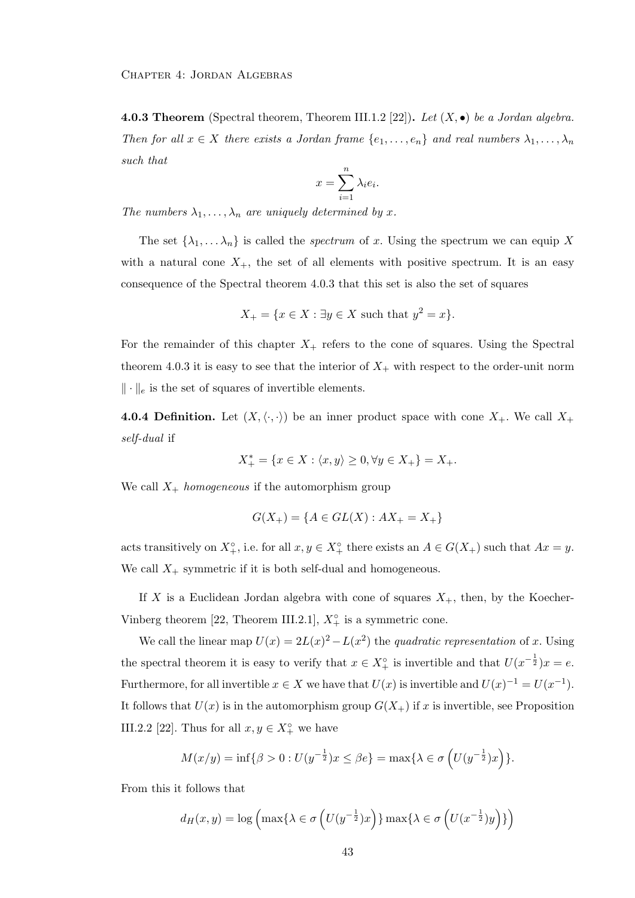**4.0.3 Theorem** (Spectral theorem, Theorem III.1.2 [22]). Let  $(X, \bullet)$  be a Jordan algebra. Then for all  $x \in X$  there exists a Jordan frame  $\{e_1, \ldots, e_n\}$  and real numbers  $\lambda_1, \ldots, \lambda_n$ such that

$$
x = \sum_{i=1}^{n} \lambda_i e_i.
$$

The numbers  $\lambda_1, \ldots, \lambda_n$  are uniquely determined by x.

The set  $\{\lambda_1, \ldots, \lambda_n\}$  is called the *spectrum* of x. Using the spectrum we can equip X with a natural cone  $X_+$ , the set of all elements with positive spectrum. It is an easy consequence of the Spectral theorem 4.0.3 that this set is also the set of squares

$$
X_{+} = \{ x \in X : \exists y \in X \text{ such that } y^{2} = x \}.
$$

For the remainder of this chapter  $X_+$  refers to the cone of squares. Using the Spectral theorem 4.0.3 it is easy to see that the interior of  $X_{+}$  with respect to the order-unit norm  $\|\cdot\|_e$  is the set of squares of invertible elements.

**4.0.4 Definition.** Let  $(X, \langle \cdot, \cdot \rangle)$  be an inner product space with cone  $X_+$ . We call  $X_+$ self-dual if

$$
X_{+}^{*} = \{ x \in X : \langle x, y \rangle \ge 0, \forall y \in X_{+} \} = X_{+}.
$$

We call  $X_+$  *homogeneous* if the automorphism group

$$
G(X_{+}) = \{ A \in GL(X) : AX_{+} = X_{+} \}
$$

acts transitively on  $X^{\circ}_{+}$ , i.e. for all  $x, y \in X^{\circ}_{+}$  there exists an  $A \in G(X_{+})$  such that  $Ax = y$ . We call  $X_+$  symmetric if it is both self-dual and homogeneous.

If X is a Euclidean Jordan algebra with cone of squares  $X_{+}$ , then, by the Koecher-Vinberg theorem [22, Theorem III.2.1],  $X_{+}^{\circ}$  is a symmetric cone.

We call the linear map  $U(x) = 2L(x)^2 - L(x^2)$  the quadratic representation of x. Using the spectral theorem it is easy to verify that  $x \in X^{\circ}_{+}$  is invertible and that  $U(x^{-\frac{1}{2}})x = e$ . Furthermore, for all invertible  $x \in X$  we have that  $U(x)$  is invertible and  $U(x)^{-1} = U(x^{-1})$ . It follows that  $U(x)$  is in the automorphism group  $G(X<sub>+</sub>)$  if x is invertible, see Proposition III.2.2 [22]. Thus for all  $x, y \in X_+^{\circ}$  we have

$$
M(x/y) = \inf \{ \beta > 0 : U(y^{-\frac{1}{2}})x \le \beta e \} = \max \{ \lambda \in \sigma \left( U(y^{-\frac{1}{2}})x \right) \}.
$$

From this it follows that

$$
d_H(x,y) = \log\left(\max\{\lambda \in \sigma\left(U(y^{-\frac{1}{2}})x\right)\}\max\{\lambda \in \sigma\left(U(x^{-\frac{1}{2}})y\right)\}\right)
$$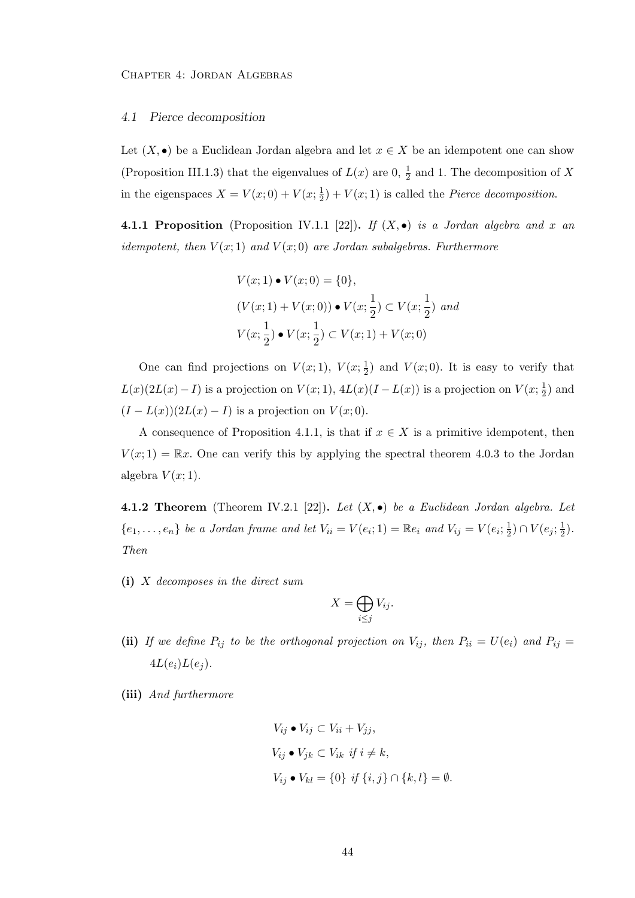## 4.1 Pierce decomposition

Let  $(X, \bullet)$  be a Euclidean Jordan algebra and let  $x \in X$  be an idempotent one can show (Proposition III.1.3) that the eigenvalues of  $L(x)$  are 0,  $\frac{1}{2}$  and 1. The decomposition of X in the eigenspaces  $X = V(x; 0) + V(x; \frac{1}{2})$  $(\frac{1}{2}) + V(x; 1)$  is called the *Pierce decomposition*.

**4.1.1 Proposition** (Proposition IV.1.1 [22]). If  $(X, \bullet)$  is a Jordan algebra and x an idempotent, then  $V(x; 1)$  and  $V(x; 0)$  are Jordan subalgebras. Furthermore

$$
V(x; 1) \bullet V(x; 0) = \{0\},
$$
  
\n
$$
(V(x; 1) + V(x; 0)) \bullet V(x; \frac{1}{2}) \subset V(x; \frac{1}{2}) \text{ and}
$$
  
\n
$$
V(x; \frac{1}{2}) \bullet V(x; \frac{1}{2}) \subset V(x; 1) + V(x; 0)
$$

One can find projections on  $V(x; 1)$ ,  $V(x; \frac{1}{2})$  $(\frac{1}{2})$  and  $V(x; 0)$ . It is easy to verify that  $L(x)(2L(x) - I)$  is a projection on  $V(x; 1), 4L(x)(I - L(x))$  is a projection on  $V(x; \frac{1}{2})$  $(\frac{1}{2})$  and  $(I - L(x))(2L(x) - I)$  is a projection on  $V(x; 0)$ .

A consequence of Proposition 4.1.1, is that if  $x \in X$  is a primitive idempotent, then  $V(x; 1) = \mathbb{R}x$ . One can verify this by applying the spectral theorem 4.0.3 to the Jordan algebra  $V(x; 1)$ .

**4.1.2 Theorem** (Theorem IV.2.1 [22]). Let  $(X, \bullet)$  be a Euclidean Jordan algebra. Let  $\{e_1,\ldots,e_n\}$  be a Jordan frame and let  $V_{ii}=V(e_i;1)=\mathbb{R}e_i$  and  $V_{ij}=V(e_i;\frac{1}{2})$  $(\frac{1}{2}) \cap V(e_j; \frac{1}{2})$  $(\frac{1}{2})$ . Then

(i) X decomposes in the direct sum

$$
X=\bigoplus_{i\leq j}V_{ij}.
$$

- (ii) If we define  $P_{ij}$  to be the orthogonal projection on  $V_{ij}$ , then  $P_{ii} = U(e_i)$  and  $P_{ij} =$  $4L(e_i)L(e_j)$ .
- (iii) And furthermore

$$
V_{ij} \bullet V_{ij} \subset V_{ii} + V_{jj},
$$
  
\n
$$
V_{ij} \bullet V_{jk} \subset V_{ik} \text{ if } i \neq k,
$$
  
\n
$$
V_{ij} \bullet V_{kl} = \{0\} \text{ if } \{i, j\} \cap \{k, l\} = \emptyset.
$$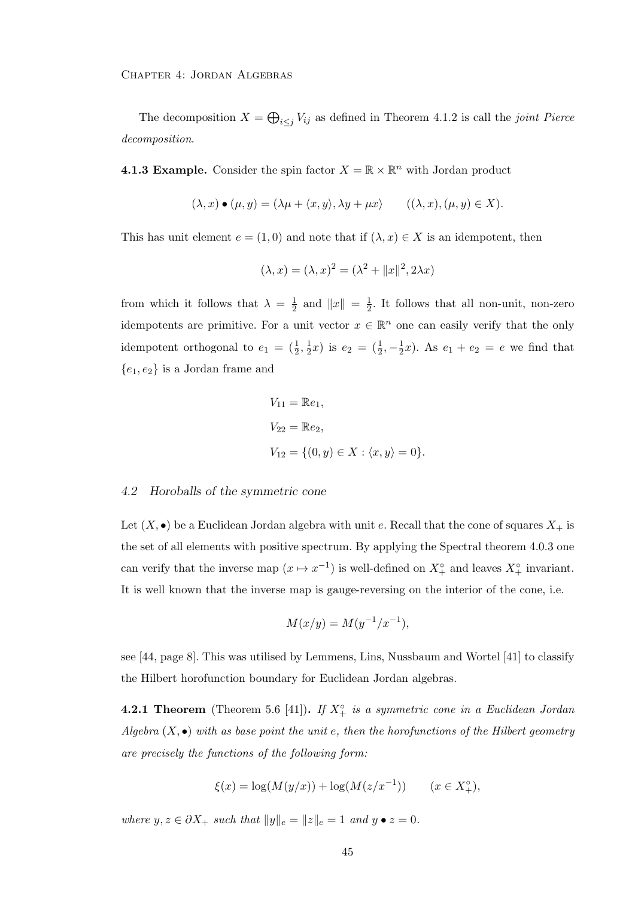The decomposition  $X = \bigoplus_{i \leq j} V_{ij}$  as defined in Theorem 4.1.2 is call the *joint Pierce* decomposition.

**4.1.3 Example.** Consider the spin factor  $X = \mathbb{R} \times \mathbb{R}^n$  with Jordan product

$$
(\lambda, x) \bullet (\mu, y) = (\lambda \mu + \langle x, y \rangle, \lambda y + \mu x) \qquad ((\lambda, x), (\mu, y) \in X).
$$

This has unit element  $e = (1,0)$  and note that if  $(\lambda, x) \in X$  is an idempotent, then

$$
(\lambda, x) = (\lambda, x)^2 = (\lambda^2 + ||x||^2, 2\lambda x)
$$

from which it follows that  $\lambda = \frac{1}{2}$  $\frac{1}{2}$  and  $||x|| = \frac{1}{2}$  $\frac{1}{2}$ . It follows that all non-unit, non-zero idempotents are primitive. For a unit vector  $x \in \mathbb{R}^n$  one can easily verify that the only idempotent orthogonal to  $e_1 = (\frac{1}{2}, \frac{1}{2})$  $(\frac{1}{2}x)$  is  $e_2 = (\frac{1}{2}, -\frac{1}{2})$  $(\frac{1}{2}x)$ . As  $e_1 + e_2 = e$  we find that  ${e_1, e_2}$  is a Jordan frame and

$$
V_{11} = \mathbb{R}e_1,
$$
  
\n
$$
V_{22} = \mathbb{R}e_2,
$$
  
\n
$$
V_{12} = \{(0, y) \in X : \langle x, y \rangle = 0\}.
$$

#### 4.2 Horoballs of the symmetric cone

Let  $(X, \bullet)$  be a Euclidean Jordan algebra with unit e. Recall that the cone of squares  $X_+$  is the set of all elements with positive spectrum. By applying the Spectral theorem 4.0.3 one can verify that the inverse map  $(x \mapsto x^{-1})$  is well-defined on  $X^{\circ}_{+}$  and leaves  $X^{\circ}_{+}$  invariant. It is well known that the inverse map is gauge-reversing on the interior of the cone, i.e.

$$
M(x/y) = M(y^{-1}/x^{-1}),
$$

see [44, page 8]. This was utilised by Lemmens, Lins, Nussbaum and Wortel [41] to classify the Hilbert horofunction boundary for Euclidean Jordan algebras.

**4.2.1 Theorem** (Theorem 5.6 [41]). If  $X^{\circ}$  is a symmetric cone in a Euclidean Jordan Algebra  $(X, \bullet)$  with as base point the unit e, then the horofunctions of the Hilbert geometry are precisely the functions of the following form:

$$
\xi(x) = \log(M(y/x)) + \log(M(z/x^{-1})) \qquad (x \in X_+^{\circ}),
$$

where  $y, z \in \partial X_+$  such that  $||y||_e = ||z||_e = 1$  and  $y \bullet z = 0$ .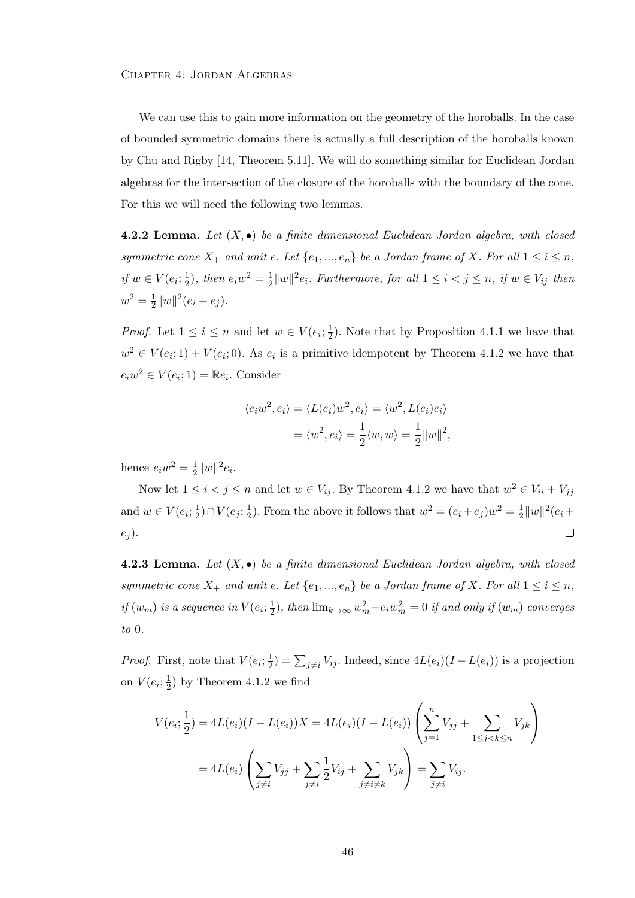We can use this to gain more information on the geometry of the horoballs. In the case of bounded symmetric domains there is actually a full description of the horoballs known by Chu and Rigby [14, Theorem 5.11]. We will do something similar for Euclidean Jordan algebras for the intersection of the closure of the horoballs with the boundary of the cone. For this we will need the following two lemmas.

**4.2.2 Lemma.** Let  $(X, \bullet)$  be a finite dimensional Euclidean Jordan algebra, with closed symmetric cone  $X_+$  and unit e. Let  $\{e_1, ..., e_n\}$  be a Jordan frame of X. For all  $1 \le i \le n$ , if  $w \in V(e_i; \frac{1}{2})$  $(\frac{1}{2})$ , then  $e_i w^2 = \frac{1}{2}$  $\frac{1}{2}||w||^2e_i$ . Furthermore, for all  $1 \leq i < j \leq n$ , if  $w \in V_{ij}$  then  $w^2 = \frac{1}{2}$  $\frac{1}{2}||w||^2(e_i+e_j).$ 

*Proof.* Let  $1 \leq i \leq n$  and let  $w \in V(e_i; \frac{1}{2})$  $\frac{1}{2}$ ). Note that by Proposition 4.1.1 we have that  $w^2 \in V(e_i; 1) + V(e_i; 0)$ . As  $e_i$  is a primitive idempotent by Theorem 4.1.2 we have that  $e_i w^2 \in V(e_i; 1) = \mathbb{R}e_i$ . Consider

$$
\langle e_i w^2, e_i \rangle = \langle L(e_i) w^2, e_i \rangle = \langle w^2, L(e_i) e_i \rangle
$$
  
= 
$$
\langle w^2, e_i \rangle = \frac{1}{2} \langle w, w \rangle = \frac{1}{2} ||w||^2,
$$

hence  $e_i w^2 = \frac{1}{2}$  $\frac{1}{2}||w||^2e_i.$ 

Now let  $1 \leq i < j \leq n$  and let  $w \in V_{ij}$ . By Theorem 4.1.2 we have that  $w^2 \in V_{ii} + V_{jj}$ and  $w \in V(e_i; \frac{1}{2})$  $(\frac{1}{2}) \cap V(e_j; \frac{1}{2})$  $\frac{1}{2}$ ). From the above it follows that  $w^2 = (e_i + e_j)w^2 = \frac{1}{2}$  $\frac{1}{2}||w||^2(e_i +$  $e_i$ ).  $\Box$ 

**4.2.3 Lemma.** Let  $(X, \bullet)$  be a finite dimensional Euclidean Jordan algebra, with closed symmetric cone  $X_+$  and unit e. Let  $\{e_1, ..., e_n\}$  be a Jordan frame of X. For all  $1 \le i \le n$ , if  $(w_m)$  is a sequence in  $V(e_i; \frac{1}{2})$  $(\frac{1}{2})$ , then  $\lim_{k\to\infty} w_m^2 - e_iw_m^2 = 0$  if and only if  $(w_m)$  converges to 0.

*Proof.* First, note that  $V(e_i; \frac{1}{2})$  $\frac{1}{2}$ ) =  $\sum_{j\neq i} V_{ij}$ . Indeed, since  $4L(e_i)(I-L(e_i))$  is a projection on  $V(e_i; \frac{1}{2})$  $(\frac{1}{2})$  by Theorem 4.1.2 we find

$$
V(e_i; \frac{1}{2}) = 4L(e_i)(I - L(e_i))X = 4L(e_i)(I - L(e_i))\left(\sum_{j=1}^n V_{jj} + \sum_{1 \le j < k \le n} V_{jk}\right)
$$
  
= 
$$
4L(e_i)\left(\sum_{j \ne i} V_{jj} + \sum_{j \ne i} \frac{1}{2} V_{ij} + \sum_{j \ne i \ne k} V_{jk}\right) = \sum_{j \ne i} V_{ij}.
$$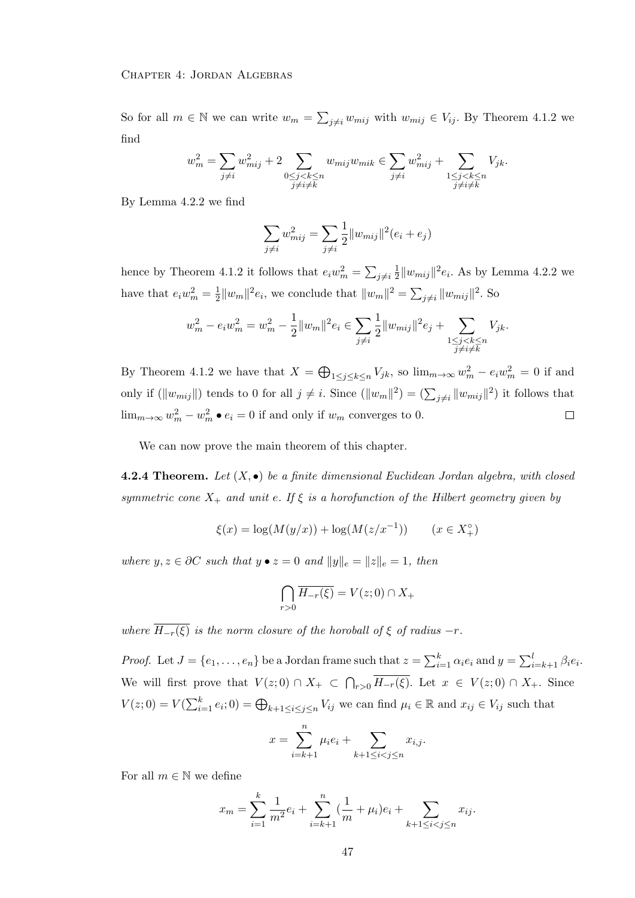So for all  $m \in \mathbb{N}$  we can write  $w_m = \sum_{j \neq i} w_{mij}$  with  $w_{mij} \in V_{ij}$ . By Theorem 4.1.2 we find

$$
w_m^2 = \sum_{j \neq i} w_{mij}^2 + 2 \sum_{\substack{0 \le j < k \le n \\ j \neq i \neq k}} w_{mij} w_{mik} \in \sum_{j \neq i} w_{mij}^2 + \sum_{\substack{1 \le j < k \le n \\ j \neq i \neq k}} V_{jk}.
$$

By Lemma 4.2.2 we find

$$
\sum_{j \neq i} w_{mij}^2 = \sum_{j \neq i} \frac{1}{2} ||w_{mij}||^2 (e_i + e_j)
$$

hence by Theorem 4.1.2 it follows that  $e_i w_m^2 = \sum_{j \neq i} \frac{1}{2}$  $\frac{1}{2}||w_{mij}||^2 e_i$ . As by Lemma 4.2.2 we have that  $e_i w_m^2 = \frac{1}{2}$  $\frac{1}{2}||w_m||^2e_i$ , we conclude that  $||w_m||^2 = \sum_{j \neq i} ||w_{mij}||^2$ . So

$$
w_m^2 - e_i w_m^2 = w_m^2 - \frac{1}{2} ||w_m||^2 e_i \in \sum_{j \neq i} \frac{1}{2} ||w_{mij}||^2 e_j + \sum_{\substack{1 \leq j < k \leq n \\ j \neq i \neq k}} V_{jk}.
$$

By Theorem 4.1.2 we have that  $X = \bigoplus_{1 \leq j \leq k \leq n} V_{jk}$ , so  $\lim_{m \to \infty} w_m^2 - e_i w_m^2 = 0$  if and only if  $(\|w_{mij}\|)$  tends to 0 for all  $j \neq i$ . Since  $(\|w_m\|^2) = (\sum_{j \neq i} \|w_{mij}\|^2)$  it follows that  $\lim_{m\to\infty} w_m^2 - w_m^2 \bullet e_i = 0$  if and only if  $w_m$  converges to 0.  $\Box$ 

We can now prove the main theorem of this chapter.

**4.2.4 Theorem.** Let  $(X, \bullet)$  be a finite dimensional Euclidean Jordan algebra, with closed symmetric cone  $X_+$  and unit e. If  $\xi$  is a horofunction of the Hilbert geometry given by

$$
\xi(x) = \log(M(y/x)) + \log(M(z/x^{-1})) \qquad (x \in X_+^{\circ})
$$

where  $y, z \in \partial C$  such that  $y \bullet z = 0$  and  $||y||_e = ||z||_e = 1$ , then

$$
\bigcap_{r>0}\overline{H_{-r}(\xi)}=V(z;0)\cap X_+
$$

where  $\overline{H_{-r}(\xi)}$  is the norm closure of the horoball of  $\xi$  of radius  $-r$ .

*Proof.* Let  $J = \{e_1, \ldots, e_n\}$  be a Jordan frame such that  $z = \sum_{i=1}^{k} \alpha_i e_i$  and  $y = \sum_{i=k+1}^{l} \beta_i e_i$ . We will first prove that  $V(z;0) \cap X_+ \subset \bigcap_{r>0} H_{-r}(\xi)$ . Let  $x \in V(z;0) \cap X_+$ . Since  $V(z;0) = V(\sum_{i=1}^{k} e_i;0) = \bigoplus_{k+1 \leq i \leq j \leq n} V_{ij}$  we can find  $\mu_i \in \mathbb{R}$  and  $x_{ij} \in V_{ij}$  such that

$$
x = \sum_{i=k+1}^{n} \mu_i e_i + \sum_{k+1 \le i < j \le n} x_{i,j}.
$$

For all  $m \in \mathbb{N}$  we define

$$
x_m = \sum_{i=1}^k \frac{1}{m^2} e_i + \sum_{i=k+1}^n (\frac{1}{m} + \mu_i) e_i + \sum_{k+1 \le i < j \le n} x_{ij}.
$$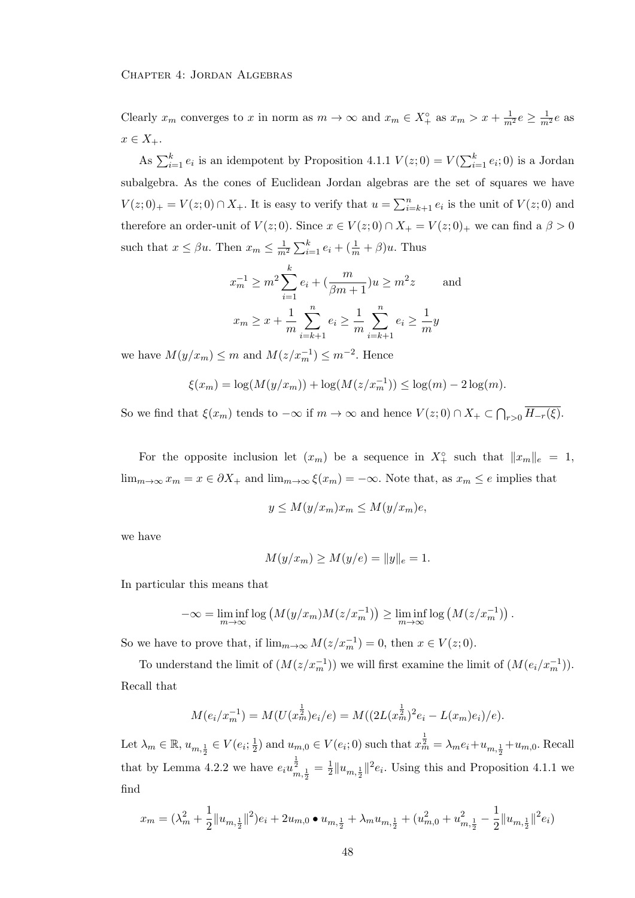Clearly  $x_m$  converges to x in norm as  $m \to \infty$  and  $x_m \in X^{\circ}_+$  as  $x_m > x + \frac{1}{m^2}e \geq \frac{1}{m^2}e$  as  $x \in X_+.$ 

As  $\sum_{i=1}^{k} e_i$  is an idempotent by Proposition 4.1.1  $V(z; 0) = V(\sum_{i=1}^{k} e_i; 0)$  is a Jordan subalgebra. As the cones of Euclidean Jordan algebras are the set of squares we have  $V(z;0)_+ = V(z;0) \cap X_+$ . It is easy to verify that  $u = \sum_{i=k+1}^n e_i$  is the unit of  $V(z;0)$  and therefore an order-unit of  $V(z; 0)$ . Since  $x \in V(z; 0) \cap X_+ = V(z; 0)_+$  we can find a  $\beta > 0$ such that  $x \leq \beta u$ . Then  $x_m \leq \frac{1}{m^2} \sum_{i=1}^k e_i + (\frac{1}{m} + \beta) u$ . Thus

$$
x_m^{-1} \ge m^2 \sum_{i=1}^k e_i + \left(\frac{m}{\beta m + 1}\right) u \ge m^2 z \quad \text{and}
$$

$$
x_m \ge x + \frac{1}{m} \sum_{i=k+1}^n e_i \ge \frac{1}{m} \sum_{i=k+1}^n e_i \ge \frac{1}{m} y
$$

we have  $M(y/x_m) \leq m$  and  $M(z/x_m^{-1}) \leq m^{-2}$ . Hence

$$
\xi(x_m) = \log(M(y/x_m)) + \log(M(z/x_m^{-1})) \le \log(m) - 2\log(m).
$$

So we find that  $\xi(x_m)$  tends to  $-\infty$  if  $m \to \infty$  and hence  $V(z;0) \cap X_+ \subset \bigcap_{r>0} H_{-r}(\xi)$ .

For the opposite inclusion let  $(x_m)$  be a sequence in  $X^{\circ}_+$  such that  $||x_m||_e = 1$ ,  $\lim_{m\to\infty} x_m = x \in \partial X_+$  and  $\lim_{m\to\infty} \xi(x_m) = -\infty$ . Note that, as  $x_m \le e$  implies that

$$
y \le M(y/x_m)x_m \le M(y/x_m)e,
$$

we have

$$
M(y/x_m) \ge M(y/e) = ||y||_e = 1.
$$

In particular this means that

$$
-\infty = \liminf_{m \to \infty} \log (M(y/x_m)M(z/x_m^{-1})) \ge \liminf_{m \to \infty} \log (M(z/x_m^{-1}))
$$
.

So we have to prove that, if  $\lim_{m\to\infty} M(z/x_m^{-1}) = 0$ , then  $x \in V(z;0)$ .

To understand the limit of  $(M(z/x_m^{-1}))$  we will first examine the limit of  $(M(e_i/x_m^{-1}))$ . Recall that

$$
M(e_i/x_m^{-1}) = M(U(x_m^{\frac{1}{2}})e_i/e) = M((2L(x_m^{\frac{1}{2}})^2e_i - L(x_m)e_i)/e).
$$

Let  $\lambda_m \in \mathbb{R}$ ,  $u_{m, \frac{1}{2}} \in V(e_i; \frac{1}{2})$  $(\frac{1}{2})$  and  $u_{m,0} \in V(e_i; 0)$  such that  $x_m^{\frac{1}{2}} = \lambda_m e_i + u_{m,\frac{1}{2}} + u_{m,0}$ . Recall that by Lemma 4.2.2 we have  $e_i u_{m, \frac{1}{2}}^{\frac{1}{2}} = \frac{1}{2}$  $\frac{1}{2}||u_{m,\frac{1}{2}}||^2e_i$ . Using this and Proposition 4.1.1 we find

$$
x_m = (\lambda_m^2 + \frac{1}{2} ||u_{m,\frac{1}{2}}||^2) e_i + 2u_{m,0} \bullet u_{m,\frac{1}{2}} + \lambda_m u_{m,\frac{1}{2}} + (u_{m,0}^2 + u_{m,\frac{1}{2}}^2 - \frac{1}{2} ||u_{m,\frac{1}{2}}||^2 e_i)
$$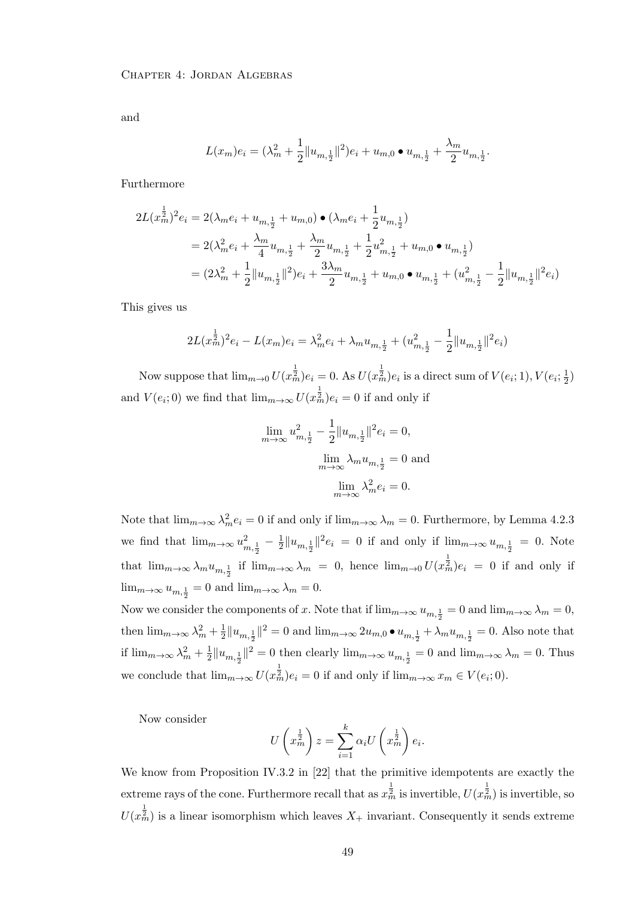and

$$
L(x_m)e_i = (\lambda_m^2 + \frac{1}{2} ||u_{m,\frac{1}{2}}||^2)e_i + u_{m,0} \bullet u_{m,\frac{1}{2}} + \frac{\lambda_m}{2}u_{m,\frac{1}{2}}.
$$

Furthermore

$$
2L(x_m^{\frac{1}{2}})^2 e_i = 2(\lambda_m e_i + u_{m,\frac{1}{2}} + u_{m,0}) \bullet (\lambda_m e_i + \frac{1}{2}u_{m,\frac{1}{2}})
$$
  
=  $2(\lambda_m^2 e_i + \frac{\lambda_m}{4}u_{m,\frac{1}{2}} + \frac{\lambda_m}{2}u_{m,\frac{1}{2}} + \frac{1}{2}u_{m,\frac{1}{2}}^2 + u_{m,0} \bullet u_{m,\frac{1}{2}})$   
=  $(2\lambda_m^2 + \frac{1}{2}||u_{m,\frac{1}{2}}||^2)e_i + \frac{3\lambda_m}{2}u_{m,\frac{1}{2}} + u_{m,0} \bullet u_{m,\frac{1}{2}} + (u_{m,\frac{1}{2}}^2 - \frac{1}{2}||u_{m,\frac{1}{2}}||^2 e_i)$ 

This gives us

$$
2L(x_m^{\frac{1}{2}})^2 e_i - L(x_m)e_i = \lambda_m^2 e_i + \lambda_m u_{m,\frac{1}{2}} + (u_{m,\frac{1}{2}}^2 - \frac{1}{2} ||u_{m,\frac{1}{2}}||^2 e_i)
$$

Now suppose that  $\lim_{m\to 0} U(x_m^{\frac{1}{2}})e_i = 0$ . As  $U(x_m^{\frac{1}{2}})e_i$  is a direct sum of  $V(e_i; 1), V(e_i; \frac{1}{2})$  $\frac{1}{2})$ and  $V(e_i; 0)$  we find that  $\lim_{m\to\infty} U(x_m^{\frac{1}{2}})e_i = 0$  if and only if

$$
\lim_{m \to \infty} u_{m, \frac{1}{2}}^2 - \frac{1}{2} \|u_{m, \frac{1}{2}}\|^2 e_i = 0,
$$
  

$$
\lim_{m \to \infty} \lambda_m u_{m, \frac{1}{2}} = 0 \text{ and}
$$
  

$$
\lim_{m \to \infty} \lambda_m^2 e_i = 0.
$$

Note that  $\lim_{m\to\infty}\lambda_m^2e_i=0$  if and only if  $\lim_{m\to\infty}\lambda_m=0$ . Furthermore, by Lemma 4.2.3 we find that  $\lim_{m\to\infty} u_{m,\frac{1}{2}}^2 - \frac{1}{2}$  $\frac{1}{2} \| u_{m, \frac{1}{2}} \|^{2} e_{i} = 0$  if and only if  $\lim_{m \to \infty} u_{m, \frac{1}{2}} = 0$ . Note that  $\lim_{m\to\infty}\lambda_mu_{m,\frac{1}{2}}$  if  $\lim_{m\to\infty}\lambda_m = 0$ , hence  $\lim_{m\to 0}U(x_m^{\frac{1}{2}})e_i = 0$  if and only if  $\lim_{m\to\infty} u_{m,\frac{1}{2}} = 0$  and  $\lim_{m\to\infty} \lambda_m = 0$ .

Now we consider the components of x. Note that if  $\lim_{m\to\infty} u_{m,\frac{1}{2}} = 0$  and  $\lim_{m\to\infty} \lambda_m = 0$ , then  $\lim_{m\to\infty}\lambda_m^2+\frac{1}{2}$  $\frac{1}{2}||u_{m,\frac{1}{2}}||^2 = 0$  and  $\lim_{m\to\infty} 2u_{m,0} \bullet u_{m,\frac{1}{2}} + \lambda_m u_{m,\frac{1}{2}} = 0$ . Also note that if  $\lim_{m\to\infty}\lambda_m^2+\frac{1}{2}$  $\frac{1}{2}||u_{m,\frac{1}{2}}||^2 = 0$  then clearly  $\lim_{m\to\infty} u_{m,\frac{1}{2}} = 0$  and  $\lim_{m\to\infty} \lambda_m = 0$ . Thus we conclude that  $\lim_{m\to\infty} U(x_m^{\frac{1}{2}})e_i=0$  if and only if  $\lim_{m\to\infty} x_m\in V(e_i;0)$ .

Now consider

$$
U\left(x_m^{\frac{1}{2}}\right)z = \sum_{i=1}^k \alpha_i U\left(x_m^{\frac{1}{2}}\right) e_i.
$$

We know from Proposition IV.3.2 in [22] that the primitive idempotents are exactly the extreme rays of the cone. Furthermore recall that as  $x_m^{\frac{1}{2}}$  is invertible,  $U(x_m^{\frac{1}{2}})$  is invertible, so  $U(x_m^{\frac{1}{2}})$  is a linear isomorphism which leaves  $X_+$  invariant. Consequently it sends extreme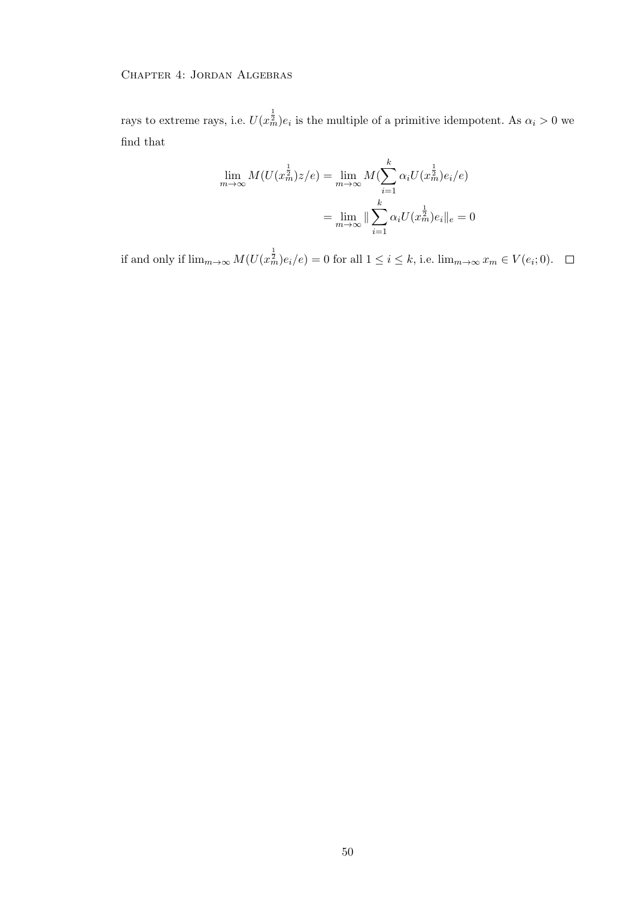rays to extreme rays, i.e.  $U(x_m^{\frac{1}{2}})e_i$  is the multiple of a primitive idempotent. As  $\alpha_i > 0$  we find that

$$
\lim_{m \to \infty} M(U(x_m^{\frac{1}{2}})z/e) = \lim_{m \to \infty} M(\sum_{i=1}^k \alpha_i U(x_m^{\frac{1}{2}})e_i/e)
$$

$$
= \lim_{m \to \infty} \|\sum_{i=1}^k \alpha_i U(x_m^{\frac{1}{2}})e_i\|_e = 0
$$

if and only if  $\lim_{m\to\infty} M(U(x_m^{\frac{1}{2}})e_i/e) = 0$  for all  $1 \leq i \leq k$ , i.e.  $\lim_{m\to\infty} x_m \in V(e_i; 0)$ .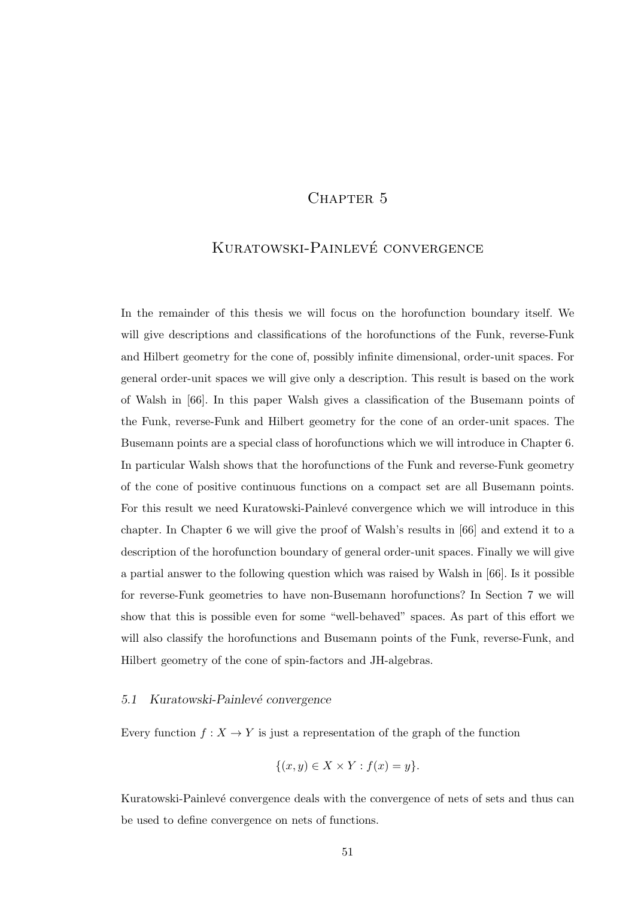# CHAPTER<sub>5</sub>

# KURATOWSKI-PAINLEVÉ CONVERGENCE

In the remainder of this thesis we will focus on the horofunction boundary itself. We will give descriptions and classifications of the horofunctions of the Funk, reverse-Funk and Hilbert geometry for the cone of, possibly infinite dimensional, order-unit spaces. For general order-unit spaces we will give only a description. This result is based on the work of Walsh in [66]. In this paper Walsh gives a classification of the Busemann points of the Funk, reverse-Funk and Hilbert geometry for the cone of an order-unit spaces. The Busemann points are a special class of horofunctions which we will introduce in Chapter 6. In particular Walsh shows that the horofunctions of the Funk and reverse-Funk geometry of the cone of positive continuous functions on a compact set are all Busemann points. For this result we need Kuratowski-Painlevé convergence which we will introduce in this chapter. In Chapter 6 we will give the proof of Walsh's results in [66] and extend it to a description of the horofunction boundary of general order-unit spaces. Finally we will give a partial answer to the following question which was raised by Walsh in [66]. Is it possible for reverse-Funk geometries to have non-Busemann horofunctions? In Section 7 we will show that this is possible even for some "well-behaved" spaces. As part of this effort we will also classify the horofunctions and Busemann points of the Funk, reverse-Funk, and Hilbert geometry of the cone of spin-factors and JH-algebras.

# 5.1 Kuratowski-Painlevé convergence

Every function  $f: X \to Y$  is just a representation of the graph of the function

$$
\{(x,y)\in X\times Y: f(x)=y\}.
$$

Kuratowski-Painlevé convergence deals with the convergence of nets of sets and thus can be used to define convergence on nets of functions.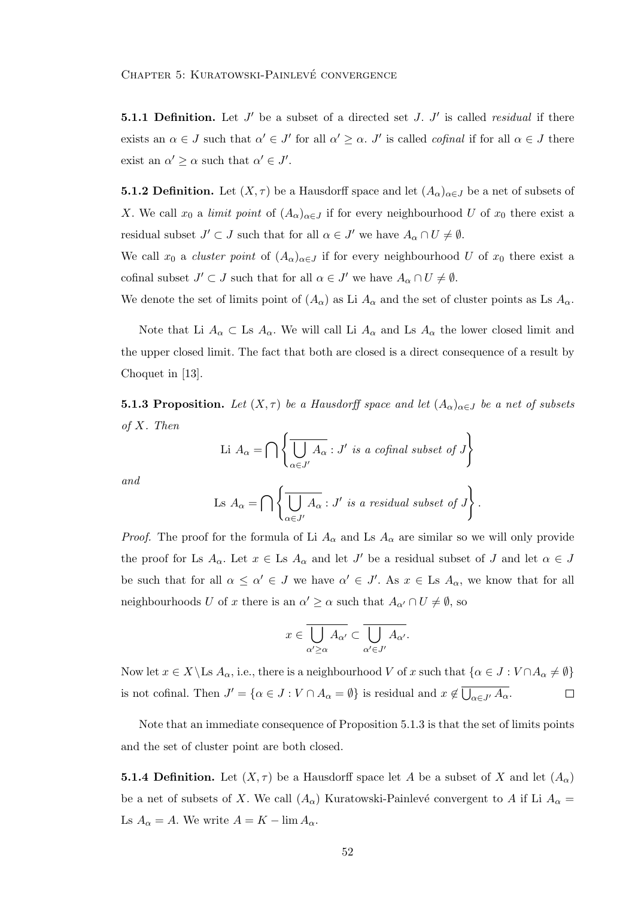**5.1.1 Definition.** Let  $J'$  be a subset of a directed set  $J$ .  $J'$  is called *residual* if there exists an  $\alpha \in J$  such that  $\alpha' \in J'$  for all  $\alpha' \geq \alpha$ . J' is called *cofinal* if for all  $\alpha \in J$  there exist an  $\alpha' \geq \alpha$  such that  $\alpha' \in J'$ .

**5.1.2 Definition.** Let  $(X, \tau)$  be a Hausdorff space and let  $(A_{\alpha})_{\alpha \in J}$  be a net of subsets of X. We call  $x_0$  a limit point of  $(A_\alpha)_{\alpha \in J}$  if for every neighbourhood U of  $x_0$  there exist a residual subset  $J' \subset J$  such that for all  $\alpha \in J'$  we have  $A_{\alpha} \cap U \neq \emptyset$ .

We call  $x_0$  a *cluster point* of  $(A_\alpha)_{\alpha \in J}$  if for every neighbourhood U of  $x_0$  there exist a cofinal subset  $J' \subset J$  such that for all  $\alpha \in J'$  we have  $A_{\alpha} \cap U \neq \emptyset$ .

We denote the set of limits point of  $(A_{\alpha})$  as Li  $A_{\alpha}$  and the set of cluster points as Ls  $A_{\alpha}$ .

Note that Li  $A_\alpha \subset$  Ls  $A_\alpha$ . We will call Li  $A_\alpha$  and Ls  $A_\alpha$  the lower closed limit and the upper closed limit. The fact that both are closed is a direct consequence of a result by Choquet in [13].

**5.1.3 Proposition.** Let  $(X, \tau)$  be a Hausdorff space and let  $(A_{\alpha})_{\alpha \in J}$  be a net of subsets of X. Then

Li 
$$
A_{\alpha} = \bigcap \left\{ \overline{\bigcup_{\alpha \in J'}} A_{\alpha} : J' \text{ is a cofinal subset of } J \right\}
$$

and

$$
\text{Ls } A_{\alpha} = \bigcap \left\{ \overline{\bigcup_{\alpha \in J'}} A_{\alpha} : J' \text{ is a residual subset of } J \right\}.
$$

*Proof.* The proof for the formula of Li  $A_{\alpha}$  and Ls  $A_{\alpha}$  are similar so we will only provide the proof for Ls  $A_{\alpha}$ . Let  $x \in$  Ls  $A_{\alpha}$  and let  $J'$  be a residual subset of J and let  $\alpha \in J$ be such that for all  $\alpha \leq \alpha' \in J$  we have  $\alpha' \in J'$ . As  $x \in \text{Ls } A_\alpha$ , we know that for all neighbourhoods U of x there is an  $\alpha' \geq \alpha$  such that  $A_{\alpha'} \cap U \neq \emptyset$ , so

$$
x\in\overline{\bigcup_{\alpha'\geq\alpha}A_{\alpha'}}\subset\overline{\bigcup_{\alpha'\in J'}A_{\alpha'}}.
$$

Now let  $x \in X \setminus$  Ls  $A_\alpha$ , i.e., there is a neighbourhood V of x such that  $\{\alpha \in J : V \cap A_\alpha \neq \emptyset\}$ is not cofinal. Then  $J' = \{ \alpha \in J : V \cap A_{\alpha} = \emptyset \}$  is residual and  $x \notin \overline{\bigcup_{\alpha \in J'} A_{\alpha}}$ .  $\Box$ 

Note that an immediate consequence of Proposition 5.1.3 is that the set of limits points and the set of cluster point are both closed.

**5.1.4 Definition.** Let  $(X, \tau)$  be a Hausdorff space let A be a subset of X and let  $(A_{\alpha})$ be a net of subsets of X. We call  $(A_{\alpha})$  Kuratowski-Painlevé convergent to A if Li  $A_{\alpha}$  = Ls  $A_{\alpha} = A$ . We write  $A = K - \lim A_{\alpha}$ .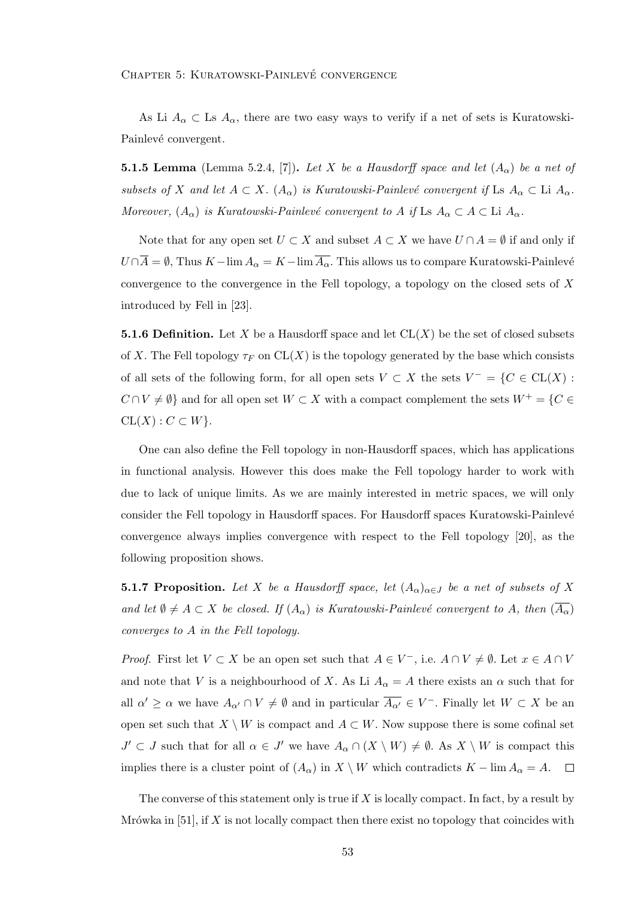As Li  $A_{\alpha} \subset$  Ls  $A_{\alpha}$ , there are two easy ways to verify if a net of sets is Kuratowski-Painlevé convergent.

**5.1.5 Lemma** (Lemma 5.2.4, [7]). Let X be a Hausdorff space and let  $(A_{\alpha})$  be a net of subsets of X and let  $A \subset X$ .  $(A_{\alpha})$  is Kuratowski-Painlevé convergent if Ls  $A_{\alpha} \subset L$ i  $A_{\alpha}$ . Moreover,  $(A_{\alpha})$  is Kuratowski-Painlevé convergent to A if Ls  $A_{\alpha} \subset A \subset L$ i  $A_{\alpha}$ .

Note that for any open set  $U \subset X$  and subset  $A \subset X$  we have  $U \cap A = \emptyset$  if and only if  $U \cap \overline{A} = \emptyset$ , Thus  $K - \lim_{\alpha \to \infty} A_{\alpha} = K - \lim_{\alpha \to \infty} \overline{A_{\alpha}}$ . This allows us to compare Kuratowski-Painlevé convergence to the convergence in the Fell topology, a topology on the closed sets of X introduced by Fell in [23].

**5.1.6 Definition.** Let X be a Hausdorff space and let  $CL(X)$  be the set of closed subsets of X. The Fell topology  $\tau_F$  on  $CL(X)$  is the topology generated by the base which consists of all sets of the following form, for all open sets  $V \subset X$  the sets  $V^- = \{C \in CL(X) :$  $C \cap V \neq \emptyset$  and for all open set  $W \subset X$  with a compact complement the sets  $W^+ = \{C \in$  $CL(X): C \subset W$ .

One can also define the Fell topology in non-Hausdorff spaces, which has applications in functional analysis. However this does make the Fell topology harder to work with due to lack of unique limits. As we are mainly interested in metric spaces, we will only consider the Fell topology in Hausdorff spaces. For Hausdorff spaces Kuratowski-Painlevé convergence always implies convergence with respect to the Fell topology [20], as the following proposition shows.

**5.1.7 Proposition.** Let X be a Hausdorff space, let  $(A_\alpha)_{\alpha \in J}$  be a net of subsets of X and let  $\emptyset \neq A \subset X$  be closed. If  $(A_{\alpha})$  is Kuratowski-Painlevé convergent to A, then  $(\overline{A_{\alpha}})$ converges to A in the Fell topology.

*Proof.* First let  $V \subset X$  be an open set such that  $A \in V^-$ , i.e.  $A \cap V \neq \emptyset$ . Let  $x \in A \cap V$ and note that V is a neighbourhood of X. As Li  $A_{\alpha} = A$  there exists an  $\alpha$  such that for all  $\alpha' \geq \alpha$  we have  $A_{\alpha'} \cap V \neq \emptyset$  and in particular  $\overline{A_{\alpha'}} \in V^-$ . Finally let  $W \subset X$  be an open set such that  $X \setminus W$  is compact and  $A \subset W$ . Now suppose there is some cofinal set  $J' \subset J$  such that for all  $\alpha \in J'$  we have  $A_{\alpha} \cap (X \setminus W) \neq \emptyset$ . As  $X \setminus W$  is compact this implies there is a cluster point of  $(A_{\alpha})$  in  $X \setminus W$  which contradicts  $K - \lim A_{\alpha} = A$ .  $\Box$ 

The converse of this statement only is true if  $X$  is locally compact. In fact, by a result by Mrówka in [51], if X is not locally compact then there exist no topology that coincides with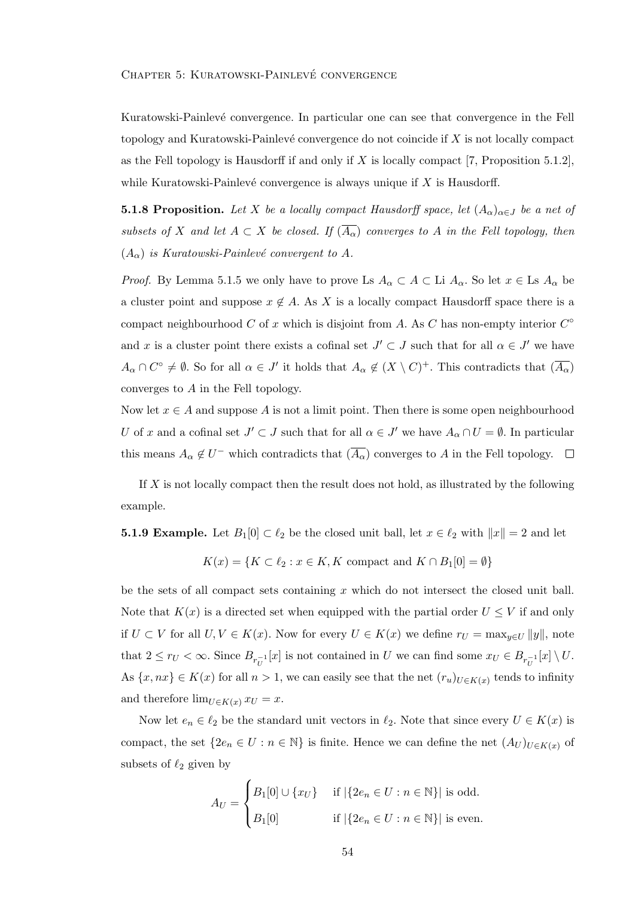Kuratowski-Painlevé convergence. In particular one can see that convergence in the Fell topology and Kuratowski-Painlevé convergence do not coincide if  $X$  is not locally compact as the Fell topology is Hausdorff if and only if X is locally compact [7, Proposition 5.1.2], while Kuratowski-Painlevé convergence is always unique if  $X$  is Hausdorff.

**5.1.8 Proposition.** Let X be a locally compact Hausdorff space, let  $(A_{\alpha})_{\alpha \in J}$  be a net of subsets of X and let  $A \subset X$  be closed. If  $(\overline{A_{\alpha}})$  converges to A in the Fell topology, then  $(A_{\alpha})$  is Kuratowski-Painlevé convergent to A.

*Proof.* By Lemma 5.1.5 we only have to prove Ls  $A_{\alpha} \subset A \subset$  Li  $A_{\alpha}$ . So let  $x \in$  Ls  $A_{\alpha}$  be a cluster point and suppose  $x \notin A$ . As X is a locally compact Hausdorff space there is a compact neighbourhood C of x which is disjoint from A. As C has non-empty interior  $C^{\circ}$ and x is a cluster point there exists a cofinal set  $J' \subset J$  such that for all  $\alpha \in J'$  we have  $A_{\alpha} \cap C^{\circ} \neq \emptyset$ . So for all  $\alpha \in J'$  it holds that  $A_{\alpha} \notin (X \setminus C)^{+}$ . This contradicts that  $(\overline{A_{\alpha}})$ converges to A in the Fell topology.

Now let  $x \in A$  and suppose A is not a limit point. Then there is some open neighbourhood U of x and a cofinal set  $J' \subset J$  such that for all  $\alpha \in J'$  we have  $A_{\alpha} \cap U = \emptyset$ . In particular this means  $A_{\alpha} \notin U^-$  which contradicts that  $(\overline{A_{\alpha}})$  converges to A in the Fell topology.

If  $X$  is not locally compact then the result does not hold, as illustrated by the following example.

**5.1.9 Example.** Let  $B_1[0] \subset \ell_2$  be the closed unit ball, let  $x \in \ell_2$  with  $||x|| = 2$  and let

$$
K(x) = \{ K \subset \ell_2 : x \in K, K \text{ compact and } K \cap B_1[0] = \emptyset \}
$$

be the sets of all compact sets containing  $x$  which do not intersect the closed unit ball. Note that  $K(x)$  is a directed set when equipped with the partial order  $U \leq V$  if and only if  $U \subset V$  for all  $U, V \in K(x)$ . Now for every  $U \in K(x)$  we define  $r_U = \max_{y \in U} ||y||$ , note that  $2 \leq r_U < \infty$ . Since  $B_{r_U^{-1}}[x]$  is not contained in U we can find some  $x_U \in B_{r_U^{-1}}[x] \setminus U$ . As  $\{x, nx\} \in K(x)$  for all  $n > 1$ , we can easily see that the net  $(r_u)_{U \in K(x)}$  tends to infinity and therefore  $\lim_{U \in K(x)} x_U = x$ .

Now let  $e_n \in \ell_2$  be the standard unit vectors in  $\ell_2$ . Note that since every  $U \in K(x)$  is compact, the set  $\{2e_n \in U : n \in \mathbb{N}\}\$ is finite. Hence we can define the net  $(A_U)_{U \in K(x)}$  of subsets of  $\ell_2$  given by

$$
A_U = \begin{cases} B_1[0] \cup \{x_U\} & \text{if } |\{2e_n \in U : n \in \mathbb{N}\}| \text{ is odd.} \\ B_1[0] & \text{if } |\{2e_n \in U : n \in \mathbb{N}\}| \text{ is even.} \end{cases}
$$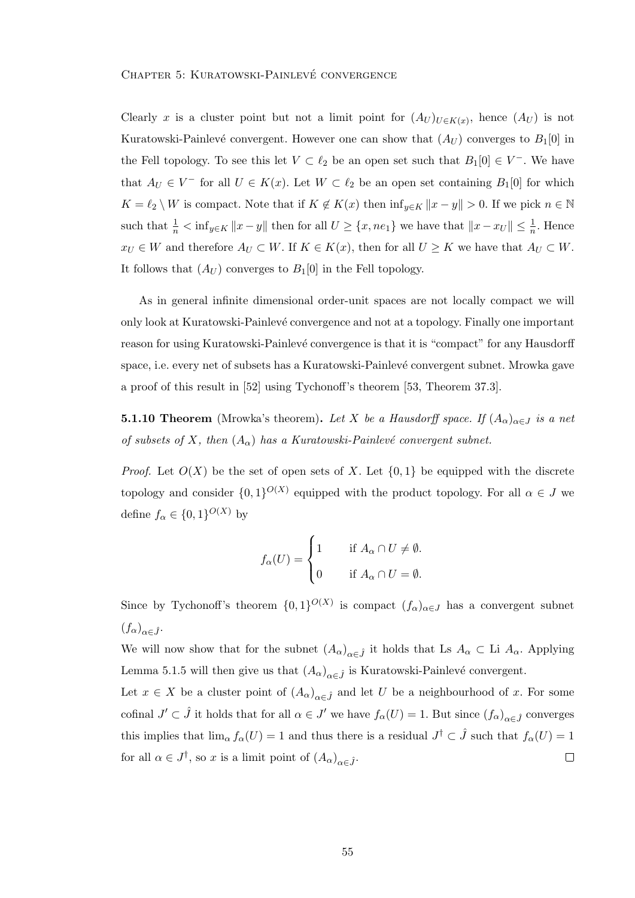Clearly x is a cluster point but not a limit point for  $(A_U)_{U\in K(x)}$ , hence  $(A_U)$  is not Kuratowski-Painlevé convergent. However one can show that  $(A_U)$  converges to  $B_1[0]$  in the Fell topology. To see this let  $V \subset \ell_2$  be an open set such that  $B_1[0] \in V^-$ . We have that  $A_U \in V^-$  for all  $U \in K(x)$ . Let  $W \subset \ell_2$  be an open set containing  $B_1[0]$  for which  $K = \ell_2 \setminus W$  is compact. Note that if  $K \notin K(x)$  then  $\inf_{y \in K} ||x - y|| > 0$ . If we pick  $n \in \mathbb{N}$ such that  $\frac{1}{n} < \inf_{y \in K} ||x - y||$  then for all  $U \geq \{x, ne_1\}$  we have that  $||x - x_U|| \leq \frac{1}{n}$ . Hence  $x_U \in W$  and therefore  $A_U \subset W$ . If  $K \in K(x)$ , then for all  $U \geq K$  we have that  $A_U \subset W$ . It follows that  $(A_U)$  converges to  $B_1[0]$  in the Fell topology.

As in general infinite dimensional order-unit spaces are not locally compact we will only look at Kuratowski-Painlev´e convergence and not at a topology. Finally one important reason for using Kuratowski-Painlevé convergence is that it is "compact" for any Hausdorff space, i.e. every net of subsets has a Kuratowski-Painlevé convergent subnet. Mrowka gave a proof of this result in [52] using Tychonoff's theorem [53, Theorem 37.3].

**5.1.10 Theorem** (Mrowka's theorem). Let X be a Hausdorff space. If  $(A_\alpha)_{\alpha \in J}$  is a net of subsets of X, then  $(A_{\alpha})$  has a Kuratowski-Painlevé convergent subnet.

*Proof.* Let  $O(X)$  be the set of open sets of X. Let  $\{0,1\}$  be equipped with the discrete topology and consider  $\{0,1\}^{O(X)}$  equipped with the product topology. For all  $\alpha \in J$  we define  $f_{\alpha} \in \{0,1\}^{O(X)}$  by

$$
f_{\alpha}(U) = \begin{cases} 1 & \text{if } A_{\alpha} \cap U \neq \emptyset. \\ 0 & \text{if } A_{\alpha} \cap U = \emptyset. \end{cases}
$$

Since by Tychonoff's theorem  $\{0,1\}^{O(X)}$  is compact  $(f_{\alpha})_{\alpha \in J}$  has a convergent subnet  $(f_{\alpha})_{\alpha \in \hat{J}}$ .

We will now show that for the subnet  $(A_{\alpha})_{\alpha \in \hat{J}}$  it holds that Ls  $A_{\alpha} \subset$  Li  $A_{\alpha}$ . Applying Lemma 5.1.5 will then give us that  $(A_{\alpha})_{\alpha \in \hat{J}}$  is Kuratowski-Painlevé convergent.

Let  $x \in X$  be a cluster point of  $(A_{\alpha})_{\alpha \in \hat{J}}$  and let U be a neighbourhood of x. For some cofinal  $J' \subset \hat{J}$  it holds that for all  $\alpha \in J'$  we have  $f_{\alpha}(U) = 1$ . But since  $(f_{\alpha})_{\alpha \in \hat{J}}$  converges this implies that  $\lim_{\alpha} f_{\alpha}(U) = 1$  and thus there is a residual  $J^{\dagger} \subset \hat{J}$  such that  $f_{\alpha}(U) = 1$ for all  $\alpha \in J^{\dagger}$ , so x is a limit point of  $(A_{\alpha})_{\alpha \in \hat{J}}$ .  $\Box$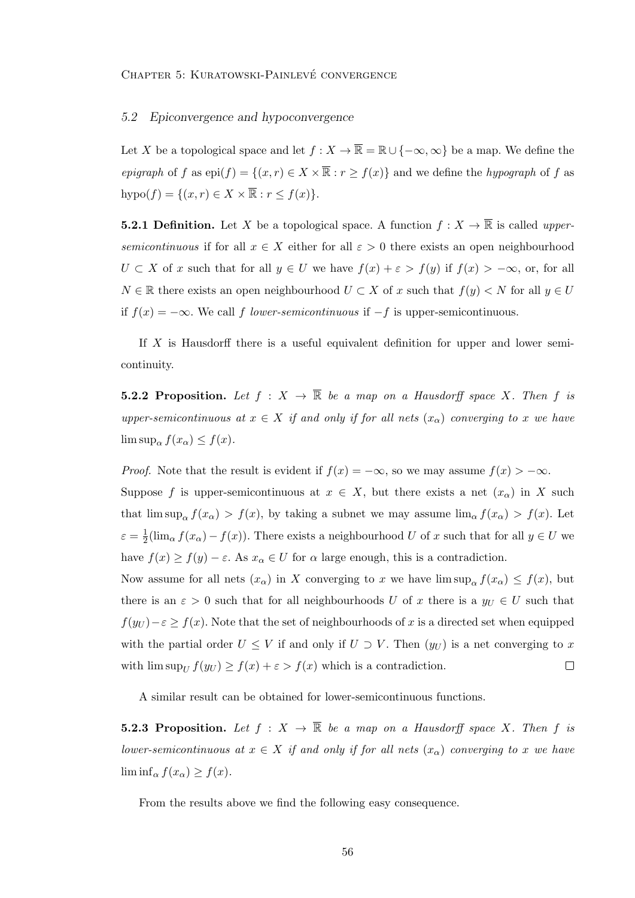## 5.2 Epiconvergence and hypoconvergence

Let X be a topological space and let  $f : X \to \overline{\mathbb{R}} = \mathbb{R} \cup \{-\infty, \infty\}$  be a map. We define the epigraph of f as  $epi(f) = \{(x, r) \in X \times \overline{\mathbb{R}} : r \ge f(x)\}\$ and we define the hypograph of f as hypo $(f) = \{(x, r) \in X \times \overline{\mathbb{R}} : r \leq f(x)\}.$ 

**5.2.1 Definition.** Let X be a topological space. A function  $f: X \to \overline{\mathbb{R}}$  is called uppersemicontinuous if for all  $x \in X$  either for all  $\varepsilon > 0$  there exists an open neighbourhood  $U \subset X$  of x such that for all  $y \in U$  we have  $f(x) + \varepsilon > f(y)$  if  $f(x) > -\infty$ , or, for all  $N \in \mathbb{R}$  there exists an open neighbourhood  $U \subset X$  of x such that  $f(y) \subset N$  for all  $y \in U$ if  $f(x) = -\infty$ . We call f lower-semicontinuous if  $-f$  is upper-semicontinuous.

If  $X$  is Hausdorff there is a useful equivalent definition for upper and lower semicontinuity.

**5.2.2 Proposition.** Let  $f : X \to \overline{\mathbb{R}}$  be a map on a Hausdorff space X. Then f is upper-semicontinuous at  $x \in X$  if and only if for all nets  $(x_{\alpha})$  converging to x we have  $\limsup_{\alpha} f(x_{\alpha}) \leq f(x).$ 

*Proof.* Note that the result is evident if  $f(x) = -\infty$ , so we may assume  $f(x) > -\infty$ .

Suppose f is upper-semicontinuous at  $x \in X$ , but there exists a net  $(x_{\alpha})$  in X such that  $\limsup_{\alpha} f(x_{\alpha}) > f(x)$ , by taking a subnet we may assume  $\lim_{\alpha} f(x_{\alpha}) > f(x)$ . Let  $\varepsilon = \frac{1}{2}$  $\frac{1}{2}(\lim_{\alpha} f(x_{\alpha}) - f(x))$ . There exists a neighbourhood U of x such that for all  $y \in U$  we have  $f(x) \ge f(y) - \varepsilon$ . As  $x_\alpha \in U$  for  $\alpha$  large enough, this is a contradiction.

Now assume for all nets  $(x_{\alpha})$  in X converging to x we have  $\limsup_{\alpha} f(x_{\alpha}) \leq f(x)$ , but there is an  $\varepsilon > 0$  such that for all neighbourhoods U of x there is a  $y_U \in U$  such that  $f(y_U) - \varepsilon \ge f(x)$ . Note that the set of neighbourhoods of x is a directed set when equipped with the partial order  $U \leq V$  if and only if  $U \supset V$ . Then  $(y_U)$  is a net converging to x with  $\limsup_U f(y_U) \ge f(x) + \varepsilon > f(x)$  which is a contradiction.  $\Box$ 

A similar result can be obtained for lower-semicontinuous functions.

**5.2.3 Proposition.** Let  $f : X \to \overline{\mathbb{R}}$  be a map on a Hausdorff space X. Then f is lower-semicontinuous at  $x \in X$  if and only if for all nets  $(x_\alpha)$  converging to x we have  $\liminf_{\alpha} f(x_{\alpha}) \geq f(x)$ .

From the results above we find the following easy consequence.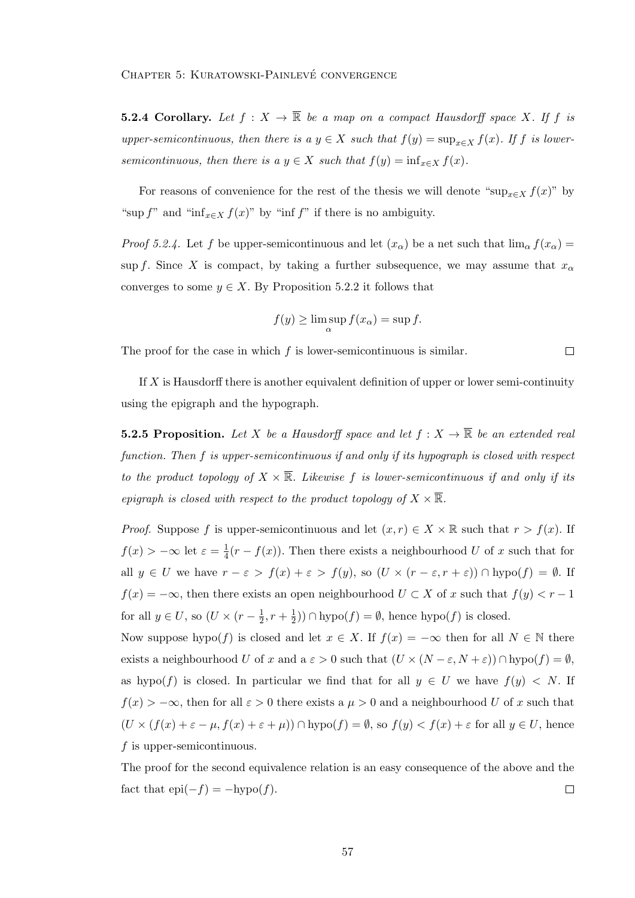**5.2.4 Corollary.** Let  $f : X \to \overline{\mathbb{R}}$  be a map on a compact Hausdorff space X. If f is upper-semicontinuous, then there is a  $y \in X$  such that  $f(y) = \sup_{x \in X} f(x)$ . If f is lowersemicontinuous, then there is a  $y \in X$  such that  $f(y) = \inf_{x \in X} f(x)$ .

For reasons of convenience for the rest of the thesis we will denote "sup<sub>x∈X</sub>  $f(x)$ " by "sup f" and "inf<sub>x∈X</sub>  $f(x)$ " by "inf f" if there is no ambiguity.

*Proof 5.2.4.* Let f be upper-semicontinuous and let  $(x_{\alpha})$  be a net such that  $\lim_{\alpha} f(x_{\alpha}) =$ sup f. Since X is compact, by taking a further subsequence, we may assume that  $x_{\alpha}$ converges to some  $y \in X$ . By Proposition 5.2.2 it follows that

$$
f(y) \ge \limsup_{\alpha} f(x_{\alpha}) = \sup f.
$$

 $\Box$ 

The proof for the case in which  $f$  is lower-semicontinuous is similar.

If X is Hausdorff there is another equivalent definition of upper or lower semi-continuity using the epigraph and the hypograph.

**5.2.5 Proposition.** Let X be a Hausdorff space and let  $f: X \to \overline{\mathbb{R}}$  be an extended real function. Then f is upper-semicontinuous if and only if its hypograph is closed with respect to the product topology of  $X \times \overline{\mathbb{R}}$ . Likewise f is lower-semicontinuous if and only if its epigraph is closed with respect to the product topology of  $X \times \overline{\mathbb{R}}$ .

*Proof.* Suppose f is upper-semicontinuous and let  $(x, r) \in X \times \mathbb{R}$  such that  $r > f(x)$ . If  $f(x) > -\infty$  let  $\varepsilon = \frac{1}{4}$  $\frac{1}{4}(r-f(x))$ . Then there exists a neighbourhood U of x such that for all  $y \in U$  we have  $r - \varepsilon > f(x) + \varepsilon > f(y)$ , so  $(U \times (r - \varepsilon, r + \varepsilon)) \cap \text{hypo}(f) = \emptyset$ . If  $f(x) = -\infty$ , then there exists an open neighbourhood  $U \subset X$  of x such that  $f(y) < r - 1$ for all  $y \in U$ , so  $(U \times (r - \frac{1}{2}))$  $\frac{1}{2}, r + \frac{1}{2}$  $(\frac{1}{2})$ )  $\cap$  hypo $(f) = \emptyset$ , hence hypo $(f)$  is closed.

Now suppose hypo(f) is closed and let  $x \in X$ . If  $f(x) = -\infty$  then for all  $N \in \mathbb{N}$  there exists a neighbourhood U of x and  $a \varepsilon > 0$  such that  $(U \times (N - \varepsilon, N + \varepsilon)) \cap \text{hypo}(f) = \emptyset$ , as hypo(f) is closed. In particular we find that for all  $y \in U$  we have  $f(y) < N$ . If  $f(x) > -\infty$ , then for all  $\varepsilon > 0$  there exists a  $\mu > 0$  and a neighbourhood U of x such that  $(U \times (f(x) + \varepsilon - \mu, f(x) + \varepsilon + \mu)) \cap \text{hypo}(f) = \emptyset$ , so  $f(y) < f(x) + \varepsilon$  for all  $y \in U$ , hence f is upper-semicontinuous.

The proof for the second equivalence relation is an easy consequence of the above and the fact that  $epi(-f) = -hypo(f)$ .  $\Box$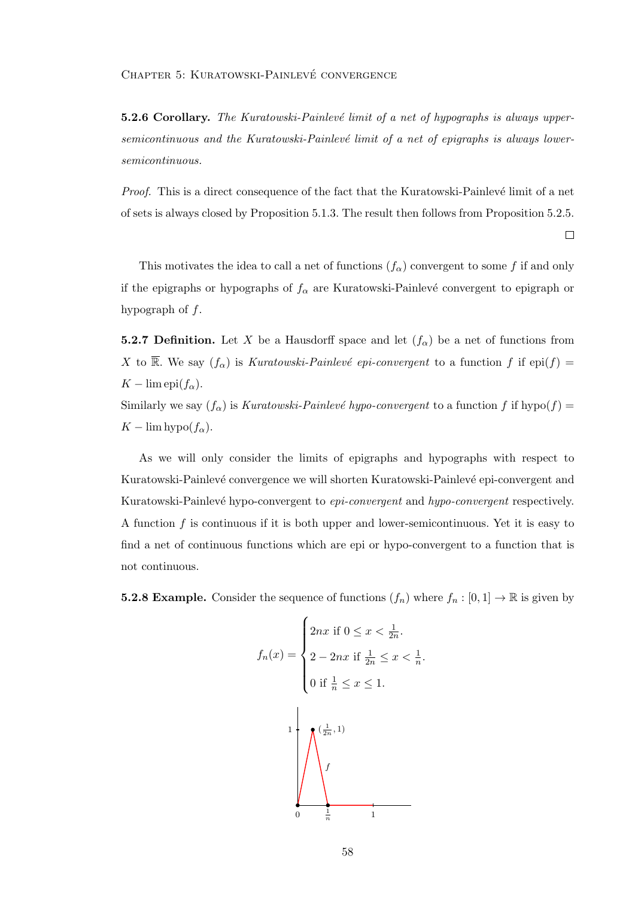5.2.6 Corollary. The Kuratowski-Painlevé limit of a net of hypographs is always uppersemicontinuous and the Kuratowski-Painlevé limit of a net of epigraphs is always lowersemicontinuous.

*Proof.* This is a direct consequence of the fact that the Kuratowski-Painlevé limit of a net of sets is always closed by Proposition 5.1.3. The result then follows from Proposition 5.2.5.

 $\Box$ 

This motivates the idea to call a net of functions  $(f_{\alpha})$  convergent to some f if and only if the epigraphs or hypographs of  $f_{\alpha}$  are Kuratowski-Painlevé convergent to epigraph or hypograph of  $f$ .

**5.2.7 Definition.** Let X be a Hausdorff space and let  $(f_\alpha)$  be a net of functions from X to  $\overline{\mathbb{R}}$ . We say  $(f_{\alpha})$  is Kuratowski-Painlevé epi-convergent to a function f if epi(f) =  $K - \lim \text{epi}(f_\alpha)$ .

Similarly we say  $(f_{\alpha})$  is Kuratowski-Painlevé hypo-convergent to a function f if hypo(f) =  $K - \lim hypo(f_\alpha)$ .

As we will only consider the limits of epigraphs and hypographs with respect to Kuratowski-Painlevé convergence we will shorten Kuratowski-Painlevé epi-convergent and Kuratowski-Painlevé hypo-convergent to *epi-convergent* and hypo-convergent respectively. A function f is continuous if it is both upper and lower-semicontinuous. Yet it is easy to find a net of continuous functions which are epi or hypo-convergent to a function that is not continuous.

**5.2.8 Example.** Consider the sequence of functions  $(f_n)$  where  $f_n : [0,1] \to \mathbb{R}$  is given by

$$
f_n(x) = \begin{cases} 2nx & \text{if } 0 \le x < \frac{1}{2n}. \\ 2 - 2nx & \text{if } \frac{1}{2n} \le x < \frac{1}{n}. \\ 0 & \text{if } \frac{1}{n} \le x \le 1. \end{cases}
$$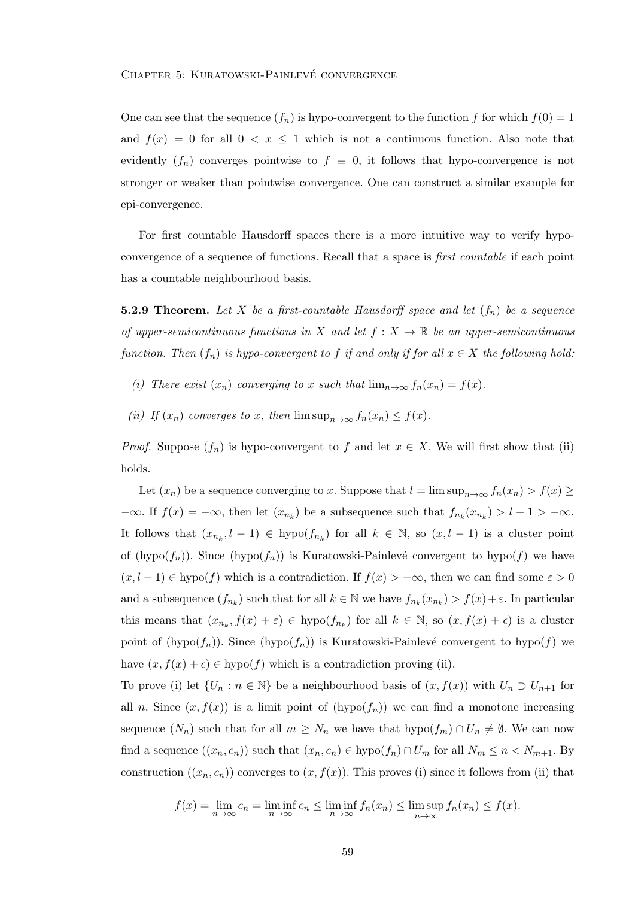One can see that the sequence  $(f_n)$  is hypo-convergent to the function f for which  $f(0) = 1$ and  $f(x) = 0$  for all  $0 < x \le 1$  which is not a continuous function. Also note that evidently  $(f_n)$  converges pointwise to  $f \equiv 0$ , it follows that hypo-convergence is not stronger or weaker than pointwise convergence. One can construct a similar example for epi-convergence.

For first countable Hausdorff spaces there is a more intuitive way to verify hypoconvergence of a sequence of functions. Recall that a space is first countable if each point has a countable neighbourhood basis.

**5.2.9 Theorem.** Let X be a first-countable Hausdorff space and let  $(f_n)$  be a sequence of upper-semicontinuous functions in X and let  $f: X \to \overline{\mathbb{R}}$  be an upper-semicontinuous function. Then  $(f_n)$  is hypo-convergent to f if and only if for all  $x \in X$  the following hold:

- (i) There exist  $(x_n)$  converging to x such that  $\lim_{n\to\infty} f_n(x_n) = f(x)$ .
- (ii) If  $(x_n)$  converges to x, then  $\limsup_{n\to\infty} f_n(x_n) \leq f(x)$ .

*Proof.* Suppose  $(f_n)$  is hypo-convergent to f and let  $x \in X$ . We will first show that (ii) holds.

Let  $(x_n)$  be a sequence converging to x. Suppose that  $l = \limsup_{n \to \infty} f_n(x_n) > f(x) \ge$  $-\infty$ . If  $f(x) = -\infty$ , then let  $(x_{n_k})$  be a subsequence such that  $f_{n_k}(x_{n_k}) > l - 1 > -\infty$ . It follows that  $(x_{n_k}, l-1) \in \text{hypo}(f_{n_k})$  for all  $k \in \mathbb{N}$ , so  $(x, l-1)$  is a cluster point of (hypo( $f_n$ )). Since (hypo( $f_n$ )) is Kuratowski-Painlevé convergent to hypo(f) we have  $(x, l-1) \in \text{hypo}(f)$  which is a contradiction. If  $f(x) > -\infty$ , then we can find some  $\varepsilon > 0$ and a subsequence  $(f_{n_k})$  such that for all  $k \in \mathbb{N}$  we have  $f_{n_k}(x_{n_k}) > f(x) + \varepsilon$ . In particular this means that  $(x_{n_k}, f(x) + \varepsilon) \in \text{hypo}(f_{n_k})$  for all  $k \in \mathbb{N}$ , so  $(x, f(x) + \varepsilon)$  is a cluster point of (hypo( $f_n$ )). Since (hypo( $f_n$ )) is Kuratowski-Painlevé convergent to hypo(f) we have  $(x, f(x) + \epsilon) \in \text{hypo}(f)$  which is a contradiction proving (ii).

To prove (i) let  $\{U_n : n \in \mathbb{N}\}\)$  be a neighbourhood basis of  $(x, f(x))$  with  $U_n \supset U_{n+1}$  for all n. Since  $(x, f(x))$  is a limit point of  $(hypo(f_n))$  we can find a monotone increasing sequence  $(N_n)$  such that for all  $m \geq N_n$  we have that  $hypo(f_m) \cap U_n \neq \emptyset$ . We can now find a sequence  $((x_n, c_n))$  such that  $(x_n, c_n) \in \text{hypo}(f_n) \cap U_m$  for all  $N_m \leq n < N_{m+1}$ . By construction  $((x_n, c_n))$  converges to  $(x, f(x))$ . This proves (i) since it follows from (ii) that

$$
f(x) = \lim_{n \to \infty} c_n = \liminf_{n \to \infty} c_n \le \liminf_{n \to \infty} f_n(x_n) \le \limsup_{n \to \infty} f_n(x_n) \le f(x).
$$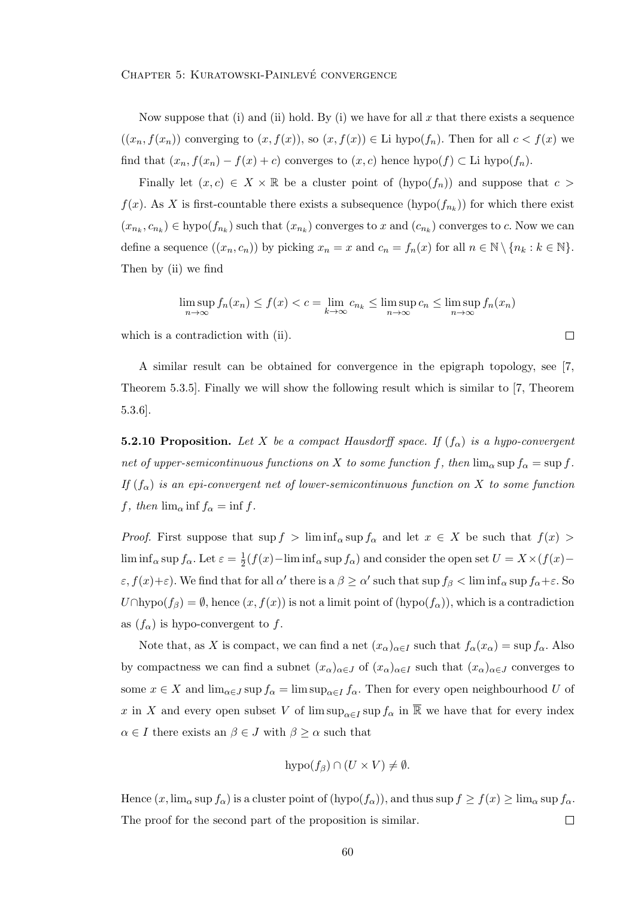Now suppose that (i) and (ii) hold. By (i) we have for all x that there exists a sequence  $((x_n, f(x_n))$  converging to  $(x, f(x))$ , so  $(x, f(x)) \in$  Li hypo $(f_n)$ . Then for all  $c < f(x)$  we find that  $(x_n, f(x_n) - f(x) + c)$  converges to  $(x, c)$  hence  $hypo(f) \subset$  Li  $hypo(f_n)$ .

Finally let  $(x, c) \in X \times \mathbb{R}$  be a cluster point of  $(hypo(f_n))$  and suppose that  $c >$  $f(x)$ . As X is first-countable there exists a subsequence  $(hypo(f_{n_k}))$  for which there exist  $(x_{n_k}, c_{n_k}) \in \text{hypo}(f_{n_k})$  such that  $(x_{n_k})$  converges to x and  $(c_{n_k})$  converges to c. Now we can define a sequence  $((x_n, c_n))$  by picking  $x_n = x$  and  $c_n = f_n(x)$  for all  $n \in \mathbb{N} \setminus \{n_k : k \in \mathbb{N}\}.$ Then by (ii) we find

$$
\limsup_{n \to \infty} f_n(x_n) \le f(x) < c = \lim_{k \to \infty} c_{n_k} \le \limsup_{n \to \infty} c_n \le \limsup_{n \to \infty} f_n(x_n)
$$

 $\Box$ 

which is a contradiction with (ii).

A similar result can be obtained for convergence in the epigraph topology, see [7, Theorem 5.3.5]. Finally we will show the following result which is similar to [7, Theorem 5.3.6].

**5.2.10 Proposition.** Let X be a compact Hausdorff space. If  $(f_{\alpha})$  is a hypo-convergent net of upper-semicontinuous functions on X to some function f, then  $\lim_{\alpha} \sup f_{\alpha} = \sup f$ . If  $(f_{\alpha})$  is an epi-convergent net of lower-semicontinuous function on X to some function f, then  $\lim_{\alpha} \inf f_{\alpha} = \inf f$ .

*Proof.* First suppose that  $\sup f > \liminf_{\alpha} \sup f_{\alpha}$  and let  $x \in X$  be such that  $f(x) >$  $\liminf_{\alpha} \sup f_{\alpha}$ . Let  $\varepsilon = \frac{1}{2}$  $\frac{1}{2}(f(x)-\liminf_{\alpha} \sup f_{\alpha})$  and consider the open set  $U = X \times (f(x)-\alpha)$  $\varepsilon$ ,  $f(x)+\varepsilon$ ). We find that for all  $\alpha'$  there is a  $\beta \ge \alpha'$  such that sup  $f_{\beta} < \liminf_{\alpha} \sup f_{\alpha} + \varepsilon$ . So  $U \cap \text{hypo}(f_\beta) = \emptyset$ , hence  $(x, f(x))$  is not a limit point of  $(\text{hypo}(f_\alpha))$ , which is a contradiction as  $(f_{\alpha})$  is hypo-convergent to f.

Note that, as X is compact, we can find a net  $(x_{\alpha})_{\alpha \in I}$  such that  $f_{\alpha}(x_{\alpha}) = \sup f_{\alpha}$ . Also by compactness we can find a subnet  $(x_\alpha)_{\alpha\in J}$  of  $(x_\alpha)_{\alpha\in I}$  such that  $(x_\alpha)_{\alpha\in J}$  converges to some  $x \in X$  and  $\lim_{\alpha \in J} \sup f_{\alpha} = \limsup_{\alpha \in I} f_{\alpha}$ . Then for every open neighbourhood U of x in X and every open subset V of  $\limsup_{\alpha \in I} \sup f_{\alpha}$  in  $\overline{\mathbb{R}}$  we have that for every index  $\alpha \in I$  there exists an  $\beta \in J$  with  $\beta \geq \alpha$  such that

$$
hypo(f_{\beta}) \cap (U \times V) \neq \emptyset.
$$

Hence  $(x, \lim_{\alpha} \sup f_{\alpha})$  is a cluster point of  $(\text{hypo}(f_{\alpha}))$ , and thus  $\sup f \ge f(x) \ge \lim_{\alpha} \sup f_{\alpha}$ . The proof for the second part of the proposition is similar.  $\Box$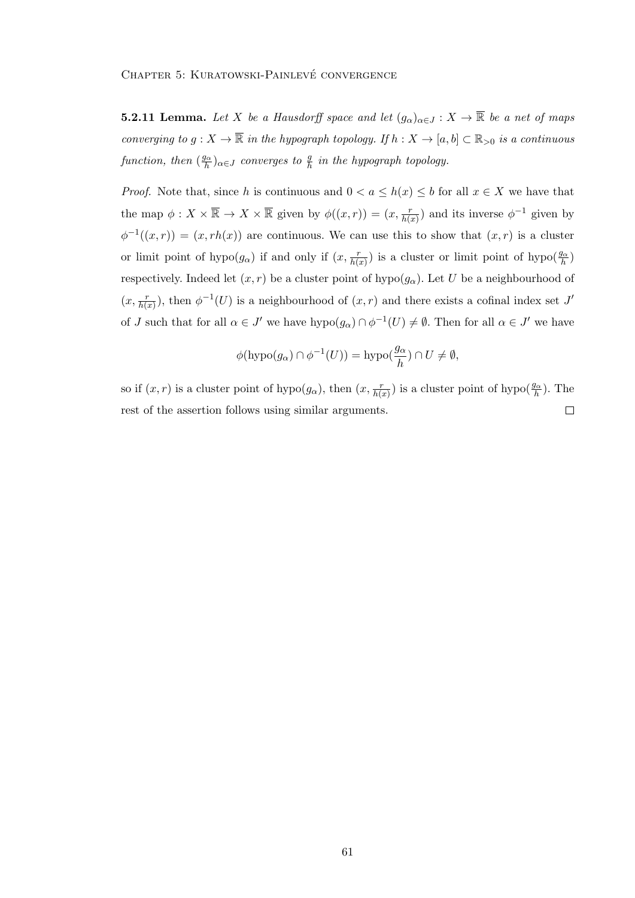**5.2.11 Lemma.** Let X be a Hausdorff space and let  $(g_{\alpha})_{\alpha \in J}: X \to \overline{\mathbb{R}}$  be a net of maps converging to  $g: X \to \overline{\mathbb{R}}$  in the hypograph topology. If  $h: X \to [a, b] \subset \mathbb{R}_{>0}$  is a continuous function, then  $(\frac{g_{\alpha}}{h})$  $\frac{\partial \alpha}{\partial h}$ ) $_{\alpha \in J}$  converges to  $\frac{g}{h}$  in the hypograph topology.

*Proof.* Note that, since h is continuous and  $0 < a \leq h(x) \leq b$  for all  $x \in X$  we have that the map  $\phi: X \times \overline{\mathbb{R}} \to X \times \overline{\mathbb{R}}$  given by  $\phi((x,r)) = (x, \frac{r}{h(x)})$  and its inverse  $\phi^{-1}$  given by  $\phi^{-1}((x,r)) = (x,rh(x))$  are continuous. We can use this to show that  $(x,r)$  is a cluster or limit point of hypo $(g_{\alpha})$  if and only if  $(x, \frac{r}{h(x)})$  is a cluster or limit point of hypo $(\frac{g_{\alpha}}{h})$ respectively. Indeed let  $(x, r)$  be a cluster point of hypo $(g_{\alpha})$ . Let U be a neighbourhood of  $(x, \frac{r}{h(x)})$ , then  $\phi^{-1}(U)$  is a neighbourhood of  $(x, r)$  and there exists a cofinal index set J' of J such that for all  $\alpha \in J'$  we have  $hypo(g_{\alpha}) \cap \phi^{-1}(U) \neq \emptyset$ . Then for all  $\alpha \in J'$  we have

$$
\phi(\operatorname{hypo}(g_{\alpha}) \cap \phi^{-1}(U)) = \operatorname{hypo}(\frac{g_{\alpha}}{h}) \cap U \neq \emptyset,
$$

so if  $(x, r)$  is a cluster point of hypo $(g_{\alpha})$ , then  $(x, \frac{r}{h(x)})$  is a cluster point of hypo $(\frac{g_{\alpha}}{h})$ . The rest of the assertion follows using similar arguments.  $\Box$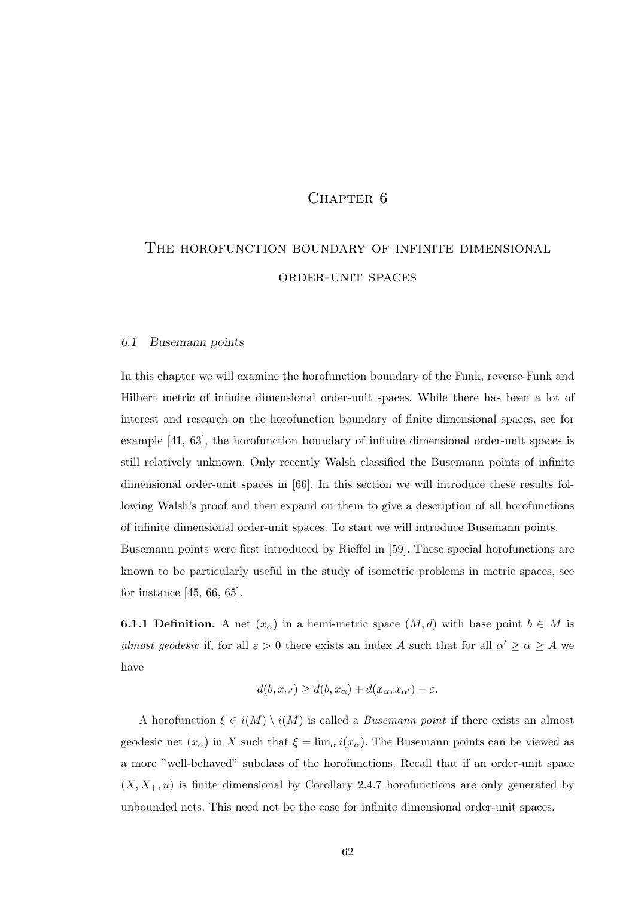# CHAPTER<sub>6</sub>

# THE HOROFUNCTION BOUNDARY OF INFINITE DIMENSIONAL order-unit spaces

#### 6.1 Busemann points

In this chapter we will examine the horofunction boundary of the Funk, reverse-Funk and Hilbert metric of infinite dimensional order-unit spaces. While there has been a lot of interest and research on the horofunction boundary of finite dimensional spaces, see for example [41, 63], the horofunction boundary of infinite dimensional order-unit spaces is still relatively unknown. Only recently Walsh classified the Busemann points of infinite dimensional order-unit spaces in [66]. In this section we will introduce these results following Walsh's proof and then expand on them to give a description of all horofunctions of infinite dimensional order-unit spaces. To start we will introduce Busemann points. Busemann points were first introduced by Rieffel in [59]. These special horofunctions are

known to be particularly useful in the study of isometric problems in metric spaces, see for instance [45, 66, 65].

**6.1.1 Definition.** A net  $(x_\alpha)$  in a hemi-metric space  $(M, d)$  with base point  $b \in M$  is almost geodesic if, for all  $\varepsilon > 0$  there exists an index A such that for all  $\alpha' \geq \alpha \geq A$  we have

$$
d(b, x_{\alpha'}) \ge d(b, x_{\alpha}) + d(x_{\alpha}, x_{\alpha'}) - \varepsilon.
$$

A horofunction  $\xi \in \overline{i(M)} \setminus i(M)$  is called a *Busemann point* if there exists an almost geodesic net  $(x_{\alpha})$  in X such that  $\xi = \lim_{\alpha} i(x_{\alpha})$ . The Busemann points can be viewed as a more "well-behaved" subclass of the horofunctions. Recall that if an order-unit space  $(X, X_+, u)$  is finite dimensional by Corollary 2.4.7 horofunctions are only generated by unbounded nets. This need not be the case for infinite dimensional order-unit spaces.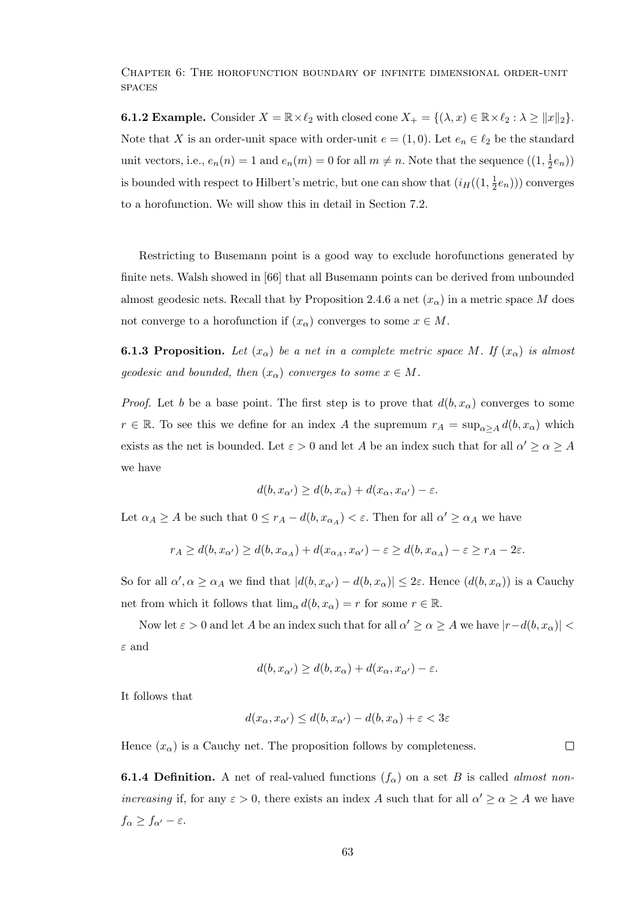Chapter 6: The horofunction boundary of infinite dimensional order-unit **SPACES** 

**6.1.2 Example.** Consider  $X = \mathbb{R} \times \ell_2$  with closed cone  $X_+ = \{(\lambda, x) \in \mathbb{R} \times \ell_2 : \lambda \geq ||x||_2\}.$ Note that X is an order-unit space with order-unit  $e = (1, 0)$ . Let  $e_n \in \ell_2$  be the standard unit vectors, i.e.,  $e_n(n) = 1$  and  $e_n(m) = 0$  for all  $m \neq n$ . Note that the sequence  $((1, \frac{1}{2})$  $(\frac{1}{2}e_n))$ is bounded with respect to Hilbert's metric, but one can show that  $(i_H((1, \frac{1}{2}))$  $(\frac{1}{2}e_n))$  converges to a horofunction. We will show this in detail in Section 7.2.

Restricting to Busemann point is a good way to exclude horofunctions generated by finite nets. Walsh showed in [66] that all Busemann points can be derived from unbounded almost geodesic nets. Recall that by Proposition 2.4.6 a net  $(x_{\alpha})$  in a metric space M does not converge to a horofunction if  $(x_{\alpha})$  converges to some  $x \in M$ .

**6.1.3 Proposition.** Let  $(x_{\alpha})$  be a net in a complete metric space M. If  $(x_{\alpha})$  is almost geodesic and bounded, then  $(x_{\alpha})$  converges to some  $x \in M$ .

*Proof.* Let b be a base point. The first step is to prove that  $d(b, x_{\alpha})$  converges to some  $r \in \mathbb{R}$ . To see this we define for an index A the supremum  $r_A = \sup_{\alpha > A} d(b, x_{\alpha})$  which exists as the net is bounded. Let  $\varepsilon > 0$  and let A be an index such that for all  $\alpha' \geq \alpha \geq A$ we have

$$
d(b, x_{\alpha'}) \ge d(b, x_{\alpha}) + d(x_{\alpha}, x_{\alpha'}) - \varepsilon.
$$

Let  $\alpha_A \geq A$  be such that  $0 \leq r_A - d(b, x_{\alpha_A}) < \varepsilon$ . Then for all  $\alpha' \geq \alpha_A$  we have

$$
r_A \ge d(b, x_{\alpha'}) \ge d(b, x_{\alpha_A}) + d(x_{\alpha_A}, x_{\alpha'}) - \varepsilon \ge d(b, x_{\alpha_A}) - \varepsilon \ge r_A - 2\varepsilon.
$$

So for all  $\alpha', \alpha \ge \alpha_A$  we find that  $|d(b, x_{\alpha'}) - d(b, x_{\alpha})| \le 2\varepsilon$ . Hence  $(d(b, x_{\alpha}))$  is a Cauchy net from which it follows that  $\lim_{\alpha} d(b, x_{\alpha}) = r$  for some  $r \in \mathbb{R}$ .

Now let  $\varepsilon > 0$  and let A be an index such that for all  $\alpha' \geq \alpha \geq A$  we have  $|r-d(b, x_{\alpha})|$  $\varepsilon$  and

$$
d(b, x_{\alpha'}) \ge d(b, x_{\alpha}) + d(x_{\alpha}, x_{\alpha'}) - \varepsilon.
$$

It follows that

$$
d(x_{\alpha}, x_{\alpha'}) \le d(b, x_{\alpha'}) - d(b, x_{\alpha}) + \varepsilon < 3\varepsilon
$$

 $\Box$ 

Hence  $(x_{\alpha})$  is a Cauchy net. The proposition follows by completeness.

**6.1.4 Definition.** A net of real-valued functions  $(f_\alpha)$  on a set B is called *almost non*increasing if, for any  $\varepsilon > 0$ , there exists an index A such that for all  $\alpha' \geq \alpha \geq A$  we have  $f_{\alpha} \geq f_{\alpha'} - \varepsilon.$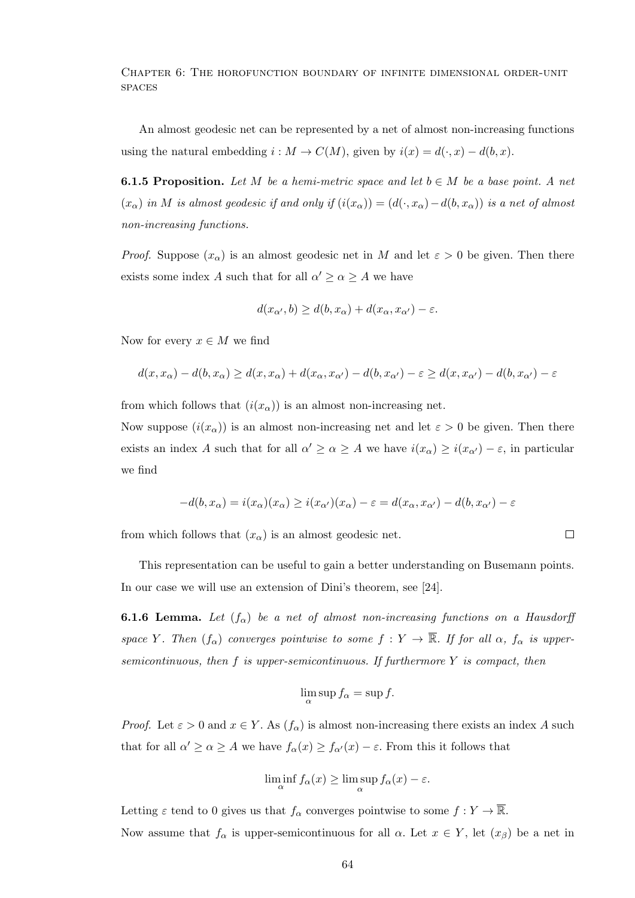Chapter 6: The horofunction boundary of infinite dimensional order-unit **SPACES** 

An almost geodesic net can be represented by a net of almost non-increasing functions using the natural embedding  $i : M \to C(M)$ , given by  $i(x) = d(\cdot, x) - d(b, x)$ .

**6.1.5 Proposition.** Let M be a hemi-metric space and let  $b \in M$  be a base point. A net  $(x_\alpha)$  in M is almost geodesic if and only if  $(i(x_\alpha)) = (d(\cdot, x_\alpha) - d(b, x_\alpha))$  is a net of almost non-increasing functions.

*Proof.* Suppose  $(x_{\alpha})$  is an almost geodesic net in M and let  $\varepsilon > 0$  be given. Then there exists some index A such that for all  $\alpha' \geq \alpha \geq A$  we have

$$
d(x_{\alpha'},b) \ge d(b,x_{\alpha}) + d(x_{\alpha},x_{\alpha'}) - \varepsilon.
$$

Now for every  $x \in M$  we find

$$
d(x, x_{\alpha}) - d(b, x_{\alpha}) \ge d(x, x_{\alpha}) + d(x_{\alpha}, x_{\alpha'}) - d(b, x_{\alpha'}) - \varepsilon \ge d(x, x_{\alpha'}) - d(b, x_{\alpha'}) - \varepsilon
$$

from which follows that  $(i(x_{\alpha}))$  is an almost non-increasing net.

Now suppose  $(i(x_{\alpha}))$  is an almost non-increasing net and let  $\varepsilon > 0$  be given. Then there exists an index A such that for all  $\alpha' \geq \alpha \geq A$  we have  $i(x_{\alpha}) \geq i(x_{\alpha'}) - \varepsilon$ , in particular we find

$$
-d(b,x_{\alpha})=i(x_{\alpha})(x_{\alpha})\geq i(x_{\alpha'})(x_{\alpha})-\varepsilon=d(x_{\alpha},x_{\alpha'})-d(b,x_{\alpha'})-\varepsilon
$$

from which follows that  $(x_{\alpha})$  is an almost geodesic net.

 $\Box$ 

This representation can be useful to gain a better understanding on Busemann points. In our case we will use an extension of Dini's theorem, see [24].

**6.1.6 Lemma.** Let  $(f_\alpha)$  be a net of almost non-increasing functions on a Hausdorff space Y. Then  $(f_{\alpha})$  converges pointwise to some  $f: Y \to \overline{\mathbb{R}}$ . If for all  $\alpha$ ,  $f_{\alpha}$  is uppersemicontinuous, then  $f$  is upper-semicontinuous. If furthermore  $Y$  is compact, then

$$
\lim_{\alpha} \sup f_{\alpha} = \sup f.
$$

*Proof.* Let  $\varepsilon > 0$  and  $x \in Y$ . As  $(f_{\alpha})$  is almost non-increasing there exists an index A such that for all  $\alpha' \geq \alpha \geq A$  we have  $f_{\alpha}(x) \geq f_{\alpha'}(x) - \varepsilon$ . From this it follows that

$$
\liminf_{\alpha} f_{\alpha}(x) \ge \limsup_{\alpha} f_{\alpha}(x) - \varepsilon.
$$

Letting  $\varepsilon$  tend to 0 gives us that  $f_\alpha$  converges pointwise to some  $f: Y \to \overline{\mathbb{R}}$ . Now assume that  $f_{\alpha}$  is upper-semicontinuous for all  $\alpha$ . Let  $x \in Y$ , let  $(x_{\beta})$  be a net in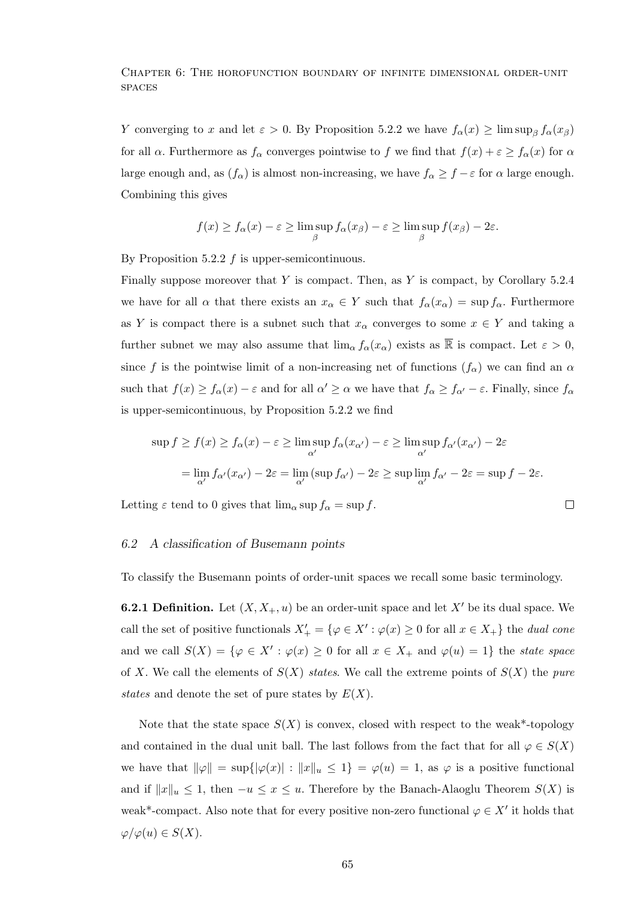Chapter 6: The horofunction boundary of infinite dimensional order-unit **SPACES** 

Y converging to x and let  $\varepsilon > 0$ . By Proposition 5.2.2 we have  $f_{\alpha}(x) \ge \limsup_{\beta} f_{\alpha}(x_{\beta})$ for all  $\alpha$ . Furthermore as  $f_{\alpha}$  converges pointwise to f we find that  $f(x) + \varepsilon \ge f_{\alpha}(x)$  for  $\alpha$ large enough and, as  $(f_{\alpha})$  is almost non-increasing, we have  $f_{\alpha} \geq f - \varepsilon$  for  $\alpha$  large enough. Combining this gives

$$
f(x) \ge f_{\alpha}(x) - \varepsilon \ge \limsup_{\beta} f_{\alpha}(x_{\beta}) - \varepsilon \ge \limsup_{\beta} f(x_{\beta}) - 2\varepsilon.
$$

By Proposition 5.2.2  $f$  is upper-semicontinuous.

Finally suppose moreover that Y is compact. Then, as Y is compact, by Corollary  $5.2.4$ we have for all  $\alpha$  that there exists an  $x_{\alpha} \in Y$  such that  $f_{\alpha}(x_{\alpha}) = \sup f_{\alpha}$ . Furthermore as Y is compact there is a subnet such that  $x_{\alpha}$  converges to some  $x \in Y$  and taking a further subnet we may also assume that  $\lim_{\alpha} f_{\alpha}(x_{\alpha})$  exists as  $\overline{\mathbb{R}}$  is compact. Let  $\varepsilon > 0$ , since f is the pointwise limit of a non-increasing net of functions  $(f_{\alpha})$  we can find an  $\alpha$ such that  $f(x) \ge f_\alpha(x) - \varepsilon$  and for all  $\alpha' \ge \alpha$  we have that  $f_\alpha \ge f_{\alpha'} - \varepsilon$ . Finally, since  $f_\alpha$ is upper-semicontinuous, by Proposition 5.2.2 we find

$$
\sup f \ge f(x) \ge f_{\alpha}(x) - \varepsilon \ge \limsup_{\alpha'} f_{\alpha}(x_{\alpha'}) - \varepsilon \ge \limsup_{\alpha'} f_{\alpha'}(x_{\alpha'}) - 2\varepsilon
$$
  
= 
$$
\lim_{\alpha'} f_{\alpha'}(x_{\alpha'}) - 2\varepsilon = \lim_{\alpha'} (\sup f_{\alpha'}) - 2\varepsilon \ge \sup \lim_{\alpha'} f_{\alpha'} - 2\varepsilon = \sup f - 2\varepsilon.
$$

 $\Box$ 

Letting  $\varepsilon$  tend to 0 gives that  $\lim_{\alpha} \sup f_{\alpha} = \sup f$ .

# 6.2 A classification of Busemann points

To classify the Busemann points of order-unit spaces we recall some basic terminology.

**6.2.1 Definition.** Let  $(X, X_+, u)$  be an order-unit space and let X' be its dual space. We call the set of positive functionals  $X'_{+} = \{ \varphi \in X' : \varphi(x) \geq 0 \text{ for all } x \in X_{+} \}$  the dual cone and we call  $S(X) = \{ \varphi \in X' : \varphi(x) \geq 0 \text{ for all } x \in X_+ \text{ and } \varphi(u) = 1 \}$  the state space of X. We call the elements of  $S(X)$  states. We call the extreme points of  $S(X)$  the pure states and denote the set of pure states by  $E(X)$ .

Note that the state space  $S(X)$  is convex, closed with respect to the weak\*-topology and contained in the dual unit ball. The last follows from the fact that for all  $\varphi \in S(X)$ we have that  $\|\varphi\| = \sup\{|\varphi(x)| : ||x||_u \leq 1\} = \varphi(u) = 1$ , as  $\varphi$  is a positive functional and if  $||x||_u \leq 1$ , then  $-u \leq x \leq u$ . Therefore by the Banach-Alaoglu Theorem  $S(X)$  is weak<sup>\*</sup>-compact. Also note that for every positive non-zero functional  $\varphi \in X'$  it holds that  $\varphi/\varphi(u) \in S(X).$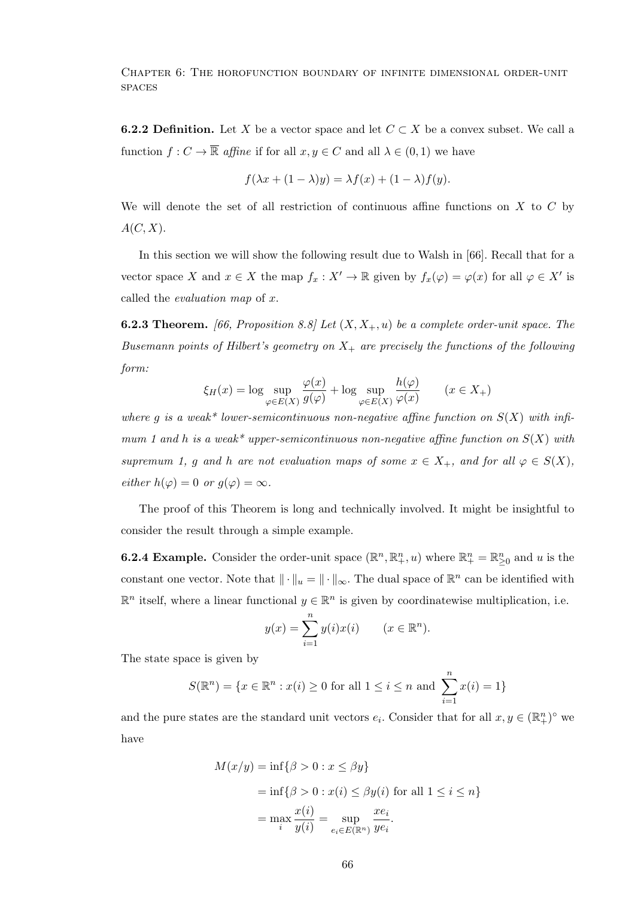**6.2.2 Definition.** Let X be a vector space and let  $C \subset X$  be a convex subset. We call a function  $f: C \to \overline{\mathbb{R}}$  affine if for all  $x, y \in C$  and all  $\lambda \in (0, 1)$  we have

$$
f(\lambda x + (1 - \lambda)y) = \lambda f(x) + (1 - \lambda)f(y).
$$

We will denote the set of all restriction of continuous affine functions on  $X$  to  $C$  by  $A(C, X)$ .

In this section we will show the following result due to Walsh in [66]. Recall that for a vector space X and  $x \in X$  the map  $f_x : X' \to \mathbb{R}$  given by  $f_x(\varphi) = \varphi(x)$  for all  $\varphi \in X'$  is called the evaluation map of x.

**6.2.3 Theorem.** [66, Proposition 8.8] Let  $(X, X_+, u)$  be a complete order-unit space. The Busemann points of Hilbert's geometry on  $X_+$  are precisely the functions of the following form:

$$
\xi_H(x) = \log \sup_{\varphi \in E(X)} \frac{\varphi(x)}{g(\varphi)} + \log \sup_{\varphi \in E(X)} \frac{h(\varphi)}{\varphi(x)} \qquad (x \in X_+)
$$

where g is a weak\* lower-semicontinuous non-negative affine function on  $S(X)$  with infimum 1 and h is a weak\* upper-semicontinuous non-negative affine function on  $S(X)$  with supremum 1, g and h are not evaluation maps of some  $x \in X_+$ , and for all  $\varphi \in S(X)$ , either  $h(\varphi) = 0$  or  $g(\varphi) = \infty$ .

The proof of this Theorem is long and technically involved. It might be insightful to consider the result through a simple example.

**6.2.4 Example.** Consider the order-unit space  $(\mathbb{R}^n, \mathbb{R}^n_+, u)$  where  $\mathbb{R}^n_+ = \mathbb{R}^n_{\geq 0}$  and u is the constant one vector. Note that  $\|\cdot\|_u = \|\cdot\|_{\infty}$ . The dual space of  $\mathbb{R}^n$  can be identified with  $\mathbb{R}^n$  itself, where a linear functional  $y \in \mathbb{R}^n$  is given by coordinatewise multiplication, i.e.

$$
y(x) = \sum_{i=1}^{n} y(i)x(i) \qquad (x \in \mathbb{R}^n).
$$

The state space is given by

$$
S(\mathbb{R}^{n}) = \{x \in \mathbb{R}^{n} : x(i) \ge 0 \text{ for all } 1 \le i \le n \text{ and } \sum_{i=1}^{n} x(i) = 1\}
$$

and the pure states are the standard unit vectors  $e_i$ . Consider that for all  $x, y \in (\mathbb{R}^n_+)^\circ$  we have

$$
M(x/y) = \inf\{\beta > 0 : x \le \beta y\}
$$
  
=  $\inf\{\beta > 0 : x(i) \le \beta y(i) \text{ for all } 1 \le i \le n\}$   
=  $\max_{i} \frac{x(i)}{y(i)} = \sup_{e_i \in E(\mathbb{R}^n)} \frac{x e_i}{y e_i}.$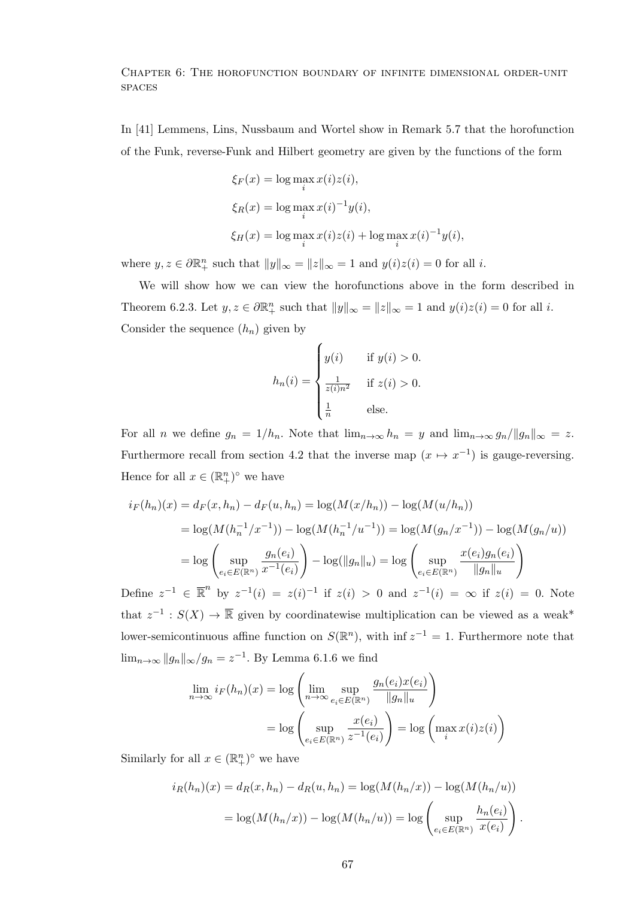In [41] Lemmens, Lins, Nussbaum and Wortel show in Remark 5.7 that the horofunction of the Funk, reverse-Funk and Hilbert geometry are given by the functions of the form

$$
\xi_F(x) = \log \max_i x(i) z(i),
$$
  
\n
$$
\xi_R(x) = \log \max_i x(i)^{-1} y(i),
$$
  
\n
$$
\xi_H(x) = \log \max_i x(i) z(i) + \log \max_i x(i)^{-1} y(i),
$$

where  $y, z \in \partial \mathbb{R}_+^n$  such that  $||y||_{\infty} = ||z||_{\infty} = 1$  and  $y(i)z(i) = 0$  for all i.

We will show how we can view the horofunctions above in the form described in Theorem 6.2.3. Let  $y, z \in \partial \mathbb{R}^n_+$  such that  $||y||_{\infty} = ||z||_{\infty} = 1$  and  $y(i)z(i) = 0$  for all i. Consider the sequence  $(h_n)$  given by

$$
h_n(i) = \begin{cases} y(i) & \text{if } y(i) > 0. \\ \frac{1}{z(i)n^2} & \text{if } z(i) > 0. \\ \frac{1}{n} & \text{else.} \end{cases}
$$

For all n we define  $g_n = 1/h_n$ . Note that  $\lim_{n\to\infty} h_n = y$  and  $\lim_{n\to\infty} g_n / ||g_n||_{\infty} = z$ . Furthermore recall from section 4.2 that the inverse map  $(x \mapsto x^{-1})$  is gauge-reversing. Hence for all  $x \in (\mathbb{R}^n_+)^{\circ}$  we have

$$
i_F(h_n)(x) = d_F(x, h_n) - d_F(u, h_n) = \log(M(x/h_n)) - \log(M(u/h_n))
$$
  
=  $\log(M(h_n^{-1}/x^{-1})) - \log(M(h_n^{-1}/u^{-1})) = \log(M(g_n/x^{-1})) - \log(M(g_n/u))$   
=  $\log\left(\sup_{e_i \in E(\mathbb{R}^n)} \frac{g_n(e_i)}{x^{-1}(e_i)}\right) - \log(\|g_n\|_u) = \log\left(\sup_{e_i \in E(\mathbb{R}^n)} \frac{x(e_i)g_n(e_i)}{\|g_n\|_u}\right)$ 

Define  $z^{-1} \in \mathbb{R}^n$  by  $z^{-1}(i) = z(i)^{-1}$  if  $z(i) > 0$  and  $z^{-1}(i) = \infty$  if  $z(i) = 0$ . Note that  $z^{-1}: S(X) \to \overline{\mathbb{R}}$  given by coordinatewise multiplication can be viewed as a weak\* lower-semicontinuous affine function on  $S(\mathbb{R}^n)$ , with inf  $z^{-1} = 1$ . Furthermore note that  $\lim_{n\to\infty} \|g_n\|_{\infty}/g_n = z^{-1}$ . By Lemma 6.1.6 we find

$$
\lim_{n \to \infty} i_F(h_n)(x) = \log \left( \lim_{n \to \infty} \sup_{e_i \in E(\mathbb{R}^n)} \frac{g_n(e_i)x(e_i)}{\|g_n\|_u} \right)
$$

$$
= \log \left( \sup_{e_i \in E(\mathbb{R}^n)} \frac{x(e_i)}{z^{-1}(e_i)} \right) = \log \left( \max_i x(i)z(i) \right)
$$

Similarly for all  $x \in (\mathbb{R}^n_+)^\circ$  we have

$$
i_R(h_n)(x) = d_R(x, h_n) - d_R(u, h_n) = \log(M(h_n/x)) - \log(M(h_n/u))
$$

$$
= \log(M(h_n/x)) - \log(M(h_n/u)) = \log\left(\sup_{e_i \in E(\mathbb{R}^n)} \frac{h_n(e_i)}{x(e_i)}\right).
$$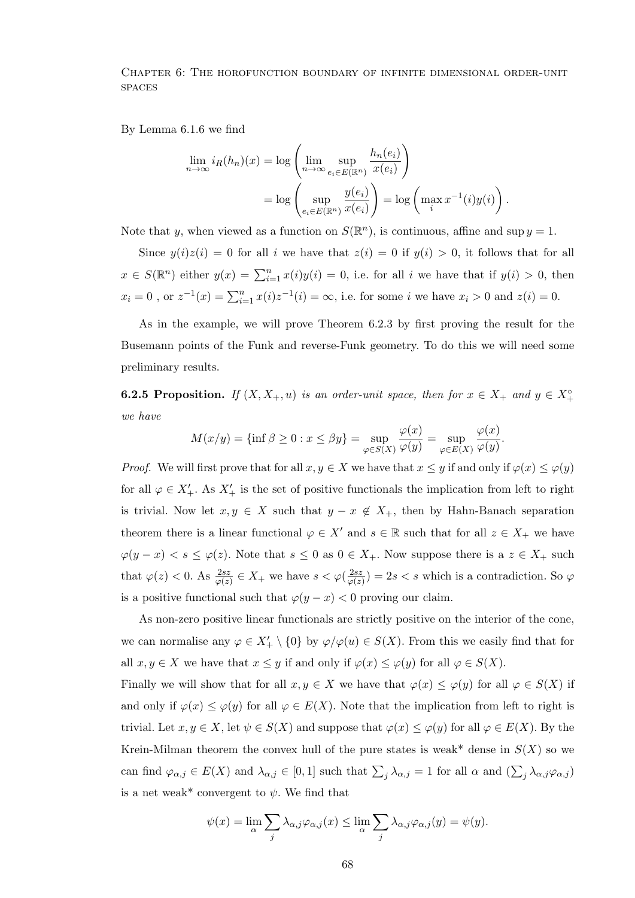By Lemma 6.1.6 we find

$$
\lim_{n \to \infty} i_R(h_n)(x) = \log \left( \lim_{n \to \infty} \sup_{e_i \in E(\mathbb{R}^n)} \frac{h_n(e_i)}{x(e_i)} \right)
$$

$$
= \log \left( \sup_{e_i \in E(\mathbb{R}^n)} \frac{y(e_i)}{x(e_i)} \right) = \log \left( \max_i x^{-1}(i) y(i) \right).
$$

Note that y, when viewed as a function on  $S(\mathbb{R}^n)$ , is continuous, affine and sup  $y = 1$ .

Since  $y(i)z(i) = 0$  for all i we have that  $z(i) = 0$  if  $y(i) > 0$ , it follows that for all  $x \in S(\mathbb{R}^n)$  either  $y(x) = \sum_{i=1}^n x(i)y(i) = 0$ , i.e. for all i we have that if  $y(i) > 0$ , then  $x_i = 0$ , or  $z^{-1}(x) = \sum_{i=1}^n x(i)z^{-1}(i) = \infty$ , i.e. for some *i* we have  $x_i > 0$  and  $z(i) = 0$ .

As in the example, we will prove Theorem 6.2.3 by first proving the result for the Busemann points of the Funk and reverse-Funk geometry. To do this we will need some preliminary results.

**6.2.5 Proposition.** If  $(X, X_+, u)$  is an order-unit space, then for  $x \in X_+$  and  $y \in X_+^{\circ}$ we have

$$
M(x/y) = \{\inf \beta \ge 0 : x \le \beta y\} = \sup_{\varphi \in S(X)} \frac{\varphi(x)}{\varphi(y)} = \sup_{\varphi \in E(X)} \frac{\varphi(x)}{\varphi(y)}.
$$

*Proof.* We will first prove that for all  $x, y \in X$  we have that  $x \leq y$  if and only if  $\varphi(x) \leq \varphi(y)$ for all  $\varphi \in X'_{+}$ . As  $X'_{+}$  is the set of positive functionals the implication from left to right is trivial. Now let  $x, y \in X$  such that  $y - x \notin X_+$ , then by Hahn-Banach separation theorem there is a linear functional  $\varphi \in X'$  and  $s \in \mathbb{R}$  such that for all  $z \in X_+$  we have  $\varphi(y-x) < s \leq \varphi(z)$ . Note that  $s \leq 0$  as  $0 \in X_+$ . Now suppose there is a  $z \in X_+$  such that  $\varphi(z) < 0$ . As  $\frac{2sz}{\varphi(z)} \in X_+$  we have  $s < \varphi(\frac{2sz}{\varphi(z)})$  $\frac{2sz}{\varphi(z)}$  = 2s < s which is a contradiction. So  $\varphi$ is a positive functional such that  $\varphi(y-x) < 0$  proving our claim.

As non-zero positive linear functionals are strictly positive on the interior of the cone, we can normalise any  $\varphi \in X'_{+} \setminus \{0\}$  by  $\varphi/\varphi(u) \in S(X)$ . From this we easily find that for all  $x, y \in X$  we have that  $x \leq y$  if and only if  $\varphi(x) \leq \varphi(y)$  for all  $\varphi \in S(X)$ .

Finally we will show that for all  $x, y \in X$  we have that  $\varphi(x) \leq \varphi(y)$  for all  $\varphi \in S(X)$  if and only if  $\varphi(x) \leq \varphi(y)$  for all  $\varphi \in E(X)$ . Note that the implication from left to right is trivial. Let  $x, y \in X$ , let  $\psi \in S(X)$  and suppose that  $\varphi(x) \leq \varphi(y)$  for all  $\varphi \in E(X)$ . By the Krein-Milman theorem the convex hull of the pure states is weak\* dense in  $S(X)$  so we can find  $\varphi_{\alpha,j} \in E(X)$  and  $\lambda_{\alpha,j} \in [0,1]$  such that  $\sum_j \lambda_{\alpha,j} = 1$  for all  $\alpha$  and  $(\sum_j \lambda_{\alpha,j} \varphi_{\alpha,j})$ is a net weak\* convergent to  $\psi$ . We find that

$$
\psi(x) = \lim_{\alpha} \sum_{j} \lambda_{\alpha,j} \varphi_{\alpha,j}(x) \le \lim_{\alpha} \sum_{j} \lambda_{\alpha,j} \varphi_{\alpha,j}(y) = \psi(y).
$$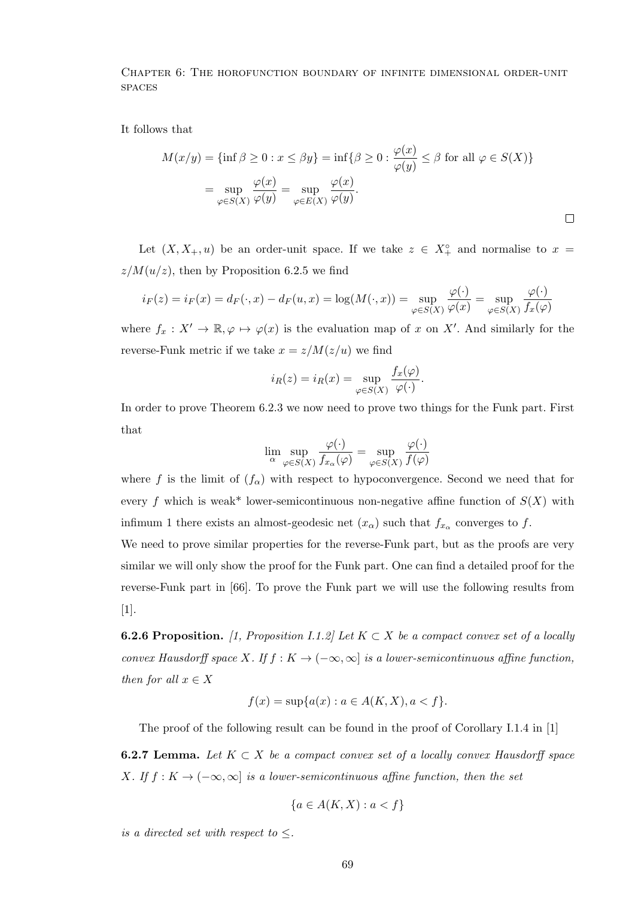It follows that

$$
M(x/y) = \{\inf \beta \ge 0 : x \le \beta y\} = \inf \{\beta \ge 0 : \frac{\varphi(x)}{\varphi(y)} \le \beta \text{ for all } \varphi \in S(X)\}
$$

$$
= \sup_{\varphi \in S(X)} \frac{\varphi(x)}{\varphi(y)} = \sup_{\varphi \in E(X)} \frac{\varphi(x)}{\varphi(y)}.
$$

Let  $(X, X_+, u)$  be an order-unit space. If we take  $z \in X_+^{\circ}$  and normalise to  $x =$  $z/M(u/z)$ , then by Proposition 6.2.5 we find

$$
i_F(z) = i_F(x) = d_F(\cdot, x) - d_F(u, x) = \log(M(\cdot, x)) = \sup_{\varphi \in S(X)} \frac{\varphi(\cdot)}{\varphi(x)} = \sup_{\varphi \in S(X)} \frac{\varphi(\cdot)}{f_x(\varphi)}
$$

where  $f_x: X' \to \mathbb{R}, \varphi \mapsto \varphi(x)$  is the evaluation map of x on X'. And similarly for the reverse-Funk metric if we take  $x = z/M(z/u)$  we find

$$
i_R(z) = i_R(x) = \sup_{\varphi \in S(X)} \frac{f_x(\varphi)}{\varphi(\cdot)}.
$$

In order to prove Theorem 6.2.3 we now need to prove two things for the Funk part. First that

$$
\lim_{\alpha} \sup_{\varphi \in S(X)} \frac{\varphi(\cdot)}{f_{x_{\alpha}}(\varphi)} = \sup_{\varphi \in S(X)} \frac{\varphi(\cdot)}{f(\varphi)}
$$

where f is the limit of  $(f_{\alpha})$  with respect to hypoconvergence. Second we need that for every f which is weak\* lower-semicontinuous non-negative affine function of  $S(X)$  with infimum 1 there exists an almost-geodesic net  $(x_{\alpha})$  such that  $f_{x_{\alpha}}$  converges to f.

We need to prove similar properties for the reverse-Funk part, but as the proofs are very similar we will only show the proof for the Funk part. One can find a detailed proof for the reverse-Funk part in [66]. To prove the Funk part we will use the following results from [1].

**6.2.6 Proposition.** [1, Proposition I.1.2] Let  $K \subset X$  be a compact convex set of a locally convex Hausdorff space X. If  $f : K \to (-\infty, \infty]$  is a lower-semicontinuous affine function, then for all  $x \in X$ 

$$
f(x) = \sup \{ a(x) : a \in A(K, X), a < f \}.
$$

The proof of the following result can be found in the proof of Corollary I.1.4 in [1]

**6.2.7 Lemma.** Let  $K \subset X$  be a compact convex set of a locally convex Hausdorff space X. If  $f: K \to (-\infty, \infty]$  is a lower-semicontinuous affine function, then the set

$$
\{a \in A(K, X) : a < f\}
$$

is a directed set with respect to  $\leq$ .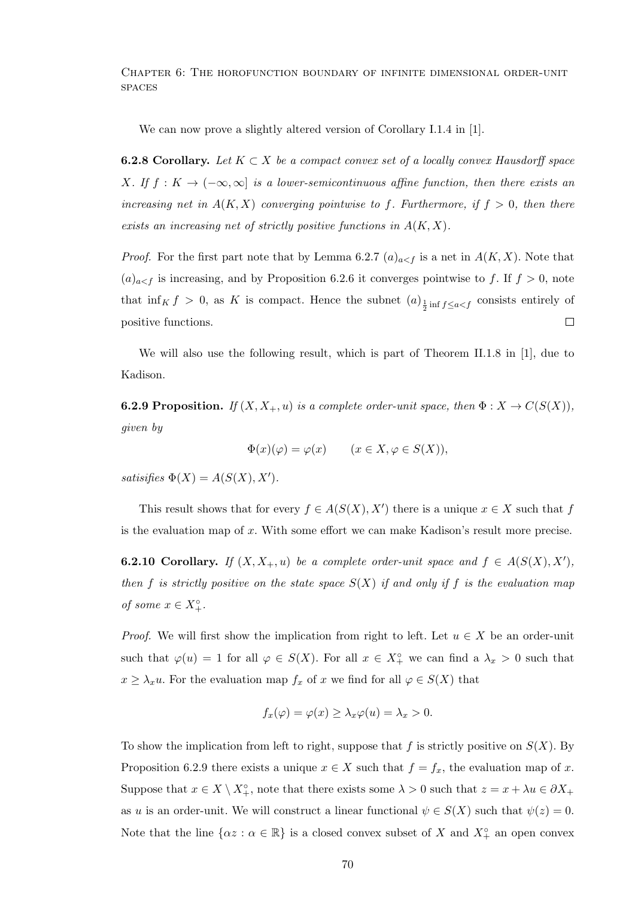We can now prove a slightly altered version of Corollary I.1.4 in [1].

**6.2.8 Corollary.** Let  $K \subset X$  be a compact convex set of a locally convex Hausdorff space X. If  $f: K \to (-\infty, \infty]$  is a lower-semicontinuous affine function, then there exists an increasing net in  $A(K, X)$  converging pointwise to f. Furthermore, if  $f > 0$ , then there exists an increasing net of strictly positive functions in  $A(K, X)$ .

*Proof.* For the first part note that by Lemma 6.2.7  $(a)_{a \leq f}$  is a net in  $A(K, X)$ . Note that  $(a)_{a \leq f}$  is increasing, and by Proposition 6.2.6 it converges pointwise to f. If  $f > 0$ , note that  $\inf_K f > 0$ , as K is compact. Hence the subnet  $(a)_{\frac{1}{2} \text{ inf } f \leq a < f}$  consists entirely of positive functions.  $\Box$ 

We will also use the following result, which is part of Theorem II.1.8 in [1], due to Kadison.

**6.2.9 Proposition.** If  $(X, X_+, u)$  is a complete order-unit space, then  $\Phi : X \to C(S(X))$ , given by

$$
\Phi(x)(\varphi) = \varphi(x) \qquad (x \in X, \varphi \in S(X)),
$$

satisifies  $\Phi(X) = A(S(X), X').$ 

This result shows that for every  $f \in A(S(X), X')$  there is a unique  $x \in X$  such that f is the evaluation map of  $x$ . With some effort we can make Kadison's result more precise.

**6.2.10 Corollary.** If  $(X, X_+, u)$  be a complete order-unit space and  $f \in A(S(X), X')$ , then f is strictly positive on the state space  $S(X)$  if and only if f is the evaluation map of some  $x \in X_{+}^{\circ}$ .

*Proof.* We will first show the implication from right to left. Let  $u \in X$  be an order-unit such that  $\varphi(u) = 1$  for all  $\varphi \in S(X)$ . For all  $x \in X^{\circ}_+$  we can find a  $\lambda_x > 0$  such that  $x \geq \lambda_x u$ . For the evaluation map  $f_x$  of x we find for all  $\varphi \in S(X)$  that

$$
f_x(\varphi) = \varphi(x) \ge \lambda_x \varphi(u) = \lambda_x > 0.
$$

To show the implication from left to right, suppose that f is strictly positive on  $S(X)$ . By Proposition 6.2.9 there exists a unique  $x \in X$  such that  $f = f_x$ , the evaluation map of x. Suppose that  $x \in X \setminus X^{\circ}_{+}$ , note that there exists some  $\lambda > 0$  such that  $z = x + \lambda u \in \partial X_{+}$ as u is an order-unit. We will construct a linear functional  $\psi \in S(X)$  such that  $\psi(z) = 0$ . Note that the line  $\{\alpha z : \alpha \in \mathbb{R}\}\$  is a closed convex subset of X and  $X^{\circ}_+$  an open convex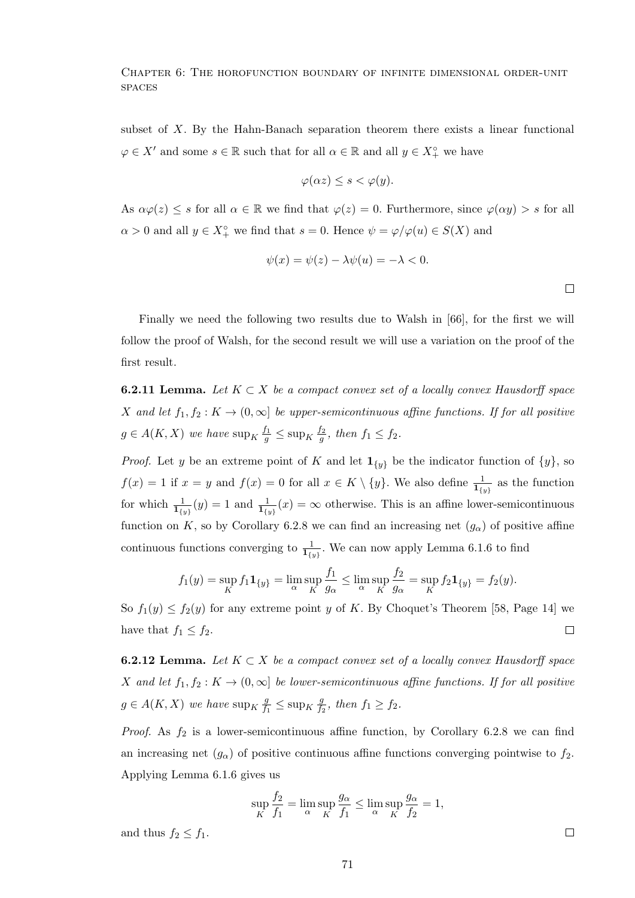subset of  $X$ . By the Hahn-Banach separation theorem there exists a linear functional  $\varphi \in X'$  and some  $s \in \mathbb{R}$  such that for all  $\alpha \in \mathbb{R}$  and all  $y \in X_+^{\circ}$  we have

$$
\varphi(\alpha z) \le s < \varphi(y).
$$

As  $\alpha\varphi(z) \leq s$  for all  $\alpha \in \mathbb{R}$  we find that  $\varphi(z) = 0$ . Furthermore, since  $\varphi(\alpha y) > s$  for all  $\alpha > 0$  and all  $y \in X_+^{\circ}$  we find that  $s = 0$ . Hence  $\psi = \varphi/\varphi(u) \in S(X)$  and

$$
\psi(x) = \psi(z) - \lambda \psi(u) = -\lambda < 0.
$$

 $\Box$ 

Finally we need the following two results due to Walsh in [66], for the first we will follow the proof of Walsh, for the second result we will use a variation on the proof of the first result.

**6.2.11 Lemma.** Let  $K \subset X$  be a compact convex set of a locally convex Hausdorff space X and let  $f_1, f_2: K \to (0, \infty]$  be upper-semicontinuous affine functions. If for all positive  $g \in A(K, X)$  we have  $\sup_K \frac{f_1}{g} \leq \sup_K \frac{f_2}{g}$  $\frac{f_2}{g}$ , then  $f_1 \leq f_2$ .

*Proof.* Let y be an extreme point of K and let  $\mathbf{1}_{\{y\}}$  be the indicator function of  $\{y\}$ , so  $f(x) = 1$  if  $x = y$  and  $f(x) = 0$  for all  $x \in K \setminus \{y\}$ . We also define  $\frac{1}{1_{\{y\}}}$  as the function for which  $\frac{1}{\mathbf{1}_{\{y\}}}(y) = 1$  and  $\frac{1}{\mathbf{1}_{\{y\}}}(x) = \infty$  otherwise. This is an affine lower-semicontinuous function on K, so by Corollary 6.2.8 we can find an increasing net  $(g_{\alpha})$  of positive affine continuous functions converging to  $\frac{1}{\mathbf{1}_{\{y\}}}$ . We can now apply Lemma 6.1.6 to find

$$
f_1(y) = \sup_K f_1 \mathbf{1}_{\{y\}} = \lim_{\alpha} \sup_K \frac{f_1}{g_{\alpha}} \le \lim_{\alpha} \sup_K \frac{f_2}{g_{\alpha}} = \sup_K f_2 \mathbf{1}_{\{y\}} = f_2(y).
$$

So  $f_1(y) \le f_2(y)$  for any extreme point y of K. By Choquet's Theorem [58, Page 14] we have that  $f_1 \leq f_2$ .  $\Box$ 

**6.2.12 Lemma.** Let  $K \subset X$  be a compact convex set of a locally convex Hausdorff space X and let  $f_1, f_2: K \to (0, \infty]$  be lower-semicontinuous affine functions. If for all positive  $g \in A(K, X)$  we have  $\sup_K \frac{g}{f}$  $\frac{g}{f_1} \leq \sup_K \frac{g}{f_2}$  $\frac{g}{f_2}$ , then  $f_1 \ge f_2$ .

*Proof.* As  $f_2$  is a lower-semicontinuous affine function, by Corollary 6.2.8 we can find an increasing net  $(g_{\alpha})$  of positive continuous affine functions converging pointwise to  $f_2$ . Applying Lemma 6.1.6 gives us

$$
\sup_{K} \frac{f_2}{f_1} = \lim_{\alpha} \sup_{K} \frac{g_{\alpha}}{f_1} \le \lim_{\alpha} \sup_{K} \frac{g_{\alpha}}{f_2} = 1,
$$

and thus  $f_2 \leq f_1$ .

 $\Box$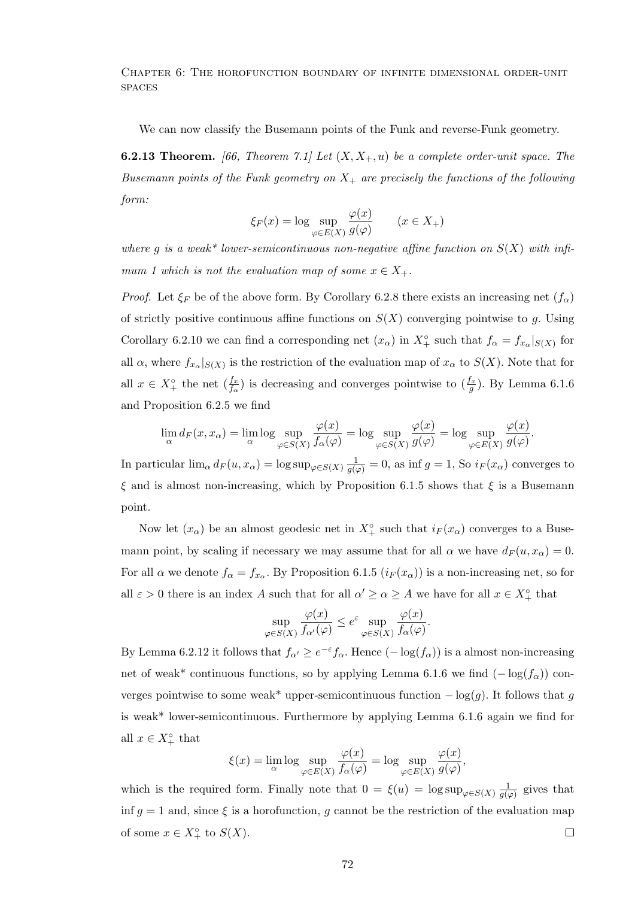We can now classify the Busemann points of the Funk and reverse-Funk geometry.

**6.2.13 Theorem.** [66, Theorem 7.1] Let  $(X, X_+, u)$  be a complete order-unit space. The Busemann points of the Funk geometry on  $X_+$  are precisely the functions of the following form:

$$
\xi_F(x) = \log \sup_{\varphi \in E(X)} \frac{\varphi(x)}{g(\varphi)} \qquad (x \in X_+)
$$

where g is a weak\* lower-semicontinuous non-negative affine function on  $S(X)$  with infimum 1 which is not the evaluation map of some  $x \in X_+$ .

*Proof.* Let  $\xi_F$  be of the above form. By Corollary 6.2.8 there exists an increasing net  $(f_\alpha)$ of strictly positive continuous affine functions on  $S(X)$  converging pointwise to g. Using Corollary 6.2.10 we can find a corresponding net  $(x_{\alpha})$  in  $X^{\circ}_{+}$  such that  $f_{\alpha} = f_{x_{\alpha}}|_{S(X)}$  for all  $\alpha$ , where  $f_{x_{\alpha}}|_{S(X)}$  is the restriction of the evaluation map of  $x_{\alpha}$  to  $S(X)$ . Note that for all  $x \in X_+^{\circ}$  the net  $(\frac{f_x}{f_{\alpha}})$  is decreasing and converges pointwise to  $(\frac{f_x}{g})$ . By Lemma 6.1.6 and Proposition 6.2.5 we find

$$
\lim_{\alpha} d_F(x, x_{\alpha}) = \lim_{\alpha} \log \sup_{\varphi \in S(X)} \frac{\varphi(x)}{f_{\alpha}(\varphi)} = \log \sup_{\varphi \in S(X)} \frac{\varphi(x)}{g(\varphi)} = \log \sup_{\varphi \in E(X)} \frac{\varphi(x)}{g(\varphi)}.
$$

In particular  $\lim_{\alpha} d_F(u, x_{\alpha}) = \log \sup_{\varphi \in S(X)} \frac{1}{g(\varphi)} = 0$ , as  $\inf g = 1$ , So  $i_F(x_{\alpha})$  converges to  $\xi$  and is almost non-increasing, which by Proposition 6.1.5 shows that  $\xi$  is a Busemann point.

Now let  $(x_{\alpha})$  be an almost geodesic net in  $X^{\circ}_{+}$  such that  $i_{F}(x_{\alpha})$  converges to a Busemann point, by scaling if necessary we may assume that for all  $\alpha$  we have  $d_F(u, x_\alpha) = 0$ . For all  $\alpha$  we denote  $f_{\alpha} = f_{x_{\alpha}}$ . By Proposition 6.1.5  $(i_F(x_{\alpha}))$  is a non-increasing net, so for all  $\varepsilon > 0$  there is an index A such that for all  $\alpha' \geq \alpha \geq A$  we have for all  $x \in X_+^{\circ}$  that

$$
\sup_{\varphi \in S(X)} \frac{\varphi(x)}{f_{\alpha'}(\varphi)} \le e^{\varepsilon} \sup_{\varphi \in S(X)} \frac{\varphi(x)}{f_{\alpha}(\varphi)}.
$$

By Lemma 6.2.12 it follows that  $f_{\alpha'} \geq e^{-\varepsilon} f_{\alpha}$ . Hence  $(-\log(f_{\alpha}))$  is a almost non-increasing net of weak\* continuous functions, so by applying Lemma 6.1.6 we find  $(-\log(f_{\alpha}))$  converges pointwise to some weak\* upper-semicontinuous function  $-\log(g)$ . It follows that g is weak\* lower-semicontinuous. Furthermore by applying Lemma 6.1.6 again we find for all  $x \in X_+^{\circ}$  that  $\lambda$  $\lambda$ 

$$
\xi(x) = \lim_{\alpha} \log \sup_{\varphi \in E(X)} \frac{\varphi(x)}{f_{\alpha}(\varphi)} = \log \sup_{\varphi \in E(X)} \frac{\varphi(x)}{g(\varphi)},
$$

which is the required form. Finally note that  $0 = \xi(u) = \log \sup_{\varphi \in S(X)} \frac{1}{g(x)}$  $\frac{1}{g(\varphi)}$  gives that inf  $q = 1$  and, since  $\xi$  is a horofunction, q cannot be the restriction of the evaluation map of some  $x \in X_+^{\circ}$  to  $S(X)$ .  $\Box$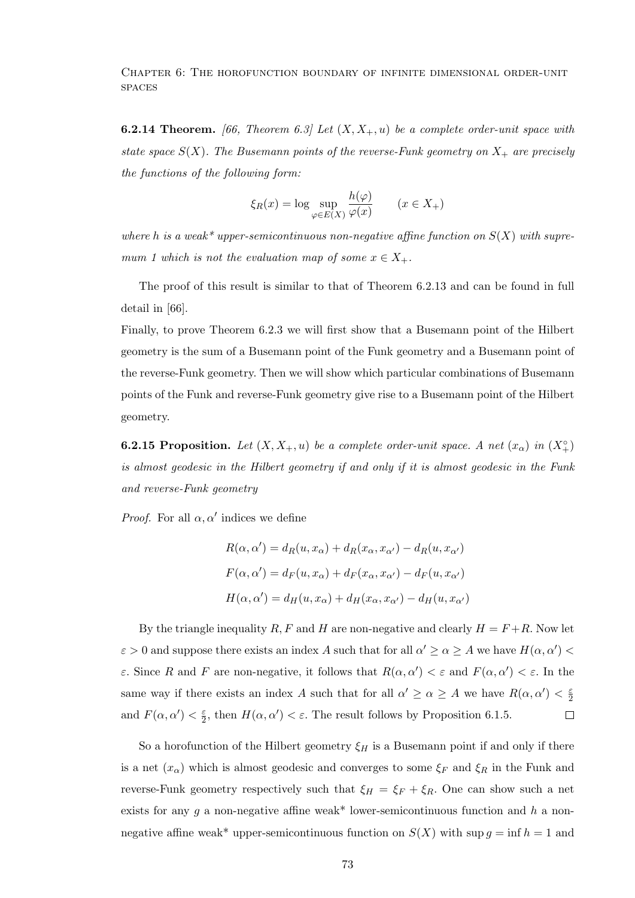**6.2.14 Theorem.** [66, Theorem 6.3] Let  $(X, X_+, u)$  be a complete order-unit space with state space  $S(X)$ . The Busemann points of the reverse-Funk geometry on  $X_+$  are precisely the functions of the following form:

$$
\xi_R(x) = \log \sup_{\varphi \in E(X)} \frac{h(\varphi)}{\varphi(x)} \qquad (x \in X_+)
$$

where h is a weak\* upper-semicontinuous non-negative affine function on  $S(X)$  with supremum 1 which is not the evaluation map of some  $x \in X_+$ .

The proof of this result is similar to that of Theorem 6.2.13 and can be found in full detail in [66].

Finally, to prove Theorem 6.2.3 we will first show that a Busemann point of the Hilbert geometry is the sum of a Busemann point of the Funk geometry and a Busemann point of the reverse-Funk geometry. Then we will show which particular combinations of Busemann points of the Funk and reverse-Funk geometry give rise to a Busemann point of the Hilbert geometry.

**6.2.15 Proposition.** Let  $(X, X_+, u)$  be a complete order-unit space. A net  $(x_\alpha)$  in  $(X_+^{\circ})$ is almost geodesic in the Hilbert geometry if and only if it is almost geodesic in the Funk and reverse-Funk geometry

*Proof.* For all  $\alpha, \alpha'$  indices we define

$$
R(\alpha, \alpha') = d_R(u, x_{\alpha}) + d_R(x_{\alpha}, x_{\alpha'}) - d_R(u, x_{\alpha'})
$$
  

$$
F(\alpha, \alpha') = d_F(u, x_{\alpha}) + d_F(x_{\alpha}, x_{\alpha'}) - d_F(u, x_{\alpha'})
$$
  

$$
H(\alpha, \alpha') = d_H(u, x_{\alpha}) + d_H(x_{\alpha}, x_{\alpha'}) - d_H(u, x_{\alpha'})
$$

By the triangle inequality R, F and H are non-negative and clearly  $H = F + R$ . Now let  $\varepsilon > 0$  and suppose there exists an index A such that for all  $\alpha' \geq \alpha \geq A$  we have  $H(\alpha, \alpha') <$ ε. Since R and F are non-negative, it follows that  $R(\alpha, \alpha') < \varepsilon$  and  $F(\alpha, \alpha') < \varepsilon$ . In the same way if there exists an index A such that for all  $\alpha' \geq \alpha \geq A$  we have  $R(\alpha, \alpha') < \frac{\varepsilon}{2}$ 2 and  $F(\alpha, \alpha') < \frac{\varepsilon}{2}$  $\frac{\varepsilon}{2}$ , then  $H(\alpha, \alpha') < \varepsilon$ . The result follows by Proposition 6.1.5.  $\Box$ 

So a horofunction of the Hilbert geometry  $\xi_H$  is a Busemann point if and only if there is a net  $(x_{\alpha})$  which is almost geodesic and converges to some  $\xi_F$  and  $\xi_R$  in the Funk and reverse-Funk geometry respectively such that  $\xi_H = \xi_F + \xi_R$ . One can show such a net exists for any g a non-negative affine weak\* lower-semicontinuous function and h a nonnegative affine weak\* upper-semicontinuous function on  $S(X)$  with sup  $g = \inf h = 1$  and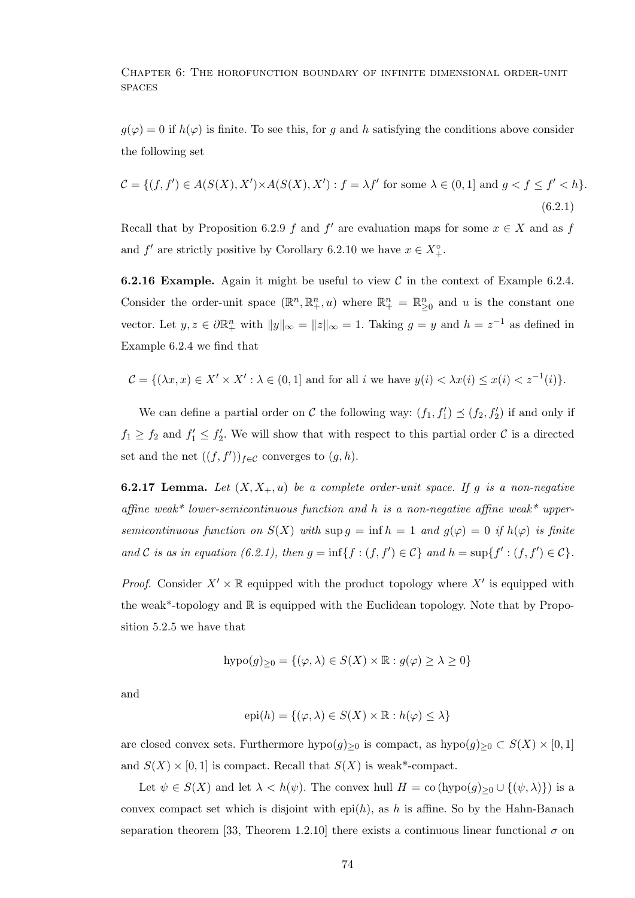$g(\varphi) = 0$  if  $h(\varphi)$  is finite. To see this, for g and h satisfying the conditions above consider the following set

$$
\mathcal{C} = \{(f, f') \in A(S(X), X') \times A(S(X), X') : f = \lambda f' \text{ for some } \lambda \in (0, 1] \text{ and } g < f \le f' < h\}.\tag{6.2.1}
$$

Recall that by Proposition 6.2.9 f and f' are evaluation maps for some  $x \in X$  and as f and  $f'$  are strictly positive by Corollary 6.2.10 we have  $x \in X^{\circ}_{+}$ .

**6.2.16 Example.** Again it might be useful to view  $\mathcal C$  in the context of Example 6.2.4. Consider the order-unit space  $(\mathbb{R}^n, \mathbb{R}^n_+, u)$  where  $\mathbb{R}^n_+ = \mathbb{R}^n_{\geq 0}$  and u is the constant one vector. Let  $y, z \in \partial \mathbb{R}^n_+$  with  $||y||_{\infty} = ||z||_{\infty} = 1$ . Taking  $g = y$  and  $h = z^{-1}$  as defined in Example 6.2.4 we find that

$$
\mathcal{C} = \{ (\lambda x, x) \in X' \times X' : \lambda \in (0, 1] \text{ and for all } i \text{ we have } y(i) < \lambda x(i) \leq x(i) < z^{-1}(i) \}.
$$

We can define a partial order on C the following way:  $(f_1, f'_1) \preceq (f_2, f'_2)$  if and only if  $f_1 \geq f_2$  and  $f_1' \leq f_2'$ . We will show that with respect to this partial order C is a directed set and the net  $((f, f'))_{f \in \mathcal{C}}$  converges to  $(g, h)$ .

**6.2.17 Lemma.** Let  $(X, X_+, u)$  be a complete order-unit space. If g is a non-negative affine weak\* lower-semicontinuous function and h is a non-negative affine weak\* uppersemicontinuous function on  $S(X)$  with  $\sup g = \inf h = 1$  and  $g(\varphi) = 0$  if  $h(\varphi)$  is finite and C is as in equation (6.2.1), then  $g = \inf\{f : (f, f') \in C\}$  and  $h = \sup\{f' : (f, f') \in C\}$ .

*Proof.* Consider  $X' \times \mathbb{R}$  equipped with the product topology where  $X'$  is equipped with the weak\*-topology and R is equipped with the Euclidean topology. Note that by Proposition 5.2.5 we have that

$$
hypo(g)_{\geq 0} = \{(\varphi, \lambda) \in S(X) \times \mathbb{R} : g(\varphi) \geq \lambda \geq 0\}
$$

and

$$
epi(h) = \{ (\varphi, \lambda) \in S(X) \times \mathbb{R} : h(\varphi) \le \lambda \}
$$

are closed convex sets. Furthermore  $hypo(g)_{\geq 0}$  is compact, as  $hypo(g)_{\geq 0} \subset S(X) \times [0,1]$ and  $S(X) \times [0, 1]$  is compact. Recall that  $S(X)$  is weak\*-compact.

Let  $\psi \in S(X)$  and let  $\lambda < h(\psi)$ . The convex hull  $H = \text{co (hypo}(g)_{\geq 0} \cup \{(\psi, \lambda)\})$  is a convex compact set which is disjoint with epi(h), as h is affine. So by the Hahn-Banach separation theorem [33, Theorem 1.2.10] there exists a continuous linear functional  $\sigma$  on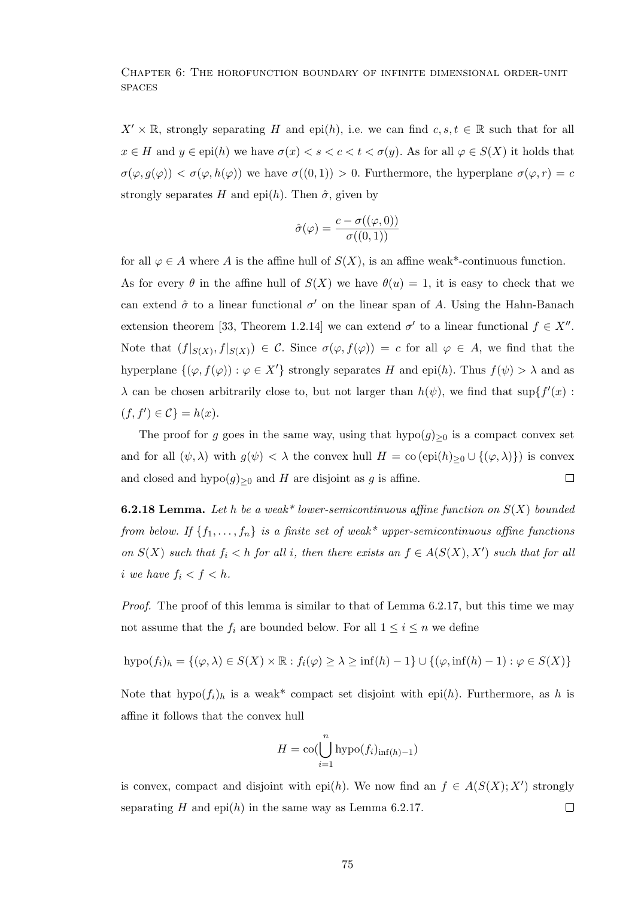$X' \times \mathbb{R}$ , strongly separating H and epi(h), i.e. we can find  $c, s, t \in \mathbb{R}$  such that for all  $x \in H$  and  $y \in \text{epi}(h)$  we have  $\sigma(x) < s < c < t < \sigma(y)$ . As for all  $\varphi \in S(X)$  it holds that  $\sigma(\varphi, g(\varphi)) < \sigma(\varphi, h(\varphi))$  we have  $\sigma((0,1)) > 0$ . Furthermore, the hyperplane  $\sigma(\varphi, r) = c$ strongly separates H and epi(h). Then  $\hat{\sigma}$ , given by

$$
\hat{\sigma}(\varphi) = \frac{c - \sigma((\varphi, 0))}{\sigma((0, 1))}
$$

for all  $\varphi \in A$  where A is the affine hull of  $S(X)$ , is an affine weak\*-continuous function.

As for every  $\theta$  in the affine hull of  $S(X)$  we have  $\theta(u) = 1$ , it is easy to check that we can extend  $\hat{\sigma}$  to a linear functional  $\sigma'$  on the linear span of A. Using the Hahn-Banach extension theorem [33, Theorem 1.2.14] we can extend  $\sigma'$  to a linear functional  $f \in X''$ . Note that  $(f|_{S(X)}, f|_{S(X)}) \in \mathcal{C}$ . Since  $\sigma(\varphi, f(\varphi)) = c$  for all  $\varphi \in A$ , we find that the hyperplane  $\{(\varphi, f(\varphi)) : \varphi \in X'\}$  strongly separates H and epi(h). Thus  $f(\psi) > \lambda$  and as  $\lambda$  can be chosen arbitrarily close to, but not larger than  $h(\psi)$ , we find that sup $\{f'(x)$ :  $(f, f') \in \mathcal{C}$  =  $h(x)$ .

The proof for g goes in the same way, using that  $hypo(g)_{\geq 0}$  is a compact convex set and for all  $(\psi, \lambda)$  with  $g(\psi) < \lambda$  the convex hull  $H = \text{co }(\text{epi}(h)_{\geq 0} \cup \{(\varphi, \lambda)\})$  is convex  $\Box$ and closed and hypo $(g)_{\geq 0}$  and H are disjoint as g is affine.

**6.2.18 Lemma.** Let h be a weak\* lower-semicontinuous affine function on  $S(X)$  bounded from below. If  $\{f_1, \ldots, f_n\}$  is a finite set of weak\* upper-semicontinuous affine functions on  $S(X)$  such that  $f_i < h$  for all i, then there exists an  $f \in A(S(X), X')$  such that for all i we have  $f_i < f < h$ .

Proof. The proof of this lemma is similar to that of Lemma 6.2.17, but this time we may not assume that the  $f_i$  are bounded below. For all  $1 \leq i \leq n$  we define

$$
hypo(f_i)_h = \{(\varphi, \lambda) \in S(X) \times \mathbb{R} : f_i(\varphi) \ge \lambda \ge \inf(h) - 1\} \cup \{(\varphi, \inf(h) - 1) : \varphi \in S(X)\}\
$$

Note that  $hypo(f_i)_h$  is a weak\* compact set disjoint with epi(h). Furthermore, as h is affine it follows that the convex hull

$$
H = \operatorname{co}(\bigcup_{i=1}^{n} \operatorname{hypo}(f_i)_{\inf(h)-1})
$$

is convex, compact and disjoint with epi(h). We now find an  $f \in A(S(X); X')$  strongly separating H and epi(h) in the same way as Lemma 6.2.17.  $\Box$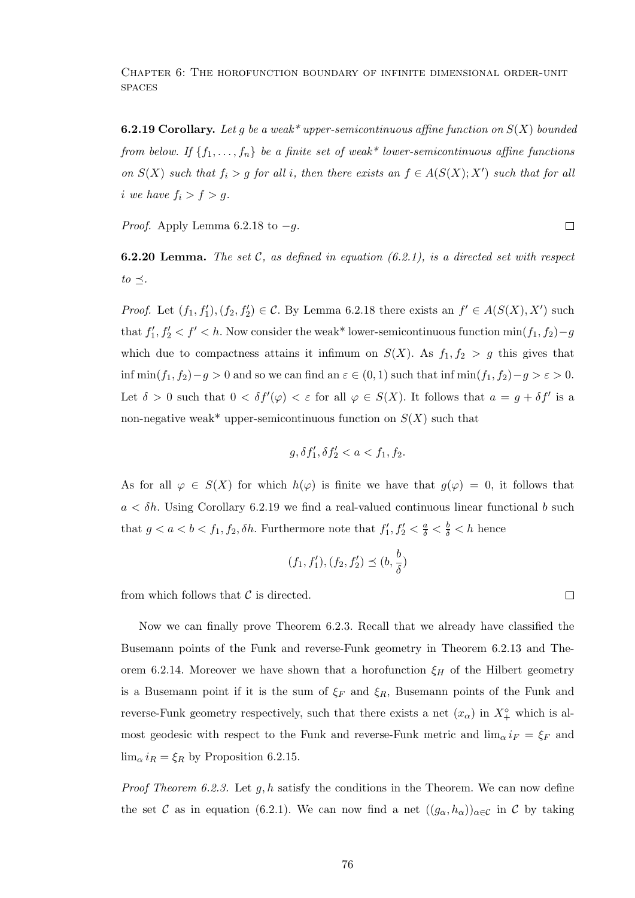**6.2.19 Corollary.** Let g be a weak\* upper-semicontinuous affine function on  $S(X)$  bounded from below. If  $\{f_1, \ldots, f_n\}$  be a finite set of weak\* lower-semicontinuous affine functions on  $S(X)$  such that  $f_i > g$  for all i, then there exists an  $f \in A(S(X); X')$  such that for all i we have  $f_i > f > g$ .

*Proof.* Apply Lemma 6.2.18 to  $-g$ .

**6.2.20 Lemma.** The set  $C$ , as defined in equation (6.2.1), is a directed set with respect  $to \prec$ .

*Proof.* Let  $(f_1, f'_1), (f_2, f'_2) \in \mathcal{C}$ . By Lemma 6.2.18 there exists an  $f' \in A(S(X), X')$  such that  $f'_1, f'_2 < f' < h$ . Now consider the weak\* lower-semicontinuous function  $\min(f_1, f_2) - g$ which due to compactness attains it infimum on  $S(X)$ . As  $f_1, f_2 > g$  this gives that inf min $(f_1, f_2) - g > 0$  and so we can find an  $\varepsilon \in (0, 1)$  such that inf min $(f_1, f_2) - g > \varepsilon > 0$ . Let  $\delta > 0$  such that  $0 < \delta f'(\varphi) < \varepsilon$  for all  $\varphi \in S(X)$ . It follows that  $a = g + \delta f'$  is a non-negative weak\* upper-semicontinuous function on  $S(X)$  such that

$$
g,\delta f_1',\delta f_2'
$$

As for all  $\varphi \in S(X)$  for which  $h(\varphi)$  is finite we have that  $g(\varphi) = 0$ , it follows that  $a < \delta h$ . Using Corollary 6.2.19 we find a real-valued continuous linear functional b such that  $g < a < b < f_1, f_2, \delta h$ . Furthermore note that  $f'_1, f'_2 < \frac{a}{\delta} < \frac{b}{\delta} < h$  hence

$$
(f_1, f_1'), (f_2, f_2') \preceq (b, \frac{b}{\delta})
$$

from which follows that  $\mathcal C$  is directed.

Now we can finally prove Theorem 6.2.3. Recall that we already have classified the Busemann points of the Funk and reverse-Funk geometry in Theorem 6.2.13 and Theorem 6.2.14. Moreover we have shown that a horofunction  $\xi_H$  of the Hilbert geometry is a Busemann point if it is the sum of  $\xi_F$  and  $\xi_R$ , Busemann points of the Funk and reverse-Funk geometry respectively, such that there exists a net  $(x_{\alpha})$  in  $X^{\circ}_{+}$  which is almost geodesic with respect to the Funk and reverse-Funk metric and  $\lim_{\alpha} i_F = \xi_F$  and  $\lim_{\alpha} i_R = \xi_R$  by Proposition 6.2.15.

*Proof Theorem 6.2.3.* Let  $q, h$  satisfy the conditions in the Theorem. We can now define the set C as in equation (6.2.1). We can now find a net  $((g_{\alpha}, h_{\alpha}))_{\alpha \in \mathcal{C}}$  in C by taking

 $\Box$ 

 $\Box$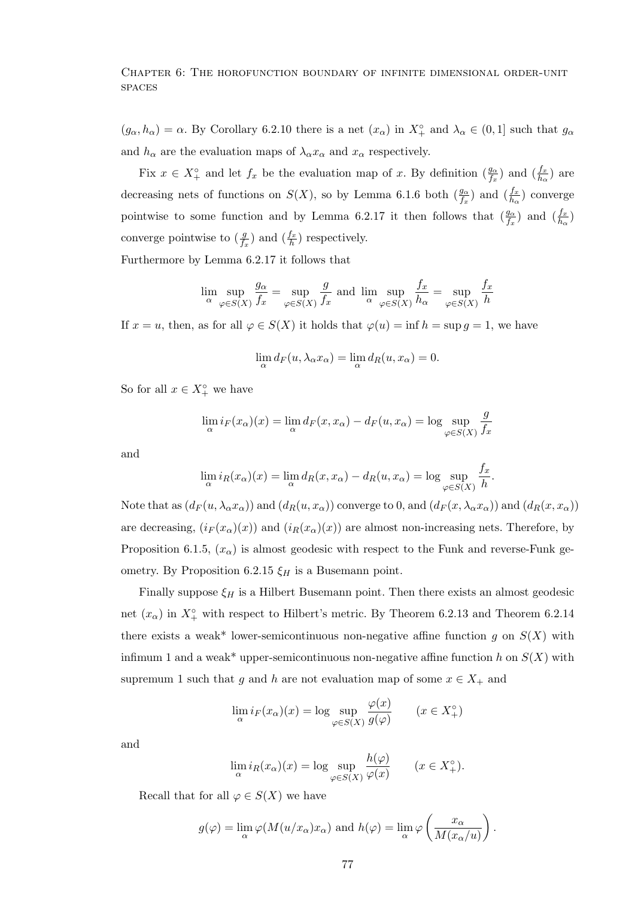$(g_{\alpha}, h_{\alpha}) = \alpha$ . By Corollary 6.2.10 there is a net  $(x_{\alpha})$  in  $X^{\circ}_{+}$  and  $\lambda_{\alpha} \in (0, 1]$  such that  $g_{\alpha}$ and  $h_{\alpha}$  are the evaluation maps of  $\lambda_{\alpha} x_{\alpha}$  and  $x_{\alpha}$  respectively.

Fix  $x \in X_+^{\circ}$  and let  $f_x$  be the evaluation map of x. By definition  $(\frac{g_{\alpha}}{f_x})$  and  $(\frac{f_x}{h_{\alpha}})$  are decreasing nets of functions on  $S(X)$ , so by Lemma 6.1.6 both  $(\frac{g_{\alpha}}{f_x})$  and  $(\frac{f_x}{h_{\alpha}})$  converge pointwise to some function and by Lemma 6.2.17 it then follows that  $(\frac{g_{\alpha}}{f_x})$  and  $(\frac{f_x}{h_{\alpha}})$ converge pointwise to  $(\frac{g}{f_x})$  and  $(\frac{f_x}{h})$  respectively.

Furthermore by Lemma 6.2.17 it follows that

$$
\lim_{\alpha} \sup_{\varphi \in S(X)} \frac{g_{\alpha}}{f_x} = \sup_{\varphi \in S(X)} \frac{g}{f_x}
$$
 and 
$$
\lim_{\alpha} \sup_{\varphi \in S(X)} \frac{f_x}{h_{\alpha}} = \sup_{\varphi \in S(X)} \frac{f_x}{h}
$$

If  $x = u$ , then, as for all  $\varphi \in S(X)$  it holds that  $\varphi(u) = \inf h = \sup g = 1$ , we have

$$
\lim_{\alpha} d_F(u, \lambda_{\alpha} x_{\alpha}) = \lim_{\alpha} d_R(u, x_{\alpha}) = 0.
$$

So for all  $x \in X_+^{\circ}$  we have

$$
\lim_{\alpha} i_F(x_{\alpha})(x) = \lim_{\alpha} d_F(x, x_{\alpha}) - d_F(u, x_{\alpha}) = \log \sup_{\varphi \in S(X)} \frac{g}{f_x}
$$

and

$$
\lim_{\alpha} i_R(x_{\alpha})(x) = \lim_{\alpha} d_R(x, x_{\alpha}) - d_R(u, x_{\alpha}) = \log \sup_{\varphi \in S(X)} \frac{f_x}{h}.
$$

Note that as  $(d_F(u, \lambda_\alpha x_\alpha))$  and  $(d_R(u, x_\alpha))$  converge to 0, and  $(d_F(x, \lambda_\alpha x_\alpha))$  and  $(d_R(x, x_\alpha))$ are decreasing,  $(i_F(x_\alpha)(x))$  and  $(i_R(x_\alpha)(x))$  are almost non-increasing nets. Therefore, by Proposition 6.1.5,  $(x_{\alpha})$  is almost geodesic with respect to the Funk and reverse-Funk geometry. By Proposition 6.2.15  $\xi_H$  is a Busemann point.

Finally suppose  $\xi_H$  is a Hilbert Busemann point. Then there exists an almost geodesic net  $(x_{\alpha})$  in  $X_{+}^{\circ}$  with respect to Hilbert's metric. By Theorem 6.2.13 and Theorem 6.2.14 there exists a weak\* lower-semicontinuous non-negative affine function g on  $S(X)$  with infimum 1 and a weak\* upper-semicontinuous non-negative affine function  $h$  on  $S(X)$  with supremum 1 such that g and h are not evaluation map of some  $x \in X_+$  and

$$
\lim_{\alpha} i_F(x_{\alpha})(x) = \log \sup_{\varphi \in S(X)} \frac{\varphi(x)}{g(\varphi)} \qquad (x \in X^{\circ}_{+})
$$

and

$$
\lim_{\alpha} i_R(x_{\alpha})(x) = \log \sup_{\varphi \in S(X)} \frac{h(\varphi)}{\varphi(x)} \qquad (x \in X^{\circ}_{+}).
$$

Recall that for all  $\varphi \in S(X)$  we have

$$
g(\varphi) = \lim_{\alpha} \varphi(M(u/x_{\alpha})x_{\alpha})
$$
 and  $h(\varphi) = \lim_{\alpha} \varphi\left(\frac{x_{\alpha}}{M(x_{\alpha}/u)}\right)$ .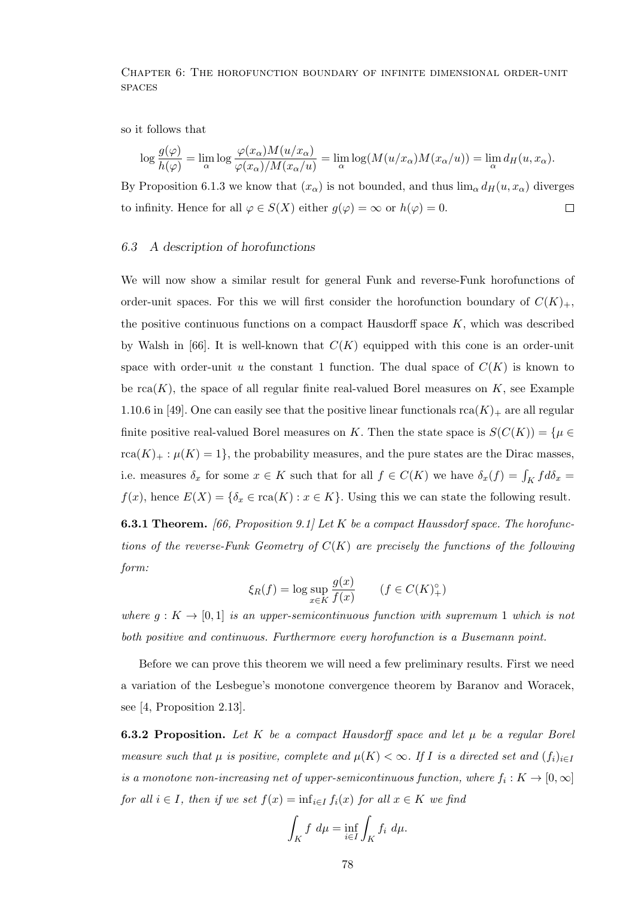so it follows that

$$
\log \frac{g(\varphi)}{h(\varphi)} = \lim_{\alpha} \log \frac{\varphi(x_{\alpha})M(u/x_{\alpha})}{\varphi(x_{\alpha})/M(x_{\alpha}/u)} = \lim_{\alpha} \log(M(u/x_{\alpha})M(x_{\alpha}/u)) = \lim_{\alpha} d_H(u,x_{\alpha}).
$$

By Proposition 6.1.3 we know that  $(x_{\alpha})$  is not bounded, and thus  $\lim_{\alpha} d_H(u, x_{\alpha})$  diverges to infinity. Hence for all  $\varphi \in S(X)$  either  $g(\varphi) = \infty$  or  $h(\varphi) = 0$ .  $\Box$ 

## 6.3 A description of horofunctions

We will now show a similar result for general Funk and reverse-Funk horofunctions of order-unit spaces. For this we will first consider the horofunction boundary of  $C(K)_+$ , the positive continuous functions on a compact Hausdorff space  $K$ , which was described by Walsh in [66]. It is well-known that  $C(K)$  equipped with this cone is an order-unit space with order-unit u the constant 1 function. The dual space of  $C(K)$  is known to be  $rca(K)$ , the space of all regular finite real-valued Borel measures on K, see Example 1.10.6 in [49]. One can easily see that the positive linear functionals  $rca(K)_+$  are all regular finite positive real-valued Borel measures on K. Then the state space is  $S(C(K)) = \{ \mu \in$  $rca(K)_+$ :  $\mu(K)=1$ , the probability measures, and the pure states are the Dirac masses, i.e. measures  $\delta_x$  for some  $x \in K$  such that for all  $f \in C(K)$  we have  $\delta_x(f) = \int_K f d\delta_x =$  $f(x)$ , hence  $E(X) = \{\delta_x \in \text{rca}(K) : x \in K\}$ . Using this we can state the following result.

**6.3.1 Theorem.** [66, Proposition 9.1] Let  $K$  be a compact Haussdorf space. The horofunctions of the reverse-Funk Geometry of  $C(K)$  are precisely the functions of the following form:

$$
\xi_R(f) = \log \sup_{x \in K} \frac{g(x)}{f(x)} \qquad (f \in C(K)_{+}^{\circ})
$$

where  $g: K \to [0, 1]$  is an upper-semicontinuous function with supremum 1 which is not both positive and continuous. Furthermore every horofunction is a Busemann point.

Before we can prove this theorem we will need a few preliminary results. First we need a variation of the Lesbegue's monotone convergence theorem by Baranov and Woracek, see [4, Proposition 2.13].

**6.3.2 Proposition.** Let K be a compact Hausdorff space and let  $\mu$  be a regular Borel measure such that  $\mu$  is positive, complete and  $\mu(K) < \infty$ . If I is a directed set and  $(f_i)_{i\in I}$ is a monotone non-increasing net of upper-semicontinuous function, where  $f_i: K \to [0,\infty]$ for all  $i \in I$ , then if we set  $f(x) = \inf_{i \in I} f_i(x)$  for all  $x \in K$  we find

$$
\int_K f \ d\mu = \inf_{i \in I} \int_K f_i \ d\mu.
$$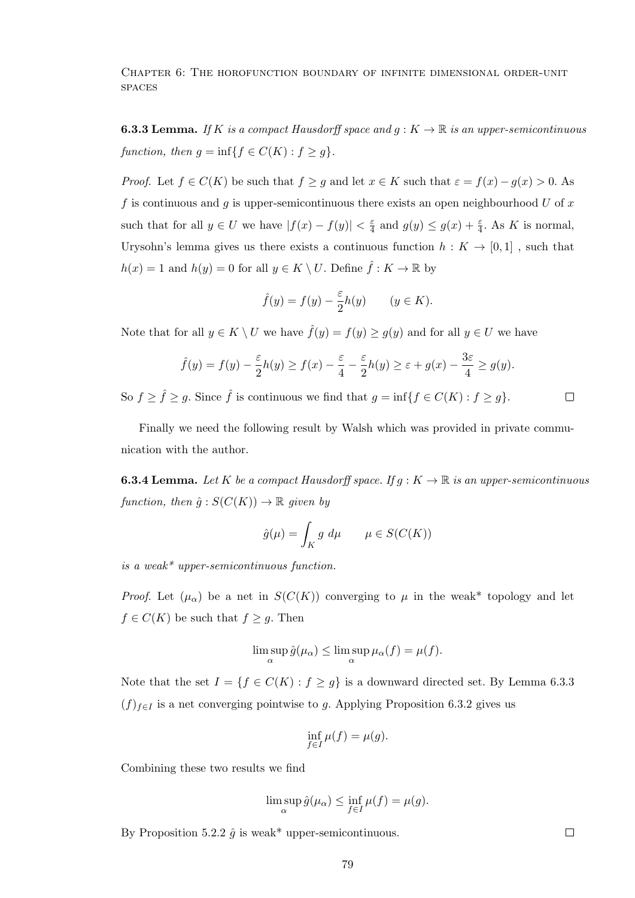**6.3.3 Lemma.** If K is a compact Hausdorff space and  $g: K \to \mathbb{R}$  is an upper-semicontinuous function, then  $g = \inf\{f \in C(K) : f \ge g\}.$ 

*Proof.* Let  $f \in C(K)$  be such that  $f \ge g$  and let  $x \in K$  such that  $\varepsilon = f(x) - g(x) > 0$ . As f is continuous and g is upper-semicontinuous there exists an open neighbourhood  $U$  of  $x$ such that for all  $y \in U$  we have  $|f(x) - f(y)| < \frac{\varepsilon}{4}$  $\frac{\varepsilon}{4}$  and  $g(y) \leq g(x) + \frac{\varepsilon}{4}$ . As K is normal, Urysohn's lemma gives us there exists a continuous function  $h: K \to [0,1]$ , such that  $h(x) = 1$  and  $h(y) = 0$  for all  $y \in K \setminus U$ . Define  $\hat{f} : K \to \mathbb{R}$  by

$$
\hat{f}(y) = f(y) - \frac{\varepsilon}{2}h(y) \qquad (y \in K).
$$

Note that for all  $y \in K \setminus U$  we have  $\hat{f}(y) = f(y) \ge g(y)$  and for all  $y \in U$  we have

$$
\hat{f}(y) = f(y) - \frac{\varepsilon}{2}h(y) \ge f(x) - \frac{\varepsilon}{4} - \frac{\varepsilon}{2}h(y) \ge \varepsilon + g(x) - \frac{3\varepsilon}{4} \ge g(y).
$$

So  $f \geq \hat{f} \geq g$ . Since  $\hat{f}$  is continuous we find that  $g = \inf\{f \in C(K) : f \geq g\}.$  $\Box$ 

Finally we need the following result by Walsh which was provided in private communication with the author.

**6.3.4 Lemma.** Let K be a compact Hausdorff space. If  $g: K \to \mathbb{R}$  is an upper-semicontinuous function, then  $\hat{g}: S(C(K)) \to \mathbb{R}$  given by

$$
\hat{g}(\mu) = \int_K g \, d\mu \qquad \mu \in S(C(K))
$$

is a weak\* upper-semicontinuous function.

*Proof.* Let  $(\mu_{\alpha})$  be a net in  $S(C(K))$  converging to  $\mu$  in the weak\* topology and let  $f \in C(K)$  be such that  $f \ge g$ . Then

$$
\limsup_{\alpha} \hat{g}(\mu_{\alpha}) \le \limsup_{\alpha} \mu_{\alpha}(f) = \mu(f).
$$

Note that the set  $I = \{f \in C(K) : f \ge g\}$  is a downward directed set. By Lemma 6.3.3  $(f)_{f\in I}$  is a net converging pointwise to g. Applying Proposition 6.3.2 gives us

$$
\inf_{f \in I} \mu(f) = \mu(g).
$$

Combining these two results we find

$$
\limsup_{\alpha} \hat{g}(\mu_{\alpha}) \le \inf_{f \in I} \mu(f) = \mu(g).
$$

By Proposition 5.2.2  $\hat{g}$  is weak\* upper-semicontinuous.

 $\Box$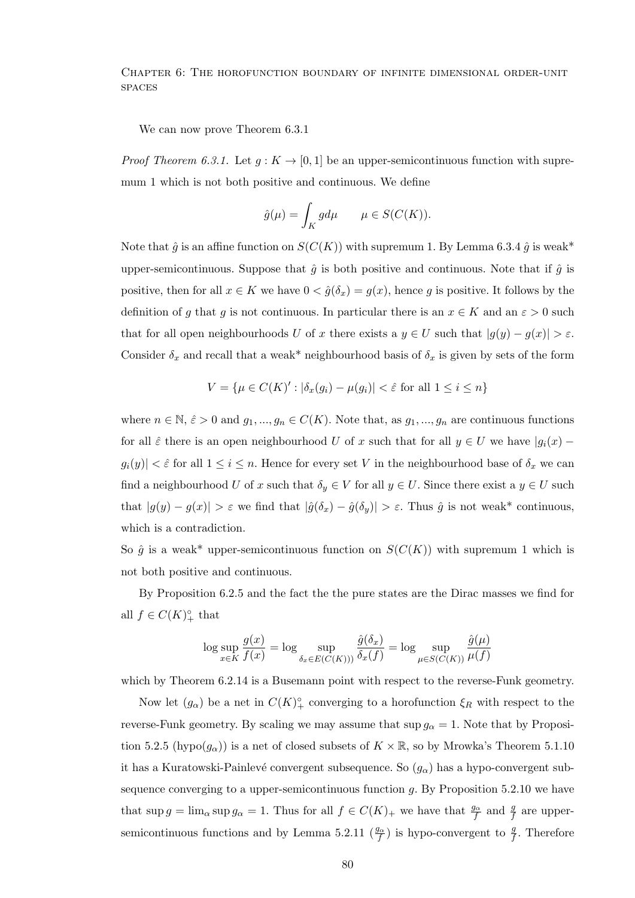We can now prove Theorem 6.3.1

*Proof Theorem 6.3.1.* Let  $g: K \to [0, 1]$  be an upper-semicontinuous function with supremum 1 which is not both positive and continuous. We define

$$
\hat{g}(\mu) = \int_K g d\mu \qquad \mu \in S(C(K)).
$$

Note that  $\hat{g}$  is an affine function on  $S(C(K))$  with supremum 1. By Lemma 6.3.4  $\hat{g}$  is weak\* upper-semicontinuous. Suppose that  $\hat{g}$  is both positive and continuous. Note that if  $\hat{g}$  is positive, then for all  $x \in K$  we have  $0 < \hat{g}(\delta_x) = g(x)$ , hence g is positive. It follows by the definition of g that g is not continuous. In particular there is an  $x \in K$  and an  $\varepsilon > 0$  such that for all open neighbourhoods U of x there exists a  $y \in U$  such that  $|g(y) - g(x)| > \varepsilon$ . Consider  $\delta_x$  and recall that a weak\* neighbourhood basis of  $\delta_x$  is given by sets of the form

$$
V = \{ \mu \in C(K)' : |\delta_x(g_i) - \mu(g_i)| < \hat{\varepsilon} \text{ for all } 1 \le i \le n \}
$$

where  $n \in \mathbb{N}, \hat{\varepsilon} > 0$  and  $g_1, ..., g_n \in C(K)$ . Note that, as  $g_1, ..., g_n$  are continuous functions for all  $\hat{\varepsilon}$  there is an open neighbourhood U of x such that for all  $y \in U$  we have  $|g_i(x) |g_i(y)| < \hat{\varepsilon}$  for all  $1 \leq i \leq n$ . Hence for every set V in the neighbourhood base of  $\delta_x$  we can find a neighbourhood U of x such that  $\delta_y \in V$  for all  $y \in U$ . Since there exist a  $y \in U$  such that  $|g(y) - g(x)| > \varepsilon$  we find that  $|\hat{g}(\delta_x) - \hat{g}(\delta_y)| > \varepsilon$ . Thus  $\hat{g}$  is not weak\* continuous, which is a contradiction.

So  $\hat{g}$  is a weak\* upper-semicontinuous function on  $S(C(K))$  with supremum 1 which is not both positive and continuous.

By Proposition 6.2.5 and the fact the the pure states are the Dirac masses we find for all  $f \in C(K)_{+}^{\circ}$  that

$$
\log \sup_{x \in K} \frac{g(x)}{f(x)} = \log \sup_{\delta_x \in E(C(K))} \frac{\hat{g}(\delta_x)}{\delta_x(f)} = \log \sup_{\mu \in S(C(K))} \frac{\hat{g}(\mu)}{\mu(f)}
$$

which by Theorem 6.2.14 is a Busemann point with respect to the reverse-Funk geometry.

Now let  $(g_{\alpha})$  be a net in  $C(K)^{\circ}_{+}$  converging to a horofunction  $\xi_R$  with respect to the reverse-Funk geometry. By scaling we may assume that  $\sup g_{\alpha} = 1$ . Note that by Proposition 5.2.5 (hypo( $g_{\alpha}$ )) is a net of closed subsets of  $K \times \mathbb{R}$ , so by Mrowka's Theorem 5.1.10 it has a Kuratowski-Painlevé convergent subsequence. So  $(g_{\alpha})$  has a hypo-convergent subsequence converging to a upper-semicontinuous function  $g$ . By Proposition 5.2.10 we have that  $\sup g = \lim_{\alpha \to \infty} g_{\alpha} = 1$ . Thus for all  $f \in C(K)$  we have that  $\frac{g_{\alpha}}{f}$  and  $\frac{g}{f}$  are uppersemicontinuous functions and by Lemma 5.2.11  $(\frac{g_{\alpha}}{f})$  is hypo-convergent to  $\frac{g}{f}$ . Therefore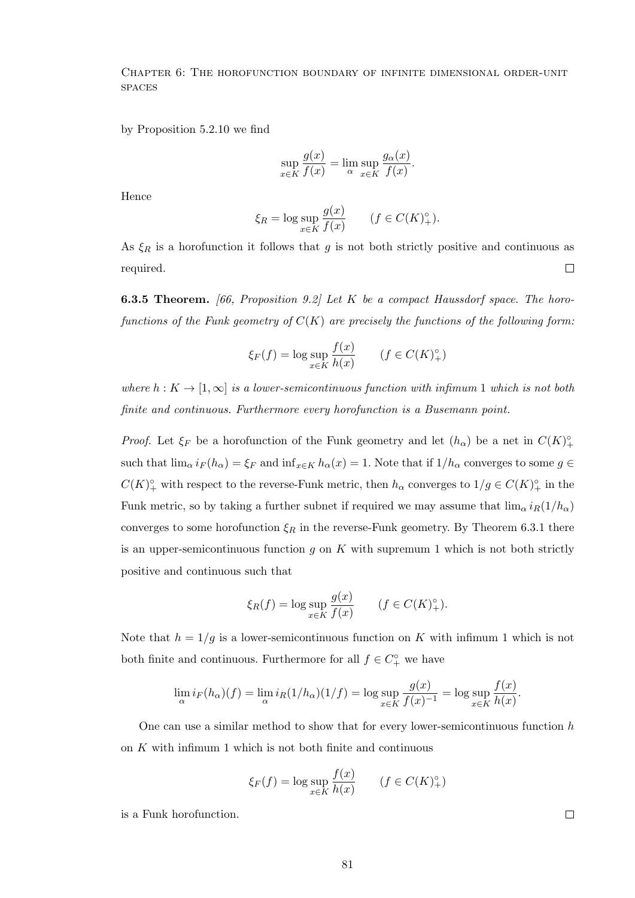by Proposition 5.2.10 we find

$$
\sup_{x \in K} \frac{g(x)}{f(x)} = \lim_{\alpha} \sup_{x \in K} \frac{g_{\alpha}(x)}{f(x)}.
$$

Hence

$$
\xi_R = \log \sup_{x \in K} \frac{g(x)}{f(x)} \qquad (f \in C(K)_+^{\circ}).
$$

As  $\xi_R$  is a horofunction it follows that g is not both strictly positive and continuous as required.  $\Box$ 

**6.3.5 Theorem.** [66, Proposition 9.2] Let  $K$  be a compact Haussdorf space. The horofunctions of the Funk geometry of  $C(K)$  are precisely the functions of the following form:

$$
\xi_F(f) = \log \sup_{x \in K} \frac{f(x)}{h(x)} \qquad (f \in C(K)^\circ_+)
$$

where  $h: K \to [1,\infty]$  is a lower-semicontinuous function with infimum 1 which is not both finite and continuous. Furthermore every horofunction is a Busemann point.

*Proof.* Let  $\xi_F$  be a horofunction of the Funk geometry and let  $(h_\alpha)$  be a net in  $C(K)^\circ_+$ such that  $\lim_{\alpha} i_F(h_{\alpha}) = \xi_F$  and  $\inf_{x \in K} h_{\alpha}(x) = 1$ . Note that if  $1/h_{\alpha}$  converges to some  $g \in$  $C(K)_{+}^{\circ}$  with respect to the reverse-Funk metric, then  $h_{\alpha}$  converges to  $1/g \in C(K)_{+}^{\circ}$  in the Funk metric, so by taking a further subnet if required we may assume that  $\lim_{\alpha} i_R(1/h_{\alpha})$ converges to some horofunction  $\xi_R$  in the reverse-Funk geometry. By Theorem 6.3.1 there is an upper-semicontinuous function  $g$  on  $K$  with supremum 1 which is not both strictly positive and continuous such that

$$
\xi_R(f) = \log \sup_{x \in K} \frac{g(x)}{f(x)} \qquad (f \in C(K)_+^{\circ}).
$$

Note that  $h = 1/g$  is a lower-semicontinuous function on K with infimum 1 which is not both finite and continuous. Furthermore for all  $f \in C_+^{\circ}$  we have

$$
\lim_{\alpha} i_F(h_{\alpha})(f) = \lim_{\alpha} i_R(1/h_{\alpha})(1/f) = \log \sup_{x \in K} \frac{g(x)}{f(x)^{-1}} = \log \sup_{x \in K} \frac{f(x)}{h(x)}.
$$

One can use a similar method to show that for every lower-semicontinuous function  $h$ on K with infimum 1 which is not both finite and continuous

$$
\xi_F(f) = \log \sup_{x \in K} \frac{f(x)}{h(x)} \qquad (f \in C(K)^\circ_+)
$$

is a Funk horofunction.

 $\Box$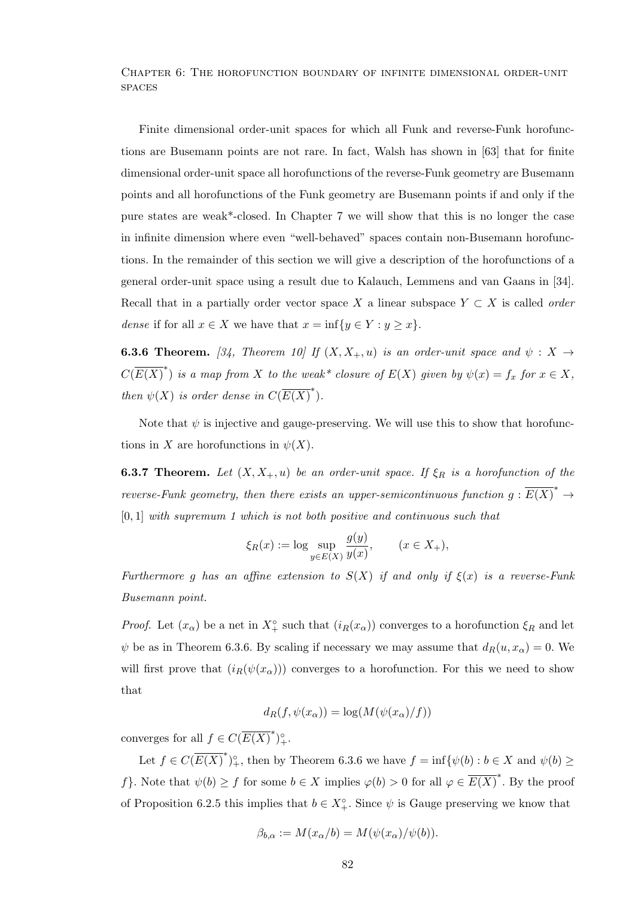Finite dimensional order-unit spaces for which all Funk and reverse-Funk horofunctions are Busemann points are not rare. In fact, Walsh has shown in [63] that for finite dimensional order-unit space all horofunctions of the reverse-Funk geometry are Busemann points and all horofunctions of the Funk geometry are Busemann points if and only if the pure states are weak\*-closed. In Chapter 7 we will show that this is no longer the case in infinite dimension where even "well-behaved" spaces contain non-Busemann horofunctions. In the remainder of this section we will give a description of the horofunctions of a general order-unit space using a result due to Kalauch, Lemmens and van Gaans in [34]. Recall that in a partially order vector space X a linear subspace  $Y \subset X$  is called *order* dense if for all  $x \in X$  we have that  $x = \inf\{y \in Y : y \geq x\}.$ 

**6.3.6 Theorem.** [34, Theorem 10] If  $(X, X_+, u)$  is an order-unit space and  $\psi : X \to Y$  $C(\overline{E(X)}^*)$  is a map from X to the weak\* closure of  $E(X)$  given by  $\psi(x) = f_x$  for  $x \in X$ , then  $\psi(X)$  is order dense in  $C(\overline{E(X)}^*)$ .

Note that  $\psi$  is injective and gauge-preserving. We will use this to show that horofunctions in X are horofunctions in  $\psi(X)$ .

**6.3.7 Theorem.** Let  $(X, X_+, u)$  be an order-unit space. If  $\xi_R$  is a horofunction of the reverse-Funk geometry, then there exists an upper-semicontinuous function  $g: \overline{E(X)}^* \to$  $[0, 1]$  with supremum 1 which is not both positive and continuous such that

$$
\xi_R(x) := \log \sup_{y \in E(X)} \frac{g(y)}{y(x)}, \qquad (x \in X_+),
$$

Furthermore g has an affine extension to  $S(X)$  if and only if  $\xi(x)$  is a reverse-Funk Busemann point.

*Proof.* Let  $(x_\alpha)$  be a net in  $X_+^\circ$  such that  $(i_R(x_\alpha))$  converges to a horofunction  $\xi_R$  and let  $\psi$  be as in Theorem 6.3.6. By scaling if necessary we may assume that  $d_R(u, x_\alpha) = 0$ . We will first prove that  $(i_R(\psi(x_\alpha)))$  converges to a horofunction. For this we need to show that

$$
d_R(f, \psi(x_\alpha)) = \log(M(\psi(x_\alpha)/f))
$$

converges for all  $f \in C(\overline{E(X)}^*)^{\circ}_{+}$ .

Let  $f \in C(\overline{E(X)}^*)^{\circ}_{+}$ , then by Theorem 6.3.6 we have  $f = \inf \{ \psi(b) : b \in X \text{ and } \psi(b) \geq 0 \}$ f}. Note that  $\psi(b) \geq f$  for some  $b \in X$  implies  $\varphi(b) > 0$  for all  $\varphi \in \overline{E(X)}^*$ . By the proof of Proposition 6.2.5 this implies that  $b \in X^{\circ}_{+}$ . Since  $\psi$  is Gauge preserving we know that

$$
\beta_{b,\alpha} := M(x_{\alpha}/b) = M(\psi(x_{\alpha})/\psi(b)).
$$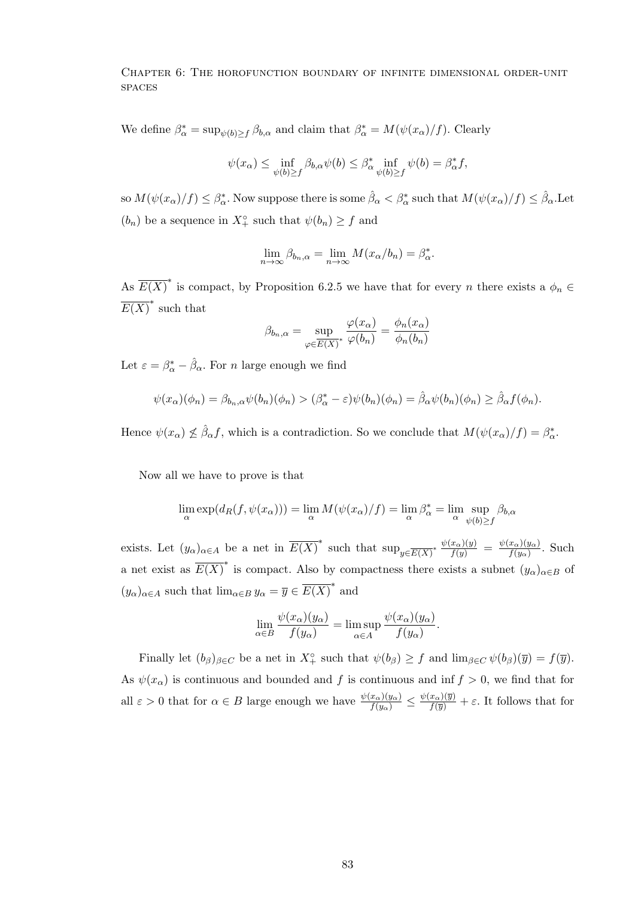We define  $\beta_{\alpha}^* = \sup_{\psi(b)\geq f} \beta_{b,\alpha}$  and claim that  $\beta_{\alpha}^* = M(\psi(x_{\alpha})/f)$ . Clearly

$$
\psi(x_{\alpha}) \le \inf_{\psi(b)\ge f} \beta_{b,\alpha} \psi(b) \le \beta_{\alpha}^* \inf_{\psi(b)\ge f} \psi(b) = \beta_{\alpha}^* f,
$$

 $\sin M(\psi(x_\alpha)/f)\leq \beta^*_\alpha.$  Now suppose there is some  $\hat{\beta}_\alpha<\beta^*_\alpha$  such that  $M(\psi(x_\alpha)/f)\leq \hat{\beta}_\alpha.$  Let  $(b_n)$  be a sequence in  $X_+^{\circ}$  such that  $\psi(b_n) \geq f$  and

$$
\lim_{n \to \infty} \beta_{b_n,\alpha} = \lim_{n \to \infty} M(x_\alpha/b_n) = \beta_\alpha^*.
$$

As  $\overline{E(X)}^*$  is compact, by Proposition 6.2.5 we have that for every n there exists a  $\phi_n \in$  $\overline{E(X)}^*$  such that

$$
\beta_{b_n,\alpha} = \sup_{\varphi \in \overline{E(X)}^*} \frac{\varphi(x_{\alpha})}{\varphi(b_n)} = \frac{\phi_n(x_{\alpha})}{\phi_n(b_n)}
$$

Let  $\varepsilon = \beta_{\alpha}^* - \hat{\beta}_{\alpha}$ . For *n* large enough we find

$$
\psi(x_{\alpha})(\phi_n) = \beta_{b_n,\alpha}\psi(b_n)(\phi_n) > (\beta_{\alpha}^* - \varepsilon)\psi(b_n)(\phi_n) = \hat{\beta}_{\alpha}\psi(b_n)(\phi_n) \ge \hat{\beta}_{\alpha}f(\phi_n).
$$

Hence  $\psi(x_\alpha) \nleq \hat{\beta}_\alpha f$ , which is a contradiction. So we conclude that  $M(\psi(x_\alpha)/f) = \beta^*_\alpha$ .

Now all we have to prove is that

$$
\lim_{\alpha} \exp(d_R(f, \psi(x_{\alpha}))) = \lim_{\alpha} M(\psi(x_{\alpha})/f) = \lim_{\alpha} \beta_{\alpha}^* = \lim_{\alpha} \sup_{\psi(b) \ge f} \beta_{b,\alpha}
$$

exists. Let  $(y_\alpha)_{\alpha \in A}$  be a net in  $\overline{E(X)}^*$  such that  $\sup_{y \in \overline{E(X)}^*} \frac{\psi(x_\alpha)(y)}{f(y)} = \frac{\psi(x_\alpha)(y_\alpha)}{f(y_\alpha)}$  $\frac{x_{\alpha}(y_{\alpha})}{f(y_{\alpha})}$ . Such a net exist as  $\overline{E(X)}^*$  is compact. Also by compactness there exists a subnet  $(y_\alpha)_{\alpha \in B}$  of  $(y_{\alpha})_{\alpha \in A}$  such that  $\lim_{\alpha \in B} y_{\alpha} = \overline{y} \in \overline{E(X)}^*$  and

$$
\lim_{\alpha \in B} \frac{\psi(x_{\alpha})(y_{\alpha})}{f(y_{\alpha})} = \limsup_{\alpha \in A} \frac{\psi(x_{\alpha})(y_{\alpha})}{f(y_{\alpha})}.
$$

Finally let  $(b_\beta)_{\beta \in C}$  be a net in  $X_+^\circ$  such that  $\psi(b_\beta) \geq f$  and  $\lim_{\beta \in C} \psi(b_\beta)(\overline{y}) = f(\overline{y})$ . As  $\psi(x_{\alpha})$  is continuous and bounded and f is continuous and inf  $f > 0$ , we find that for all  $\varepsilon > 0$  that for  $\alpha \in B$  large enough we have  $\frac{\psi(x_{\alpha})(y_{\alpha})}{f(y_{\alpha})} \leq \frac{\psi(x_{\alpha})(\overline{y})}{f(\overline{y})} + \varepsilon$ . It follows that for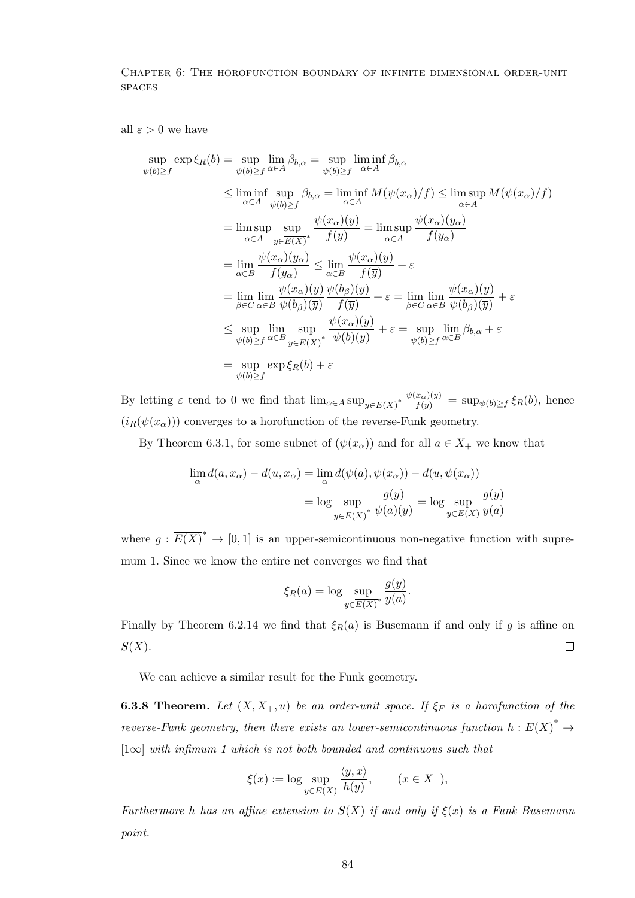all  $\varepsilon > 0$  we have

$$
\sup_{\psi(b)\geq f} \exp \xi_R(b) = \sup_{\psi(b)\geq f} \lim_{\alpha \in A} \beta_{b,\alpha} = \sup_{\psi(b)\geq f} \liminf_{\alpha \in A} \beta_{b,\alpha}
$$
\n
$$
\leq \liminf_{\alpha \in A} \sup_{\psi(b)\geq f} \beta_{b,\alpha} = \liminf_{\alpha \in A} M(\psi(x_{\alpha})/f) \leq \limsup_{\alpha \in A} M(\psi(x_{\alpha})/f)
$$
\n
$$
= \limsup_{\alpha \in A} \sup_{y \in \overline{E(X)}^*} \frac{\psi(x_{\alpha})(y)}{f(y)} = \limsup_{\alpha \in A} \frac{\psi(x_{\alpha})(y_{\alpha})}{f(y_{\alpha})}
$$
\n
$$
= \lim_{\alpha \in B} \frac{\psi(x_{\alpha})(y_{\alpha})}{f(y_{\alpha})} \leq \lim_{\alpha \in B} \frac{\psi(x_{\alpha})(\overline{y})}{f(\overline{y})} + \varepsilon
$$
\n
$$
= \lim_{\beta \in C} \lim_{\alpha \in B} \frac{\psi(x_{\alpha})(\overline{y})}{\psi(b_{\beta})(\overline{y})} \frac{\psi(b_{\beta})(\overline{y})}{f(\overline{y})} + \varepsilon = \lim_{\beta \in C} \lim_{\alpha \in B} \frac{\psi(x_{\alpha})(\overline{y})}{\psi(b_{\beta})(\overline{y})} + \varepsilon
$$
\n
$$
\leq \sup_{\psi(b)\geq f} \limsup_{\alpha \in B} \frac{\psi(x_{\alpha})(y)}{\psi(b)(y)} + \varepsilon = \sup_{\psi(b)\geq f} \limsup_{\alpha \in B} \beta_{b,\alpha} + \varepsilon
$$
\n
$$
= \sup_{\psi(b)\geq f} \exp \xi_R(b) + \varepsilon
$$

By letting  $\varepsilon$  tend to 0 we find that  $\lim_{\alpha \in A} \sup_{y \in \overline{E(X)}^*} \frac{\psi(x_\alpha)(y)}{f(y)} = \sup_{\psi(b) \ge f} \xi_R(b)$ , hence  $(i_R(\psi(x_\alpha)))$  converges to a horofunction of the reverse-Funk geometry.

By Theorem 6.3.1, for some subnet of  $(\psi(x_{\alpha}))$  and for all  $a \in X_{+}$  we know that

$$
\lim_{\alpha} d(a, x_{\alpha}) - d(u, x_{\alpha}) = \lim_{\alpha} d(\psi(a), \psi(x_{\alpha})) - d(u, \psi(x_{\alpha}))
$$

$$
= \log \sup_{y \in \overline{E(X)}^*} \frac{g(y)}{\psi(a)(y)} = \log \sup_{y \in E(X)} \frac{g(y)}{y(a)}
$$

where  $g: \overline{E(X)}^* \to [0,1]$  is an upper-semicontinuous non-negative function with supremum 1. Since we know the entire net converges we find that

$$
\xi_R(a) = \log \sup_{y \in \overline{E(X)}^*} \frac{g(y)}{y(a)}.
$$

Finally by Theorem 6.2.14 we find that  $\xi_R(a)$  is Busemann if and only if g is affine on  $S(X)$ .  $\Box$ 

We can achieve a similar result for the Funk geometry.

**6.3.8 Theorem.** Let  $(X, X_+, u)$  be an order-unit space. If  $\xi_F$  is a horofunction of the reverse-Funk geometry, then there exists an lower-semicontinuous function  $h: \overline{E(X)}^* \to$  $[1\infty]$  with infimum 1 which is not both bounded and continuous such that

$$
\xi(x) := \log \sup_{y \in E(X)} \frac{\langle y, x \rangle}{h(y)}, \qquad (x \in X_+),
$$

Furthermore h has an affine extension to  $S(X)$  if and only if  $\xi(x)$  is a Funk Busemann point.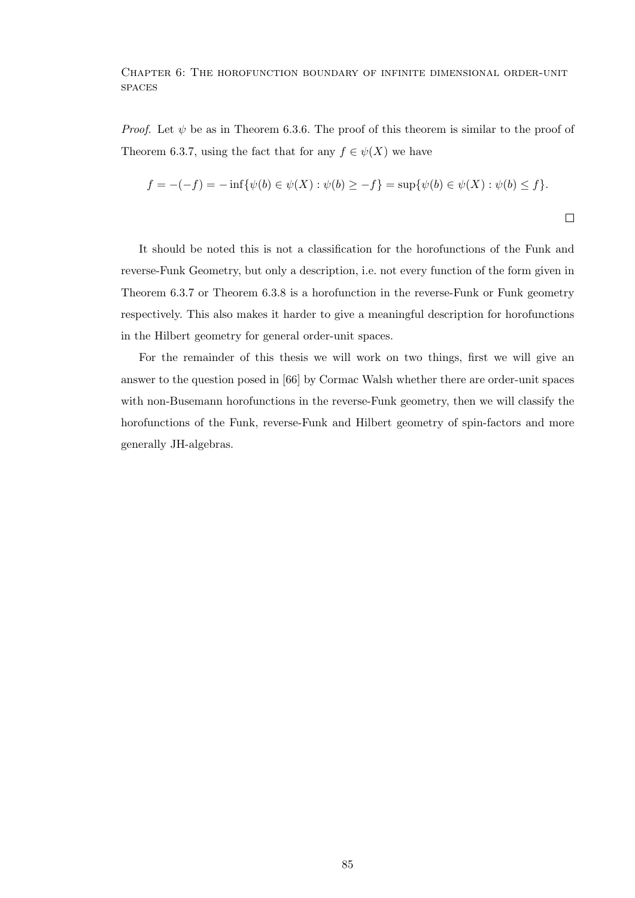*Proof.* Let  $\psi$  be as in Theorem 6.3.6. The proof of this theorem is similar to the proof of Theorem 6.3.7, using the fact that for any  $f \in \psi(X)$  we have

$$
f = -(-f) = -\inf \{ \psi(b) \in \psi(X) : \psi(b) \ge -f \} = \sup \{ \psi(b) \in \psi(X) : \psi(b) \le f \}.
$$

It should be noted this is not a classification for the horofunctions of the Funk and reverse-Funk Geometry, but only a description, i.e. not every function of the form given in Theorem 6.3.7 or Theorem 6.3.8 is a horofunction in the reverse-Funk or Funk geometry respectively. This also makes it harder to give a meaningful description for horofunctions in the Hilbert geometry for general order-unit spaces.

For the remainder of this thesis we will work on two things, first we will give an answer to the question posed in [66] by Cormac Walsh whether there are order-unit spaces with non-Busemann horofunctions in the reverse-Funk geometry, then we will classify the horofunctions of the Funk, reverse-Funk and Hilbert geometry of spin-factors and more generally JH-algebras.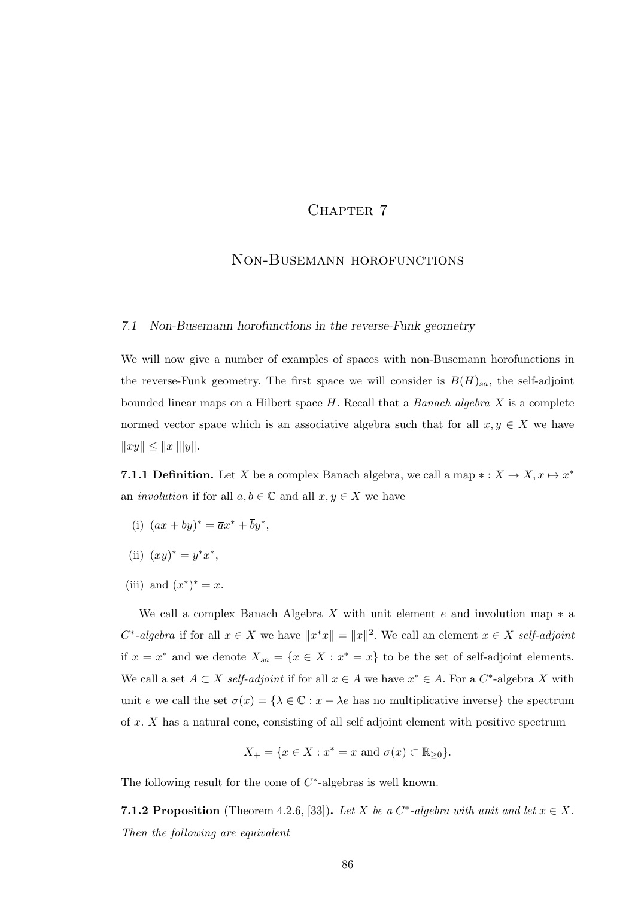# CHAPTER 7

## Non-Busemann horofunctions

## 7.1 Non-Busemann horofunctions in the reverse-Funk geometry

We will now give a number of examples of spaces with non-Busemann horofunctions in the reverse-Funk geometry. The first space we will consider is  $B(H)_{sa}$ , the self-adjoint bounded linear maps on a Hilbert space  $H$ . Recall that a *Banach algebra X* is a complete normed vector space which is an associative algebra such that for all  $x, y \in X$  we have  $||xy|| \le ||x|| ||y||.$ 

**7.1.1 Definition.** Let X be a complex Banach algebra, we call a map  $*: X \to X, x \mapsto x^*$ an *involution* if for all  $a, b \in \mathbb{C}$  and all  $x, y \in X$  we have

- (i)  $(ax + by)^* = \overline{a}x^* + \overline{b}y^*$ ,
- (ii)  $(xy)^* = y^*x^*$ ,
- (iii) and  $(x^*)^* = x$ .

We call a complex Banach Algebra X with unit element e and involution map  $*$  a  $C^*$ -algebra if for all  $x \in X$  we have  $||x^*x|| = ||x||^2$ . We call an element  $x \in X$  self-adjoint if  $x = x^*$  and we denote  $X_{sa} = \{x \in X : x^* = x\}$  to be the set of self-adjoint elements. We call a set  $A \subset X$  self-adjoint if for all  $x \in A$  we have  $x^* \in A$ . For a  $C^*$ -algebra X with unit e we call the set  $\sigma(x) = \{\lambda \in \mathbb{C} : x - \lambda e \text{ has no multiplicative inverse}\}\)$  the spectrum of  $x$ .  $X$  has a natural cone, consisting of all self adjoint element with positive spectrum

$$
X_{+} = \{x \in X : x^* = x \text{ and } \sigma(x) \subset \mathbb{R}_{\geq 0}\}.
$$

The following result for the cone of  $C^*$ -algebras is well known.

**7.1.2 Proposition** (Theorem 4.2.6, [33]). Let X be a  $C^*$ -algebra with unit and let  $x \in X$ . Then the following are equivalent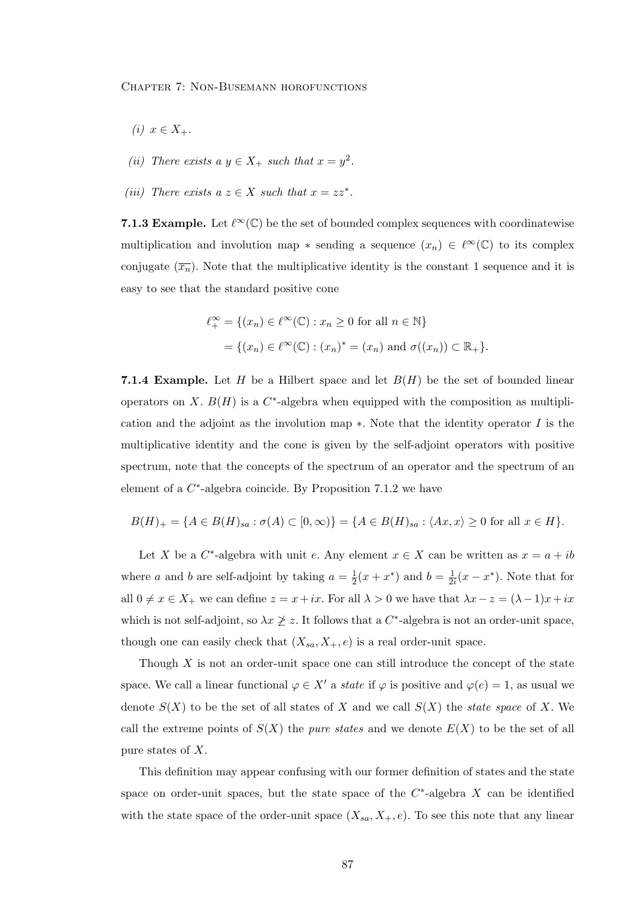- (i)  $x \in X_+$ .
- (ii) There exists a  $y \in X_+$  such that  $x = y^2$ .
- (iii) There exists  $a z \in X$  such that  $x = zz^*$ .

7.1.3 Example. Let  $\ell^{\infty}(\mathbb{C})$  be the set of bounded complex sequences with coordinatewise multiplication and involution map  $*$  sending a sequence  $(x_n) \in \ell^{\infty}(\mathbb{C})$  to its complex conjugate  $(\overline{x_n})$ . Note that the multiplicative identity is the constant 1 sequence and it is easy to see that the standard positive cone

$$
\ell_+^{\infty} = \{(x_n) \in \ell^{\infty}(\mathbb{C}) : x_n \ge 0 \text{ for all } n \in \mathbb{N}\}
$$

$$
= \{(x_n) \in \ell^{\infty}(\mathbb{C}) : (x_n)^* = (x_n) \text{ and } \sigma((x_n)) \subset \mathbb{R}_+\}.
$$

7.1.4 Example. Let H be a Hilbert space and let  $B(H)$  be the set of bounded linear operators on X.  $B(H)$  is a  $C^*$ -algebra when equipped with the composition as multiplication and the adjoint as the involution map  $*$ . Note that the identity operator  $I$  is the multiplicative identity and the cone is given by the self-adjoint operators with positive spectrum, note that the concepts of the spectrum of an operator and the spectrum of an element of a  $C^*$ -algebra coincide. By Proposition 7.1.2 we have

$$
B(H)_{+} = \{ A \in B(H)_{sa} : \sigma(A) \subset [0, \infty) \} = \{ A \in B(H)_{sa} : \langle Ax, x \rangle \ge 0 \text{ for all } x \in H \}.
$$

Let X be a  $C^*$ -algebra with unit e. Any element  $x \in X$  can be written as  $x = a + ib$ where a and b are self-adjoint by taking  $a = \frac{1}{2}$  $\frac{1}{2}(x + x^*)$  and  $b = \frac{1}{2^2}$  $\frac{1}{2i}(x-x^*)$ . Note that for all  $0 \neq x \in X_+$  we can define  $z = x+ix$ . For all  $\lambda > 0$  we have that  $\lambda x - z = (\lambda - 1)x + ix$ which is not self-adjoint, so  $\lambda x \not\geq z$ . It follows that a C<sup>\*</sup>-algebra is not an order-unit space, though one can easily check that  $(X_{sa}, X_+, e)$  is a real order-unit space.

Though  $X$  is not an order-unit space one can still introduce the concept of the state space. We call a linear functional  $\varphi \in X'$  a state if  $\varphi$  is positive and  $\varphi(e) = 1$ , as usual we denote  $S(X)$  to be the set of all states of X and we call  $S(X)$  the *state space* of X. We call the extreme points of  $S(X)$  the *pure states* and we denote  $E(X)$  to be the set of all pure states of X.

This definition may appear confusing with our former definition of states and the state space on order-unit spaces, but the state space of the  $C^*$ -algebra X can be identified with the state space of the order-unit space  $(X_{sa}, X_+, e)$ . To see this note that any linear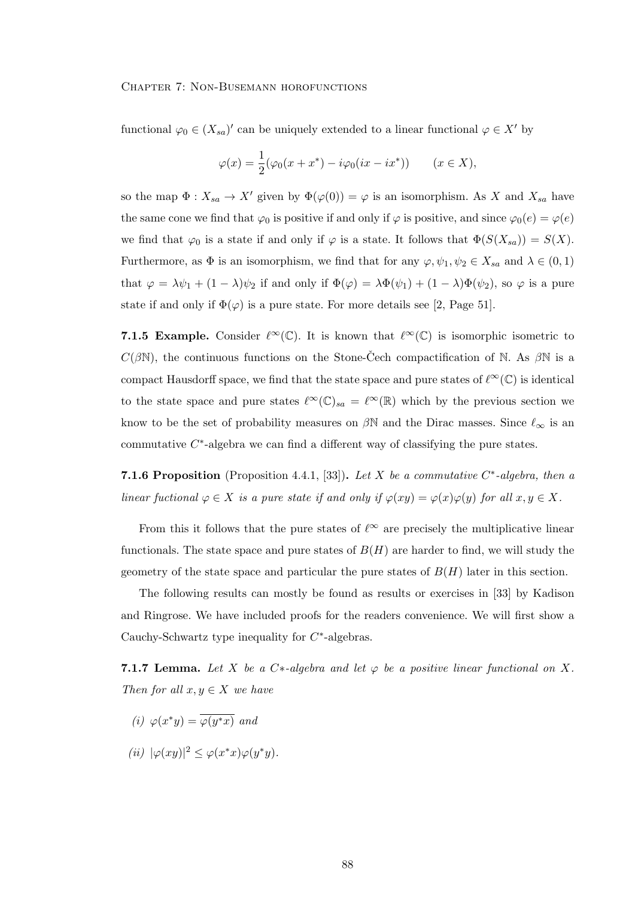functional  $\varphi_0 \in (X_{sa})'$  can be uniquely extended to a linear functional  $\varphi \in X'$  by

$$
\varphi(x) = \frac{1}{2}(\varphi_0(x + x^*) - i\varphi_0(ix - ix^*)) \qquad (x \in X),
$$

so the map  $\Phi: X_{sa} \to X'$  given by  $\Phi(\varphi(0)) = \varphi$  is an isomorphism. As X and  $X_{sa}$  have the same cone we find that  $\varphi_0$  is positive if and only if  $\varphi$  is positive, and since  $\varphi_0(e) = \varphi(e)$ we find that  $\varphi_0$  is a state if and only if  $\varphi$  is a state. It follows that  $\Phi(S(X_{sa})) = S(X)$ . Furthermore, as  $\Phi$  is an isomorphism, we find that for any  $\varphi, \psi_1, \psi_2 \in X_{sa}$  and  $\lambda \in (0, 1)$ that  $\varphi = \lambda \psi_1 + (1 - \lambda)\psi_2$  if and only if  $\Phi(\varphi) = \lambda \Phi(\psi_1) + (1 - \lambda)\Phi(\psi_2)$ , so  $\varphi$  is a pure state if and only if  $\Phi(\varphi)$  is a pure state. For more details see [2, Page 51].

7.1.5 Example. Consider  $\ell^{\infty}(\mathbb{C})$ . It is known that  $\ell^{\infty}(\mathbb{C})$  is isomorphic isometric to  $C(\beta\mathbb{N})$ , the continuous functions on the Stone-Cech compactification of  $\mathbb{N}$ . As  $\beta\mathbb{N}$  is a compact Hausdorff space, we find that the state space and pure states of  $\ell^{\infty}(\mathbb{C})$  is identical to the state space and pure states  $\ell^{\infty}(\mathbb{C})_{sa} = \ell^{\infty}(\mathbb{R})$  which by the previous section we know to be the set of probability measures on  $\beta N$  and the Dirac masses. Since  $\ell_{\infty}$  is an commutative  $C^*$ -algebra we can find a different way of classifying the pure states.

**7.1.6 Proposition** (Proposition 4.4.1, [33]). Let X be a commutative  $C^*$ -algebra, then a linear fuctional  $\varphi \in X$  is a pure state if and only if  $\varphi(xy) = \varphi(x)\varphi(y)$  for all  $x, y \in X$ .

From this it follows that the pure states of  $\ell^{\infty}$  are precisely the multiplicative linear functionals. The state space and pure states of  $B(H)$  are harder to find, we will study the geometry of the state space and particular the pure states of  $B(H)$  later in this section.

The following results can mostly be found as results or exercises in [33] by Kadison and Ringrose. We have included proofs for the readers convenience. We will first show a Cauchy-Schwartz type inequality for  $C^*$ -algebras.

**7.1.7 Lemma.** Let X be a C\*-algebra and let  $\varphi$  be a positive linear functional on X. Then for all  $x, y \in X$  we have

- (i)  $\varphi(x^*y) = \overline{\varphi(y^*x)}$  and
- (ii)  $|\varphi(xy)|^2 \leq \varphi(x^*x)\varphi(y^*y).$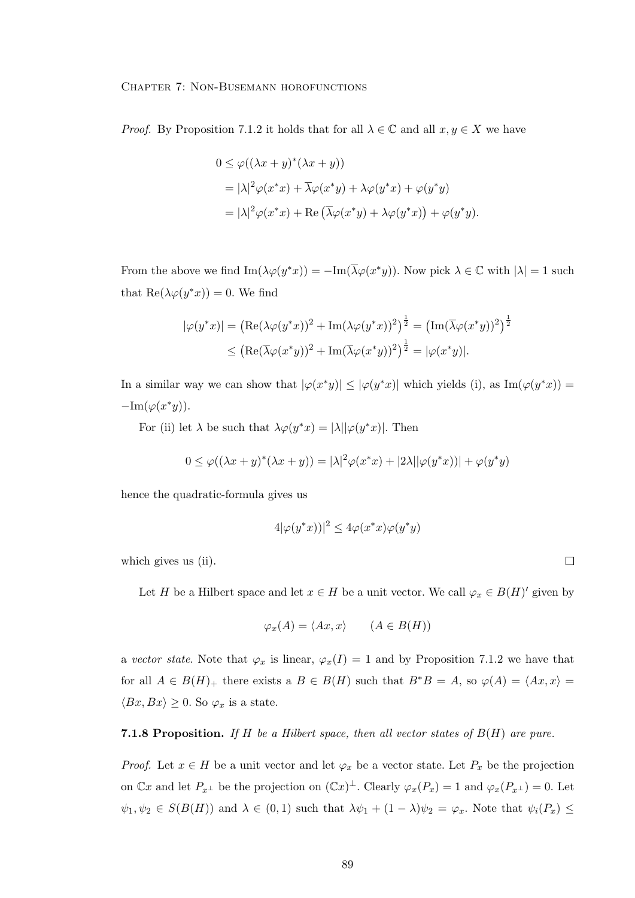*Proof.* By Proposition 7.1.2 it holds that for all  $\lambda \in \mathbb{C}$  and all  $x, y \in X$  we have

$$
0 \leq \varphi((\lambda x + y)^*(\lambda x + y))
$$
  
=  $|\lambda|^2 \varphi(x^*x) + \overline{\lambda}\varphi(x^*y) + \lambda\varphi(y^*x) + \varphi(y^*y)$   
=  $|\lambda|^2 \varphi(x^*x) + \text{Re}(\overline{\lambda}\varphi(x^*y) + \lambda\varphi(y^*x)) + \varphi(y^*y).$ 

From the above we find  $\text{Im}(\lambda \varphi(y^*x)) = -\text{Im}(\overline{\lambda} \varphi(x^*y))$ . Now pick  $\lambda \in \mathbb{C}$  with  $|\lambda| = 1$  such that  $\text{Re}(\lambda \varphi(y^*x)) = 0$ . We find

$$
|\varphi(y^*x)| = \left(\text{Re}(\lambda\varphi(y^*x))^2 + \text{Im}(\lambda\varphi(y^*x))^2\right)^{\frac{1}{2}} = \left(\text{Im}(\overline{\lambda}\varphi(x^*y))^2\right)^{\frac{1}{2}}
$$

$$
\leq \left(\text{Re}(\overline{\lambda}\varphi(x^*y))^2 + \text{Im}(\overline{\lambda}\varphi(x^*y))^2\right)^{\frac{1}{2}} = |\varphi(x^*y)|.
$$

In a similar way we can show that  $|\varphi(x^*y)| \leq |\varphi(y^*x)|$  which yields (i), as  $\text{Im}(\varphi(y^*x)) =$  $-\text{Im}(\varphi(x^*y)).$ 

For (ii) let  $\lambda$  be such that  $\lambda \varphi(y^*x) = |\lambda| |\varphi(y^*x)|$ . Then

$$
0 \leq \varphi((\lambda x + y)^*(\lambda x + y)) = |\lambda|^2 \varphi(x^*x) + |2\lambda| |\varphi(y^*x)| + \varphi(y^*y)
$$

hence the quadratic-formula gives us

$$
4|\varphi(y^*x))|^2 \le 4\varphi(x^*x)\varphi(y^*y)
$$

which gives us (ii).

Let H be a Hilbert space and let  $x \in H$  be a unit vector. We call  $\varphi_x \in B(H)'$  given by

$$
\varphi_x(A) = \langle Ax, x \rangle \qquad (A \in B(H))
$$

a vector state. Note that  $\varphi_x$  is linear,  $\varphi_x(I) = 1$  and by Proposition 7.1.2 we have that for all  $A \in B(H)$  there exists a  $B \in B(H)$  such that  $B^*B = A$ , so  $\varphi(A) = \langle Ax, x \rangle =$  $\langle Bx, Bx \rangle \geq 0$ . So  $\varphi_x$  is a state.

**7.1.8 Proposition.** If H be a Hilbert space, then all vector states of  $B(H)$  are pure.

*Proof.* Let  $x \in H$  be a unit vector and let  $\varphi_x$  be a vector state. Let  $P_x$  be the projection on  $\mathbb{C}x$  and let  $P_{x^{\perp}}$  be the projection on  $(\mathbb{C}x)^{\perp}$ . Clearly  $\varphi_x(P_x) = 1$  and  $\varphi_x(P_{x^{\perp}}) = 0$ . Let  $\psi_1, \psi_2 \in S(B(H))$  and  $\lambda \in (0,1)$  such that  $\lambda \psi_1 + (1 - \lambda)\psi_2 = \varphi_x$ . Note that  $\psi_i(P_x) \leq$ 

 $\Box$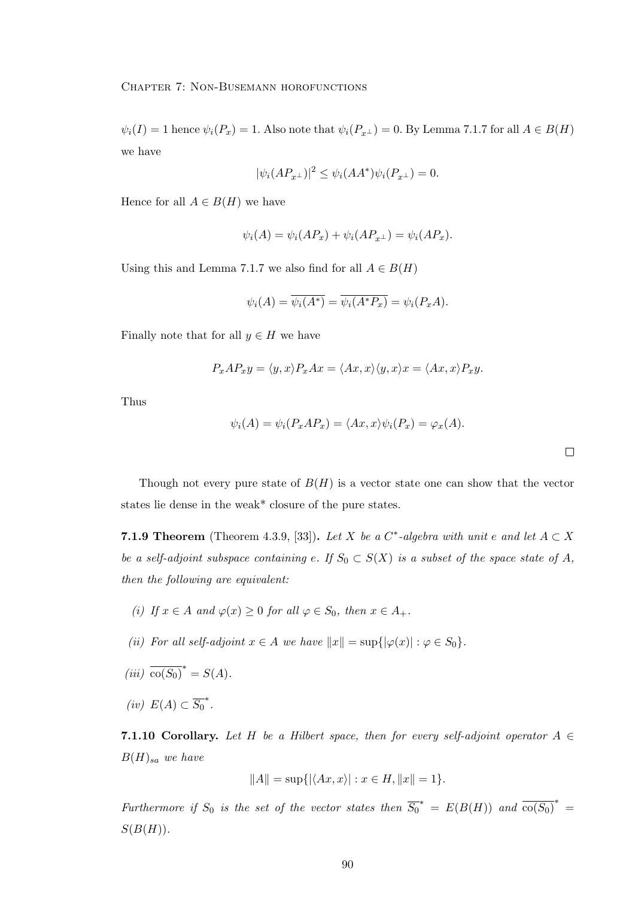$\psi_i(I) = 1$  hence  $\psi_i(P_x) = 1$ . Also note that  $\psi_i(P_{x^{\perp}}) = 0$ . By Lemma 7.1.7 for all  $A \in B(H)$ we have

$$
|\psi_i(AP_{x^{\perp}})|^2 \le \psi_i(AA^*)\psi_i(P_{x^{\perp}}) = 0.
$$

Hence for all  $A \in B(H)$  we have

$$
\psi_i(A) = \psi_i(AP_x) + \psi_i(AP_{x^{\perp}}) = \psi_i(AP_x).
$$

Using this and Lemma 7.1.7 we also find for all  $A \in B(H)$ 

$$
\psi_i(A) = \overline{\psi_i(A^*)} = \overline{\psi_i(A^*P_x)} = \psi_i(P_xA).
$$

Finally note that for all  $y \in H$  we have

$$
P_xAP_xy = \langle y, x \rangle P_xAx = \langle Ax, x \rangle \langle y, x \rangle x = \langle Ax, x \rangle P_xy.
$$

Thus

$$
\psi_i(A) = \psi_i(P_x A P_x) = \langle Ax, x \rangle \psi_i(P_x) = \varphi_x(A).
$$

 $\Box$ 

Though not every pure state of  $B(H)$  is a vector state one can show that the vector states lie dense in the weak\* closure of the pure states.

**7.1.9 Theorem** (Theorem 4.3.9, [33]). Let X be a  $C^*$ -algebra with unit e and let  $A \subset X$ be a self-adjoint subspace containing e. If  $S_0 \subset S(X)$  is a subset of the space state of A, then the following are equivalent:

- (i) If  $x \in A$  and  $\varphi(x) \geq 0$  for all  $\varphi \in S_0$ , then  $x \in A_+$ .
- (ii) For all self-adjoint  $x \in A$  we have  $||x|| = \sup{|\varphi(x)| : \varphi \in S_0}$ .
- (iii)  $\overline{\text{co}(S_0)}^* = S(A)$ .
- (iv)  $E(A) \subset \overline{S_0}^*$ .

7.1.10 Corollary. Let H be a Hilbert space, then for every self-adjoint operator  $A \in$  $B(H)_{sa}$  we have

$$
||A|| = \sup\{ |\langle Ax, x \rangle| : x \in H, ||x|| = 1 \}.
$$

Furthermore if  $S_0$  is the set of the vector states then  $\overline{S_0}^* = E(B(H))$  and  $\overline{co(S_0)}^* =$  $S(B(H)).$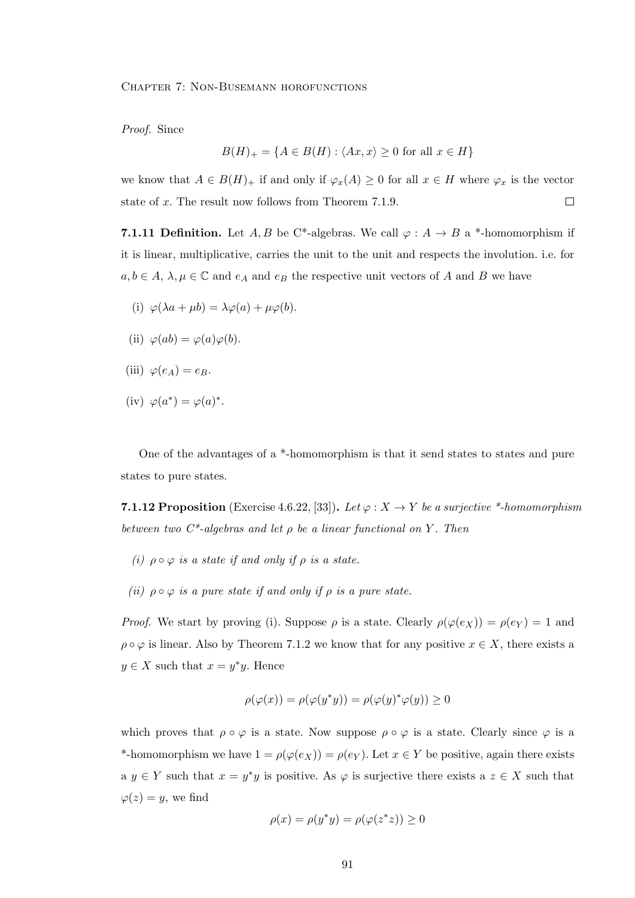Proof. Since

$$
B(H)_{+} = \{ A \in B(H) : \langle Ax, x \rangle \ge 0 \text{ for all } x \in H \}
$$

we know that  $A \in B(H)_{+}$  if and only if  $\varphi_x(A) \geq 0$  for all  $x \in H$  where  $\varphi_x$  is the vector  $\Box$ state of x. The result now follows from Theorem 7.1.9.

**7.1.11 Definition.** Let A, B be C\*-algebras. We call  $\varphi : A \to B$  a \*-homomorphism if it is linear, multiplicative, carries the unit to the unit and respects the involution. i.e. for  $a, b \in A$ ,  $\lambda, \mu \in \mathbb{C}$  and  $e_A$  and  $e_B$  the respective unit vectors of A and B we have

- (i)  $\varphi(\lambda a + \mu b) = \lambda \varphi(a) + \mu \varphi(b).$
- (ii)  $\varphi(ab) = \varphi(a)\varphi(b)$ .
- (iii)  $\varphi(e_A) = e_B$ .
- (iv)  $\varphi(a^*) = \varphi(a)^*$ .

One of the advantages of a \*-homomorphism is that it send states to states and pure states to pure states.

**7.1.12 Proposition** (Exercise 4.6.22, [33]). Let  $\varphi : X \to Y$  be a surjective \*-homomorphism between two  $C^*$ -algebras and let  $\rho$  be a linear functional on Y. Then

- (i)  $\rho \circ \varphi$  is a state if and only if  $\rho$  is a state.
- (ii)  $\rho \circ \varphi$  is a pure state if and only if  $\rho$  is a pure state.

*Proof.* We start by proving (i). Suppose  $\rho$  is a state. Clearly  $\rho(\varphi(e_X)) = \rho(e_Y) = 1$  and  $\rho \circ \varphi$  is linear. Also by Theorem 7.1.2 we know that for any positive  $x \in X$ , there exists a  $y \in X$  such that  $x = y^*y$ . Hence

$$
\rho(\varphi(x)) = \rho(\varphi(y^*y)) = \rho(\varphi(y)^*\varphi(y)) \ge 0
$$

which proves that  $\rho \circ \varphi$  is a state. Now suppose  $\rho \circ \varphi$  is a state. Clearly since  $\varphi$  is a \*-homomorphism we have  $1 = \rho(\varphi(e_X)) = \rho(e_Y)$ . Let  $x \in Y$  be positive, again there exists a  $y \in Y$  such that  $x = y^*y$  is positive. As  $\varphi$  is surjective there exists a  $z \in X$  such that  $\varphi(z) = y$ , we find

$$
\rho(x) = \rho(y^*y) = \rho(\varphi(z^*z)) \ge 0
$$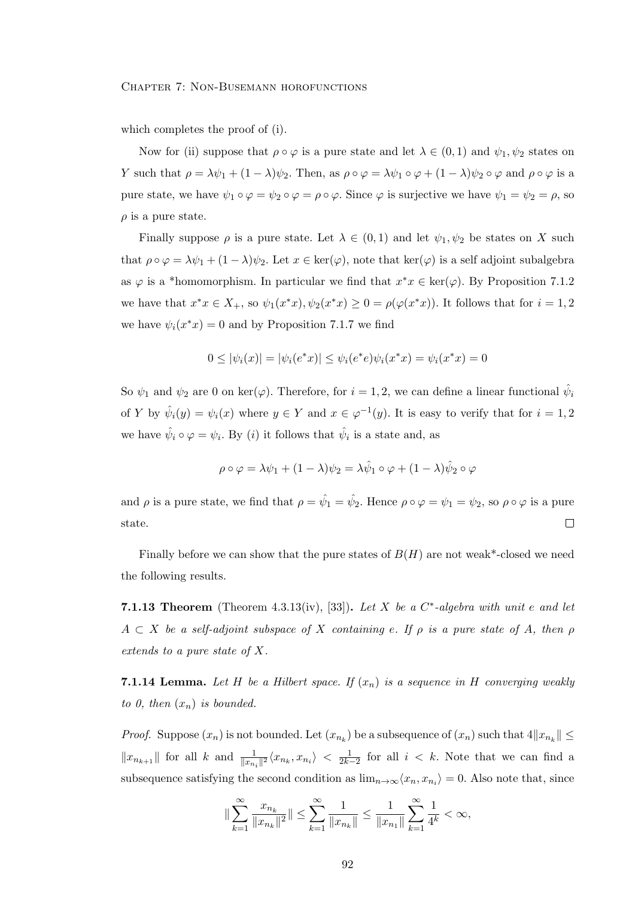which completes the proof of (i).

Now for (ii) suppose that  $\rho \circ \varphi$  is a pure state and let  $\lambda \in (0,1)$  and  $\psi_1, \psi_2$  states on Y such that  $\rho = \lambda \psi_1 + (1 - \lambda)\psi_2$ . Then, as  $\rho \circ \varphi = \lambda \psi_1 \circ \varphi + (1 - \lambda)\psi_2 \circ \varphi$  and  $\rho \circ \varphi$  is a pure state, we have  $\psi_1 \circ \varphi = \psi_2 \circ \varphi = \rho \circ \varphi$ . Since  $\varphi$  is surjective we have  $\psi_1 = \psi_2 = \rho$ , so  $\rho$  is a pure state.

Finally suppose  $\rho$  is a pure state. Let  $\lambda \in (0,1)$  and let  $\psi_1, \psi_2$  be states on X such that  $\rho \circ \varphi = \lambda \psi_1 + (1 - \lambda) \psi_2$ . Let  $x \in \text{ker}(\varphi)$ , note that  $\text{ker}(\varphi)$  is a self adjoint subalgebra as  $\varphi$  is a \*homomorphism. In particular we find that  $x^*x \in \text{ker}(\varphi)$ . By Proposition 7.1.2 we have that  $x^*x \in X_+$ , so  $\psi_1(x^*x), \psi_2(x^*x) \ge 0 = \rho(\varphi(x^*x))$ . It follows that for  $i = 1, 2$ we have  $\psi_i(x^*x) = 0$  and by Proposition 7.1.7 we find

$$
0 \le |\psi_i(x)| = |\psi_i(e^*x)| \le \psi_i(e^*e)\psi_i(x^*x) = \psi_i(x^*x) = 0
$$

So  $\psi_1$  and  $\psi_2$  are 0 on ker( $\varphi$ ). Therefore, for  $i = 1, 2$ , we can define a linear functional  $\hat{\psi}_i$ of Y by  $\hat{\psi}_i(y) = \psi_i(x)$  where  $y \in Y$  and  $x \in \varphi^{-1}(y)$ . It is easy to verify that for  $i = 1, 2$ we have  $\hat{\psi}_i \circ \varphi = \psi_i$ . By (*i*) it follows that  $\hat{\psi}_i$  is a state and, as

$$
\rho \circ \varphi = \lambda \psi_1 + (1 - \lambda)\psi_2 = \lambda \hat{\psi}_1 \circ \varphi + (1 - \lambda)\hat{\psi}_2 \circ \varphi
$$

and  $\rho$  is a pure state, we find that  $\rho = \hat{\psi}_1 = \hat{\psi}_2$ . Hence  $\rho \circ \varphi = \psi_1 = \psi_2$ , so  $\rho \circ \varphi$  is a pure state.  $\Box$ 

Finally before we can show that the pure states of  $B(H)$  are not weak\*-closed we need the following results.

**7.1.13 Theorem** (Theorem 4.3.13(iv), [33]). Let X be a  $C^*$ -algebra with unit e and let  $A \subset X$  be a self-adjoint subspace of X containing e. If  $\rho$  is a pure state of A, then  $\rho$ extends to a pure state of X.

**7.1.14 Lemma.** Let H be a Hilbert space. If  $(x_n)$  is a sequence in H converging weakly to 0, then  $(x_n)$  is bounded.

*Proof.* Suppose  $(x_n)$  is not bounded. Let  $(x_{n_k})$  be a subsequence of  $(x_n)$  such that  $4||x_{n_k}|| \le$  $||x_{n_{k+1}}||$  for all k and  $\frac{1}{||x_{n_i}||^2} \langle x_{n_k}, x_{n_i} \rangle < \frac{1}{2k-2}$  for all  $i < k$ . Note that we can find a subsequence satisfying the second condition as  $\lim_{n\to\infty} \langle x_n, x_{n_i} \rangle = 0$ . Also note that, since

$$
\|\sum_{k=1}^{\infty}\frac{x_{n_k}}{\|x_{n_k}\|^2}\|\leq \sum_{k=1}^{\infty}\frac{1}{\|x_{n_k}\|}\leq \frac{1}{\|x_{n_1}\|}\sum_{k=1}^{\infty}\frac{1}{4^k}<\infty,
$$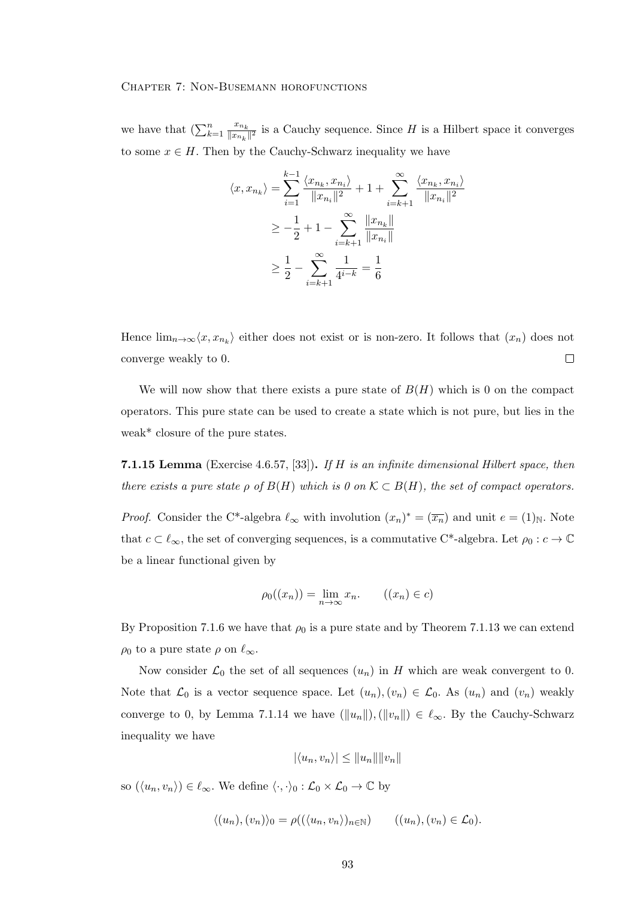we have that  $\left(\sum_{k=1}^n \frac{x_{n_k}}{\|x_{n_k}\|}\right)$  $\frac{x_{n_k}}{||x_{n_k}||^2}$  is a Cauchy sequence. Since H is a Hilbert space it converges to some  $x \in H$ . Then by the Cauchy-Schwarz inequality we have

$$
\langle x, x_{n_k} \rangle = \sum_{i=1}^{k-1} \frac{\langle x_{n_k}, x_{n_i} \rangle}{\|x_{n_i}\|^2} + 1 + \sum_{i=k+1}^{\infty} \frac{\langle x_{n_k}, x_{n_i} \rangle}{\|x_{n_i}\|^2}
$$
  
\n
$$
\geq -\frac{1}{2} + 1 - \sum_{i=k+1}^{\infty} \frac{\|x_{n_k}\|}{\|x_{n_i}\|}
$$
  
\n
$$
\geq \frac{1}{2} - \sum_{i=k+1}^{\infty} \frac{1}{4^{i-k}} = \frac{1}{6}
$$

Hence  $\lim_{n\to\infty}\langle x, x_{n_k}\rangle$  either does not exist or is non-zero. It follows that  $(x_n)$  does not converge weakly to 0.  $\Box$ 

We will now show that there exists a pure state of  $B(H)$  which is 0 on the compact operators. This pure state can be used to create a state which is not pure, but lies in the weak\* closure of the pure states.

**7.1.15 Lemma** (Exercise 4.6.57, [33]). If H is an infinite dimensional Hilbert space, then there exists a pure state  $\rho$  of  $B(H)$  which is 0 on  $\mathcal{K} \subset B(H)$ , the set of compact operators.

*Proof.* Consider the C<sup>\*</sup>-algebra  $\ell_{\infty}$  with involution  $(x_n)^* = (\overline{x_n})$  and unit  $e = (1)_\mathbb{N}$ . Note that  $c \subset \ell_{\infty}$ , the set of converging sequences, is a commutative C<sup>\*</sup>-algebra. Let  $\rho_0 : c \to \mathbb{C}$ be a linear functional given by

$$
\rho_0((x_n)) = \lim_{n \to \infty} x_n. \qquad ((x_n) \in c)
$$

By Proposition 7.1.6 we have that  $\rho_0$  is a pure state and by Theorem 7.1.13 we can extend  $\rho_0$  to a pure state  $\rho$  on  $\ell_{\infty}$ .

Now consider  $\mathcal{L}_0$  the set of all sequences  $(u_n)$  in H which are weak convergent to 0. Note that  $\mathcal{L}_0$  is a vector sequence space. Let  $(u_n), (v_n) \in \mathcal{L}_0$ . As  $(u_n)$  and  $(v_n)$  weakly converge to 0, by Lemma 7.1.14 we have  $(\|u_n\|),(\|v_n\|) \in \ell_\infty$ . By the Cauchy-Schwarz inequality we have

$$
|\langle u_n, v_n \rangle| \le ||u_n|| ||v_n||
$$

so  $(\langle u_n, v_n \rangle) \in \ell_\infty$ . We define  $\langle \cdot, \cdot \rangle_0 : \mathcal{L}_0 \times \mathcal{L}_0 \to \mathbb{C}$  by

$$
\langle (u_n), (v_n) \rangle_0 = \rho((\langle u_n, v_n \rangle)_{n \in \mathbb{N}}) \qquad ((u_n), (v_n) \in \mathcal{L}_0).
$$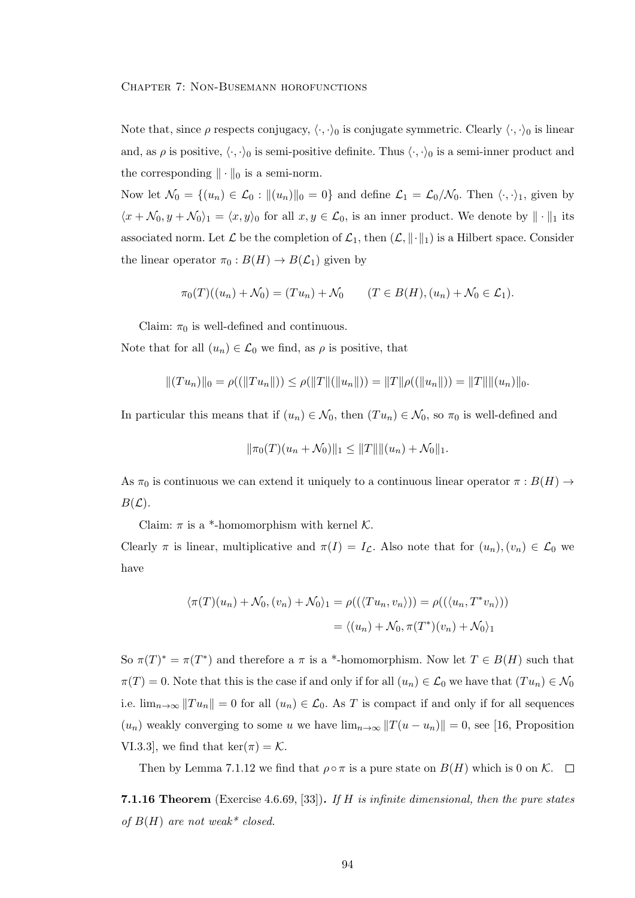Note that, since  $\rho$  respects conjugacy,  $\langle \cdot, \cdot \rangle_0$  is conjugate symmetric. Clearly  $\langle \cdot, \cdot \rangle_0$  is linear and, as  $\rho$  is positive,  $\langle \cdot, \cdot \rangle_0$  is semi-positive definite. Thus  $\langle \cdot, \cdot \rangle_0$  is a semi-inner product and the corresponding  $\|\cdot\|_0$  is a semi-norm.

Now let  $\mathcal{N}_0 = \{(u_n) \in \mathcal{L}_0 : ||(u_n)||_0 = 0\}$  and define  $\mathcal{L}_1 = \mathcal{L}_0/\mathcal{N}_0$ . Then  $\langle \cdot, \cdot \rangle_1$ , given by  $\langle x + \mathcal{N}_0, y + \mathcal{N}_0 \rangle_1 = \langle x, y \rangle_0$  for all  $x, y \in \mathcal{L}_0$ , is an inner product. We denote by  $\|\cdot\|_1$  its associated norm. Let  $\mathcal L$  be the completion of  $\mathcal L_1$ , then  $(\mathcal L, \|\cdot\|_1)$  is a Hilbert space. Consider the linear operator  $\pi_0 : B(H) \to B(\mathcal{L}_1)$  given by

$$
\pi_0(T)((u_n) + \mathcal{N}_0) = (Tu_n) + \mathcal{N}_0 \qquad (T \in B(H), (u_n) + \mathcal{N}_0 \in \mathcal{L}_1).
$$

Claim:  $\pi_0$  is well-defined and continuous.

Note that for all  $(u_n) \in \mathcal{L}_0$  we find, as  $\rho$  is positive, that

$$
||(Tu_n)||_0 = \rho((||Tu_n||)) \le \rho(||T||(||u_n||)) = ||T||\rho((||u_n||)) = ||T|| ||(u_n)||_0.
$$

In particular this means that if  $(u_n) \in \mathcal{N}_0$ , then  $(T u_n) \in \mathcal{N}_0$ , so  $\pi_0$  is well-defined and

$$
\|\pi_0(T)(u_n+\mathcal{N}_0)\|_1 \leq \|T\| \|(u_n)+\mathcal{N}_0\|_1.
$$

As  $\pi_0$  is continuous we can extend it uniquely to a continuous linear operator  $\pi : B(H) \rightarrow$  $B(\mathcal{L}).$ 

Claim:  $\pi$  is a \*-homomorphism with kernel  $\mathcal{K}$ .

Clearly  $\pi$  is linear, multiplicative and  $\pi(I) = I_{\mathcal{L}}$ . Also note that for  $(u_n), (v_n) \in \mathcal{L}_0$  we have

$$
\langle \pi(T)(u_n) + \mathcal{N}_0, (v_n) + \mathcal{N}_0 \rangle_1 = \rho((\langle T u_n, v_n \rangle)) = \rho((\langle u_n, T^* v_n \rangle))
$$

$$
= \langle (u_n) + \mathcal{N}_0, \pi(T^*)(v_n) + \mathcal{N}_0 \rangle_1
$$

So  $\pi(T)^* = \pi(T^*)$  and therefore a  $\pi$  is a \*-homomorphism. Now let  $T \in B(H)$  such that  $\pi(T) = 0$ . Note that this is the case if and only if for all  $(u_n) \in \mathcal{L}_0$  we have that  $(T u_n) \in \mathcal{N}_0$ i.e.  $\lim_{n\to\infty} ||Tu_n|| = 0$  for all  $(u_n) \in \mathcal{L}_0$ . As T is compact if and only if for all sequences  $(u_n)$  weakly converging to some u we have  $\lim_{n\to\infty}||T(u - u_n)|| = 0$ , see [16, Proposition VI.3.3], we find that ker( $\pi$ ) = K.

Then by Lemma 7.1.12 we find that  $\rho \circ \pi$  is a pure state on  $B(H)$  which is 0 on K.  $\Box$ 

**7.1.16 Theorem** (Exercise 4.6.69, [33]). If H is infinite dimensional, then the pure states of  $B(H)$  are not weak\* closed.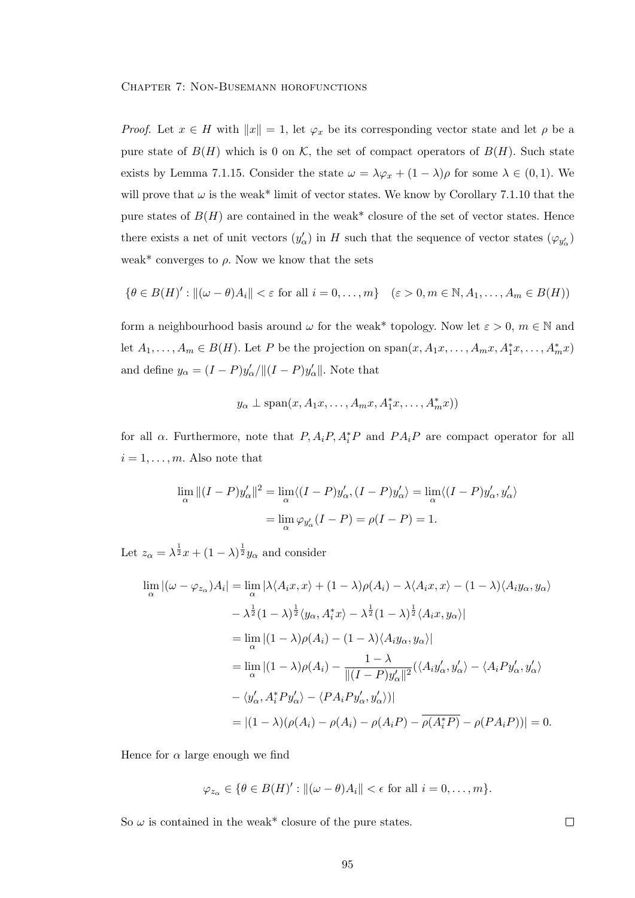*Proof.* Let  $x \in H$  with  $||x|| = 1$ , let  $\varphi_x$  be its corresponding vector state and let  $\rho$  be a pure state of  $B(H)$  which is 0 on K, the set of compact operators of  $B(H)$ . Such state exists by Lemma 7.1.15. Consider the state  $\omega = \lambda \varphi_x + (1 - \lambda) \rho$  for some  $\lambda \in (0, 1)$ . We will prove that  $\omega$  is the weak\* limit of vector states. We know by Corollary 7.1.10 that the pure states of  $B(H)$  are contained in the weak\* closure of the set of vector states. Hence there exists a net of unit vectors  $(y'_\alpha)$  in H such that the sequence of vector states  $(\varphi_{y'_\alpha})$ weak\* converges to  $\rho$ . Now we know that the sets

$$
\{\theta \in B(H)' : ||(\omega - \theta)A_i|| < \varepsilon \text{ for all } i = 0, \dots, m\} \quad (\varepsilon > 0, m \in \mathbb{N}, A_1, \dots, A_m \in B(H))
$$

form a neighbourhood basis around  $\omega$  for the weak\* topology. Now let  $\varepsilon > 0$ ,  $m \in \mathbb{N}$  and let  $A_1, \ldots, A_m \in B(H)$ . Let P be the projection on  $\text{span}(x, A_1x, \ldots, A_mx, A_1^*x, \ldots, A_mx)$ and define  $y_{\alpha} = (I - P)y'_{\alpha}/\|(I - P)y'_{\alpha}\|$ . Note that

$$
y_{\alpha} \perp \text{span}(x, A_1x, \ldots, A_mx, A_1^*x, \ldots, A_m^*x))
$$

for all  $\alpha$ . Furthermore, note that  $P, A_i P, A_i^* P$  and  $PA_i P$  are compact operator for all  $i = 1, \ldots, m$ . Also note that

$$
\lim_{\alpha} ||(I - P)y'_{\alpha}||^2 = \lim_{\alpha} \langle (I - P)y'_{\alpha}, (I - P)y'_{\alpha} \rangle = \lim_{\alpha} \langle (I - P)y'_{\alpha}, y'_{\alpha} \rangle
$$

$$
= \lim_{\alpha} \varphi_{y'_{\alpha}} (I - P) = \rho(I - P) = 1.
$$

Let  $z_{\alpha} = \lambda^{\frac{1}{2}}x + (1 - \lambda)^{\frac{1}{2}}y_{\alpha}$  and consider

$$
\lim_{\alpha} |(\omega - \varphi_{z_{\alpha}})A_{i}| = \lim_{\alpha} |\lambda \langle A_{i}x, x \rangle + (1 - \lambda)\rho(A_{i}) - \lambda \langle A_{i}x, x \rangle - (1 - \lambda) \langle A_{i}y_{\alpha}, y_{\alpha} \rangle
$$
  
\n
$$
- \lambda^{\frac{1}{2}} (1 - \lambda)^{\frac{1}{2}} \langle y_{\alpha}, A_{i}^{*}x \rangle - \lambda^{\frac{1}{2}} (1 - \lambda)^{\frac{1}{2}} \langle A_{i}x, y_{\alpha} \rangle|
$$
  
\n
$$
= \lim_{\alpha} |(1 - \lambda)\rho(A_{i}) - (1 - \lambda) \langle A_{i}y_{\alpha}, y_{\alpha} \rangle|
$$
  
\n
$$
= \lim_{\alpha} |(1 - \lambda)\rho(A_{i}) - \frac{1 - \lambda}{\|(I - P)y'_{\alpha}\|^{2}} (\langle A_{i}y'_{\alpha}, y'_{\alpha} \rangle - \langle A_{i}Py'_{\alpha}, y'_{\alpha} \rangle - \langle y'_{\alpha}, A_{i}^{*}Py'_{\alpha} \rangle - \langle PA_{i}Py'_{\alpha}, y'_{\alpha} \rangle)|
$$
  
\n
$$
= |(1 - \lambda)(\rho(A_{i}) - \rho(A_{i}) - \rho(A_{i}P) - \overline{\rho(A_{i}^{*}P)} - \rho(PA_{i}P))| = 0.
$$

Hence for  $\alpha$  large enough we find

$$
\varphi_{z_{\alpha}} \in \{\theta \in B(H)' : ||(\omega - \theta)A_i|| < \epsilon \text{ for all } i = 0, ..., m\}.
$$

So  $\omega$  is contained in the weak\* closure of the pure states.

 $\Box$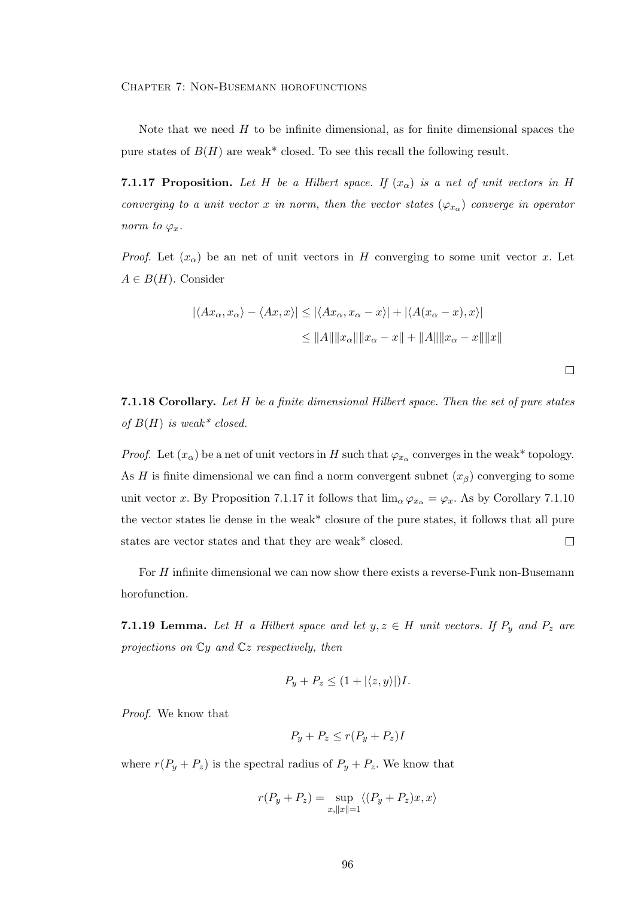Note that we need  $H$  to be infinite dimensional, as for finite dimensional spaces the pure states of  $B(H)$  are weak\* closed. To see this recall the following result.

**7.1.17 Proposition.** Let H be a Hilbert space. If  $(x_\alpha)$  is a net of unit vectors in H converging to a unit vector x in norm, then the vector states  $(\varphi_{x_\alpha})$  converge in operator norm to  $\varphi_x$ .

*Proof.* Let  $(x_\alpha)$  be an net of unit vectors in H converging to some unit vector x. Let  $A \in B(H)$ . Consider

$$
|\langle Ax_{\alpha}, x_{\alpha}\rangle - \langle Ax, x\rangle| \le |\langle Ax_{\alpha}, x_{\alpha} - x\rangle| + |\langle A(x_{\alpha} - x), x\rangle|
$$
  

$$
\le ||A|| ||x_{\alpha}|| ||x_{\alpha} - x|| + ||A|| ||x_{\alpha} - x|| ||x||
$$

 $\Box$ 

7.1.18 Corollary. Let H be a finite dimensional Hilbert space. Then the set of pure states of  $B(H)$  is weak\* closed.

*Proof.* Let  $(x_\alpha)$  be a net of unit vectors in H such that  $\varphi_{x_\alpha}$  converges in the weak\* topology. As H is finite dimensional we can find a norm convergent subnet  $(x<sub>\beta</sub>)$  converging to some unit vector x. By Proposition 7.1.17 it follows that  $\lim_{\alpha} \varphi_{x_{\alpha}} = \varphi_x$ . As by Corollary 7.1.10 the vector states lie dense in the weak\* closure of the pure states, it follows that all pure states are vector states and that they are weak\* closed.  $\Box$ 

For H infinite dimensional we can now show there exists a reverse-Funk non-Busemann horofunction.

**7.1.19 Lemma.** Let H a Hilbert space and let  $y, z \in H$  unit vectors. If  $P_y$  and  $P_z$  are projections on  $\mathbb{C}y$  and  $\mathbb{C}z$  respectively, then

$$
P_y + P_z \le (1 + |\langle z, y \rangle|)I.
$$

Proof. We know that

$$
P_y + P_z \le r(P_y + P_z)I
$$

where  $r(P_y + P_z)$  is the spectral radius of  $P_y + P_z$ . We know that

$$
r(P_y + P_z) = \sup_{x, ||x|| = 1} \langle (P_y + P_z)x, x \rangle
$$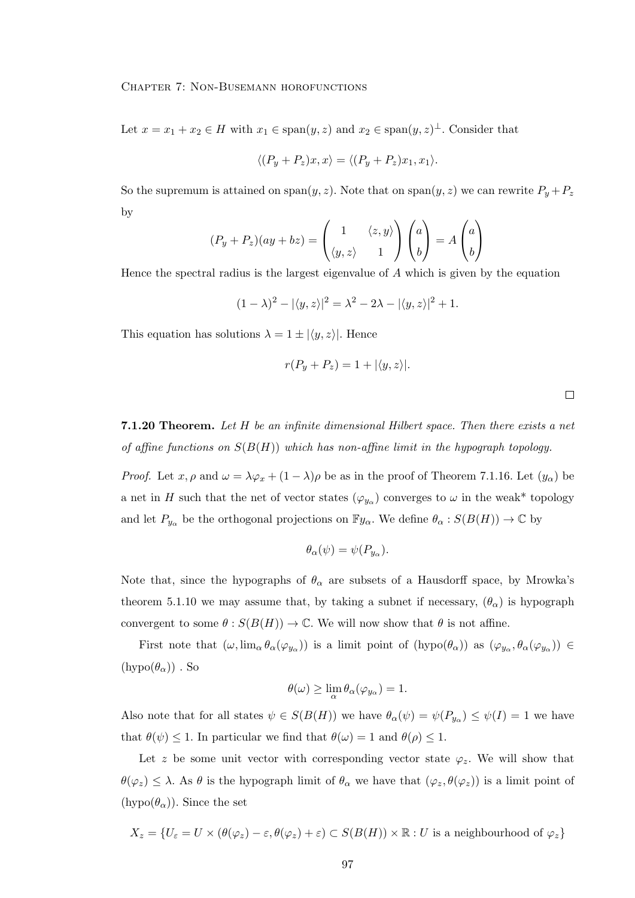Let  $x = x_1 + x_2 \in H$  with  $x_1 \in \text{span}(y, z)$  and  $x_2 \in \text{span}(y, z)$ <sup> $\perp$ </sup>. Consider that

$$
\langle (P_y + P_z)x, x \rangle = \langle (P_y + P_z)x_1, x_1 \rangle.
$$

So the supremum is attained on span $(y, z)$ . Note that on span $(y, z)$  we can rewrite  $P_y + P_z$ by

$$
(P_y + P_z)(ay + bz) = \begin{pmatrix} 1 & \langle z, y \rangle \\ \langle y, z \rangle & 1 \end{pmatrix} \begin{pmatrix} a \\ b \end{pmatrix} = A \begin{pmatrix} a \\ b \end{pmatrix}
$$

Hence the spectral radius is the largest eigenvalue of  $A$  which is given by the equation

$$
(1 - \lambda)^2 - |\langle y, z \rangle|^2 = \lambda^2 - 2\lambda - |\langle y, z \rangle|^2 + 1.
$$

This equation has solutions  $\lambda = 1 \pm |\langle y, z \rangle|$ . Hence

$$
r(P_y + P_z) = 1 + |\langle y, z \rangle|.
$$

 $\Box$ 

**7.1.20 Theorem.** Let  $H$  be an infinite dimensional Hilbert space. Then there exists a net of affine functions on  $S(B(H))$  which has non-affine limit in the hypograph topology.

*Proof.* Let  $x, \rho$  and  $\omega = \lambda \varphi_x + (1 - \lambda)\rho$  be as in the proof of Theorem 7.1.16. Let  $(y_\alpha)$  be a net in H such that the net of vector states  $(\varphi_{y_\alpha})$  converges to  $\omega$  in the weak\* topology and let  $P_{y_\alpha}$  be the orthogonal projections on  $\mathbb{F}y_\alpha$ . We define  $\theta_\alpha : S(B(H)) \to \mathbb{C}$  by

$$
\theta_{\alpha}(\psi) = \psi(P_{y_{\alpha}}).
$$

Note that, since the hypographs of  $\theta_{\alpha}$  are subsets of a Hausdorff space, by Mrowka's theorem 5.1.10 we may assume that, by taking a subnet if necessary,  $(\theta_{\alpha})$  is hypograph convergent to some  $\theta : S(B(H)) \to \mathbb{C}$ . We will now show that  $\theta$  is not affine.

First note that  $(\omega, \lim_{\alpha} \theta_{\alpha}(\varphi_{y_{\alpha}}))$  is a limit point of  $(hypo(\theta_{\alpha}))$  as  $(\varphi_{y_{\alpha}}, \theta_{\alpha}(\varphi_{y_{\alpha}})) \in$  $(hypo(\theta_{\alpha}))$ . So

$$
\theta(\omega) \ge \lim_{\alpha} \theta_{\alpha}(\varphi_{y_{\alpha}}) = 1.
$$

Also note that for all states  $\psi \in S(B(H))$  we have  $\theta_{\alpha}(\psi) = \psi(P_{y_{\alpha}}) \leq \psi(I) = 1$  we have that  $\theta(\psi) \leq 1$ . In particular we find that  $\theta(\omega) = 1$  and  $\theta(\rho) \leq 1$ .

Let z be some unit vector with corresponding vector state  $\varphi_z$ . We will show that  $\theta(\varphi_z) \leq \lambda$ . As  $\theta$  is the hypograph limit of  $\theta_\alpha$  we have that  $(\varphi_z, \theta(\varphi_z))$  is a limit point of  $(hypo(\theta_{\alpha}))$ . Since the set

$$
X_z = \{U_{\varepsilon} = U \times (\theta(\varphi_z) - \varepsilon, \theta(\varphi_z) + \varepsilon) \subset S(B(H)) \times \mathbb{R} : U \text{ is a neighbourhood of } \varphi_z\}
$$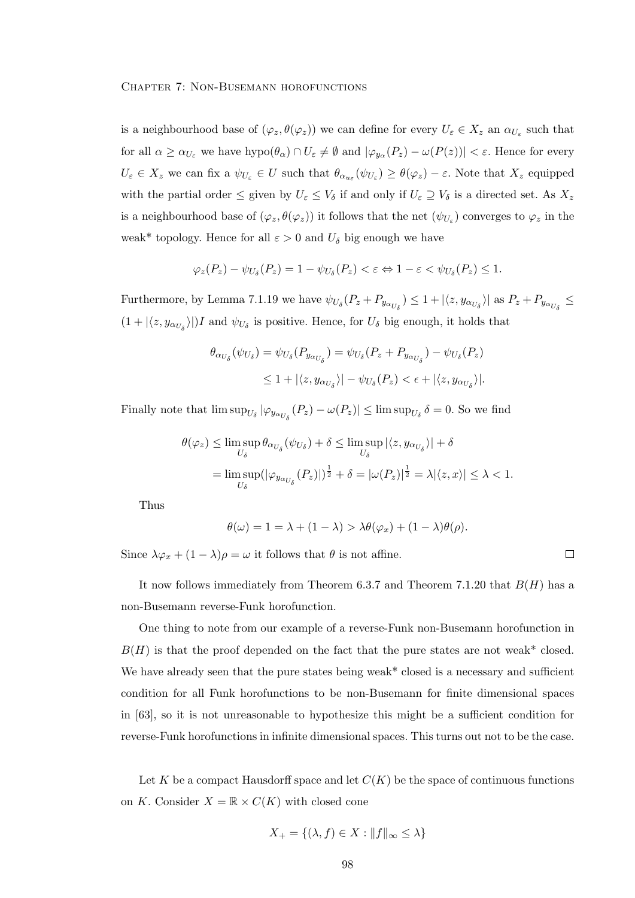is a neighbourhood base of  $(\varphi_z, \theta(\varphi_z))$  we can define for every  $U_\varepsilon \in X_z$  an  $\alpha_{U_\varepsilon}$  such that for all  $\alpha \ge \alpha_{U_{\varepsilon}}$  we have  $\text{hypo}(\theta_{\alpha}) \cap U_{\varepsilon} \ne \emptyset$  and  $|\varphi_{y_{\alpha}}(P_z) - \omega(P(z))| < \varepsilon$ . Hence for every  $U_{\varepsilon} \in X_z$  we can fix a  $\psi_{U_{\varepsilon}} \in U$  such that  $\theta_{\alpha_{u_{\varepsilon}}}(\psi_{U_{\varepsilon}}) \ge \theta(\varphi_z) - \varepsilon$ . Note that  $X_z$  equipped with the partial order  $\leq$  given by  $U_{\varepsilon} \leq V_{\delta}$  if and only if  $U_{\varepsilon} \supseteq V_{\delta}$  is a directed set. As  $X_z$ is a neighbourhood base of  $(\varphi_z, \theta(\varphi_z))$  it follows that the net  $(\psi_{U_z})$  converges to  $\varphi_z$  in the weak\* topology. Hence for all  $\varepsilon > 0$  and  $U_{\delta}$  big enough we have

$$
\varphi_z(P_z) - \psi_{U_\delta}(P_z) = 1 - \psi_{U_\delta}(P_z) < \varepsilon \Leftrightarrow 1 - \varepsilon < \psi_{U_\delta}(P_z) \le 1.
$$

Furthermore, by Lemma 7.1.19 we have  $\psi_{U_{\delta}}(P_z + P_{y_{\alpha_{U_{\delta}}}}) \leq 1 + |\langle z, y_{\alpha_{U_{\delta}}}\rangle|$  as  $P_z + P_{y_{\alpha_{U_{\delta}}}} \leq$  $(1 + |\langle z, y_{\alpha_{U_{\delta}}}\rangle|)I$  and  $\psi_{U_{\delta}}$  is positive. Hence, for  $U_{\delta}$  big enough, it holds that

$$
\theta_{\alpha_{U_{\delta}}}(\psi_{U_{\delta}}) = \psi_{U_{\delta}}(P_{y_{\alpha_{U_{\delta}}}}) = \psi_{U_{\delta}}(P_{z} + P_{y_{\alpha_{U_{\delta}}}}) - \psi_{U_{\delta}}(P_{z})
$$
  

$$
\leq 1 + |\langle z, y_{\alpha_{U_{\delta}}}\rangle| - \psi_{U_{\delta}}(P_{z}) < \epsilon + |\langle z, y_{\alpha_{U_{\delta}}}\rangle|.
$$

Finally note that  $\limsup_{U_{\delta}} |\varphi_{y_{\alpha_{U_{\delta}}}}(P_z) - \omega(P_z)| \leq \limsup_{U_{\delta}} \delta = 0$ . So we find

$$
\theta(\varphi_z) \le \limsup_{U_\delta} \theta_{\alpha_{U_\delta}}(\psi_{U_\delta}) + \delta \le \limsup_{U_\delta} |\langle z, y_{\alpha_{U_\delta}}\rangle| + \delta
$$
  
= 
$$
\limsup_{U_\delta} (|\varphi_{y_{\alpha_{U_\delta}}}(P_z)|)^{\frac{1}{2}} + \delta = |\omega(P_z)|^{\frac{1}{2}} = \lambda |\langle z, x \rangle| \le \lambda < 1.
$$

Thus

$$
\theta(\omega) = 1 = \lambda + (1 - \lambda) > \lambda \theta(\varphi_x) + (1 - \lambda) \theta(\rho).
$$

 $\Box$ 

Since  $\lambda \varphi_x + (1 - \lambda)\rho = \omega$  it follows that  $\theta$  is not affine.

It now follows immediately from Theorem 6.3.7 and Theorem 7.1.20 that  $B(H)$  has a non-Busemann reverse-Funk horofunction.

One thing to note from our example of a reverse-Funk non-Busemann horofunction in  $B(H)$  is that the proof depended on the fact that the pure states are not weak\* closed. We have already seen that the pure states being weak\* closed is a necessary and sufficient condition for all Funk horofunctions to be non-Busemann for finite dimensional spaces in [63], so it is not unreasonable to hypothesize this might be a sufficient condition for reverse-Funk horofunctions in infinite dimensional spaces. This turns out not to be the case.

Let K be a compact Hausdorff space and let  $C(K)$  be the space of continuous functions on K. Consider  $X = \mathbb{R} \times C(K)$  with closed cone

$$
X_{+} = \{ (\lambda, f) \in X : ||f||_{\infty} \le \lambda \}
$$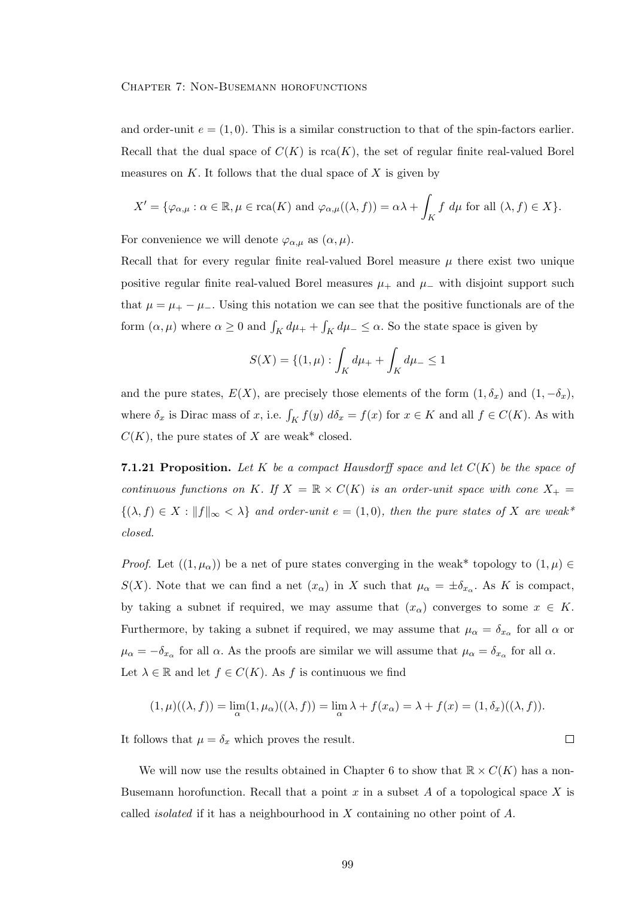and order-unit  $e = (1, 0)$ . This is a similar construction to that of the spin-factors earlier. Recall that the dual space of  $C(K)$  is rca(K), the set of regular finite real-valued Borel measures on K. It follows that the dual space of X is given by

$$
X' = \{ \varphi_{\alpha,\mu} : \alpha \in \mathbb{R}, \mu \in \text{rca}(K) \text{ and } \varphi_{\alpha,\mu}((\lambda, f)) = \alpha \lambda + \int_K f \, d\mu \text{ for all } (\lambda, f) \in X \}.
$$

For convenience we will denote  $\varphi_{\alpha,\mu}$  as  $(\alpha,\mu)$ .

Recall that for every regular finite real-valued Borel measure  $\mu$  there exist two unique positive regular finite real-valued Borel measures  $\mu_+$  and  $\mu_-$  with disjoint support such that  $\mu = \mu_+ - \mu_-$ . Using this notation we can see that the positive functionals are of the form  $(\alpha, \mu)$  where  $\alpha \ge 0$  and  $\int_K d\mu_+ + \int_K d\mu_- \le \alpha$ . So the state space is given by

$$
S(X) = \{(1, \mu) : \int_K d\mu_+ + \int_K d\mu_- \le 1
$$

and the pure states,  $E(X)$ , are precisely those elements of the form  $(1, \delta_x)$  and  $(1, -\delta_x)$ , where  $\delta_x$  is Dirac mass of x, i.e.  $\int_K f(y) d\delta_x = f(x)$  for  $x \in K$  and all  $f \in C(K)$ . As with  $C(K)$ , the pure states of X are weak\* closed.

**7.1.21 Proposition.** Let K be a compact Hausdorff space and let  $C(K)$  be the space of continuous functions on K. If  $X = \mathbb{R} \times C(K)$  is an order-unit space with cone  $X_+$  $\{(\lambda, f) \in X : ||f||_{\infty} < \lambda\}$  and order-unit  $e = (1, 0)$ , then the pure states of X are weak\* closed.

*Proof.* Let  $((1, \mu_{\alpha}))$  be a net of pure states converging in the weak\* topology to  $(1, \mu) \in$  $S(X)$ . Note that we can find a net  $(x_{\alpha})$  in X such that  $\mu_{\alpha} = \pm \delta_{x_{\alpha}}$ . As K is compact, by taking a subnet if required, we may assume that  $(x_{\alpha})$  converges to some  $x \in K$ . Furthermore, by taking a subnet if required, we may assume that  $\mu_{\alpha} = \delta_{x_{\alpha}}$  for all  $\alpha$  or  $\mu_{\alpha} = -\delta_{x_{\alpha}}$  for all  $\alpha$ . As the proofs are similar we will assume that  $\mu_{\alpha} = \delta_{x_{\alpha}}$  for all  $\alpha$ . Let  $\lambda \in \mathbb{R}$  and let  $f \in C(K)$ . As f is continuous we find

$$
(1, \mu)((\lambda, f)) = \lim_{\alpha} (1, \mu_{\alpha})((\lambda, f)) = \lim_{\alpha} \lambda + f(x_{\alpha}) = \lambda + f(x) = (1, \delta_x)((\lambda, f)).
$$

 $\Box$ 

It follows that  $\mu = \delta_x$  which proves the result.

We will now use the results obtained in Chapter 6 to show that  $\mathbb{R} \times C(K)$  has a non-Busemann horofunction. Recall that a point x in a subset A of a topological space X is called *isolated* if it has a neighbourhood in X containing no other point of  $A$ .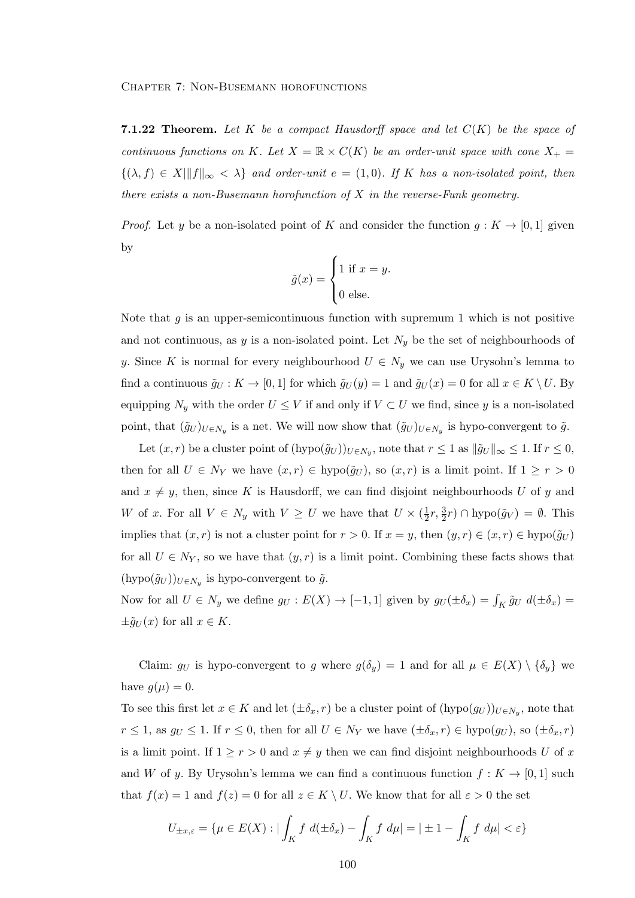**7.1.22 Theorem.** Let K be a compact Hausdorff space and let  $C(K)$  be the space of continuous functions on K. Let  $X = \mathbb{R} \times C(K)$  be an order-unit space with cone  $X_+$  $\{(\lambda, f) \in X \mid ||f||_{\infty} < \lambda \}$  and order-unit  $e = (1, 0)$ . If K has a non-isolated point, then there exists a non-Busemann horofunction of  $X$  in the reverse-Funk geometry.

*Proof.* Let y be a non-isolated point of K and consider the function  $g: K \to [0,1]$  given by

$$
\tilde{g}(x) = \begin{cases} 1 \text{ if } x = y. \\ 0 \text{ else.} \end{cases}
$$

Note that  $g$  is an upper-semicontinuous function with supremum 1 which is not positive and not continuous, as y is a non-isolated point. Let  $N_y$  be the set of neighbourhoods of y. Since K is normal for every neighbourhood  $U \in N_y$  we can use Urysohn's lemma to find a continuous  $\tilde{g}_U : K \to [0,1]$  for which  $\tilde{g}_U(y) = 1$  and  $\tilde{g}_U(x) = 0$  for all  $x \in K \setminus U$ . By equipping  $N_y$  with the order  $U \leq V$  if and only if  $V \subset U$  we find, since y is a non-isolated point, that  $(\tilde{g}_U)_{U \in N_y}$  is a net. We will now show that  $(\tilde{g}_U)_{U \in N_y}$  is hypo-convergent to  $\tilde{g}$ .

Let  $(x, r)$  be a cluster point of  $(hypo(\tilde{g}_U))_{U \in N_y}$ , note that  $r \leq 1$  as  $\|\tilde{g}_U\|_{\infty} \leq 1$ . If  $r \leq 0$ , then for all  $U \in N_Y$  we have  $(x, r) \in \text{hypo}(\tilde{g}_U)$ , so  $(x, r)$  is a limit point. If  $1 \geq r > 0$ and  $x \neq y$ , then, since K is Hausdorff, we can find disjoint neighbourhoods U of y and W of x. For all  $V \in N_y$  with  $V \geq U$  we have that  $U \times (\frac{1}{2})$  $\frac{1}{2}r, \frac{3}{2}r$ )  $\cap$  hypo $(\tilde{g}_V) = \emptyset$ . This implies that  $(x, r)$  is not a cluster point for  $r > 0$ . If  $x = y$ , then  $(y, r) \in (x, r) \in$  hypo $(\tilde{g}_U)$ for all  $U \in N_Y$ , so we have that  $(y, r)$  is a limit point. Combining these facts shows that  $(\text{hypo}(\tilde{g}_U))_{U \in N_y}$  is hypo-convergent to  $\tilde{g}$ .

Now for all  $U \in N_y$  we define  $g_U : E(X) \to [-1,1]$  given by  $g_U(\pm \delta_x) = \int_K \tilde{g}_U d(\pm \delta_x) =$  $\pm \tilde{g}_U(x)$  for all  $x \in K$ .

Claim:  $g_U$  is hypo-convergent to g where  $g(\delta_y) = 1$  and for all  $\mu \in E(X) \setminus {\delta_y}$  we have  $g(\mu) = 0$ .

To see this first let  $x \in K$  and let  $(\pm \delta_x, r)$  be a cluster point of  $(hypo(g_U))_{U \in N_y}$ , note that  $r \le 1$ , as  $g_U \le 1$ . If  $r \le 0$ , then for all  $U \in N_Y$  we have  $(\pm \delta_x, r) \in \text{hypo}(g_U)$ , so  $(\pm \delta_x, r)$ is a limit point. If  $1 \ge r > 0$  and  $x \neq y$  then we can find disjoint neighbourhoods U of x and W of y. By Urysohn's lemma we can find a continuous function  $f: K \to [0,1]$  such that  $f(x) = 1$  and  $f(z) = 0$  for all  $z \in K \setminus U$ . We know that for all  $\varepsilon > 0$  the set

$$
U_{\pm x,\varepsilon} = \{ \mu \in E(X) : |\int_K f \ d(\pm \delta_x) - \int_K f \ d\mu| = |\pm 1 - \int_K f \ d\mu| < \varepsilon \}
$$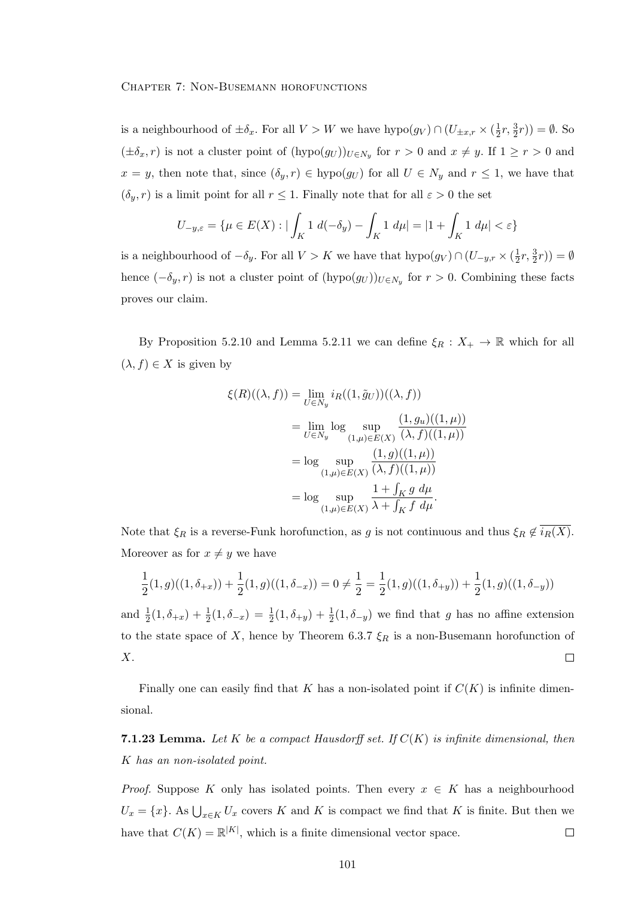is a neighbourhood of  $\pm \delta_x$ . For all  $V > W$  we have  $hypo(g_V) \cap (U_{\pm x,r} \times (\frac{1}{2}))$  $(\frac{1}{2}r, \frac{3}{2}r)) = \emptyset$ . So  $(\pm \delta_x, r)$  is not a cluster point of  $(hypo(g_U))_{U \in N_y}$  for  $r > 0$  and  $x \neq y$ . If  $1 \geq r > 0$  and  $x = y$ , then note that, since  $(\delta_y, r) \in \text{hypo}(g_U)$  for all  $U \in N_y$  and  $r \leq 1$ , we have that  $(\delta_y, r)$  is a limit point for all  $r \leq 1$ . Finally note that for all  $\varepsilon > 0$  the set

$$
U_{-y,\varepsilon} = \{ \mu \in E(X) : |\int_K 1 \ d(-\delta_y) - \int_K 1 \ d\mu| = |1 + \int_K 1 \ d\mu| < \varepsilon \}
$$

is a neighbourhood of  $-\delta_y$ . For all  $V > K$  we have that  $hypo(g_V) \cap (U_{-y,r} \times (\frac{1}{2}))$  $(\frac{1}{2}r, \frac{3}{2}r)) = \emptyset$ hence  $(-\delta_y, r)$  is not a cluster point of  $(hypo(g_U))_{U \in N_y}$  for  $r > 0$ . Combining these facts proves our claim.

By Proposition 5.2.10 and Lemma 5.2.11 we can define  $\xi_R : X_+ \to \mathbb{R}$  which for all  $(\lambda, f) \in X$  is given by

$$
\xi(R)((\lambda, f)) = \lim_{U \in N_y} i_R((1, \tilde{g}_U))((\lambda, f))
$$
  
= 
$$
\lim_{U \in N_y} \log \sup_{(1,\mu) \in E(X)} \frac{(1, g_u)((1, \mu))}{(\lambda, f)((1, \mu))}
$$
  
= 
$$
\log \sup_{(1,\mu) \in E(X)} \frac{(1, g)((1, \mu))}{(\lambda, f)((1, \mu))}
$$
  
= 
$$
\log \sup_{(1,\mu) \in E(X)} \frac{1 + \int_K g \ d\mu}{\lambda + \int_K f \ d\mu}.
$$

Note that  $\xi_R$  is a reverse-Funk horofunction, as g is not continuous and thus  $\xi_R \notin \overline{i_R(X)}$ . Moreover as for  $x \neq y$  we have

$$
\frac{1}{2}(1,g)((1,\delta_{+x}))+\frac{1}{2}(1,g)((1,\delta_{-x}))=0\neq \frac{1}{2}=\frac{1}{2}(1,g)((1,\delta_{+y}))+\frac{1}{2}(1,g)((1,\delta_{-y}))
$$

and  $\frac{1}{2}(1,\delta_{+x}) + \frac{1}{2}(1,\delta_{-x}) = \frac{1}{2}(1,\delta_{+y}) + \frac{1}{2}(1,\delta_{-y})$  we find that g has no affine extension to the state space of X, hence by Theorem 6.3.7  $\xi_R$  is a non-Busemann horofunction of X.  $\Box$ 

Finally one can easily find that K has a non-isolated point if  $C(K)$  is infinite dimensional.

**7.1.23 Lemma.** Let K be a compact Hausdorff set. If  $C(K)$  is infinite dimensional, then K has an non-isolated point.

*Proof.* Suppose K only has isolated points. Then every  $x \in K$  has a neighbourhood  $U_x = \{x\}$ . As  $\bigcup_{x \in K} U_x$  covers K and K is compact we find that K is finite. But then we have that  $C(K) = \mathbb{R}^{|K|}$ , which is a finite dimensional vector space.  $\Box$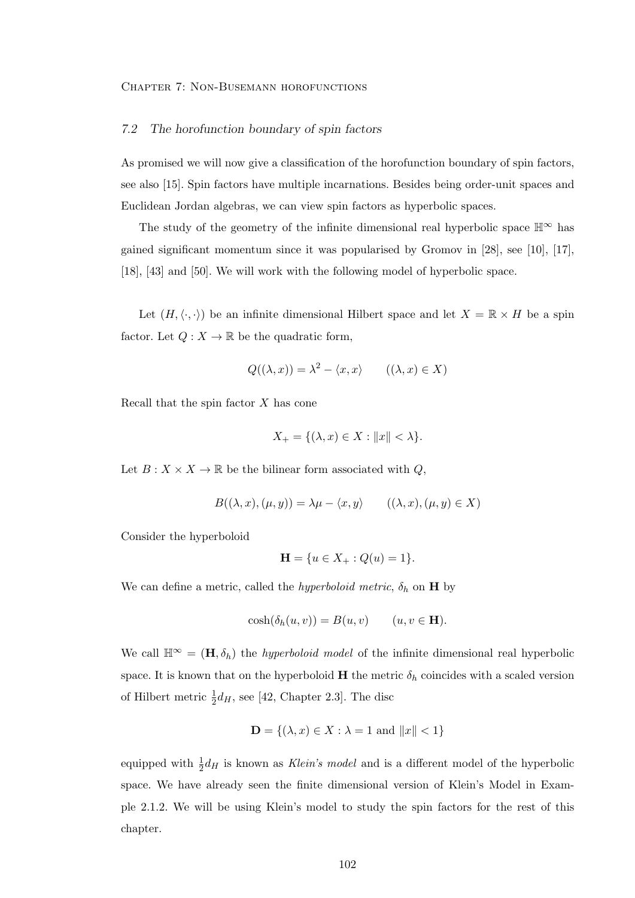#### 7.2 The horofunction boundary of spin factors

As promised we will now give a classification of the horofunction boundary of spin factors, see also [15]. Spin factors have multiple incarnations. Besides being order-unit spaces and Euclidean Jordan algebras, we can view spin factors as hyperbolic spaces.

The study of the geometry of the infinite dimensional real hyperbolic space  $\mathbb{H}^{\infty}$  has gained significant momentum since it was popularised by Gromov in [28], see [10], [17], [18], [43] and [50]. We will work with the following model of hyperbolic space.

Let  $(H, \langle \cdot, \cdot \rangle)$  be an infinite dimensional Hilbert space and let  $X = \mathbb{R} \times H$  be a spin factor. Let  $Q: X \to \mathbb{R}$  be the quadratic form,

$$
Q((\lambda, x)) = \lambda^2 - \langle x, x \rangle \qquad ((\lambda, x) \in X)
$$

Recall that the spin factor  $X$  has cone

$$
X_{+} = \{(\lambda, x) \in X : ||x|| < \lambda\}.
$$

Let  $B: X \times X \to \mathbb{R}$  be the bilinear form associated with  $Q$ ,

$$
B((\lambda, x), (\mu, y)) = \lambda \mu - \langle x, y \rangle \qquad ((\lambda, x), (\mu, y) \in X)
$$

Consider the hyperboloid

$$
\mathbf{H} = \{u \in X_+ : Q(u) = 1\}.
$$

We can define a metric, called the *hyperboloid metric*,  $\delta_h$  on **H** by

$$
\cosh(\delta_h(u,v)) = B(u,v) \qquad (u,v \in \mathbf{H}).
$$

We call  $\mathbb{H}^{\infty} = (\mathbf{H}, \delta_h)$  the *hyperboloid model* of the infinite dimensional real hyperbolic space. It is known that on the hyperboloid  $H$  the metric  $\delta_h$  coincides with a scaled version of Hilbert metric  $\frac{1}{2}d_H$ , see [42, Chapter 2.3]. The disc

$$
\mathbf{D} = \{ (\lambda, x) \in X : \lambda = 1 \text{ and } ||x|| < 1 \}
$$

equipped with  $\frac{1}{2}d_H$  is known as Klein's model and is a different model of the hyperbolic space. We have already seen the finite dimensional version of Klein's Model in Example 2.1.2. We will be using Klein's model to study the spin factors for the rest of this chapter.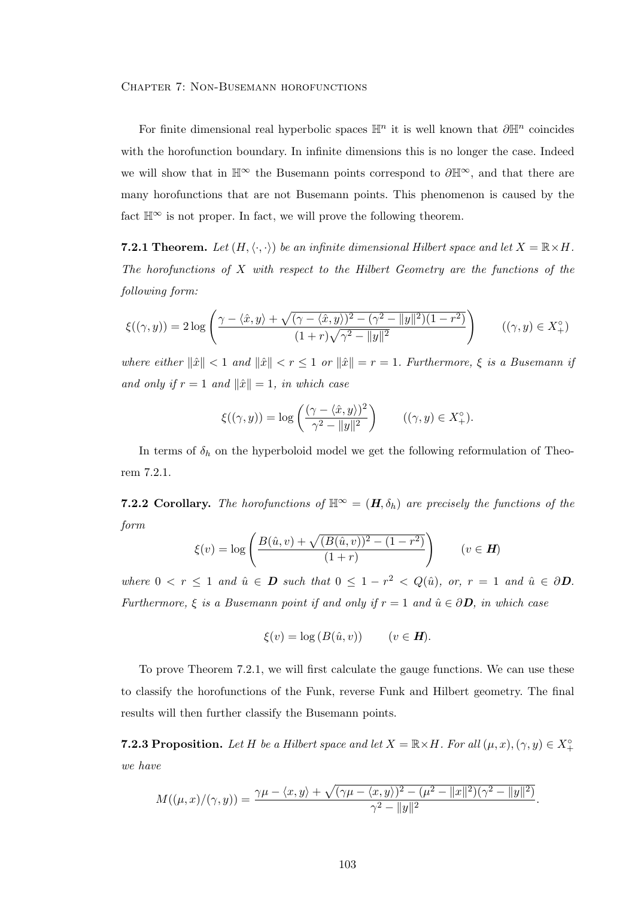For finite dimensional real hyperbolic spaces  $\mathbb{H}^n$  it is well known that  $\partial \mathbb{H}^n$  coincides with the horofunction boundary. In infinite dimensions this is no longer the case. Indeed we will show that in  $\mathbb{H}^{\infty}$  the Busemann points correspond to  $\partial \mathbb{H}^{\infty}$ , and that there are many horofunctions that are not Busemann points. This phenomenon is caused by the fact  $\mathbb{H}^{\infty}$  is not proper. In fact, we will prove the following theorem.

**7.2.1 Theorem.** Let  $(H, \langle \cdot, \cdot \rangle)$  be an infinite dimensional Hilbert space and let  $X = \mathbb{R} \times H$ . The horofunctions of  $X$  with respect to the Hilbert Geometry are the functions of the following form:

$$
\xi((\gamma, y)) = 2\log\left(\frac{\gamma - \langle \hat{x}, y \rangle + \sqrt{(\gamma - \langle \hat{x}, y \rangle)^2 - (\gamma^2 - \|y\|^2)(1 - r^2)}}{(1 + r)\sqrt{\gamma^2 - \|y\|^2}}\right) \qquad ((\gamma, y) \in X_+^\circ)
$$

where either  $\|\hat{x}\| < 1$  and  $\|\hat{x}\| < r \leq 1$  or  $\|\hat{x}\| = r = 1$ . Furthermore,  $\xi$  is a Busemann if and only if  $r = 1$  and  $\|\hat{x}\| = 1$ , in which case

$$
\xi((\gamma, y)) = \log\left(\frac{(\gamma - \langle \hat{x}, y \rangle)^2}{\gamma^2 - ||y||^2}\right) \qquad ((\gamma, y) \in X_+^{\circ}).
$$

In terms of  $\delta_h$  on the hyperboloid model we get the following reformulation of Theorem 7.2.1.

**7.2.2 Corollary.** The horofunctions of  $\mathbb{H}^{\infty} = (H, \delta_h)$  are precisely the functions of the form

$$
\xi(v) = \log \left( \frac{B(\hat{u}, v) + \sqrt{(B(\hat{u}, v))^2 - (1 - r^2)}}{(1 + r)} \right) \qquad (v \in H)
$$

where  $0 \lt r \leq 1$  and  $\hat{u} \in \mathbf{D}$  such that  $0 \leq 1 - r^2 \lt Q(\hat{u})$ , or,  $r = 1$  and  $\hat{u} \in \partial \mathbf{D}$ . Furthermore,  $\xi$  is a Busemann point if and only if  $r = 1$  and  $\hat{u} \in \partial \mathbf{D}$ , in which case

$$
\xi(v) = \log (B(\hat{u}, v)) \qquad (v \in H).
$$

To prove Theorem 7.2.1, we will first calculate the gauge functions. We can use these to classify the horofunctions of the Funk, reverse Funk and Hilbert geometry. The final results will then further classify the Busemann points.

**7.2.3 Proposition.** Let H be a Hilbert space and let  $X = \mathbb{R} \times H$ . For all  $(\mu, x), (\gamma, y) \in X^{\circ}_+$ we have

$$
M((\mu,x)/(\gamma,y))=\frac{\gamma\mu-\langle x,y\rangle+\sqrt{(\gamma\mu-\langle x,y\rangle)^2-(\mu^2-\|x\|^2)(\gamma^2-\|y\|^2)}}{\gamma^2-\|y\|^2}.
$$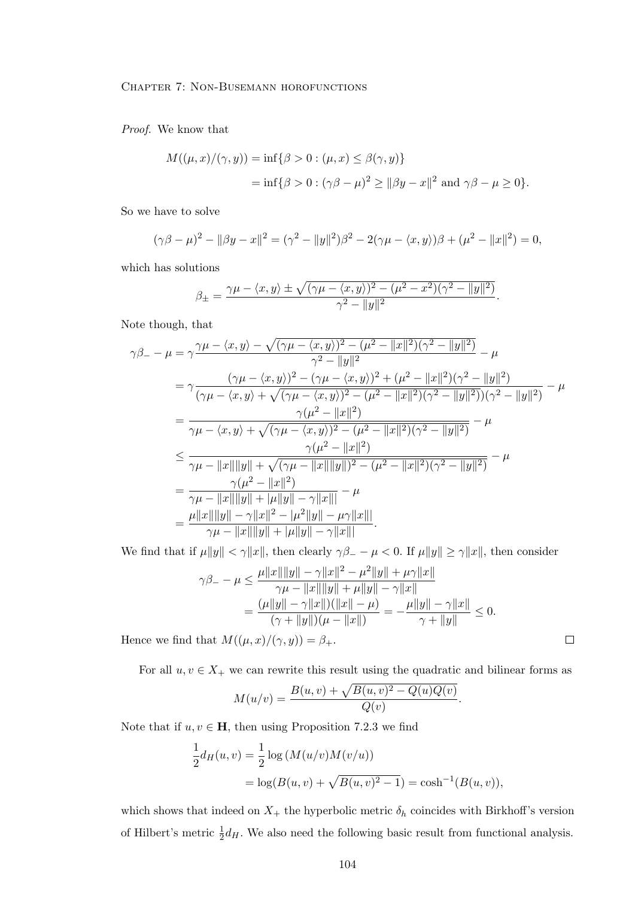Proof. We know that

$$
M((\mu, x)/(\gamma, y)) = \inf \{ \beta > 0 : (\mu, x) \le \beta(\gamma, y) \}
$$
  
=  $\inf \{ \beta > 0 : (\gamma \beta - \mu)^2 \ge ||\beta y - x||^2 \text{ and } \gamma \beta - \mu \ge 0 \}.$ 

So we have to solve

$$
(\gamma \beta - \mu)^2 - ||\beta y - x||^2 = (\gamma^2 - ||y||^2)\beta^2 - 2(\gamma \mu - \langle x, y \rangle)\beta + (\mu^2 - ||x||^2) = 0,
$$

which has solutions

$$
\beta_{\pm} = \frac{\gamma \mu - \langle x, y \rangle \pm \sqrt{(\gamma \mu - \langle x, y \rangle)^2 - (\mu^2 - x^2)(\gamma^2 - ||y||^2)}}{\gamma^2 - ||y||^2}.
$$

Note though, that

$$
\gamma\beta_{-} - \mu = \gamma \frac{\gamma\mu - \langle x, y \rangle - \sqrt{(\gamma\mu - \langle x, y \rangle)^2 - (\mu^2 - ||x||^2)(\gamma^2 - ||y||^2)}}{\gamma^2 - ||y||^2} - \mu
$$
  
\n
$$
= \gamma \frac{(\gamma\mu - \langle x, y \rangle)^2 - (\gamma\mu - \langle x, y \rangle)^2 + (\mu^2 - ||x||^2)(\gamma^2 - ||y||^2)}{(\gamma\mu - \langle x, y \rangle + \sqrt{(\gamma\mu - \langle x, y \rangle)^2 - (\mu^2 - ||x||^2)(\gamma^2 - ||y||^2)})(\gamma^2 - ||y||^2)} - \mu
$$
  
\n
$$
= \frac{\gamma(\mu^2 - ||x||^2)}{\gamma\mu - \langle x, y \rangle + \sqrt{(\gamma\mu - \langle x, y \rangle)^2 - (\mu^2 - ||x||^2)(\gamma^2 - ||y||^2)}} - \mu
$$
  
\n
$$
\leq \frac{\gamma(\mu^2 - ||x||^2)}{\gamma\mu - ||x|| ||y|| + \sqrt{(\gamma\mu - ||x|| ||y||)^2 - (\mu^2 - ||x||^2)(\gamma^2 - ||y||^2)}} - \mu
$$
  
\n
$$
= \frac{\gamma(\mu^2 - ||x||^2)}{\gamma\mu - ||x|| ||y|| + |\mu ||y|| - \gamma ||x|||} - \mu
$$
  
\n
$$
= \frac{\mu ||x|| ||y| - \gamma ||x||^2 - |\mu^2 ||y|| - \mu \gamma ||x|||}{\gamma\mu - ||x|| ||y|| + |\mu ||y|| - \gamma ||x|||}.
$$

We find that if  $\mu||y|| < \gamma ||x||$ , then clearly  $\gamma \beta_- - \mu < 0$ . If  $\mu||y|| \ge \gamma ||x||$ , then consider

$$
\gamma \beta_{-} - \mu \leq \frac{\mu ||x|| ||y|| - \gamma ||x||^2 - \mu^2 ||y|| + \mu \gamma ||x||}{\gamma \mu - ||x|| ||y|| + \mu ||y|| - \gamma ||x||}
$$
  
= 
$$
\frac{(\mu ||y|| - \gamma ||x||)(||x|| - \mu)}{(\gamma + ||y||)(\mu - ||x||)} = -\frac{\mu ||y|| - \gamma ||x||}{\gamma + ||y||} \leq 0.
$$

Hence we find that  $M((\mu, x)/(\gamma, y)) = \beta_+$ .

For all  $u, v \in X_+$  we can rewrite this result using the quadratic and bilinear forms as

$$
M(u/v) = \frac{B(u, v) + \sqrt{B(u, v)^2 - Q(u)Q(v)}}{Q(v)}.
$$

Note that if  $u, v \in \mathbf{H}$ , then using Proposition 7.2.3 we find

$$
\frac{1}{2}d_H(u, v) = \frac{1}{2}\log(M(u/v)M(v/u))
$$
  
=  $\log(B(u, v) + \sqrt{B(u, v)^2 - 1}) = \cosh^{-1}(B(u, v)),$ 

which shows that indeed on  $X_+$  the hyperbolic metric  $\delta_h$  coincides with Birkhoff's version of Hilbert's metric  $\frac{1}{2}d_H$ . We also need the following basic result from functional analysis.

 $\Box$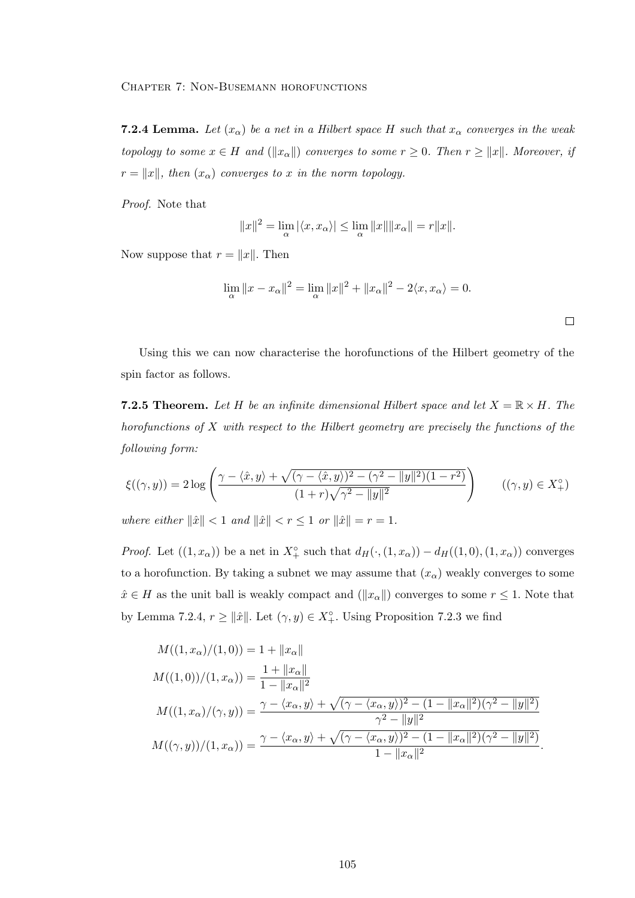**7.2.4 Lemma.** Let  $(x_{\alpha})$  be a net in a Hilbert space H such that  $x_{\alpha}$  converges in the weak topology to some  $x \in H$  and  $(\|x_\alpha\|)$  converges to some  $r \geq 0$ . Then  $r \geq \|x\|$ . Moreover, if  $r = ||x||$ , then  $(x_{\alpha})$  converges to x in the norm topology.

Proof. Note that

$$
||x||^2 = \lim_{\alpha} |\langle x, x_{\alpha} \rangle| \le \lim_{\alpha} ||x|| ||x_{\alpha}|| = r ||x||.
$$

Now suppose that  $r = ||x||$ . Then

$$
\lim_{\alpha} \|x - x_{\alpha}\|^2 = \lim_{\alpha} \|x\|^2 + \|x_{\alpha}\|^2 - 2\langle x, x_{\alpha} \rangle = 0.
$$

Using this we can now characterise the horofunctions of the Hilbert geometry of the spin factor as follows.

**7.2.5 Theorem.** Let H be an infinite dimensional Hilbert space and let  $X = \mathbb{R} \times H$ . The horofunctions of  $X$  with respect to the Hilbert geometry are precisely the functions of the following form:

$$
\xi((\gamma, y)) = 2\log\left(\frac{\gamma - \langle \hat{x}, y \rangle + \sqrt{(\gamma - \langle \hat{x}, y \rangle)^2 - (\gamma^2 - \|y\|^2)(1 - r^2)}}{(1 + r)\sqrt{\gamma^2 - \|y\|^2}}\right) \qquad ((\gamma, y) \in X_+^\circ)
$$

where either  $\|\hat{x}\| < 1$  and  $\|\hat{x}\| < r \leq 1$  or  $\|\hat{x}\| = r = 1$ .

*Proof.* Let  $((1, x_{\alpha}))$  be a net in  $X^{\circ}_{+}$  such that  $d_{H}(\cdot, (1, x_{\alpha})) - d_{H}((1, 0), (1, x_{\alpha}))$  converges to a horofunction. By taking a subnet we may assume that  $(x_{\alpha})$  weakly converges to some  $\hat{x} \in H$  as the unit ball is weakly compact and  $(\|x_\alpha\|)$  converges to some  $r \leq 1$ . Note that by Lemma 7.2.4,  $r \ge ||\hat{x}||$ . Let  $(\gamma, y) \in X^{\circ}_+$ . Using Proposition 7.2.3 we find

$$
M((1, x_{\alpha})/(1, 0)) = 1 + ||x_{\alpha}||
$$
  
\n
$$
M((1, 0))/(1, x_{\alpha})) = \frac{1 + ||x_{\alpha}||}{1 - ||x_{\alpha}||^{2}}
$$
  
\n
$$
M((1, x_{\alpha})/( \gamma, y)) = \frac{\gamma - \langle x_{\alpha}, y \rangle + \sqrt{(\gamma - \langle x_{\alpha}, y \rangle)^{2} - (1 - ||x_{\alpha}||^{2})(\gamma^{2} - ||y||^{2})}}{\gamma^{2} - ||y||^{2}}
$$
  
\n
$$
M((\gamma, y))/(1, x_{\alpha})) = \frac{\gamma - \langle x_{\alpha}, y \rangle + \sqrt{(\gamma - \langle x_{\alpha}, y \rangle)^{2} - (1 - ||x_{\alpha}||^{2})(\gamma^{2} - ||y||^{2})}}{1 - ||x_{\alpha}||^{2}}.
$$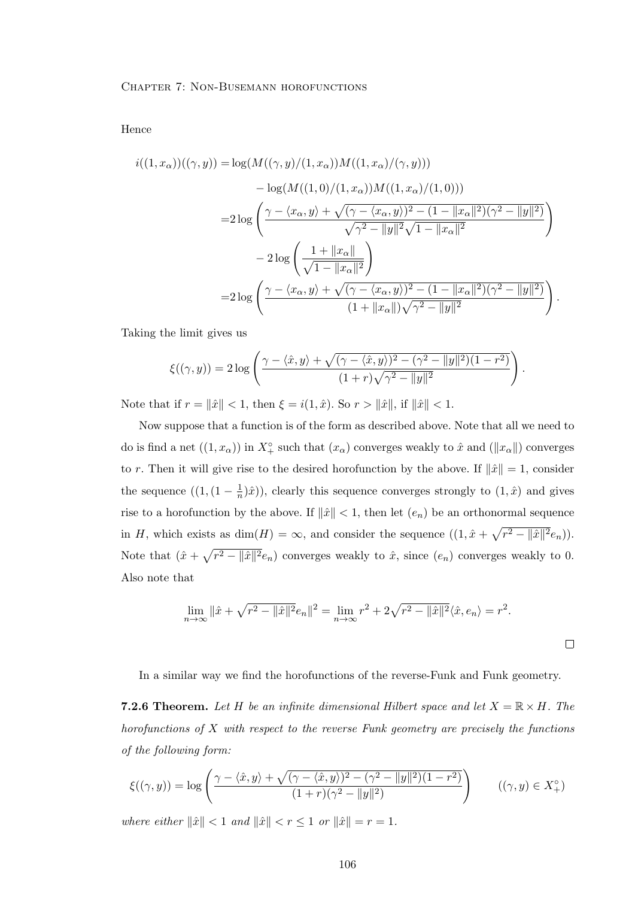Hence

$$
i((1, x_{\alpha}))((\gamma, y)) = \log(M((\gamma, y)/(1, x_{\alpha}))M((1, x_{\alpha})/(\gamma, y)))
$$
  
- 
$$
\log(M((1, 0)/(1, x_{\alpha}))M((1, x_{\alpha})/(1, 0)))
$$
  
= 
$$
2 \log \left( \frac{\gamma - \langle x_{\alpha}, y \rangle + \sqrt{(\gamma - \langle x_{\alpha}, y \rangle)^2 - (1 - ||x_{\alpha}||^2)(\gamma^2 - ||y||^2)}}{\sqrt{\gamma^2 - ||y||^2}\sqrt{1 - ||x_{\alpha}||^2}} \right)
$$
  
- 
$$
2 \log \left( \frac{1 + ||x_{\alpha}||}{\sqrt{1 - ||x_{\alpha}||^2}} \right)
$$
  
= 
$$
2 \log \left( \frac{\gamma - \langle x_{\alpha}, y \rangle + \sqrt{(\gamma - \langle x_{\alpha}, y \rangle)^2 - (1 - ||x_{\alpha}||^2)(\gamma^2 - ||y||^2)}}{(1 + ||x_{\alpha}||)\sqrt{\gamma^2 - ||y||^2}} \right).
$$

Taking the limit gives us

$$
\xi((\gamma,y)) = 2\log\left(\frac{\gamma - \langle \hat{x}, y \rangle + \sqrt{(\gamma - \langle \hat{x}, y \rangle)^2 - (\gamma^2 - \|y\|^2)(1 - r^2)}}{(1 + r)\sqrt{\gamma^2 - \|y\|^2}}\right).
$$

Note that if  $r = \|\hat{x}\| < 1$ , then  $\xi = i(1, \hat{x})$ . So  $r > \|\hat{x}\|$ , if  $\|\hat{x}\| < 1$ .

Now suppose that a function is of the form as described above. Note that all we need to do is find a net  $((1, x_{\alpha}))$  in  $X^{\circ}_{+}$  such that  $(x_{\alpha})$  converges weakly to  $\hat{x}$  and  $(\|x_{\alpha}\|)$  converges to r. Then it will give rise to the desired horofunction by the above. If  $\|\hat{x}\|=1$ , consider the sequence  $((1,(1-\frac{1}{n}))$  $(\frac{1}{n})\hat{x}$ ), clearly this sequence converges strongly to  $(1,\hat{x})$  and gives rise to a horofunction by the above. If  $\|\hat{x}\| < 1$ , then let  $(e_n)$  be an orthonormal sequence in H, which exists as  $\dim(H) = \infty$ , and consider the sequence  $((1, \hat{x} + \sqrt{r^2 - ||\hat{x}||^2}e_n))$ . Note that  $(\hat{x} + \sqrt{r^2 - ||\hat{x}||^2}e_n)$  converges weakly to  $\hat{x}$ , since  $(e_n)$  converges weakly to 0. Also note that

$$
\lim_{n \to \infty} \|\hat{x} + \sqrt{r^2 - \|\hat{x}\|^2} e_n\|^2 = \lim_{n \to \infty} r^2 + 2\sqrt{r^2 - \|\hat{x}\|^2} \langle \hat{x}, e_n \rangle = r^2.
$$

In a similar way we find the horofunctions of the reverse-Funk and Funk geometry.

**7.2.6 Theorem.** Let H be an infinite dimensional Hilbert space and let  $X = \mathbb{R} \times H$ . The horofunctions of  $X$  with respect to the reverse Funk geometry are precisely the functions of the following form:

$$
\xi((\gamma, y)) = \log \left( \frac{\gamma - \langle \hat{x}, y \rangle + \sqrt{(\gamma - \langle \hat{x}, y \rangle)^2 - (\gamma^2 - ||y||^2)(1 - r^2)}}{(1 + r)(\gamma^2 - ||y||^2)} \right) \qquad ((\gamma, y) \in X_+^{\circ})
$$

where either  $\|\hat{x}\| < 1$  and  $\|\hat{x}\| < r \leq 1$  or  $\|\hat{x}\| = r = 1$ .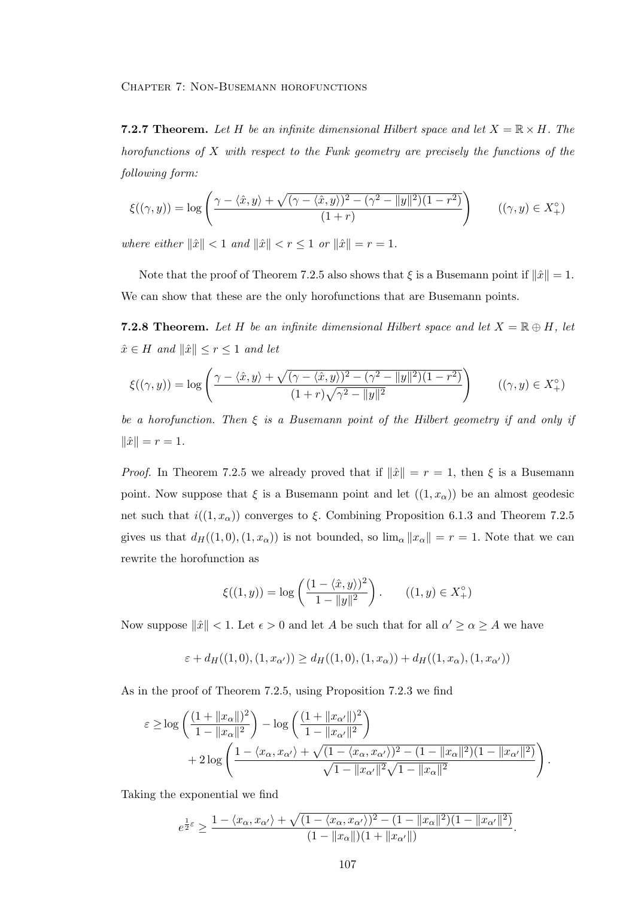**7.2.7 Theorem.** Let H be an infinite dimensional Hilbert space and let  $X = \mathbb{R} \times H$ . The horofunctions of  $X$  with respect to the Funk geometry are precisely the functions of the following form:

$$
\xi((\gamma, y)) = \log \left( \frac{\gamma - \langle \hat{x}, y \rangle + \sqrt{(\gamma - \langle \hat{x}, y \rangle)^2 - (\gamma^2 - ||y||^2)(1 - r^2)}}{(1 + r)} \right) \qquad ((\gamma, y) \in X_+^{\circ})
$$

where either  $\|\hat{x}\| < 1$  and  $\|\hat{x}\| < r \leq 1$  or  $\|\hat{x}\| = r = 1$ .

Note that the proof of Theorem 7.2.5 also shows that  $\xi$  is a Busemann point if  $\|\hat{x}\| = 1$ . We can show that these are the only horofunctions that are Busemann points.

**7.2.8 Theorem.** Let H be an infinite dimensional Hilbert space and let  $X = \mathbb{R} \oplus H$ , let  $\hat{x} \in H$  and  $\|\hat{x}\| \leq r \leq 1$  and let

$$
\xi((\gamma, y)) = \log \left( \frac{\gamma - \langle \hat{x}, y \rangle + \sqrt{(\gamma - \langle \hat{x}, y \rangle)^2 - (\gamma^2 - ||y||^2)(1 - r^2)}}{(1 + r)\sqrt{\gamma^2 - ||y||^2}} \right) \qquad ((\gamma, y) \in X_+^{\circ})
$$

be a horofunction. Then  $\xi$  is a Busemann point of the Hilbert geometry if and only if  $\|\hat{x}\| = r = 1.$ 

*Proof.* In Theorem 7.2.5 we already proved that if  $\|\hat{x}\| = r = 1$ , then  $\xi$  is a Busemann point. Now suppose that  $\xi$  is a Busemann point and let  $((1, x_{\alpha}))$  be an almost geodesic net such that  $i((1, x_{\alpha}))$  converges to ξ. Combining Proposition 6.1.3 and Theorem 7.2.5 gives us that  $d_H((1,0), (1, x_\alpha))$  is not bounded, so  $\lim_{\alpha} ||x_\alpha|| = r = 1$ . Note that we can rewrite the horofunction as

$$
\xi((1, y)) = \log \left( \frac{(1 - \langle \hat{x}, y \rangle)^2}{1 - \|y\|^2} \right). \qquad ((1, y) \in X_+^{\circ})
$$

Now suppose  $\|\hat{x}\| < 1$ . Let  $\epsilon > 0$  and let A be such that for all  $\alpha' \geq \alpha \geq A$  we have

$$
\varepsilon + d_H((1,0),(1,x_{\alpha'})) \ge d_H((1,0),(1,x_{\alpha})) + d_H((1,x_{\alpha}),(1,x_{\alpha'}))
$$

As in the proof of Theorem 7.2.5, using Proposition 7.2.3 we find

$$
\varepsilon \ge \log \left( \frac{(1 + \|x_{\alpha}\|)^2}{1 - \|x_{\alpha}\|^2} \right) - \log \left( \frac{(1 + \|x_{\alpha'}\|)^2}{1 - \|x_{\alpha'}\|^2} \right) + 2 \log \left( \frac{1 - \langle x_{\alpha}, x_{\alpha'} \rangle + \sqrt{(1 - \langle x_{\alpha}, x_{\alpha'} \rangle)^2 - (1 - \|x_{\alpha}\|^2)(1 - \|x_{\alpha'}\|^2)}}{\sqrt{1 - \|x_{\alpha'}\|^2} \sqrt{1 - \|x_{\alpha}\|^2}} \right).
$$

Taking the exponential we find

$$
e^{\frac{1}{2}\varepsilon} \geq \frac{1 - \langle x_{\alpha}, x_{\alpha'} \rangle + \sqrt{(1 - \langle x_{\alpha}, x_{\alpha'} \rangle)^2 - (1 - ||x_{\alpha}||^2)(1 - ||x_{\alpha'}||^2)}}{(1 - ||x_{\alpha}||)(1 + ||x_{\alpha'}||)}.
$$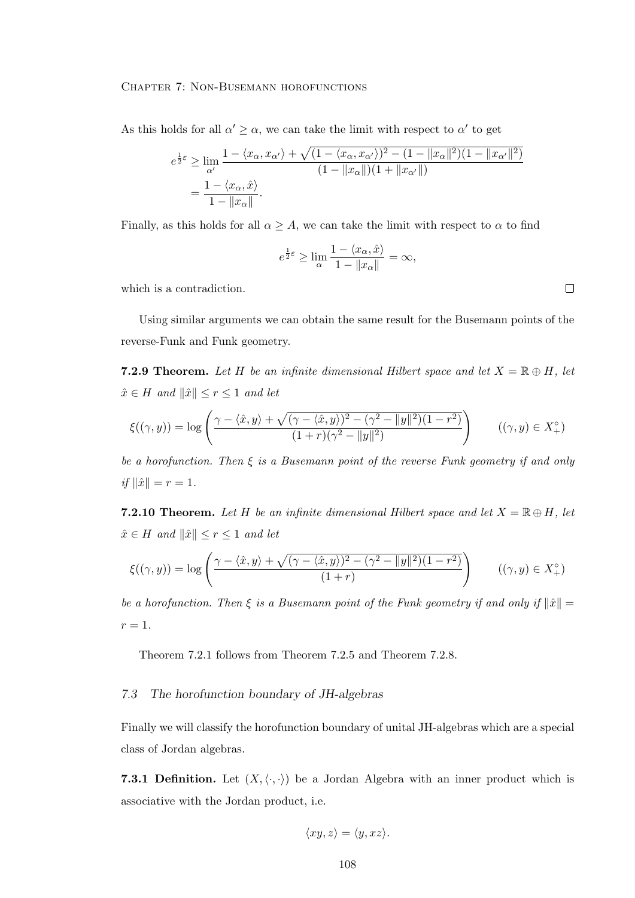As this holds for all  $\alpha' \geq \alpha$ , we can take the limit with respect to  $\alpha'$  to get

$$
e^{\frac{1}{2}\varepsilon} \ge \lim_{\alpha'} \frac{1 - \langle x_{\alpha}, x_{\alpha'} \rangle + \sqrt{(1 - \langle x_{\alpha}, x_{\alpha'} \rangle)^2 - (1 - ||x_{\alpha}||^2)(1 - ||x_{\alpha'}||^2)}}{(1 - ||x_{\alpha}||)(1 + ||x_{\alpha'}||)}
$$
  
= 
$$
\frac{1 - \langle x_{\alpha}, \hat{x} \rangle}{1 - ||x_{\alpha}||}.
$$

Finally, as this holds for all  $\alpha \geq A$ , we can take the limit with respect to  $\alpha$  to find

$$
e^{\frac{1}{2}\varepsilon} \ge \lim_{\alpha} \frac{1 - \langle x_{\alpha}, \hat{x} \rangle}{1 - \|x_{\alpha}\|} = \infty,
$$

which is a contradiction.

Using similar arguments we can obtain the same result for the Busemann points of the reverse-Funk and Funk geometry.

**7.2.9 Theorem.** Let H be an infinite dimensional Hilbert space and let  $X = \mathbb{R} \oplus H$ , let  $\hat{x} \in H$  and  $\|\hat{x}\| \leq r \leq 1$  and let

$$
\xi((\gamma, y)) = \log \left( \frac{\gamma - \langle \hat{x}, y \rangle + \sqrt{(\gamma - \langle \hat{x}, y \rangle)^2 - (\gamma^2 - ||y||^2)(1 - r^2)}}{(1 + r)(\gamma^2 - ||y||^2)} \right) \qquad ((\gamma, y) \in X_+^{\circ})
$$

be a horofunction. Then  $\xi$  is a Busemann point of the reverse Funk geometry if and only if  $\|\hat{x}\| = r = 1$ .

**7.2.10 Theorem.** Let H be an infinite dimensional Hilbert space and let  $X = \mathbb{R} \oplus H$ , let  $\hat{x} \in H$  and  $\|\hat{x}\| \leq r \leq 1$  and let

$$
\xi((\gamma, y)) = \log \left( \frac{\gamma - \langle \hat{x}, y \rangle + \sqrt{(\gamma - \langle \hat{x}, y \rangle)^2 - (\gamma^2 - ||y||^2)(1 - r^2)}}{(1 + r)} \right) \qquad ((\gamma, y) \in X_+^{\circ})
$$

be a horofunction. Then  $\xi$  is a Busemann point of the Funk geometry if and only if  $\|\hat{x}\|$  =  $r=1$ .

Theorem 7.2.1 follows from Theorem 7.2.5 and Theorem 7.2.8.

# 7.3 The horofunction boundary of JH-algebras

Finally we will classify the horofunction boundary of unital JH-algebras which are a special class of Jordan algebras.

7.3.1 Definition. Let  $(X, \langle \cdot, \cdot \rangle)$  be a Jordan Algebra with an inner product which is associative with the Jordan product, i.e.

$$
\langle xy, z \rangle = \langle y, xz \rangle.
$$

 $\Box$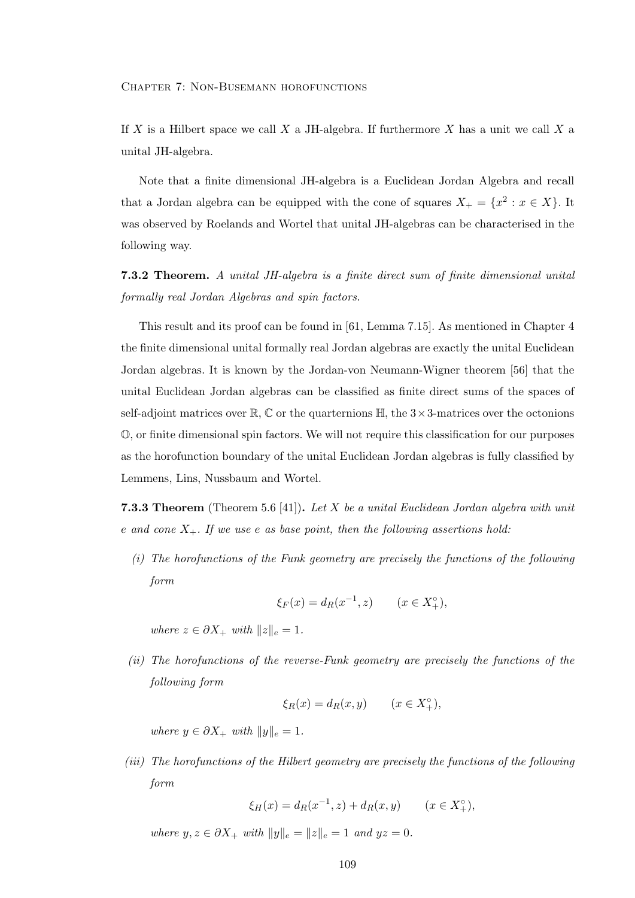If X is a Hilbert space we call X a JH-algebra. If furthermore X has a unit we call X a unital JH-algebra.

Note that a finite dimensional JH-algebra is a Euclidean Jordan Algebra and recall that a Jordan algebra can be equipped with the cone of squares  $X_+ = \{x^2 : x \in X\}$ . It was observed by Roelands and Wortel that unital JH-algebras can be characterised in the following way.

7.3.2 Theorem. A unital JH-algebra is a finite direct sum of finite dimensional unital formally real Jordan Algebras and spin factors.

This result and its proof can be found in [61, Lemma 7.15]. As mentioned in Chapter 4 the finite dimensional unital formally real Jordan algebras are exactly the unital Euclidean Jordan algebras. It is known by the Jordan-von Neumann-Wigner theorem [56] that the unital Euclidean Jordan algebras can be classified as finite direct sums of the spaces of self-adjoint matrices over  $\mathbb{R}, \mathbb{C}$  or the quarternions  $\mathbb{H}$ , the  $3 \times 3$ -matrices over the octonions O, or finite dimensional spin factors. We will not require this classification for our purposes as the horofunction boundary of the unital Euclidean Jordan algebras is fully classified by Lemmens, Lins, Nussbaum and Wortel.

**7.3.3 Theorem** (Theorem 5.6 [41]). Let X be a unital Euclidean Jordan algebra with unit e and cone  $X_+$ . If we use e as base point, then the following assertions hold:

(i) The horofunctions of the Funk geometry are precisely the functions of the following form

$$
\xi_F(x) = d_R(x^{-1}, z)
$$
  $(x \in X_+^{\circ}),$ 

where  $z \in \partial X_+$  with  $||z||_e = 1$ .

(ii) The horofunctions of the reverse-Funk geometry are precisely the functions of the following form

$$
\xi_R(x) = d_R(x, y) \qquad (x \in X_+^\circ),
$$

where  $y \in \partial X_+$  with  $||y||_e = 1$ .

(iii) The horofunctions of the Hilbert geometry are precisely the functions of the following form

$$
\xi_H(x) = d_R(x^{-1}, z) + d_R(x, y)
$$
  $(x \in X_+^{\circ}),$ 

where  $y, z \in \partial X_+$  with  $||y||_e = ||z||_e = 1$  and  $yz = 0$ .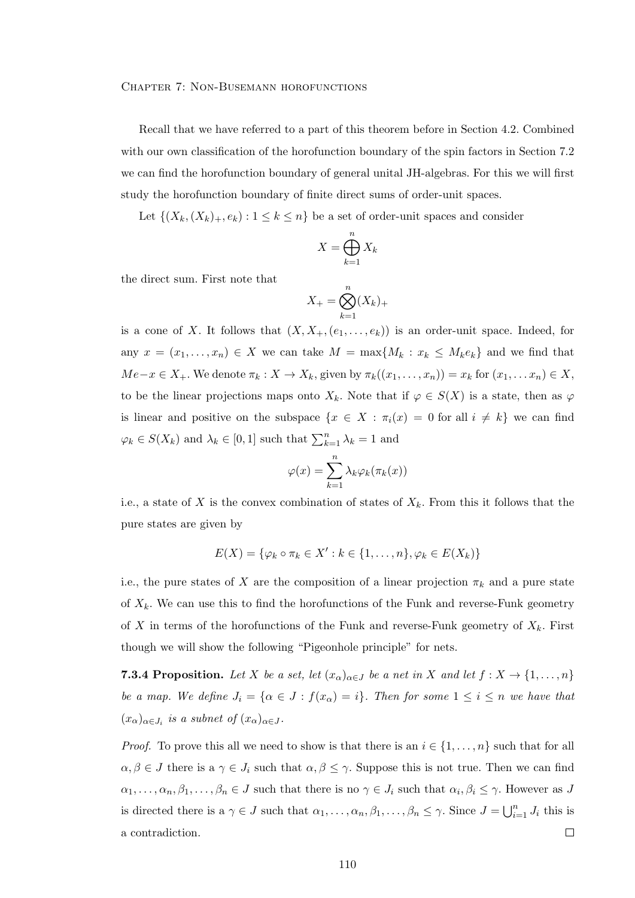Recall that we have referred to a part of this theorem before in Section 4.2. Combined with our own classification of the horofunction boundary of the spin factors in Section 7.2 we can find the horofunction boundary of general unital JH-algebras. For this we will first study the horofunction boundary of finite direct sums of order-unit spaces.

Let  $\{(X_k,(X_k)_+,e_k): 1 \leq k \leq n\}$  be a set of order-unit spaces and consider

$$
X = \bigoplus_{k=1}^{n} X_k
$$

the direct sum. First note that

$$
X_{+} = \bigotimes_{k=1}^{n} (X_{k})_{+}
$$

is a cone of X. It follows that  $(X, X_+, (e_1, \ldots, e_k))$  is an order-unit space. Indeed, for any  $x = (x_1, \ldots, x_n) \in X$  we can take  $M = \max\{M_k : x_k \leq M_k e_k\}$  and we find that  $Me-x \in X_+$ . We denote  $\pi_k : X \to X_k$ , given by  $\pi_k((x_1, \ldots, x_n)) = x_k$  for  $(x_1, \ldots, x_n) \in X$ , to be the linear projections maps onto  $X_k$ . Note that if  $\varphi \in S(X)$  is a state, then as  $\varphi$ is linear and positive on the subspace  $\{x \in X : \pi_i(x) = 0 \text{ for all } i \neq k\}$  we can find  $\varphi_k \in S(X_k)$  and  $\lambda_k \in [0,1]$  such that  $\sum_{k=1}^n \lambda_k = 1$  and

$$
\varphi(x) = \sum_{k=1}^{n} \lambda_k \varphi_k(\pi_k(x))
$$

i.e., a state of X is the convex combination of states of  $X_k$ . From this it follows that the pure states are given by

$$
E(X) = \{ \varphi_k \circ \pi_k \in X' : k \in \{1, \ldots, n\}, \varphi_k \in E(X_k) \}
$$

i.e., the pure states of X are the composition of a linear projection  $\pi_k$  and a pure state of  $X_k$ . We can use this to find the horofunctions of the Funk and reverse-Funk geometry of X in terms of the horofunctions of the Funk and reverse-Funk geometry of  $X_k$ . First though we will show the following "Pigeonhole principle" for nets.

**7.3.4 Proposition.** Let X be a set, let  $(x_{\alpha})_{\alpha \in J}$  be a net in X and let  $f : X \to \{1, \ldots, n\}$ be a map. We define  $J_i = \{ \alpha \in J : f(x_\alpha) = i \}$ . Then for some  $1 \le i \le n$  we have that  $(x_\alpha)_{\alpha \in J_i}$  is a subnet of  $(x_\alpha)_{\alpha \in J}$ .

*Proof.* To prove this all we need to show is that there is an  $i \in \{1, \ldots, n\}$  such that for all  $\alpha, \beta \in J$  there is a  $\gamma \in J_i$  such that  $\alpha, \beta \leq \gamma$ . Suppose this is not true. Then we can find  $\alpha_1,\ldots,\alpha_n,\beta_1,\ldots,\beta_n\in J$  such that there is no  $\gamma\in J_i$  such that  $\alpha_i,\beta_i\leq\gamma$ . However as J is directed there is a  $\gamma \in J$  such that  $\alpha_1, \ldots, \alpha_n, \beta_1, \ldots, \beta_n \leq \gamma$ . Since  $J = \bigcup_{i=1}^n J_i$  this is a contradiction.  $\Box$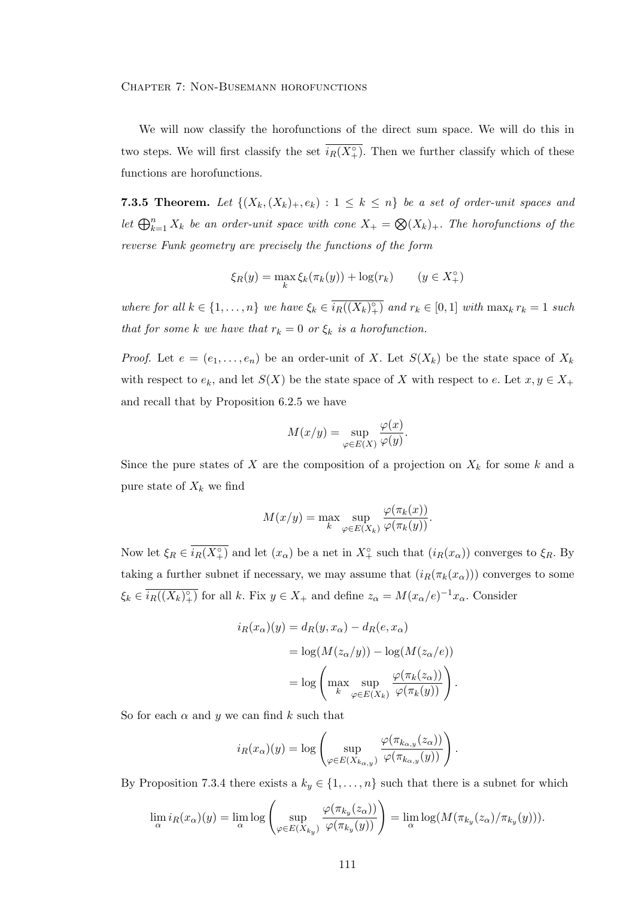We will now classify the horofunctions of the direct sum space. We will do this in two steps. We will first classify the set  $\overline{i_R(X_+^{\circ})}$ . Then we further classify which of these functions are horofunctions.

**7.3.5 Theorem.** Let  $\{(X_k, (X_k)_+, e_k) : 1 \leq k \leq n\}$  be a set of order-unit spaces and let  $\bigoplus_{k=1}^n X_k$  be an order-unit space with cone  $X_+ = \bigotimes (X_k)_+$ . The horofunctions of the reverse Funk geometry are precisely the functions of the form

$$
\xi_R(y) = \max_k \xi_k(\pi_k(y)) + \log(r_k) \qquad (y \in X_+^\circ)
$$

where for all  $k \in \{1, \ldots, n\}$  we have  $\xi_k \in \overline{i_R((X_k)_{+}^{\circ})}$  and  $r_k \in [0,1]$  with  $\max_k r_k = 1$  such that for some k we have that  $r_k = 0$  or  $\xi_k$  is a horofunction.

*Proof.* Let  $e = (e_1, \ldots, e_n)$  be an order-unit of X. Let  $S(X_k)$  be the state space of  $X_k$ with respect to  $e_k$ , and let  $S(X)$  be the state space of X with respect to e. Let  $x, y \in X_+$ and recall that by Proposition 6.2.5 we have

$$
M(x/y) = \sup_{\varphi \in E(X)} \frac{\varphi(x)}{\varphi(y)}.
$$

Since the pure states of X are the composition of a projection on  $X_k$  for some k and a pure state of  $X_k$  we find

$$
M(x/y) = \max_{k} \sup_{\varphi \in E(X_k)} \frac{\varphi(\pi_k(x))}{\varphi(\pi_k(y))}.
$$

Now let  $\xi_R \in \overline{i_R(X_+^{\circ})}$  and let  $(x_{\alpha})$  be a net in  $X_+^{\circ}$  such that  $(i_R(x_{\alpha}))$  converges to  $\xi_R$ . By taking a further subnet if necessary, we may assume that  $(i_R(\pi_k(x_\alpha)))$  converges to some  $\xi_k \in \overline{i_R((X_k)^{\circ}_+)}$  for all k. Fix  $y \in X_+$  and define  $z_\alpha = M(x_\alpha/e)^{-1}x_\alpha$ . Consider

$$
i_R(x_\alpha)(y) = d_R(y, x_\alpha) - d_R(e, x_\alpha)
$$
  
=  $\log(M(z_\alpha/y)) - \log(M(z_\alpha/e))$   
=  $\log \left( \max_k \sup_{\varphi \in E(X_k)} \frac{\varphi(\pi_k(z_\alpha))}{\varphi(\pi_k(y))} \right).$ 

So for each  $\alpha$  and  $y$  we can find  $k$  such that

$$
i_{R}(x_{\alpha})(y) = \log \left( \sup_{\varphi \in E(X_{k_{\alpha},y})} \frac{\varphi(\pi_{k_{\alpha},y}(z_{\alpha}))}{\varphi(\pi_{k_{\alpha},y}(y))} \right).
$$

By Proposition 7.3.4 there exists a  $k_y \in \{1, \ldots, n\}$  such that there is a subnet for which

$$
\lim_{\alpha} i_R(x_{\alpha})(y) = \lim_{\alpha} \log \left( \sup_{\varphi \in E(X_{k_y})} \frac{\varphi(\pi_{k_y}(z_{\alpha}))}{\varphi(\pi_{k_y}(y))} \right) = \lim_{\alpha} \log(M(\pi_{k_y}(z_{\alpha})/\pi_{k_y}(y))).
$$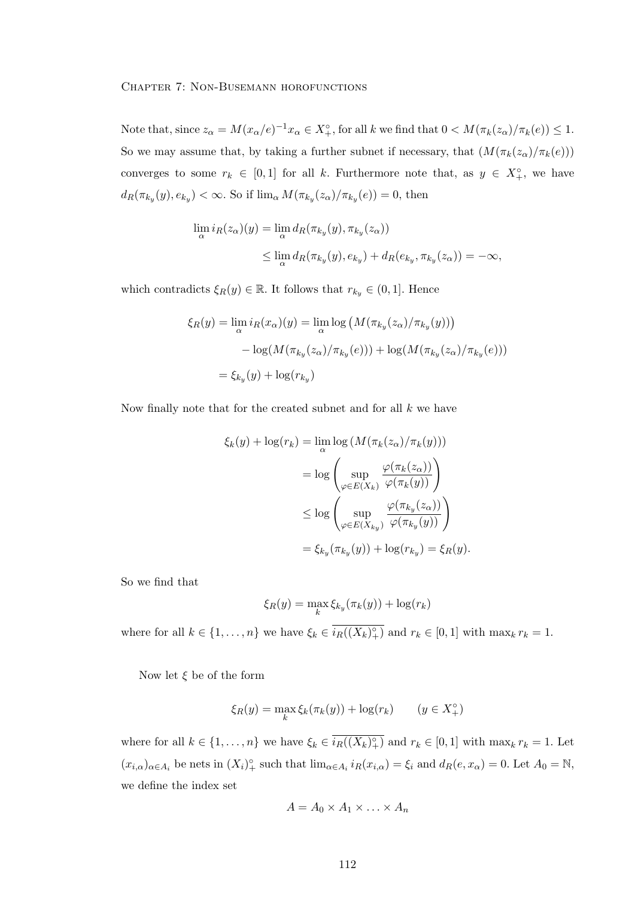Note that, since  $z_{\alpha} = M(x_{\alpha}/e)^{-1}x_{\alpha} \in X^{\circ}_{+}$ , for all k we find that  $0 < M(\pi_k(z_{\alpha})/\pi_k(e)) \leq 1$ . So we may assume that, by taking a further subnet if necessary, that  $(M(\pi_k(z_\alpha)/\pi_k(e)))$ converges to some  $r_k \in [0,1]$  for all k. Furthermore note that, as  $y \in X^{\circ}_{+}$ , we have  $d_R(\pi_{k_y}(y), e_{k_y}) < \infty$ . So if  $\lim_{\alpha} M(\pi_{k_y}(z_{\alpha})/\pi_{k_y}(e)) = 0$ , then

$$
\lim_{\alpha} i_R(z_{\alpha})(y) = \lim_{\alpha} d_R(\pi_{k_y}(y), \pi_{k_y}(z_{\alpha}))
$$
  

$$
\leq \lim_{\alpha} d_R(\pi_{k_y}(y), e_{k_y}) + d_R(e_{k_y}, \pi_{k_y}(z_{\alpha})) = -\infty,
$$

which contradicts  $\xi_R(y) \in \mathbb{R}$ . It follows that  $r_{k_y} \in (0, 1]$ . Hence

$$
\xi_R(y) = \lim_{\alpha} i_R(x_{\alpha})(y) = \lim_{\alpha} \log \left( M(\pi_{k_y}(z_{\alpha})/\pi_{k_y}(y)) \right)
$$

$$
- \log(M(\pi_{k_y}(z_{\alpha})/\pi_{k_y}(e))) + \log(M(\pi_{k_y}(z_{\alpha})/\pi_{k_y}(e)))
$$

$$
= \xi_{k_y}(y) + \log(r_{k_y})
$$

Now finally note that for the created subnet and for all  $k$  we have

$$
\xi_k(y) + \log(r_k) = \lim_{\alpha} \log(M(\pi_k(z_{\alpha})/\pi_k(y)))
$$

$$
= \log \left( \sup_{\varphi \in E(X_k)} \frac{\varphi(\pi_k(z_{\alpha}))}{\varphi(\pi_k(y))} \right)
$$

$$
\leq \log \left( \sup_{\varphi \in E(X_{k_y})} \frac{\varphi(\pi_{k_y}(z_{\alpha}))}{\varphi(\pi_{k_y}(y))} \right)
$$

$$
= \xi_{k_y}(\pi_{k_y}(y)) + \log(r_{k_y}) = \xi_R(y).
$$

So we find that

$$
\xi_R(y) = \max_k \xi_{k_y}(\pi_k(y)) + \log(r_k)
$$

where for all  $k \in \{1, \ldots, n\}$  we have  $\xi_k \in \overline{i_R((X_k)_{+}^{\circ})}$  and  $r_k \in [0,1]$  with  $\max_k r_k = 1$ .

Now let  $\xi$  be of the form

$$
\xi_R(y) = \max_k \xi_k(\pi_k(y)) + \log(r_k) \qquad (y \in X_+^\circ)
$$

where for all  $k \in \{1, \ldots, n\}$  we have  $\xi_k \in \overline{i_R((X_k)^{\circ})}$  and  $r_k \in [0,1]$  with  $\max_k r_k = 1$ . Let  $(x_{i,\alpha})_{\alpha\in A_i}$  be nets in  $(X_i)^\circ$  such that  $\lim_{\alpha\in A_i} i_R(x_{i,\alpha}) = \xi_i$  and  $d_R(e, x_\alpha) = 0$ . Let  $A_0 = \mathbb{N}$ , we define the index set

$$
A = A_0 \times A_1 \times \ldots \times A_n
$$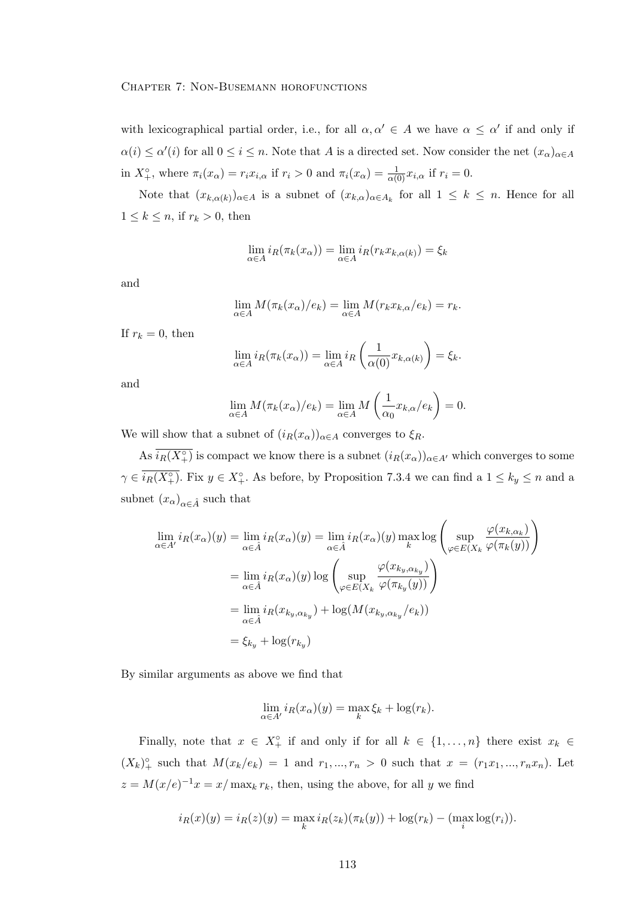with lexicographical partial order, i.e., for all  $\alpha, \alpha' \in A$  we have  $\alpha \leq \alpha'$  if and only if  $\alpha(i) \leq \alpha'(i)$  for all  $0 \leq i \leq n$ . Note that A is a directed set. Now consider the net  $(x_{\alpha})_{\alpha \in A}$ in  $X^{\circ}_{+}$ , where  $\pi_i(x_{\alpha}) = r_i x_{i,\alpha}$  if  $r_i > 0$  and  $\pi_i(x_{\alpha}) = \frac{1}{\alpha(0)} x_{i,\alpha}$  if  $r_i = 0$ .

Note that  $(x_{k,\alpha(k)})_{\alpha\in A}$  is a subnet of  $(x_{k,\alpha})_{\alpha\in A_k}$  for all  $1 \leq k \leq n$ . Hence for all  $1 \leq k \leq n$ , if  $r_k > 0$ , then

$$
\lim_{\alpha \in A} i_R(\pi_k(x_\alpha)) = \lim_{\alpha \in A} i_R(r_k x_{k,\alpha(k)}) = \xi_k
$$

and

$$
\lim_{\alpha \in A} M(\pi_k(x_\alpha)/e_k) = \lim_{\alpha \in A} M(r_k x_{k,\alpha}/e_k) = r_k.
$$

If  $r_k = 0$ , then

$$
\lim_{\alpha \in A} i_R(\pi_k(x_\alpha)) = \lim_{\alpha \in A} i_R\left(\frac{1}{\alpha(0)} x_{k,\alpha(k)}\right) = \xi_k.
$$

and

$$
\lim_{\alpha \in A} M(\pi_k(x_\alpha)/e_k) = \lim_{\alpha \in A} M\left(\frac{1}{\alpha_0} x_{k,\alpha}/e_k\right) = 0.
$$

We will show that a subnet of  $(i_R(x_\alpha))_{\alpha \in A}$  converges to  $\xi_R$ .

As  $\overline{i_R(X_+^{\circ})}$  is compact we know there is a subnet  $(i_R(x_{\alpha}))_{\alpha \in A'}$  which converges to some  $\gamma \in \overline{i_R(X_+^\circ)}$ . Fix  $y \in X_+^\circ$ . As before, by Proposition 7.3.4 we can find a  $1 \leq k_y \leq n$  and a subnet  $(x_{\alpha})_{\alpha \in \hat{A}}$  such that

$$
\lim_{\alpha \in A'} i_R(x_\alpha)(y) = \lim_{\alpha \in \hat{A}} i_R(x_\alpha)(y) = \lim_{\alpha \in \hat{A}} i_R(x_\alpha)(y) \max_k \log \left( \sup_{\varphi \in E(X_k)} \frac{\varphi(x_{k,\alpha_k})}{\varphi(\pi_k(y))} \right)
$$
\n
$$
= \lim_{\alpha \in \hat{A}} i_R(x_\alpha)(y) \log \left( \sup_{\varphi \in E(X_k)} \frac{\varphi(x_{k_y,\alpha_{k_y}})}{\varphi(\pi_{k_y}(y))} \right)
$$
\n
$$
= \lim_{\alpha \in \hat{A}} i_R(x_{k_y,\alpha_{k_y}}) + \log(M(x_{k_y,\alpha_{k_y}}/e_k))
$$
\n
$$
= \xi_{k_y} + \log(r_{k_y})
$$

By similar arguments as above we find that

$$
\lim_{\alpha \in A'} i_R(x_\alpha)(y) = \max_k \xi_k + \log(r_k).
$$

Finally, note that  $x \in X_+^{\circ}$  if and only if for all  $k \in \{1, ..., n\}$  there exist  $x_k \in$  $(X_k)_+^{\circ}$  such that  $M(x_k/e_k) = 1$  and  $r_1, ..., r_n > 0$  such that  $x = (r_1x_1, ..., r_nx_n)$ . Let  $z = M(x/e)^{-1}x = x/\max_k r_k$ , then, using the above, for all y we find

$$
i_R(x)(y) = i_R(z)(y) = \max_k i_R(z_k)(\pi_k(y)) + \log(r_k) - (\max_i \log(r_i)).
$$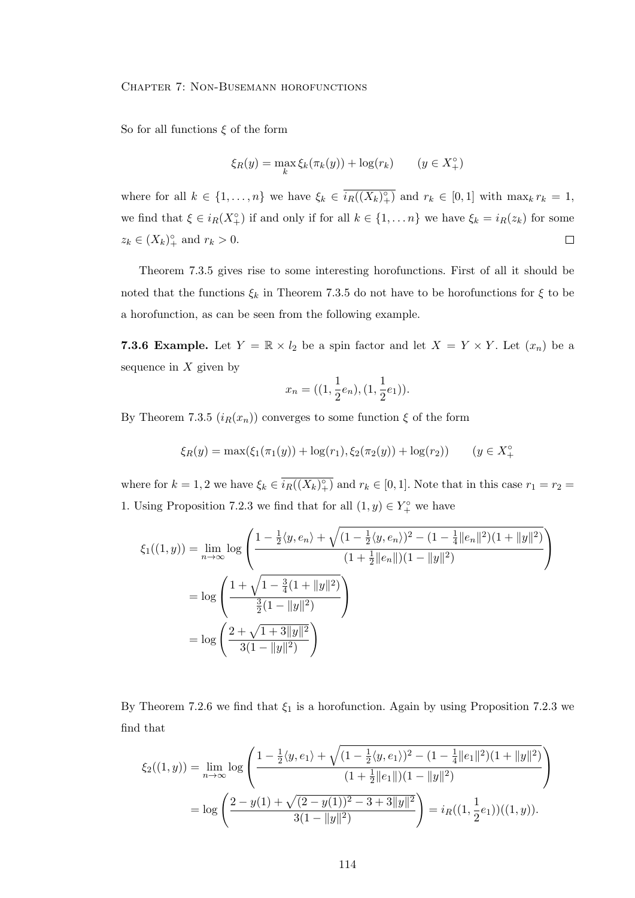So for all functions  $\xi$  of the form

$$
\xi_R(y) = \max_k \xi_k(\pi_k(y)) + \log(r_k) \qquad (y \in X_+^\circ)
$$

where for all  $k \in \{1, \ldots, n\}$  we have  $\xi_k \in \overline{i_R((X_k)_{+}^{\circ})}$  and  $r_k \in [0,1]$  with  $\max_k r_k = 1$ , we find that  $\xi \in i_R(X_+^{\circ})$  if and only if for all  $k \in \{1, ..., n\}$  we have  $\xi_k = i_R(z_k)$  for some  $z_k \in (X_k)_{+}^{\circ}$  and  $r_k > 0$ .  $\Box$ 

Theorem 7.3.5 gives rise to some interesting horofunctions. First of all it should be noted that the functions  $\xi_k$  in Theorem 7.3.5 do not have to be horofunctions for  $\xi$  to be a horofunction, as can be seen from the following example.

**7.3.6 Example.** Let  $Y = \mathbb{R} \times l_2$  be a spin factor and let  $X = Y \times Y$ . Let  $(x_n)$  be a sequence in  $X$  given by

$$
x_n = ((1, \frac{1}{2}e_n), (1, \frac{1}{2}e_1)).
$$

By Theorem 7.3.5  $(i_R(x_n))$  converges to some function  $\xi$  of the form

$$
\xi_R(y) = \max(\xi_1(\pi_1(y)) + \log(r_1), \xi_2(\pi_2(y)) + \log(r_2)) \qquad (y \in X_+^{\circ})
$$

where for  $k = 1, 2$  we have  $\xi_k \in \overline{i_R((X_k)^\circ_+)}$  and  $r_k \in [0, 1]$ . Note that in this case  $r_1 = r_2 =$ 1. Using Proposition 7.2.3 we find that for all  $(1, y) \in Y^{\circ}_+$  we have

$$
\xi_1((1,y)) = \lim_{n \to \infty} \log \left( \frac{1 - \frac{1}{2} \langle y, e_n \rangle + \sqrt{(1 - \frac{1}{2} \langle y, e_n \rangle)^2 - (1 - \frac{1}{4} ||e_n||^2)(1 + ||y||^2)}}{(1 + \frac{1}{2} ||e_n||)(1 - ||y||^2)} \right)
$$
  
=  $\log \left( \frac{1 + \sqrt{1 - \frac{3}{4}(1 + ||y||^2)}}{\frac{3}{2}(1 - ||y||^2)} \right)$   
=  $\log \left( \frac{2 + \sqrt{1 + 3||y||^2}}{3(1 - ||y||^2)} \right)$ 

By Theorem 7.2.6 we find that  $\xi_1$  is a horofunction. Again by using Proposition 7.2.3 we find that

$$
\xi_2((1,y)) = \lim_{n \to \infty} \log \left( \frac{1 - \frac{1}{2} \langle y, e_1 \rangle + \sqrt{(1 - \frac{1}{2} \langle y, e_1 \rangle)^2 - (1 - \frac{1}{4} ||e_1||^2)(1 + ||y||^2)}}{(1 + \frac{1}{2} ||e_1||)(1 - ||y||^2)} \right)
$$
  
= 
$$
\log \left( \frac{2 - y(1) + \sqrt{(2 - y(1))^2 - 3 + 3||y||^2}}{3(1 - ||y||^2)} \right) = i_R((1, \frac{1}{2}e_1))((1, y)).
$$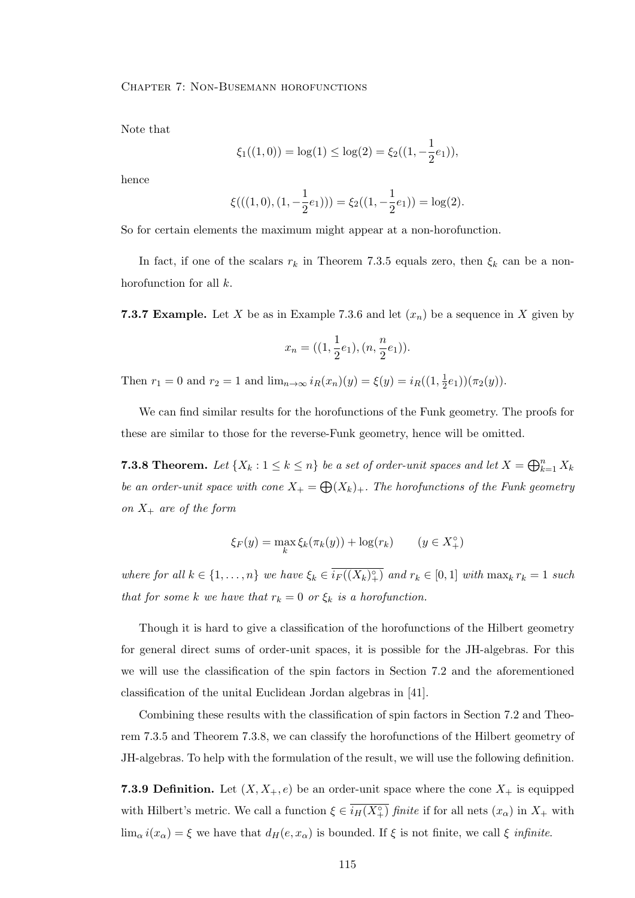Note that

$$
\xi_1((1,0)) = \log(1) \le \log(2) = \xi_2((1, -\frac{1}{2}e_1)),
$$

hence

$$
\xi(((1,0),(1,-\frac{1}{2}e_1))) = \xi_2((1,-\frac{1}{2}e_1)) = \log(2).
$$

So for certain elements the maximum might appear at a non-horofunction.

In fact, if one of the scalars  $r_k$  in Theorem 7.3.5 equals zero, then  $\xi_k$  can be a nonhorofunction for all k.

**7.3.7 Example.** Let X be as in Example 7.3.6 and let  $(x_n)$  be a sequence in X given by

$$
x_n = ((1, \frac{1}{2}e_1), (n, \frac{n}{2}e_1)).
$$

Then  $r_1 = 0$  and  $r_2 = 1$  and  $\lim_{n \to \infty} i_R(x_n)(y) = \xi(y) = i_R((1, \frac{1}{2}))$  $(\frac{1}{2}e_1))(\pi_2(y)).$ 

We can find similar results for the horofunctions of the Funk geometry. The proofs for these are similar to those for the reverse-Funk geometry, hence will be omitted.

**7.3.8 Theorem.** Let  $\{X_k : 1 \leq k \leq n\}$  be a set of order-unit spaces and let  $X = \bigoplus_{k=1}^n X_k$ be an order-unit space with cone  $X_+ = \bigoplus (X_k)_+$ . The horofunctions of the Funk geometry on  $X_+$  are of the form

$$
\xi_F(y) = \max_k \xi_k(\pi_k(y)) + \log(r_k) \qquad (y \in X_+^\circ)
$$

where for all  $k \in \{1, \ldots, n\}$  we have  $\xi_k \in \overline{i_F((X_k)^\circ_+)}$  and  $r_k \in [0,1]$  with  $\max_k r_k = 1$  such that for some k we have that  $r_k = 0$  or  $\xi_k$  is a horofunction.

Though it is hard to give a classification of the horofunctions of the Hilbert geometry for general direct sums of order-unit spaces, it is possible for the JH-algebras. For this we will use the classification of the spin factors in Section 7.2 and the aforementioned classification of the unital Euclidean Jordan algebras in [41].

Combining these results with the classification of spin factors in Section 7.2 and Theorem 7.3.5 and Theorem 7.3.8, we can classify the horofunctions of the Hilbert geometry of JH-algebras. To help with the formulation of the result, we will use the following definition.

**7.3.9 Definition.** Let  $(X, X_+, e)$  be an order-unit space where the cone  $X_+$  is equipped with Hilbert's metric. We call a function  $\xi \in \overline{i_H(X_+^{\circ})}$  finite if for all nets  $(x_{\alpha})$  in  $X_+$  with  $\lim_{\alpha} i(x_{\alpha}) = \xi$  we have that  $d_H(e, x_{\alpha})$  is bounded. If  $\xi$  is not finite, we call  $\xi$  infinite.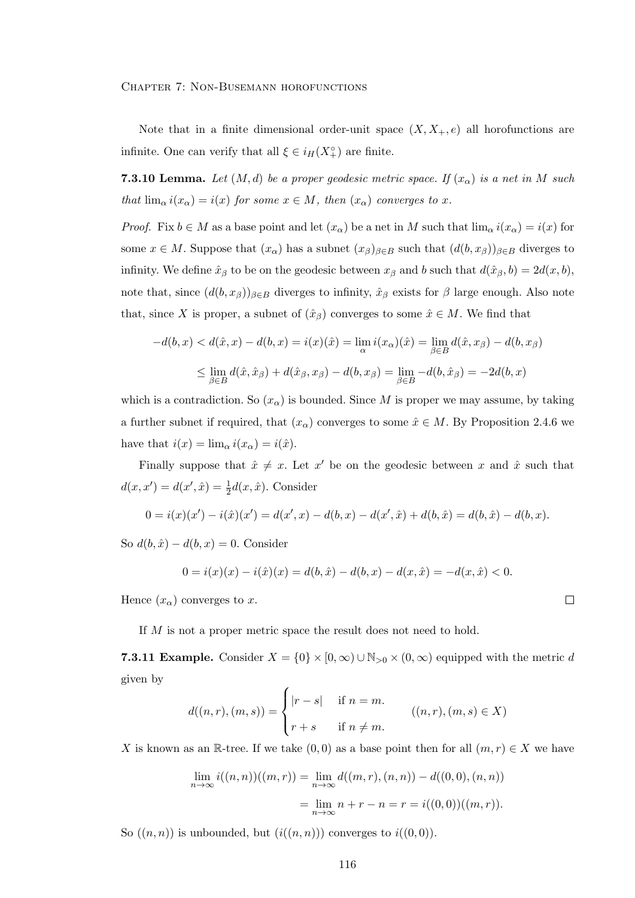Note that in a finite dimensional order-unit space  $(X, X_+, e)$  all horofunctions are infinite. One can verify that all  $\xi \in i_H(X_+^{\circ})$  are finite.

**7.3.10 Lemma.** Let  $(M, d)$  be a proper geodesic metric space. If  $(x_{\alpha})$  is a net in M such that  $\lim_{\alpha} i(x_{\alpha}) = i(x)$  for some  $x \in M$ , then  $(x_{\alpha})$  converges to x.

*Proof.* Fix  $b \in M$  as a base point and let  $(x_{\alpha})$  be a net in M such that  $\lim_{\alpha} i(x_{\alpha}) = i(x)$  for some  $x \in M$ . Suppose that  $(x_{\alpha})$  has a subnet  $(x_{\beta})_{\beta \in B}$  such that  $(d(b, x_{\beta}))_{\beta \in B}$  diverges to infinity. We define  $\hat{x}_{\beta}$  to be on the geodesic between  $x_{\beta}$  and b such that  $d(\hat{x}_{\beta}, b) = 2d(x, b)$ , note that, since  $(d(b, x_{\beta}))_{\beta \in B}$  diverges to infinity,  $\hat{x}_{\beta}$  exists for  $\beta$  large enough. Also note that, since X is proper, a subnet of  $(\hat{x}_\beta)$  converges to some  $\hat{x} \in M$ . We find that

$$
-d(b, x) < d(\hat{x}, x) - d(b, x) = i(x)(\hat{x}) = \lim_{\alpha} i(x_{\alpha})(\hat{x}) = \lim_{\beta \in B} d(\hat{x}, x_{\beta}) - d(b, x_{\beta})
$$
\n
$$
\leq \lim_{\beta \in B} d(\hat{x}, \hat{x}_{\beta}) + d(\hat{x}_{\beta}, x_{\beta}) - d(b, x_{\beta}) = \lim_{\beta \in B} -d(b, \hat{x}_{\beta}) = -2d(b, x)
$$

which is a contradiction. So  $(x_{\alpha})$  is bounded. Since M is proper we may assume, by taking a further subnet if required, that  $(x_{\alpha})$  converges to some  $\hat{x} \in M$ . By Proposition 2.4.6 we have that  $i(x) = \lim_{\alpha} i(x_{\alpha}) = i(\hat{x})$ .

Finally suppose that  $\hat{x} \neq x$ . Let x' be on the geodesic between x and  $\hat{x}$  such that  $d(x, x') = d(x', \hat{x}) = \frac{1}{2}d(x, \hat{x})$ . Consider

$$
0 = i(x)(x') - i(\hat{x})(x') = d(x',x) - d(b,x) - d(x',\hat{x}) + d(b,\hat{x}) = d(b,\hat{x}) - d(b,x).
$$

So  $d(b, \hat{x}) - d(b, x) = 0$ . Consider

$$
0 = i(x)(x) - i(\hat{x})(x) = d(b,\hat{x}) - d(b,x) - d(x,\hat{x}) = -d(x,\hat{x}) < 0.
$$

Hence  $(x_{\alpha})$  converges to x.

If M is not a proper metric space the result does not need to hold.

**7.3.11 Example.** Consider  $X = \{0\} \times [0, \infty) \cup \mathbb{N}_{>0} \times (0, \infty)$  equipped with the metric d given by

$$
d((n,r),(m,s)) = \begin{cases} |r-s| & \text{if } n=m. \\ r+s & \text{if } n \neq m. \end{cases} \qquad ((n,r),(m,s) \in X)
$$

X is known as an R-tree. If we take  $(0,0)$  as a base point then for all  $(m,r) \in X$  we have

$$
\lim_{n \to \infty} i((n, n))((m, r)) = \lim_{n \to \infty} d((m, r), (n, n)) - d((0, 0), (n, n))
$$

$$
= \lim_{n \to \infty} n + r - n = r = i((0, 0))((m, r)).
$$

So  $((n, n))$  is unbounded, but  $(i((n, n)))$  converges to  $i((0, 0))$ .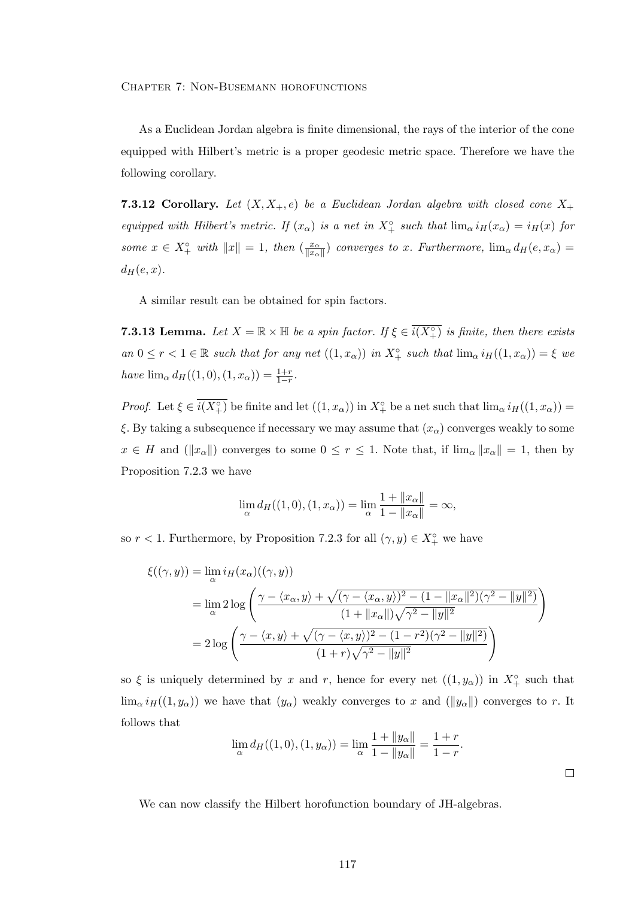As a Euclidean Jordan algebra is finite dimensional, the rays of the interior of the cone equipped with Hilbert's metric is a proper geodesic metric space. Therefore we have the following corollary.

**7.3.12 Corollary.** Let  $(X, X_+, e)$  be a Euclidean Jordan algebra with closed cone  $X_+$ equipped with Hilbert's metric. If  $(x_{\alpha})$  is a net in  $X^{\circ}_{+}$  such that  $\lim_{\alpha} i_H(x_{\alpha}) = i_H(x)$  for some  $x \in X^{\circ}_+$  with  $||x|| = 1$ , then  $\left(\frac{x_{\alpha}}{||x_{\alpha}||}\right)$  $\frac{x_{\alpha}}{||x_{\alpha}||}$  converges to x. Furthermore,  $\lim_{\alpha} d_H(e, x_{\alpha}) =$  $d_H(e, x)$ .

A similar result can be obtained for spin factors.

**7.3.13 Lemma.** Let  $X = \mathbb{R} \times \mathbb{H}$  be a spin factor. If  $\xi \in \overline{i(X_+^\circ)}$  is finite, then there exists an  $0 \leq r < 1 \in \mathbb{R}$  such that for any net  $((1, x_{\alpha}))$  in  $X^{\circ}_{+}$  such that  $\lim_{\alpha} i_{H}((1, x_{\alpha})) = \xi$  we have  $\lim_{\alpha} d_{H}((1,0),(1,x_{\alpha})) = \frac{1+r}{1-r}.$ 

*Proof.* Let  $\xi \in \overline{i(X_+^{\circ})}$  be finite and let  $((1, x_{\alpha}))$  in  $X_+^{\circ}$  be a net such that  $\lim_{\alpha} i_H((1, x_{\alpha}))$  = ξ. By taking a subsequence if necessary we may assume that  $(x_\alpha)$  converges weakly to some  $x \in H$  and  $(\|x_\alpha\|)$  converges to some  $0 \le r \le 1$ . Note that, if  $\lim_{\alpha} \|x_\alpha\| = 1$ , then by Proposition 7.2.3 we have

$$
\lim_{\alpha} d_{H}((1,0),(1,x_{\alpha})) = \lim_{\alpha} \frac{1 + ||x_{\alpha}||}{1 - ||x_{\alpha}||} = \infty,
$$

so  $r < 1$ . Furthermore, by Proposition 7.2.3 for all  $(\gamma, y) \in X^{\circ}_{+}$  we have

$$
\xi((\gamma, y)) = \lim_{\alpha} i_H(x_{\alpha})((\gamma, y))
$$
  
= 
$$
\lim_{\alpha} 2 \log \left( \frac{\gamma - \langle x_{\alpha}, y \rangle + \sqrt{(\gamma - \langle x_{\alpha}, y \rangle)^2 - (1 - ||x_{\alpha}||^2)(\gamma^2 - ||y||^2)}}{(1 + ||x_{\alpha}||)\sqrt{\gamma^2 - ||y||^2}} \right)
$$
  
= 
$$
2 \log \left( \frac{\gamma - \langle x, y \rangle + \sqrt{(\gamma - \langle x, y \rangle)^2 - (1 - r^2)(\gamma^2 - ||y||^2)}}{(1 + r)\sqrt{\gamma^2 - ||y||^2}} \right)
$$

so  $\xi$  is uniquely determined by x and r, hence for every net  $((1, y_0))$  in  $X^{\circ}_{+}$  such that  $\lim_{\alpha} i_H((1, y_{\alpha}))$  we have that  $(y_{\alpha})$  weakly converges to x and  $(\|y_{\alpha}\|)$  converges to r. It follows that

$$
\lim_{\alpha} d_{H}((1,0),(1,y_{\alpha})) = \lim_{\alpha} \frac{1 + \|y_{\alpha}\|}{1 - \|y_{\alpha}\|} = \frac{1+r}{1-r}.
$$

We can now classify the Hilbert horofunction boundary of JH-algebras.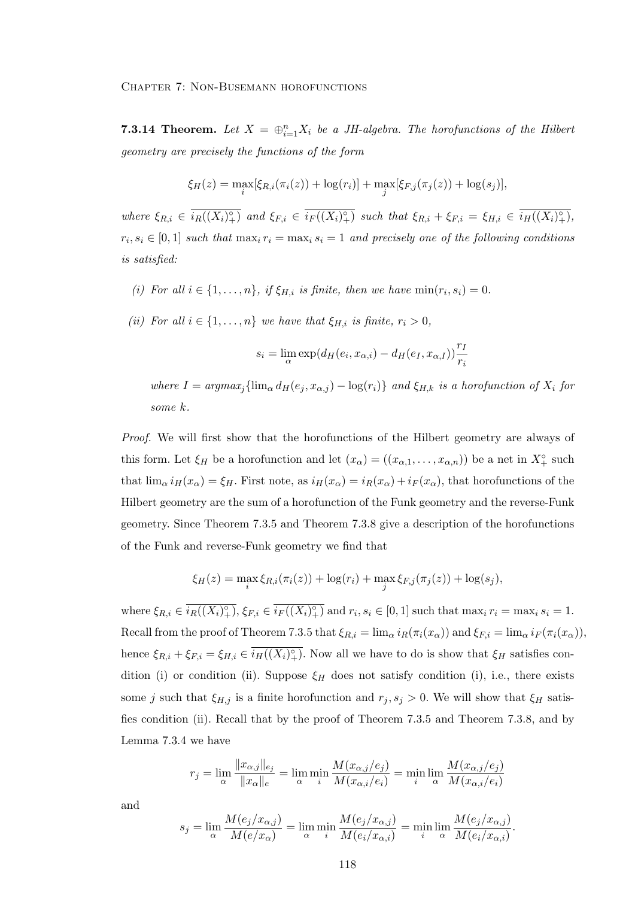**7.3.14 Theorem.** Let  $X = \bigoplus_{i=1}^{n} X_i$  be a JH-algebra. The horofunctions of the Hilbert geometry are precisely the functions of the form

$$
\xi_H(z) = \max_i[\xi_{R,i}(\pi_i(z)) + \log(r_i)] + \max_j[\xi_{F,j}(\pi_j(z)) + \log(s_j)],
$$

where  $\xi_{R,i} \in \overline{i_R((X_i)_{+}^{\circ})}$  and  $\xi_{F,i} \in \overline{i_F((X_i)_{+}^{\circ})}$  such that  $\xi_{R,i} + \xi_{F,i} = \xi_{H,i} \in \overline{i_H((X_i)_{+}^{\circ})}$ ,  $r_i, s_i \in [0,1]$  such that  $\max_i r_i = \max_i s_i = 1$  and precisely one of the following conditions is satisfied:

- (i) For all  $i \in \{1, \ldots, n\}$ , if  $\xi_{H,i}$  is finite, then we have  $\min(r_i, s_i) = 0$ .
- (ii) For all  $i \in \{1, \ldots, n\}$  we have that  $\xi_{H,i}$  is finite,  $r_i > 0$ ,

$$
s_i = \lim_{\alpha} \exp(d_H(e_i, x_{\alpha,i}) - d_H(e_I, x_{\alpha,I})) \frac{r_I}{r_i}
$$

where  $I = argmax_j{\{\lim_{\alpha} d_H(e_j, x_{\alpha,j}) - \log(r_i)\}}$  and  $\xi_{H,k}$  is a horofunction of  $X_i$  for some k.

Proof. We will first show that the horofunctions of the Hilbert geometry are always of this form. Let  $\xi_H$  be a horofunction and let  $(x_\alpha) = ((x_{\alpha,1}, \ldots, x_{\alpha,n}))$  be a net in  $X_+^\circ$  such that  $\lim_{\alpha} i_H(x_{\alpha}) = \xi_H$ . First note, as  $i_H(x_{\alpha}) = i_R(x_{\alpha}) + i_F(x_{\alpha})$ , that horofunctions of the Hilbert geometry are the sum of a horofunction of the Funk geometry and the reverse-Funk geometry. Since Theorem 7.3.5 and Theorem 7.3.8 give a description of the horofunctions of the Funk and reverse-Funk geometry we find that

$$
\xi_H(z) = \max_i \xi_{R,i}(\pi_i(z)) + \log(r_i) + \max_j \xi_{F,j}(\pi_j(z)) + \log(s_j),
$$

where  $\xi_{R,i} \in \overline{i_R((X_i)^\circ_+)}$ ,  $\xi_{F,i} \in \overline{i_F((X_i)^\circ_+)}$  and  $r_i, s_i \in [0,1]$  such that  $\max_i r_i = \max_i s_i = 1$ . Recall from the proof of Theorem 7.3.5 that  $\xi_{R,i} = \lim_{\alpha} i_R(\pi_i(x_{\alpha}))$  and  $\xi_{F,i} = \lim_{\alpha} i_F(\pi_i(x_{\alpha})),$ hence  $\xi_{R,i} + \xi_{F,i} = \xi_{H,i} \in \overline{i_H((X_i)^{\circ})}$ . Now all we have to do is show that  $\xi_H$  satisfies condition (i) or condition (ii). Suppose  $\xi_H$  does not satisfy condition (i), i.e., there exists some j such that  $\xi_{H,j}$  is a finite horofunction and  $r_j, s_j > 0$ . We will show that  $\xi_H$  satisfies condition (ii). Recall that by the proof of Theorem 7.3.5 and Theorem 7.3.8, and by Lemma 7.3.4 we have

$$
r_j = \lim_{\alpha} \frac{\|x_{\alpha,j}\|_{e_j}}{\|x_{\alpha}\|_{e}} = \lim_{\alpha} \min_{i} \frac{M(x_{\alpha,j}/e_j)}{M(x_{\alpha,i}/e_i)} = \min_{i} \lim_{\alpha} \frac{M(x_{\alpha,j}/e_j)}{M(x_{\alpha,i}/e_i)}
$$

and

$$
s_j = \lim_{\alpha} \frac{M(e_j/x_{\alpha,j})}{M(e/x_{\alpha})} = \lim_{\alpha} \min_{i} \frac{M(e_j/x_{\alpha,j})}{M(e_i/x_{\alpha,i})} = \min_{i} \lim_{\alpha} \frac{M(e_j/x_{\alpha,j})}{M(e_i/x_{\alpha,i})}.
$$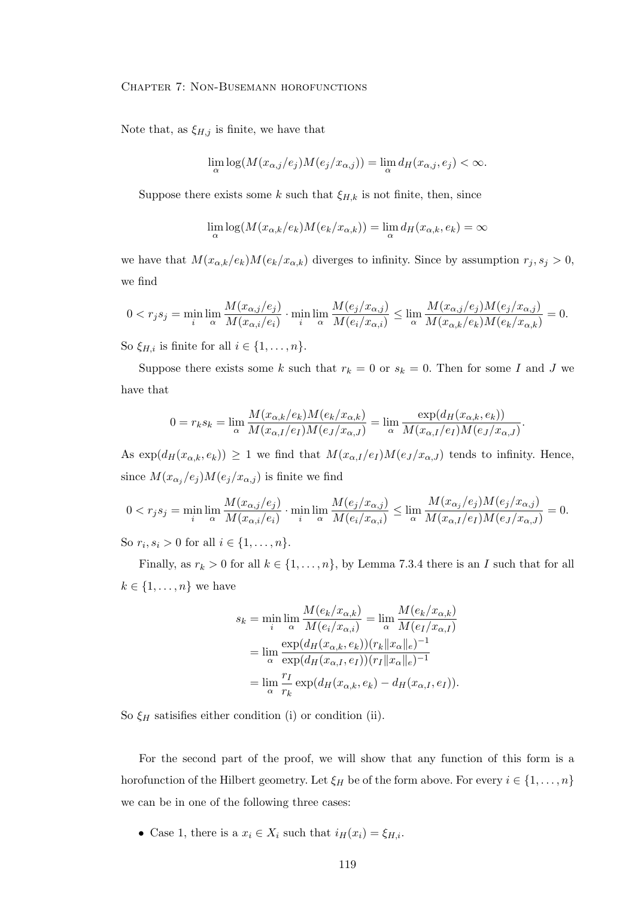Note that, as  $\xi_{H,j}$  is finite, we have that

$$
\lim_{\alpha} \log(M(x_{\alpha,j}/e_j)M(e_j/x_{\alpha,j})) = \lim_{\alpha} d_H(x_{\alpha,j},e_j) < \infty.
$$

Suppose there exists some k such that  $\xi_{H,k}$  is not finite, then, since

$$
\lim_{\alpha} \log(M(x_{\alpha,k}/e_k)M(e_k/x_{\alpha,k})) = \lim_{\alpha} d_H(x_{\alpha,k},e_k) = \infty
$$

we have that  $M(x_{\alpha,k}/e_k)M(e_k/x_{\alpha,k})$  diverges to infinity. Since by assumption  $r_j, s_j > 0$ , we find

$$
0 < r_j s_j = \min_i \lim_{\alpha} \frac{M(x_{\alpha,j}/e_j)}{M(x_{\alpha,i}/e_i)} \cdot \min_i \lim_{\alpha} \frac{M(e_j/x_{\alpha,j})}{M(e_i/x_{\alpha,i})} \leq \lim_{\alpha} \frac{M(x_{\alpha,j}/e_j)M(e_j/x_{\alpha,j})}{M(x_{\alpha,k}/e_k)M(e_k/x_{\alpha,k})} = 0.
$$

So  $\xi_{H,i}$  is finite for all  $i \in \{1, \ldots, n\}.$ 

Suppose there exists some k such that  $r_k = 0$  or  $s_k = 0$ . Then for some I and J we have that

$$
0 = r_k s_k = \lim_{\alpha} \frac{M(x_{\alpha,k}/e_k)M(e_k/x_{\alpha,k})}{M(x_{\alpha,I}/e_I)M(e_J/x_{\alpha,J})} = \lim_{\alpha} \frac{\exp(d_H(x_{\alpha,k},e_k))}{M(x_{\alpha,I}/e_I)M(e_J/x_{\alpha,J})}.
$$

As  $\exp(d_H(x_{\alpha,k}, e_k)) \geq 1$  we find that  $M(x_{\alpha,I}/e_I)M(e_J/x_{\alpha,J})$  tends to infinity. Hence, since  $M(x_{\alpha_j}/e_j)M(e_j/x_{\alpha,j})$  is finite we find

$$
0 < r_j s_j = \min_i \lim_{\alpha} \frac{M(x_{\alpha,j}/e_j)}{M(x_{\alpha,i}/e_i)} \cdot \min_i \lim_{\alpha} \frac{M(e_j/x_{\alpha,j})}{M(e_i/x_{\alpha,i})} \leq \lim_{\alpha} \frac{M(x_{\alpha,j}/e_j)M(e_j/x_{\alpha,j})}{M(x_{\alpha,I}/e_I)M(e_j/x_{\alpha,J})} = 0.
$$

So  $r_i, s_i > 0$  for all  $i \in \{1, ..., n\}.$ 

Finally, as  $r_k > 0$  for all  $k \in \{1, \ldots, n\}$ , by Lemma 7.3.4 there is an I such that for all  $k \in \{1, \ldots, n\}$  we have

$$
s_k = \min_i \lim_{\alpha} \frac{M(e_k/x_{\alpha,k})}{M(e_i/x_{\alpha,i})} = \lim_{\alpha} \frac{M(e_k/x_{\alpha,k})}{M(e_I/x_{\alpha,I})}
$$

$$
= \lim_{\alpha} \frac{\exp(d_H(x_{\alpha,k}, e_k))(r_k||x_{\alpha}||_e)^{-1}}{\exp(d_H(x_{\alpha,I}, e_I))(r_I||x_{\alpha}||_e)^{-1}}
$$

$$
= \lim_{\alpha} \frac{r_I}{r_k} \exp(d_H(x_{\alpha,k}, e_k) - d_H(x_{\alpha,I}, e_I)).
$$

So  $\xi_H$  satisifies either condition (i) or condition (ii).

For the second part of the proof, we will show that any function of this form is a horofunction of the Hilbert geometry. Let  $\xi_H$  be of the form above. For every  $i \in \{1, \ldots, n\}$ we can be in one of the following three cases:

• Case 1, there is a  $x_i \in X_i$  such that  $i_H(x_i) = \xi_{H,i}$ .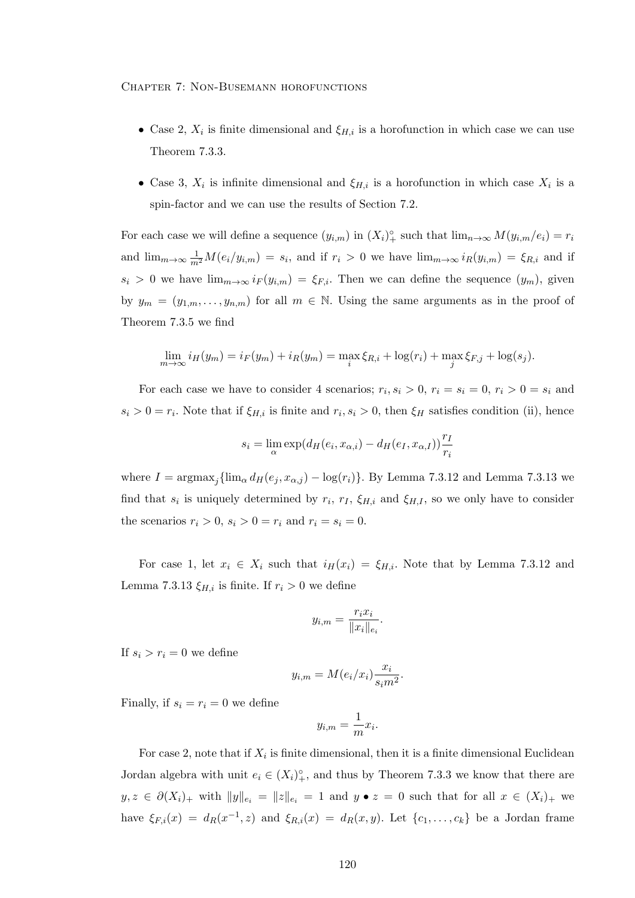- Case 2,  $X_i$  is finite dimensional and  $\xi_{H,i}$  is a horofunction in which case we can use Theorem 7.3.3.
- Case 3,  $X_i$  is infinite dimensional and  $\xi_{H,i}$  is a horofunction in which case  $X_i$  is a spin-factor and we can use the results of Section 7.2.

For each case we will define a sequence  $(y_{i,m})$  in  $(X_i)_{+}^{\circ}$  such that  $\lim_{n\to\infty} M(y_{i,m}/e_i) = r_i$ and  $\lim_{m\to\infty}\frac{1}{m^2}M(e_i/y_{i,m})=s_i$ , and if  $r_i>0$  we have  $\lim_{m\to\infty}i_R(y_{i,m})=\xi_{R,i}$  and if  $s_i > 0$  we have  $\lim_{m\to\infty} i_F(y_{i,m}) = \xi_{F,i}$ . Then we can define the sequence  $(y_m)$ , given by  $y_m = (y_{1,m}, \ldots, y_{n,m})$  for all  $m \in \mathbb{N}$ . Using the same arguments as in the proof of Theorem 7.3.5 we find

$$
\lim_{m \to \infty} i_H(y_m) = i_F(y_m) + i_R(y_m) = \max_i \xi_{R,i} + \log(r_i) + \max_j \xi_{F,j} + \log(s_j).
$$

For each case we have to consider 4 scenarios;  $r_i, s_i > 0, r_i = s_i = 0, r_i > 0 = s_i$  and  $s_i > 0 = r_i$ . Note that if  $\xi_{H,i}$  is finite and  $r_i, s_i > 0$ , then  $\xi_H$  satisfies condition (ii), hence

$$
s_i = \lim_{\alpha} \exp(d_H(e_i, x_{\alpha,i}) - d_H(e_I, x_{\alpha,I})) \frac{r_I}{r_i}
$$

where  $I = \operatorname{argmax}_i \{ \lim_{\alpha} d_H(e_i, x_{\alpha,i}) - \log(r_i) \}.$  By Lemma 7.3.12 and Lemma 7.3.13 we find that  $s_i$  is uniquely determined by  $r_i$ ,  $r_I$ ,  $\xi_{H,i}$  and  $\xi_{H,I}$ , so we only have to consider the scenarios  $r_i > 0$ ,  $s_i > 0 = r_i$  and  $r_i = s_i = 0$ .

For case 1, let  $x_i \in X_i$  such that  $i_H(x_i) = \xi_{H,i}$ . Note that by Lemma 7.3.12 and Lemma 7.3.13  $\xi_{H,i}$  is finite. If  $r_i > 0$  we define

$$
y_{i,m} = \frac{r_i x_i}{\|x_i\|_{e_i}}.
$$

If  $s_i > r_i = 0$  we define

$$
y_{i,m} = M(e_i/x_i) \frac{x_i}{s_i m^2}.
$$

Finally, if  $s_i = r_i = 0$  we define

$$
y_{i,m} = \frac{1}{m}x_i.
$$

For case 2, note that if  $X_i$  is finite dimensional, then it is a finite dimensional Euclidean Jordan algebra with unit  $e_i \in (X_i)^\circ_+$ , and thus by Theorem 7.3.3 we know that there are  $y, z \in \partial(X_i)_+$  with  $||y||_{e_i} = ||z||_{e_i} = 1$  and  $y \bullet z = 0$  such that for all  $x \in (X_i)_+$  we have  $\xi_{F,i}(x) = d_R(x^{-1}, z)$  and  $\xi_{R,i}(x) = d_R(x, y)$ . Let  $\{c_1, \ldots, c_k\}$  be a Jordan frame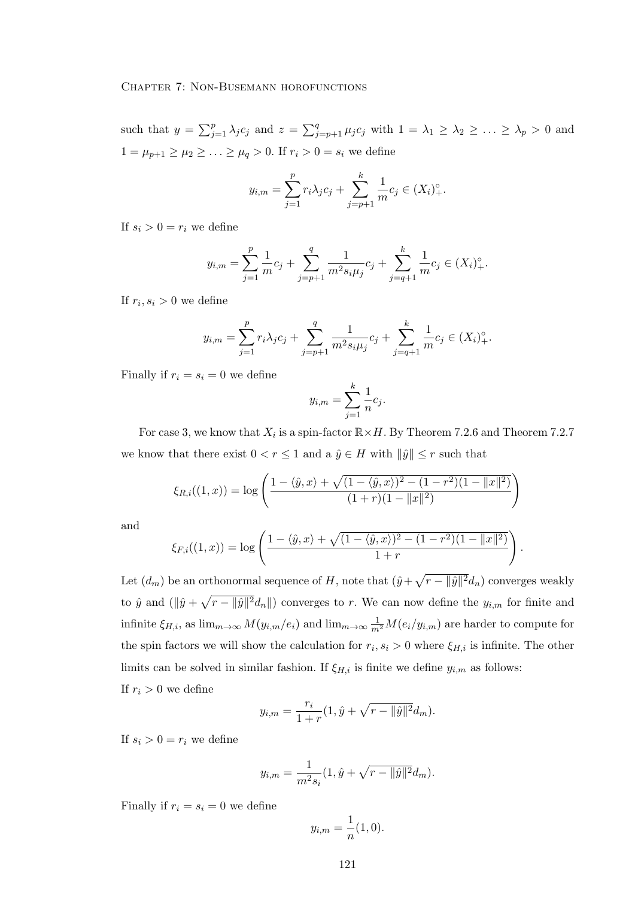such that  $y = \sum_{j=1}^p \lambda_j c_j$  and  $z = \sum_{j=p+1}^q \mu_j c_j$  with  $1 = \lambda_1 \geq \lambda_2 \geq \ldots \geq \lambda_p > 0$  and  $1 = \mu_{p+1} \ge \mu_2 \ge \ldots \ge \mu_q > 0$ . If  $r_i > 0 = s_i$  we define

$$
y_{i,m} = \sum_{j=1}^{p} r_i \lambda_j c_j + \sum_{j=p+1}^{k} \frac{1}{m} c_j \in (X_i)_{+}^{\circ}.
$$

If  $s_i > 0 = r_i$  we define

$$
y_{i,m} = \sum_{j=1}^{p} \frac{1}{m} c_j + \sum_{j=p+1}^{q} \frac{1}{m^2 s_i \mu_j} c_j + \sum_{j=q+1}^{k} \frac{1}{m} c_j \in (X_i)_{+}^{\circ}.
$$

If  $r_i, s_i > 0$  we define

$$
y_{i,m} = \sum_{j=1}^{p} r_i \lambda_j c_j + \sum_{j=p+1}^{q} \frac{1}{m^2 s_i \mu_j} c_j + \sum_{j=q+1}^{k} \frac{1}{m} c_j \in (X_i)_{+}^{\circ}.
$$

Finally if  $r_i = s_i = 0$  we define

$$
y_{i,m} = \sum_{j=1}^{k} \frac{1}{n} c_j.
$$

For case 3, we know that  $X_i$  is a spin-factor  $\mathbb{R} \times H$ . By Theorem 7.2.6 and Theorem 7.2.7 we know that there exist  $0 < r \leq 1$  and a  $\hat{y} \in H$  with  $\|\hat{y}\| \leq r$  such that

$$
\xi_{R,i}((1,x)) = \log \left( \frac{1 - \langle \hat{y}, x \rangle + \sqrt{(1 - \langle \hat{y}, x \rangle)^2 - (1 - r^2)(1 - ||x||^2)}}{(1 + r)(1 - ||x||^2)} \right)
$$

and

$$
\xi_{F,i}((1,x)) = \log \left( \frac{1 - \langle \hat{y}, x \rangle + \sqrt{(1 - \langle \hat{y}, x \rangle)^2 - (1 - r^2)(1 - ||x||^2)}}{1 + r} \right).
$$

Let  $(d_m)$  be an orthonormal sequence of H, note that  $(\hat{y} + \sqrt{r - ||\hat{y}||^2} d_n)$  converges weakly to  $\hat{y}$  and  $(\|\hat{y} + \sqrt{r - \|\hat{y}\|^2} d_n\|)$  converges to r. We can now define the  $y_{i,m}$  for finite and infinite  $\xi_{H,i}$ , as  $\lim_{m\to\infty} M(y_{i,m}/e_i)$  and  $\lim_{m\to\infty} \frac{1}{m^2}M(e_i/y_{i,m})$  are harder to compute for the spin factors we will show the calculation for  $r_i, s_i > 0$  where  $\xi_{H,i}$  is infinite. The other limits can be solved in similar fashion. If  $\xi_{H,i}$  is finite we define  $y_{i,m}$  as follows: If  $r_i > 0$  we define

$$
y_{i,m} = \frac{r_i}{1+r}(1, \hat{y} + \sqrt{r - ||\hat{y}||^2}d_m).
$$

If  $s_i > 0 = r_i$  we define

$$
y_{i,m} = \frac{1}{m^2 s_i} (1, \hat{y} + \sqrt{r - ||\hat{y}||^2} d_m).
$$

Finally if  $r_i = s_i = 0$  we define

$$
y_{i,m} = \frac{1}{n}(1,0).
$$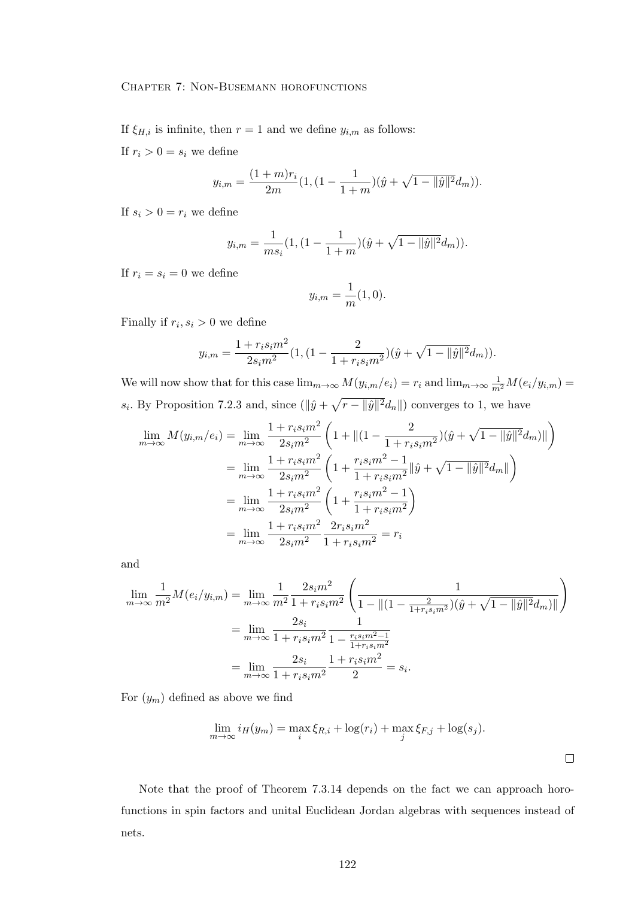If  $\xi_{H,i}$  is infinite, then  $r = 1$  and we define  $y_{i,m}$  as follows:

If  $r_i > 0 = s_i$  we define

$$
y_{i,m} = \frac{(1+m)r_i}{2m}(1,(1-\frac{1}{1+m})(\hat{y} + \sqrt{1-\|\hat{y}\|^2}d_m)).
$$

If  $s_i > 0 = r_i$  we define

$$
y_{i,m} = \frac{1}{ms_i} (1, \left(1 - \frac{1}{1+m}\right)(\hat{y} + \sqrt{1 - \|\hat{y}\|^2} d_m)).
$$

If  $r_i = s_i = 0$  we define

$$
y_{i,m} = \frac{1}{m}(1,0).
$$

Finally if  $r_i, s_i > 0$  we define

$$
y_{i,m} = \frac{1 + r_i s_i m^2}{2s_i m^2} (1, \left(1 - \frac{2}{1 + r_i s_i m^2}\right) (\hat{y} + \sqrt{1 - ||\hat{y}||^2} d_m)).
$$

We will now show that for this case  $\lim_{m\to\infty} M(y_{i,m}/e_i) = r_i$  and  $\lim_{m\to\infty} \frac{1}{m^2}M(e_i/y_{i,m}) =$  $s_i$ . By Proposition 7.2.3 and, since  $(\|\hat{y} + \sqrt{r} - \|\hat{y}\|^2 d_n\|)$  converges to 1, we have

$$
\lim_{m \to \infty} M(y_{i,m}/e_i) = \lim_{m \to \infty} \frac{1 + r_i s_i m^2}{2s_i m^2} \left( 1 + \left\| (1 - \frac{2}{1 + r_i s_i m^2}) (\hat{y} + \sqrt{1 - \|\hat{y}\|^2} d_m) \right\| \right)
$$
  
\n
$$
= \lim_{m \to \infty} \frac{1 + r_i s_i m^2}{2s_i m^2} \left( 1 + \frac{r_i s_i m^2 - 1}{1 + r_i s_i m^2} \|\hat{y} + \sqrt{1 - \|\hat{y}\|^2} d_m \| \right)
$$
  
\n
$$
= \lim_{m \to \infty} \frac{1 + r_i s_i m^2}{2s_i m^2} \left( 1 + \frac{r_i s_i m^2 - 1}{1 + r_i s_i m^2} \right)
$$
  
\n
$$
= \lim_{m \to \infty} \frac{1 + r_i s_i m^2}{2s_i m^2} \frac{2r_i s_i m^2}{1 + r_i s_i m^2} = r_i
$$

and

$$
\lim_{m \to \infty} \frac{1}{m^2} M(e_i/y_{i,m}) = \lim_{m \to \infty} \frac{1}{m^2} \frac{2s_i m^2}{1 + r_i s_i m^2} \left( \frac{1}{1 - ||(1 - \frac{2}{1 + r_i s_i m^2})(\hat{y} + \sqrt{1 - ||\hat{y}||^2} d_m) ||} \right)
$$

$$
= \lim_{m \to \infty} \frac{2s_i}{1 + r_i s_i m^2} \frac{1}{1 - \frac{r_i s_i m^2 - 1}{1 + r_i s_i m^2}}
$$

$$
= \lim_{m \to \infty} \frac{2s_i}{1 + r_i s_i m^2} \frac{1 + r_i s_i m^2}{2} = s_i.
$$

For  $(y_m)$  defined as above we find

$$
\lim_{m \to \infty} i_H(y_m) = \max_i \xi_{R,i} + \log(r_i) + \max_j \xi_{F,j} + \log(s_j).
$$

 $\Box$ 

Note that the proof of Theorem 7.3.14 depends on the fact we can approach horofunctions in spin factors and unital Euclidean Jordan algebras with sequences instead of nets.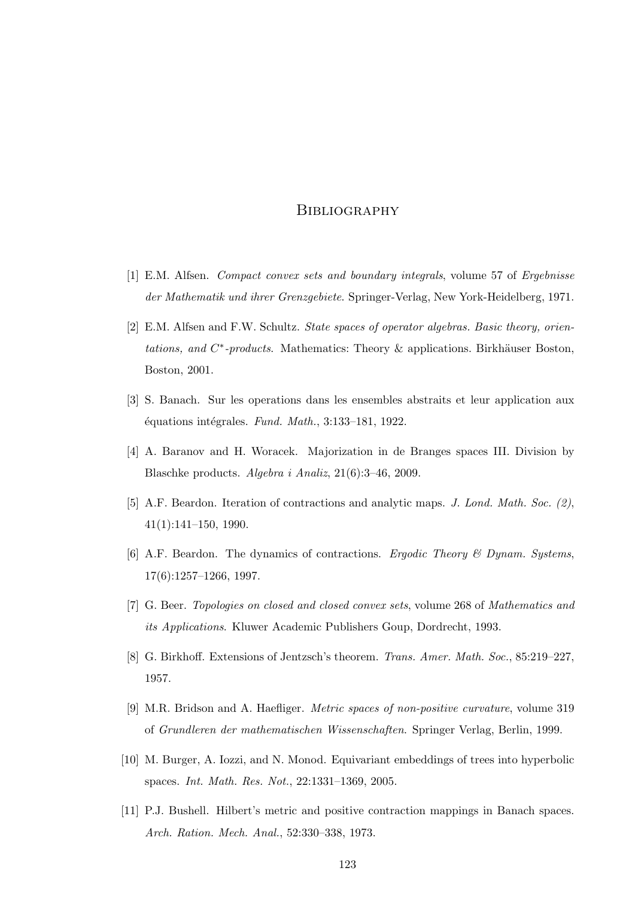- [1] E.M. Alfsen. Compact convex sets and boundary integrals, volume 57 of Ergebnisse der Mathematik und ihrer Grenzgebiete. Springer-Verlag, New York-Heidelberg, 1971.
- [2] E.M. Alfsen and F.W. Schultz. State spaces of operator algebras. Basic theory, orientations, and  $C^*$ -products. Mathematics: Theory & applications. Birkhäuser Boston, Boston, 2001.
- [3] S. Banach. Sur les operations dans les ensembles abstraits et leur application aux  $équations$  intégrales. Fund. Math., 3:133-181, 1922.
- [4] A. Baranov and H. Woracek. Majorization in de Branges spaces III. Division by Blaschke products. Algebra i Analiz, 21(6):3–46, 2009.
- [5] A.F. Beardon. Iteration of contractions and analytic maps. J. Lond. Math. Soc. (2), 41(1):141–150, 1990.
- [6] A.F. Beardon. The dynamics of contractions. Ergodic Theory  $\mathcal B$  Dynam. Systems, 17(6):1257–1266, 1997.
- [7] G. Beer. Topologies on closed and closed convex sets, volume 268 of Mathematics and its Applications. Kluwer Academic Publishers Goup, Dordrecht, 1993.
- [8] G. Birkhoff. Extensions of Jentzsch's theorem. Trans. Amer. Math. Soc., 85:219–227, 1957.
- [9] M.R. Bridson and A. Haefliger. Metric spaces of non-positive curvature, volume 319 of Grundleren der mathematischen Wissenschaften. Springer Verlag, Berlin, 1999.
- [10] M. Burger, A. Iozzi, and N. Monod. Equivariant embeddings of trees into hyperbolic spaces. Int. Math. Res. Not., 22:1331–1369, 2005.
- [11] P.J. Bushell. Hilbert's metric and positive contraction mappings in Banach spaces. Arch. Ration. Mech. Anal., 52:330–338, 1973.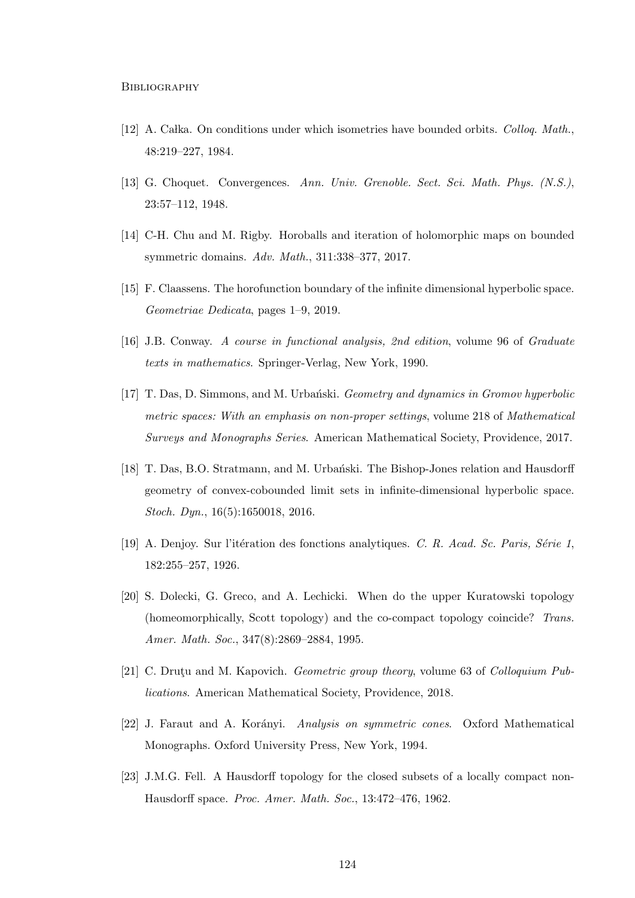- [12] A. Calka. On conditions under which isometries have bounded orbits. Colloq. Math., 48:219–227, 1984.
- [13] G. Choquet. Convergences. Ann. Univ. Grenoble. Sect. Sci. Math. Phys. (N.S.), 23:57–112, 1948.
- [14] C-H. Chu and M. Rigby. Horoballs and iteration of holomorphic maps on bounded symmetric domains. Adv. Math., 311:338–377, 2017.
- [15] F. Claassens. The horofunction boundary of the infinite dimensional hyperbolic space. Geometriae Dedicata, pages 1–9, 2019.
- [16] J.B. Conway. A course in functional analysis, 2nd edition, volume 96 of Graduate texts in mathematics. Springer-Verlag, New York, 1990.
- [17] T. Das, D. Simmons, and M. Urbański. *Geometry and dynamics in Gromov hyperbolic* metric spaces: With an emphasis on non-proper settings, volume 218 of Mathematical Surveys and Monographs Series. American Mathematical Society, Providence, 2017.
- [18] T. Das, B.O. Stratmann, and M. Urbański. The Bishop-Jones relation and Hausdorff geometry of convex-cobounded limit sets in infinite-dimensional hyperbolic space. Stoch. Dyn., 16(5):1650018, 2016.
- [19] A. Denjoy. Sur l'itération des fonctions analytiques. C. R. Acad. Sc. Paris, Série 1, 182:255–257, 1926.
- [20] S. Dolecki, G. Greco, and A. Lechicki. When do the upper Kuratowski topology (homeomorphically, Scott topology) and the co-compact topology coincide? Trans. Amer. Math. Soc., 347(8):2869–2884, 1995.
- [21] C. Druty and M. Kapovich. *Geometric group theory*, volume 63 of *Colloquium Pub*lications. American Mathematical Society, Providence, 2018.
- [22] J. Faraut and A. Korányi. *Analysis on symmetric cones*. Oxford Mathematical Monographs. Oxford University Press, New York, 1994.
- [23] J.M.G. Fell. A Hausdorff topology for the closed subsets of a locally compact non-Hausdorff space. Proc. Amer. Math. Soc., 13:472–476, 1962.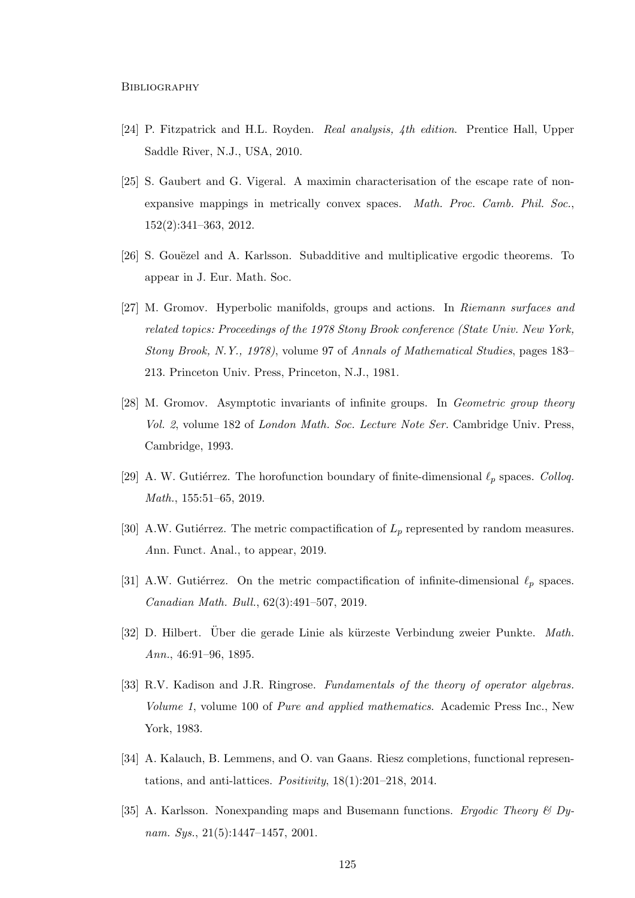- [24] P. Fitzpatrick and H.L. Royden. Real analysis, 4th edition. Prentice Hall, Upper Saddle River, N.J., USA, 2010.
- [25] S. Gaubert and G. Vigeral. A maximin characterisation of the escape rate of nonexpansive mappings in metrically convex spaces. Math. Proc. Camb. Phil. Soc., 152(2):341–363, 2012.
- [26] S. Gouëzel and A. Karlsson. Subadditive and multiplicative ergodic theorems. To appear in J. Eur. Math. Soc.
- [27] M. Gromov. Hyperbolic manifolds, groups and actions. In Riemann surfaces and related topics: Proceedings of the 1978 Stony Brook conference (State Univ. New York, Stony Brook, N.Y., 1978), volume 97 of Annals of Mathematical Studies, pages 183– 213. Princeton Univ. Press, Princeton, N.J., 1981.
- [28] M. Gromov. Asymptotic invariants of infinite groups. In Geometric group theory Vol. 2, volume 182 of London Math. Soc. Lecture Note Ser. Cambridge Univ. Press, Cambridge, 1993.
- [29] A. W. Gutiérrez. The horofunction boundary of finite-dimensional  $\ell_p$  spaces. Colloq. Math., 155:51–65, 2019.
- [30] A.W. Gutiérrez. The metric compactification of  $L_p$  represented by random measures. Ann. Funct. Anal., to appear, 2019.
- [31] A.W. Gutiérrez. On the metric compactification of infinite-dimensional  $\ell_p$  spaces. Canadian Math. Bull., 62(3):491–507, 2019.
- [32] D. Hilbert. Über die gerade Linie als kürzeste Verbindung zweier Punkte. Math. Ann., 46:91–96, 1895.
- [33] R.V. Kadison and J.R. Ringrose. Fundamentals of the theory of operator algebras. Volume 1, volume 100 of Pure and applied mathematics. Academic Press Inc., New York, 1983.
- [34] A. Kalauch, B. Lemmens, and O. van Gaans. Riesz completions, functional representations, and anti-lattices. *Positivity*,  $18(1):201-218$ ,  $2014$ .
- [35] A. Karlsson. Nonexpanding maps and Busemann functions. Ergodic Theory & Dynam. Sys., 21(5):1447-1457, 2001.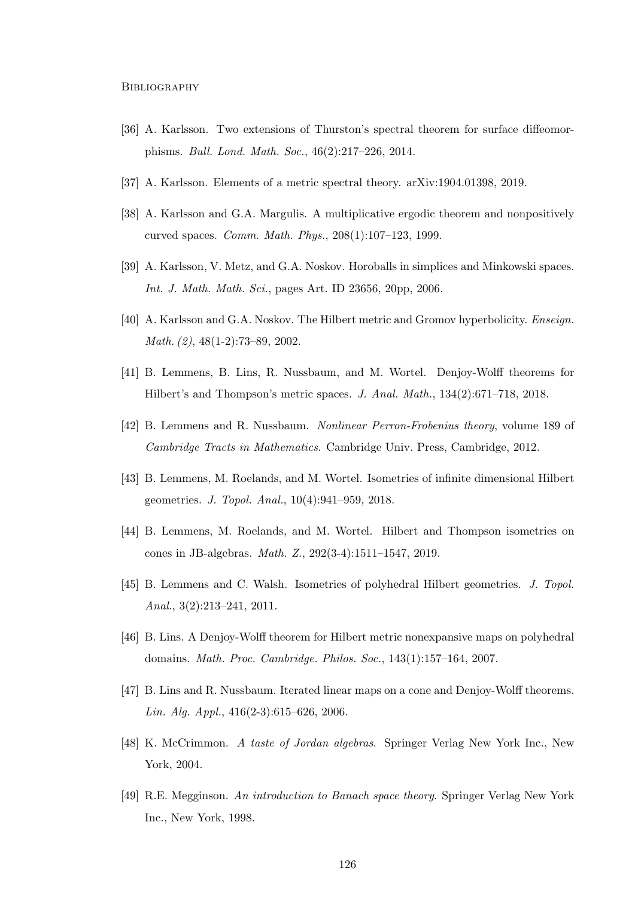- [36] A. Karlsson. Two extensions of Thurston's spectral theorem for surface diffeomorphisms. Bull. Lond. Math. Soc., 46(2):217–226, 2014.
- [37] A. Karlsson. Elements of a metric spectral theory. arXiv:1904.01398, 2019.
- [38] A. Karlsson and G.A. Margulis. A multiplicative ergodic theorem and nonpositively curved spaces. Comm. Math. Phys., 208(1):107–123, 1999.
- [39] A. Karlsson, V. Metz, and G.A. Noskov. Horoballs in simplices and Minkowski spaces. Int. J. Math. Math. Sci., pages Art. ID 23656, 20pp, 2006.
- [40] A. Karlsson and G.A. Noskov. The Hilbert metric and Gromov hyperbolicity. Enseign. Math. (2), 48(1-2):73–89, 2002.
- [41] B. Lemmens, B. Lins, R. Nussbaum, and M. Wortel. Denjoy-Wolff theorems for Hilbert's and Thompson's metric spaces. J. Anal. Math., 134(2):671–718, 2018.
- [42] B. Lemmens and R. Nussbaum. Nonlinear Perron-Frobenius theory, volume 189 of Cambridge Tracts in Mathematics. Cambridge Univ. Press, Cambridge, 2012.
- [43] B. Lemmens, M. Roelands, and M. Wortel. Isometries of infinite dimensional Hilbert geometries. J. Topol. Anal., 10(4):941–959, 2018.
- [44] B. Lemmens, M. Roelands, and M. Wortel. Hilbert and Thompson isometries on cones in JB-algebras. Math. Z., 292(3-4):1511–1547, 2019.
- [45] B. Lemmens and C. Walsh. Isometries of polyhedral Hilbert geometries. J. Topol. Anal., 3(2):213–241, 2011.
- [46] B. Lins. A Denjoy-Wolff theorem for Hilbert metric nonexpansive maps on polyhedral domains. Math. Proc. Cambridge. Philos. Soc., 143(1):157–164, 2007.
- [47] B. Lins and R. Nussbaum. Iterated linear maps on a cone and Denjoy-Wolff theorems. Lin. Alg. Appl., 416(2-3):615–626, 2006.
- [48] K. McCrimmon. A taste of Jordan algebras. Springer Verlag New York Inc., New York, 2004.
- [49] R.E. Megginson. An introduction to Banach space theory. Springer Verlag New York Inc., New York, 1998.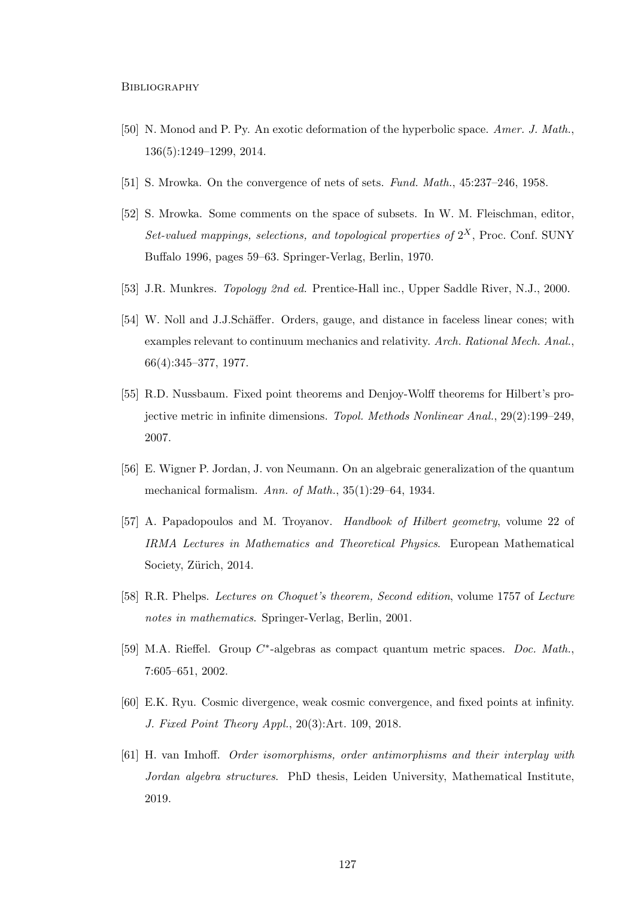- [50] N. Monod and P. Py. An exotic deformation of the hyperbolic space. Amer. J. Math., 136(5):1249–1299, 2014.
- [51] S. Mrowka. On the convergence of nets of sets. Fund. Math., 45:237–246, 1958.
- [52] S. Mrowka. Some comments on the space of subsets. In W. M. Fleischman, editor, Set-valued mappings, selections, and topological properties of  $2^X$ , Proc. Conf. SUNY Buffalo 1996, pages 59–63. Springer-Verlag, Berlin, 1970.
- [53] J.R. Munkres. Topology 2nd ed. Prentice-Hall inc., Upper Saddle River, N.J., 2000.
- [54] W. Noll and J.J.Schäffer. Orders, gauge, and distance in faceless linear cones; with examples relevant to continuum mechanics and relativity. Arch. Rational Mech. Anal., 66(4):345–377, 1977.
- [55] R.D. Nussbaum. Fixed point theorems and Denjoy-Wolff theorems for Hilbert's projective metric in infinite dimensions. Topol. Methods Nonlinear Anal., 29(2):199–249, 2007.
- [56] E. Wigner P. Jordan, J. von Neumann. On an algebraic generalization of the quantum mechanical formalism. Ann. of Math., 35(1):29–64, 1934.
- [57] A. Papadopoulos and M. Troyanov. Handbook of Hilbert geometry, volume 22 of IRMA Lectures in Mathematics and Theoretical Physics. European Mathematical Society, Zürich, 2014.
- [58] R.R. Phelps. Lectures on Choquet's theorem, Second edition, volume 1757 of Lecture notes in mathematics. Springer-Verlag, Berlin, 2001.
- [59] M.A. Rieffel. Group C<sup>\*</sup>-algebras as compact quantum metric spaces. Doc. Math., 7:605–651, 2002.
- [60] E.K. Ryu. Cosmic divergence, weak cosmic convergence, and fixed points at infinity. J. Fixed Point Theory Appl., 20(3):Art. 109, 2018.
- [61] H. van Imhoff. Order isomorphisms, order antimorphisms and their interplay with Jordan algebra structures. PhD thesis, Leiden University, Mathematical Institute, 2019.